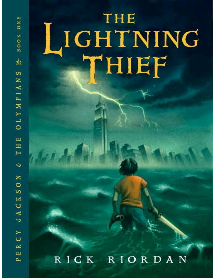# THE LIGHTNING

## RICK RIORDAN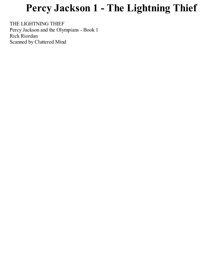THE LIGHTNING THIEF Percy Jackson and the Olympians - Book 1 Rick Riordan Scanned by Cluttered Mind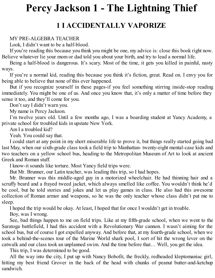### **1 I ACCIDENTALLY VAPORIZE**

#### MY PRE-ALGEBRA TEACHER

Look, I didn't want to be a half-blood.

If you're reading this because you think you might be one, my advice is: close this book right now. Believe whatever lie your mom or dad told you about your birth, and try to lead a normal life.

Being a half-blood is dangerous. It's scary. Most of the time, it gets you killed in painful, nasty ways.

If you're a normal kid, reading this because you think it's fiction, great. Read on. I envy you for being able to believe that none of this ever happened.

But if you recognize yourself in these pages-if you feel something stirring inside-stop reading immediately. You might be one of us. And once you know that, it's only a matter of time before they sense it too, and they'll come for you.

Don't say I didn't warn you.

My name is Percy Jackson.

I'm twelve years old. Until a few months ago, I was a boarding student at Yancy Academy, a private school for troubled kids in upstate New York.

Am I a troubled kid?

Yeah. You could say that.

I could start at any point in my short miserable life to prove it, but things really started going bad last May, when our sixth-grade class took a field trip to Manhattan- twenty-eight mental-case kids and two teachers on a yellow school bus, heading to the Metropolitan Museum of Art to look at ancient Greek and Roman stuff.

I know-it sounds like torture. Most Yancy field trips were.

But Mr. Brunner, our Latin teacher, was leading this trip, so I had hopes.

Mr. Brunner was this middle-aged guy in a motorized wheelchair. He had thinning hair and a scruffy beard and a frayed tweed jacket, which always smelled like coffee. You wouldn't think he'd be cool, but he told stories and jokes and let us play games in class. He also had this awesome collection of Roman armor and weapons, so he was the only teacher whose class didn't put me to sleep.

I hoped the trip would be okay. At least, I hoped that for once I wouldn't get in trouble.

Boy, was I wrong.

See, bad things happen to me on field trips. Like at my fifth-grade school, when we went to the Saratoga battlefield, I had this accident with a Revolutionary War cannon. I wasn't aiming for the school bus, but of course I got expelled anyway. And before that, at my fourth-grade school, when we took a behind-the-scenes tour of the Marine World shark pool, I sort of hit the wrong lever on the catwalk and our class took an unplanned swim. And the time before that… Well, you get the idea.

This trip, I was determined to be good.

All the way into the city, I put up with Nancy Bobofit, the freckly, redheaded kleptomaniac girl, hitting my best friend Grover in the back of the head with chunks of peanut butter-and-ketchup sandwich.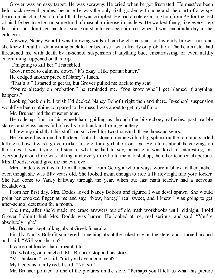Grover was an easy target. He was scrawny. He cried when he got frustrated. He must've been held back several grades, because he was the only sixth grader with acne and the start of a wispy beard on his chin. On top of all that, he was crippled. He had a note excusing him from PE for the rest of his life because he had some kind of muscular disease in his legs. He walked funny, like every step hurt him, but don't let that fool you. You should've seen him run when it was enchilada day in the cafeteria.

Anyway, Nancy Bobofit was throwing wads of sandwich that stuck in his curly brown hair, and she knew I couldn't do anything back to her because I was already on probation. The headmaster had threatened me with death by in-school suspension if anything bad, embarrassing, or even mildly entertaining happened on this trip.

"I'm going to kill her," I mumbled.

Grover tried to calm me down. "It's okay. I like peanut butter."

He dodged another piece of Nancy's lunch.

"That's it." I started to get up, but Grover pulled me back to my seat.

"You're already on probation," he reminded me. "You know who'll get blamed if anything happens."

Looking back on it, I wish I'd decked Nancy Bobofit right then and there. In-school suspension would've been nothing compared to the mess I was about to get myself into.

Mr. Brunner led the museum tour.

He rode up front in his wheelchair, guiding us through the big echoey galleries, past marble statues and glass cases full of really old black-and-orange pottery.

It blew my mind that this stuff had survived for two thousand, three thousand years.

He gathered us around a thirteen-foot-tall stone column with a big sphinx on the top, and started telling us how it was a grave marker, a stele, for a girl about our age. He told us about the carvings on the sides. I was trying to listen to what he had to say, because it was kind of interesting, but everybody around me was talking, and every time I told them to shut up, the other teacher chaperone, Mrs. Dodds, would give me the evil eye.

Mrs. Dodds was this little math teacher from Georgia who always wore a black leather jacket, even though she was fifty years old. She looked mean enough to ride a Harley right into your locker. She had come to Yancy halfway through the year, when our last math teacher had a nervous breakdown.

From her first day, Mrs. Dodds loved Nancy Bobofit and figured I was devil spawn. She would point her crooked finger at me and say, "Now, honey," real sweet, and I knew I was going to get after-school detention for a month.

One time, after she'd made me erase answers out of old math workbooks until midnight, I told Grover I didn't think Mrs. Dodds was human. He looked at me, real serious, and said, "You're absolutely right."

Mr. Brunner kept talking about Greek funeral art.

Finally, Nancy Bobofit snickered something about the naked guy on the stele, and I turned around and said, "Will you shut up?"

It came out louder than I meant it to.

The whole group laughed. Mr. Brunner stopped his story.

"Mr. Jackson," he said, "did you have a comment?"

My face was totally red. I said, "No, sir."

Mr. Brunner pointed to one of the pictures on the stele. "Perhaps you'll tell us what this picture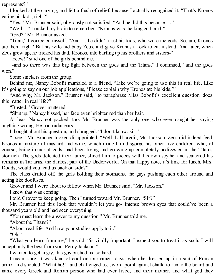represents?"

I looked at the carving, and felt a flush of relief, because I actually recognized it. "That's Kronos eating his kids, right?"

"Yes," Mr. Brunner said, obviously not satisfied. "And he did this because …"

"Well…" I racked my brain to remember. "Kronos was the king god, and-"

"God?" Mr. Brunner asked.

"Titan," I corrected myself. "And … he didn't trust his kids, who were the gods. So, um, Kronos ate them, right? But his wife hid baby Zeus, and gave Kronos a rock to eat instead. And later, when Zeus grew up, he tricked his dad, Kronos, into barfing up his brothers and sisters-"

"Eeew!" said one of the girls behind me.

"-and so there was this big fight between the gods and the Titans," I continued, "and the gods won."

Some snickers from the group.

Behind me, Nancy Bobofit mumbled to a friend, "Like we're going to use this in real life. Like it's going to say on our job applications, 'Please explain why Kronos ate his kids.'"

"And why, Mr. Jackson," Brunner said, "to paraphrase Miss Bobofit's excellent question, does this matter in real life?"

"Busted," Grover muttered.

"Shut up," Nancy hissed, her face even brighter red than her hair.

At least Nancy got packed, too. Mr. Brunner was the only one who ever caught her saying anything wrong. He had radar ears.

I thought about his question, and shrugged. "I don't know, sir."

"I see." Mr. Brunner looked disappointed. "Well, half credit, Mr. Jackson. Zeus did indeed feed Kronos a mixture of mustard and wine, which made him disgorge his other five children, who, of course, being immortal gods, had been living and growing up completely undigested in the Titan's stomach. The gods defeated their father, sliced him to pieces with his own scythe, and scattered his remains in Tartarus, the darkest part of the Underworld. On that happy note, it's time for lunch. Mrs. Dodds, would you lead us back outside?"

The class drifted off, the girls holding their stomachs, the guys pushing each other around and acting like doofuses.

Grover and I were about to follow when Mr. Brunner said, "Mr. Jackson."

I knew that was coming.

I told Grover to keep going. Then I turned toward Mr. Brunner. "Sir?"

Mr. Brunner had this look that wouldn't let you go- intense brown eyes that could've been a thousand years old and had seen everything.

"You must learn the answer to my question," Mr. Brunner told me.

"About the Titans?"

"About real life. And how your studies apply to it."

"Oh."

"What you learn from me," he said, "is vitally important. I expect you to treat it as such. I will accept only the best from you, Percy Jackson."

I wanted to get angry, this guy pushed me so hard.

I mean, sure, it was kind of cool on tournament days, when he dressed up in a suit of Roman armor and shouted: "What ho!'" and challenged us, sword-point against chalk, to run to the board and name every Greek and Roman person who had ever lived, and their mother, and what god they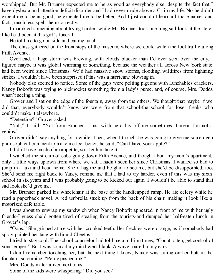worshipped. But Mr. Brunner expected me to be as good as everybody else, despite the fact that I have dyslexia and attention deficit disorder and I had never made above a C- in my life. No-he didn't expect me to be as good; he expected me to be better. And I just couldn't learn all those names and facts, much less spell them correctly.

I mumbled something about trying harder, while Mr. Brunner took one long sad look at the stele, like he'd been at this girl's funeral.

He told me to go outside and eat my lunch.

The class gathered on the front steps of the museum, where we could watch the foot traffic along Fifth Avenue.

Overhead, a huge storm was brewing, with clouds blacker than I'd ever seen over the city. I figured maybe it was global warming or something, because the weather all across New York state had been weird since Christmas. We'd had massive snow storms, flooding, wildfires from lightning strikes. I wouldn't have been surprised if this was a hurricane blowing in.

Nobody else seemed to notice. Some of the guys were pelting pigeons with Lunchables crackers. Nancy Bobofit was trying to pickpocket something from a lady's purse, and, of course, Mrs. Dodds wasn't seeing a thing.

Grover and I sat on the edge of the fountain, away from the others. We thought that maybe if we did that, everybody wouldn't know we were from that school-the school for loser freaks who couldn't make it elsewhere.

"Detention?" Grover asked.

"Nah," I said. "Not from Brunner. I just wish he'd lay off me sometimes. I mean-I'm not a genius."

Grover didn't say anything for a while. Then, when I thought he was going to give me some deep philosophical comment to make me feel better, he said, "Can I have your apple?"

I didn't have much of an appetite, so I let him take it.

I watched the stream of cabs going down Fifth Avenue, and thought about my mom's apartment, only a little ways uptown from where we sat. I hadn't seen her since Christmas. I wanted so bad to jump in a taxi and head home. She'd hug me and be glad to see me, but she'd be disappointed, too. She'd send me right back to Yancy, remind me that I had to try harder, even if this was my sixth school in six years and I was probably going to be kicked out again. I wouldn't be able to stand that sad look she'd give me.

Mr. Brunner parked his wheelchair at the base of the handicapped ramp. He ate celery while he read a paperback novel. A red umbrella stuck up from the back of his chair, making it look like a motorized cafe table.

I was about to unwrap my sandwich when Nancy Bobofit appeared in front of me with her ugly friends-I guess she'd gotten tired of stealing from the tourists-and dumped her half-eaten lunch in Grover's lap.

"Oops." She grinned at me with her crooked teeth. Her freckles were orange, as if somebody had spray-painted her face with liquid Cheetos.

I tried to stay cool. The school counselor had told me a million times, "Count to ten, get control of your temper." But I was so mad my mind went blank. A wave roared in my ears.

I don't remember touching her, but the next thing I knew, Nancy was sitting on her butt in the fountain, screaming, "Percy pushed me!"

Mrs. Dodds materialized next to us.

Some of the kids were whispering: "Did you see-"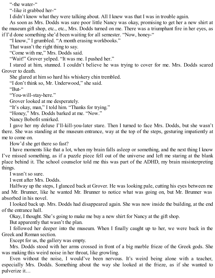"-the water-"

"-like it grabbed her-"

I didn't know what they were talking about. All I knew was that I was in trouble again.

As soon as Mrs. Dodds was sure poor little Nancy was okay, promising to get her a new shirt at the museum gift shop, etc., etc., Mrs. Dodds turned on me. There was a triumphant fire in her eyes, as if I'd done something she'd been waiting for all semester. "Now, honey-"

"I know," I grumbled. "A month erasing workbooks."

That wasn't the right thing to say.

"Come with me," Mrs. Dodds said.

"Wait!" Grover yelped. "It was me. I pushed her."

I stared at him, stunned. I couldn't believe he was trying to cover for me. Mrs. Dodds scared Grover to death.

She glared at him so hard his whiskery chin trembled.

"I don't think so, Mr. Underwood," she said.

"But-"

"You-will-stay-here."

Grover looked at me desperately.

"It's okay, man," I told him. "Thanks for trying."

"Honey," Mrs. Dodds barked at me. "Now."

Nancy Bobofit smirked.

I gave her my deluxe I'll-kill-you-later stare. Then I turned to face Mrs. Dodds, but she wasn't there. She was standing at the museum entrance, way at the top of the steps, gesturing impatiently at me to come on.

How'd she get there so fast?

I have moments like that a lot, when my brain falls asleep or something, and the next thing I know I've missed something, as if a puzzle piece fell out of the universe and left me staring at the blank place behind it. The school counselor told me this was part of the ADHD, my brain misinterpreting things.

I wasn't so sure.

I went after Mrs. Dodds.

Halfway up the steps, I glanced back at Grover. He was looking pale, cutting his eyes between me and Mr. Brunner, like he wanted Mr. Brunner to notice what was going on, but Mr. Brunner was absorbed in his novel.

I looked back up. Mrs. Dodds had disappeared again. She was now inside the building, at the end of the entrance hall.

Okay, I thought. She's going to make me buy a new shirt for Nancy at the gift shop.

But apparently that wasn't the plan.

I followed her deeper into the museum. When I finally caught up to her, we were back in the Greek and Roman section.

Except for us, the gallery was empty.

Mrs. Dodds stood with her arms crossed in front of a big marble frieze of the Greek gods. She was making this weird noise in her throat, like growling.

Even without the noise, I would've been nervous. It's weird being alone with a teacher, especially Mrs. Dodds. Something about the way she looked at the frieze, as if she wanted to pulverize it…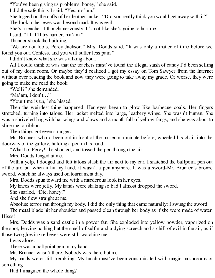"You've been giving us problems, honey," she said.

I did the safe thing. I said, "Yes, ma'am."

She tugged on the cuffs of her leather jacket. "Did you really think you would get away with it?" The look in her eyes was beyond mad. It was evil.

She's a teacher, I thought nervously. It's not like she's going to hurt me.

I said, "I'll-I'll try harder, ma'am."

Thunder shook the building.

"We are not fools, Percy Jackson," Mrs. Dodds said. "It was only a matter of time before we found you out. Confess, and you will suffer less pain."

I didn't know what she was talking about.

All I could think of was that the teachers must've found the illegal stash of candy I'd been selling out of my dorm room. Or maybe they'd realized I got my essay on Tom Sawyer from the Internet without ever reading the book and now they were going to take away my grade. Or worse, they were going to make me read the book.

"Well?" she demanded.

"Ma'am, I don't…"

"Your time is up," she hissed.

Then the weirdest thing happened. Her eyes began to glow like barbecue coals. Her fingers stretched, turning into talons. Her jacket melted into large, leathery wings. She wasn't human. She was a shriveled hag with bat wings and claws and a mouth full of yellow fangs, and she was about to slice me to ribbons.

Then things got even stranger.

Mr. Brunner, who'd been out in front of the museum a minute before, wheeled his chair into the doorway of the gallery, holding a pen in his hand.

"What ho, Percy!" he shouted, and tossed the pen through the air.

Mrs. Dodds lunged at me.

With a yelp, I dodged and felt talons slash the air next to my ear. I snatched the ballpoint pen out of the air, but when it hit my hand, it wasn't a pen anymore. It was a sword-Mr. Brunner's bronze sword, which he always used on tournament day.

Mrs. Dodds spun toward me with a murderous look in her eyes.

My knees were jelly. My hands were shaking so bad I almost dropped the sword.

She snarled, "Die, honey!"

And she flew straight at me.

Absolute terror ran through my body. I did the only thing that came naturally: I swung the sword.

The metal blade hit her shoulder and passed clean through her body as if she were made of water. Hisss!

Mrs. Dodds was a sand castle in a power fan. She exploded into yellow powder, vaporized on the spot, leaving nothing but the smell of sulfur and a dying screech and a chill of evil in the air, as if those two glowing red eyes were still watching me.

I was alone.

There was a ballpoint pen in my hand.

Mr. Brunner wasn't there. Nobody was there but me.

My hands were still trembling. My lunch must've been contaminated with magic mushrooms or something.

Had I imagined the whole thing?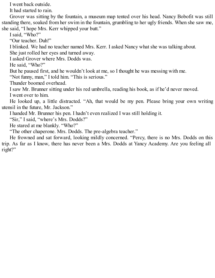I went back outside.

It had started to rain.

Grover was sitting by the fountain, a museum map tented over his head. Nancy Bobofit was still standing there, soaked from her swim in the fountain, grumbling to her ugly friends. When she saw me, she said, "I hope Mrs. Kerr whipped your butt."

I said, "Who?"

"Our teacher. Duh!"

I blinked. We had no teacher named Mrs. Kerr. I asked Nancy what she was talking about.

She just rolled her eyes and turned away.

I asked Grover where Mrs. Dodds was.

He said, "Who?"

But he paused first, and he wouldn't look at me, so I thought he was messing with me.

"Not funny, man," I told him. "This is serious."

Thunder boomed overhead.

I saw Mr. Brunner sitting under his red umbrella, reading his book, as if he'd never moved. I went over to him.

He looked up, a little distracted. "Ah, that would be my pen. Please bring your own writing utensil in the future, Mr. Jackson."

I handed Mr. Brunner his pen. I hadn't even realized I was still holding it.

"Sir," I said, "where's Mrs. Dodds?"

He stared at me blankly. "Who?"

"The other chaperone. Mrs. Dodds. The pre-algebra teacher."

He frowned and sat forward, looking mildly concerned. "Percy, there is no Mrs. Dodds on this trip. As far as I know, there has never been a Mrs. Dodds at Yancy Academy. Are you feeling all right?"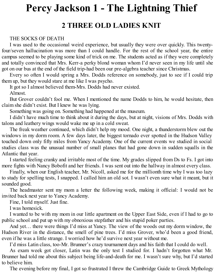# **Percy Jackson 1 - The Lightning Thief 2 THREE OLD LADIES KNIT**

#### THE SOCKS OF DEATH

I was used to the occasional weird experience, but usually they were over quickly. This twentyfour/seven hallucination was more than I could handle. For the rest of the school year, the entire campus seemed to be playing some kind of trick on me. The students acted as if they were completely and totally convinced that Mrs. Kerr-a perky blond woman whom I'd never seen in my life until she got on our bus at the end of the field trip-had been our pre-algebra teacher since Christmas.

Every so often I would spring a Mrs. Dodds reference on somebody, just to see if I could trip them up, but they would stare at me like I was psycho.

It got so I almost believed them-Mrs. Dodds had never existed.

Almost.

But Grover couldn't fool me. When I mentioned the name Dodds to him, he would hesitate, then claim she didn't exist. But I knew he was lying.

Something was going on. Something had happened at the museum.

I didn't have much time to think about it during the days, but at night, visions of Mrs. Dodds with talons and leathery wings would wake me up in a cold sweat.

The freak weather continued, which didn't help my mood. One night, a thunderstorm blew out the windows in my dorm room. A few days later, the biggest tornado ever spotted in the Hudson Valley touched down only fifty miles from Yancy Academy. One of the current events we studied in social studies class was the unusual number of small planes that had gone down in sudden squalls in the Atlantic that year.

I started feeling cranky and irritable most of the time. My grades slipped from Ds to Fs. I got into more fights with Nancy Bobofit and her friends. I was sent out into the hallway in almost every class.

Finally, when our English teacher, Mr. Nicoll, asked me for the millionth time why I was too lazy to study for spelling tests, I snapped. I called him an old sot. I wasn't even sure what it meant, but it sounded good.

The headmaster sent my mom a letter the following week, making it official: I would not be invited back next year to Yancy Academy.

Fine, I told myself. Just fine.

I was homesick.

I wanted to be with my mom in our little apartment on the Upper East Side, even if I had to go to public school and put up with my obnoxious stepfather and his stupid poker parties.

And yet… there were things I'd miss at Yancy. The view of the woods out my dorm window, the Hudson River in the distance, the smell of pine trees. I'd miss Grover, who'd been a good friend, even if he was a little strange. I worried how he'd survive next year without me.

I'd miss Latin class, too-Mr. Brunner's crazy tournament days and his faith that I could do well.

As exam week got closer, Latin was the only test I studied for. I hadn't forgotten what Mr. Brunner had told me about this subject being life-and-death for me. I wasn't sure why, but I'd started to believe him.

The evening before my final, I got so frustrated I threw the Cambridge Guide to Greek Mythology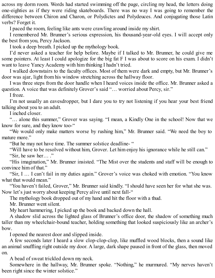across my dorm room. Words had started swimming off the page, circling my head, the letters doing one-eighties as if they were riding skateboards. There was no way I was going to remember the difference between Chiron and Charon, or Polydictes and Polydeuces. And conjugating those Latin verbs? Forget it.

I paced the room, feeling like ants were crawling around inside my shirt.

I remembered Mr. Brunner's serious expression, his thousand-year-old eyes. I will accept only the best from you, Percy Jackson.

I took a deep breath. I picked up the mythology book.

I'd never asked a teacher for help before. Maybe if I talked to Mr. Brunner, he could give me some pointers. At least I could apologize for the big fat F I was about to score on his exam. I didn't want to leave Yancy Academy with him thinking I hadn't tried.

I walked downstairs to the faculty offices. Most of them were dark and empty, but Mr. Brunner's door was ajar, light from his window stretching across the hallway floor.

I was three steps from the door handle when I heard voices inside the office. Mr. Brunner asked a question. A voice that was definitely Grover's said "… worried about Percy, sir."

I froze.

I'm not usually an eavesdropper, but I dare you to try not listening if you hear your best friend talking about you to an adult.

I inched closer.

"… alone this summer," Grover was saying. "I mean, a Kindly One in the school! Now that we know for sure, and they know too-"

"We would only make matters worse by rushing him," Mr. Brunner said. "We need the boy to mature more."

"But he may not have time. The summer solstice deadline- "

"Will have to be resolved without him, Grover. Let him enjoy his ignorance while he still can."

"Sir, he saw her… ."

"His imagination," Mr. Brunner insisted. "The Mist over the students and staff will be enough to convince him of that."

"Sir, I … I can't fail in my duties again." Grover's voice was choked with emotion. "You know what that would mean."

"You haven't failed, Grover," Mr. Brunner said kindly. "I should have seen her for what she was. Now let's just worry about keeping Percy alive until next fall-"

The mythology book dropped out of my hand and hit the floor with a thud.

Mr. Brunner went silent.

My heart hammering, I picked up the book and backed down the hall.

A shadow slid across the lighted glass of Brunner's office door, the shadow of something much taller than my wheelchair-bound teacher, holding something that looked suspiciously like an archer's bow.

I opened the nearest door and slipped inside.

A few seconds later I heard a slow clop-clop-clop, like muffled wood blocks, then a sound like an animal snuffling right outside my door. A large, dark shape paused in front of the glass, then moved on.

A bead of sweat trickled down my neck.

Somewhere in the hallway, Mr. Brunner spoke. "Nothing," he murmured. "My nerves haven't been right since the winter solstice."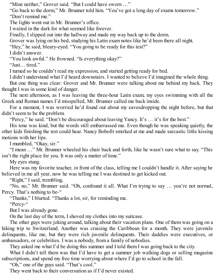"Mine neither," Grover said. "But I could have sworn …"

"Go back to the dorm," Mr. Brunner told him. "You've got a long day of exams tomorrow." "Don't remind me."

The lights went out in Mr. Brunner's office.

I waited in the dark for what seemed like forever.

Finally, I slipped out into the hallway and made my way back up to the dorm.

Grover was lying on his bed, studying his Latin exam notes like he'd been there all night.

"Hey," he said, bleary-eyed. "You going to be ready for this test?"

I didn't answer.

"You look awful." He frowned. "Is everything okay?"

"Just… tired."

I turned so he couldn't read my expression, and started getting ready for bed.

I didn't understand what I'd heard downstairs. I wanted to believe I'd imagined the whole thing.

But one thing was clear: Grover and Mr. Brunner were talking about me behind my back. They thought I was in some kind of danger.

The next afternoon, as I was leaving the three-hour Latin exam, my eyes swimming with all the Greek and Roman names I'd misspelled, Mr. Brunner called me back inside.

For a moment, I was worried he'd found out about my eavesdropping the night before, but that didn't seem to be the problem.

"Percy," he said. "Don't be discouraged about leaving Yancy. It's … it's for the best."

His tone was kind, but the words still embarrassed me. Even though he was speaking quietly, the other kids finishing the test could hear. Nancy Bobofit smirked at me and made sarcastic little kissing motions with her lips.

I mumbled, "Okay, sir."

"I mean …" Mr. Brunner wheeled his chair back and forth, like he wasn't sure what to say. "This isn't the right place for you. It was only a matter of time."

My eyes stung.

Here was my favorite teacher, in front of the class, telling me I couldn't handle it. After saying he believed in me all year, now he was telling me I was destined to get kicked out.

"Right," I said, trembling.

"No, no," Mr. Brunner said. "Oh, confound it all. What I'm trying to say … you're not normal, Percy. That's nothing to be-"

"Thanks," I blurted. "Thanks a lot, sir, for reminding me.

"Percy-"

But I was already gone.

On the last day of the term, I shoved my clothes into my suitcase.

The other guys were joking around, talking about their vacation plans. One of them was going on a hiking trip to Switzerland. Another was cruising the Caribbean for a month. They were juvenile delinquents, like me, but they were rich juvenile delinquents. Their daddies were executives, or ambassadors, or celebrities. I was a nobody, from a family of nobodies.

They asked me what I'd be doing this summer and I told them I was going back to the city.

What I didn't tell them was that I'd have to get a summer job walking dogs or selling magazine subscriptions, and spend my free time worrying about where I'd go to school in the fall.

"Oh," one of the guys said. "That's cool."

They went back to their conversation as if I'd never existed.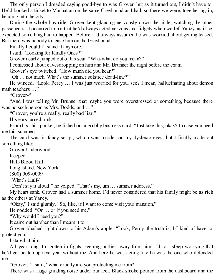The only person I dreaded saying good-bye to was Grover, but as it turned out, I didn't have to. He'd booked a ticket to Manhattan on the same Greyhound as I had, so there we were, together again, heading into the city.

During the whole bus ride, Grover kept glancing nervously down the aisle, watching the other passengers. It occurred to me that he'd always acted nervous and fidgety when we left Yancy, as if he expected something bad to happen. Before, I'd always assumed he was worried about getting teased. But there was nobody to tease him on the Greyhound.

Finally I couldn't stand it anymore.

I said, "Looking for Kindly Ones?"

Grover nearly jumped out of his seat. "Wha-what do you mean?"

I confessed about eavesdropping on him and Mr. Brunner the night before the exam.

Grover's eye twitched. "How much did you hear?"

"Oh … not much. What's the summer solstice dead-line?"

He winced. "Look, Percy … I was just worried for you, see? I mean, hallucinating about demon math teachers …"

"Grover-"

"And I was telling Mr. Brunner that maybe you were overstressed or something, because there was no such person as Mrs. Dodds, and ..."

"Grover, you're a really, really bad liar."

His ears turned pink.

From his shirt pocket, he fished out a grubby business card. "Just take this, okay? In case you need me this summer.

The card was in fancy script, which was murder on my dyslexic eyes, but I finally made out something like:

Grover Underwood

Keeper

Half-Blood Hill

Long Island, New York

(800) 009-0009

"What's Half-"

"Don't say it aloud!" he yelped. "That's my, um … summer address."

My heart sank. Grover had a summer home. I'd never considered that his family might be as rich as the others at Yancy.

"Okay," I said glumly. "So, like, if I want to come visit your mansion."

He nodded. "Or … or if you need me."

"Why would I need you?"

It came out harsher than I meant it to.

Grover blushed right down to his Adam's apple. "Look, Percy, the truth is, I-I kind of have to protect you."

I stared at him.

All year long, I'd gotten in fights, keeping bullies away from him. I'd lost sleep worrying that he'd get beaten up next year without me. And here he was acting like he was the one who defended me.

"Grover," I said, "what exactly are you protecting me from?"

There was a huge grinding noise under our feet. Black smoke poured from the dashboard and the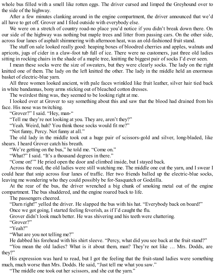whole bus filled with a smell like rotten eggs. The driver cursed and limped the Greyhound over to the side of the highway.

After a few minutes clanking around in the engine compartment, the driver announced that we'd all have to get off. Grover and I filed outside with everybody else.

We were on a stretch of country road-no place you'd notice if you didn't break down there. On our side of the highway was nothing but maple trees and litter from passing cars. On the other side, across four lanes of asphalt shimmering with afternoon heat, was an old-fashioned fruit stand.

The stuff on sale looked really good: heaping boxes of bloodred cherries and apples, walnuts and apricots, jugs of cider in a claw-foot tub full of ice. There were no customers, just three old ladies sitting in rocking chairs in the shade of a maple tree, knitting the biggest pair of socks I'd ever seen.

I mean these socks were the size of sweaters, but they were clearly socks. The lady on the right knitted one of them. The lady on the left knitted the other. The lady in the middle held an enormous basket of electric-blue yarn.

All three women looked ancient, with pale faces wrinkled like fruit leather, silver hair tied back in white bandannas, bony arms sticking out of bleached cotton dresses.

The weirdest thing was, they seemed to be looking right at me.

I looked over at Grover to say something about this and saw that the blood had drained from his face. His nose was twitching.

"Grover?" I said. "Hey, man-"

"Tell me they're not looking at you. They are, aren't they?"

"Yeah. Weird, huh? You think those socks would fit me?"

"Not funny, Percy. Not funny at all."

The old lady in the middle took out a huge pair of scissors-gold and silver, long-bladed, like shears. I heard Grover catch his breath.

"We're getting on the bus," he told me. "Come on."

"What?" I said. "It's a thousand degrees in there."

"Come on!'" He pried open the door and climbed inside, but I stayed back.

Across the road, the old ladies were still watching me. The middle one cut the yarn, and I swear I could hear that snip across four lanes of traffic. Her two friends balled up the electric-blue socks, leaving me wondering who they could possibly be for-Sasquatch or Godzilla.

At the rear of the bus, the driver wrenched a big chunk of smoking metal out of the engine compartment. The bus shuddered, and the engine roared back to life.

The passengers cheered.

"Darn right!" yelled the driver. He slapped the bus with his hat. "Everybody back on board!"

Once we got going, I started feeling feverish, as if I'd caught the flu.

Grover didn't look much better. He was shivering and his teeth were chattering.

"Grover?"

"Yeah?"

"What are you not telling me?"

He dabbed his forehead with his shirt sleeve. "Percy, what did you see back at the fruit stand?"

"You mean the old ladies? What is it about them, man? They're not like … Mrs. Dodds, are they?"

His expression was hard to read, but I got the feeling that the fruit-stand ladies were something much, much worse than Mrs. Dodds. He said, "Just tell me what you saw."

"The middle one took out her scissors, and she cut the yarn."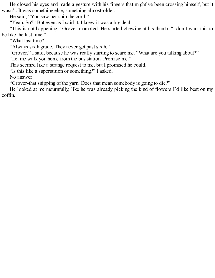He closed his eyes and made a gesture with his fingers that might've been crossing himself, but it wasn't. It was something else, something almost-older.

He said, "You saw her snip the cord."

"Yeah. So?" But even as I said it, I knew it was a big deal.

"This is not happening," Grover mumbled. He started chewing at his thumb. "I don't want this to be like the last time."

"What last time?"

"Always sixth grade. They never get past sixth."

"Grover," I said, because he was really starting to scare me. "What are you talking about?"

"Let me walk you home from the bus station. Promise me."

This seemed like a strange request to me, but I promised he could.

"Is this like a superstition or something?" I asked.

No answer.

"Grover-that snipping of the yarn. Does that mean somebody is going to die?"

He looked at me mournfully, like he was already picking the kind of flowers I'd like best on my coffin.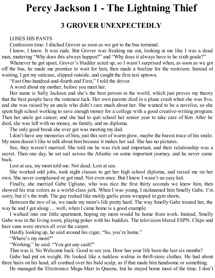#### **3 GROVER UNEXPECTEDLY**

#### LOSES HIS PANTS

Confession time: I ditched Grover as soon as we got to the bus terminal.

I know, I know. It was rude. But Grover was freaking me out, looking at me like I was a dead man, muttering "Why does this always happen?" and "Why does it always have to he sixth grade?"

Whenever he got upset, Grover's bladder acted up, so I wasn't surprised when, as soon as we got off the bus, he made me promise to wait for him, then made a beeline for the restroom. Instead of waiting, I got my suitcase, slipped outside, and caught the first taxi uptown.

"East One-hundred-and-fourth and First," I told the driver.

A word about my mother, before you meet her.

Her name is Sally Jackson and she's the best person in the world, which just proves my theory that the best people have the rottenest luck. Her own parents died in a plane crash when she was five, and she was raised by an uncle who didn't care much about her. She wanted to be a novelist, so she spent high school working to save enough money for a college with a good creative-writing program. Then her uncle got cancer, and she had to quit school her senior year to take care of him. After he died, she was left with no money, no family, and no diploma.

The only good break she ever got was meeting my dad.

I don't have any memories of him, just this sort of warm glow, maybe the barest trace of his smile. My mom doesn't like to talk about him because it makes her sad. She has no pictures.

See, they weren't married. She told me he was rich and important, and their relationship was a secret. Then one day, he set sail across the Atlantic on some important journey, and he never came back.

Lost at sea, my mom told me. Not dead. Lost at sea.

She worked odd jobs, took night classes to get her high school diploma, and raised me on her own. She never complained or got mad. Not even once. But I knew I wasn't an easy kid.

Finally, she married Gabe Ugliano, who was nice the first thirty seconds we knew him, then showed his true colors as a world-class jerk. When I was young, I nicknamed him Smelly Gabe. I'm sorry, but it's the truth. The guy reeked like moldy garlic pizza wrapped in gym shorts.

Between the two of us, we made my mom's life pretty hard. The way Smelly Gabe treated her, the way he and I got along … well, when I came home is a good example.

I walked into our little apartment, hoping my mom would be home from work. Instead, Smelly Gabe was in the living room, playing poker with his buddies. The television blared ESPN. Chips and beer cans were strewn all over the carpet.

Hardly looking up, he said around his cigar, "So, you're home."

"Where's my mom?"

"Working," he said. "You got any cash?"

That was it. No Welcome back. Good to see you. How has your life been the last six months? Gabe had put on weight. He looked like a tuskless walrus in thrift-store clothes. He had about three hairs on his head, all combed over his bald scalp, as if that made him handsome or something.

He managed the Electronics Mega-Mart in Queens, but he stayed home most of the time. I don't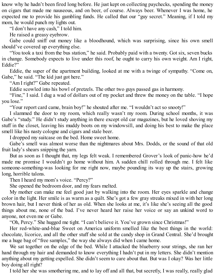know why he hadn't been fired long before. He just kept on collecting paychecks, spending the money on cigars that made me nauseous, and on beer, of course. Always beer. Whenever I was home, he expected me to provide his gambling funds. He called that our "guy secret." Meaning, if I told my mom, he would punch my lights out.

"I don't have any cash," I told him.

He raised a greasy eyebrow.

Gabe could sniff out money like a bloodhound, which was surprising, since his own smell should've covered up everything else.

"You took a taxi from the bus station," he said. Probably paid with a twenty. Got six, seven bucks in change. Somebody expects to live under this roof, he ought to carry his own weight. Am I right, Eddie?"

Eddie, the super of the apartment building, looked at me with a twinge of sympathy. "Come on, Gabe," he said. "The kid just got here."

"Am I right?" Gabe repeated.

Eddie scowled into his bowl of pretzels. The other two guys passed gas in harmony.

"Fine," I said. I dug a wad of dollars out of my pocket and threw the money on the table. "I hope you lose."

"Your report card came, brain boy!" he shouted after me. "I wouldn't act so snooty!"

I slammed the door to my room, which really wasn't my room. During school months, it was Gabe's "study." He didn't study anything in there except old car magazines, but he loved shoving my stuff in the closet, leaving his muddy boots on my windowsill, and doing his best to make the place smell like his nasty cologne and cigars and stale beer.

I dropped my suitcase on the bed. Home sweet home.

Gabe's smell was almost worse than the nightmares about Mrs. Dodds, or the sound of that old fruit lady's shears snipping the yarn.

But as soon as I thought that, my legs felt weak. I remembered Grover's look of panic-how he'd made me promise I wouldn't go home without him. A sudden chill rolled through me. I felt like someone-something-was looking for me right now, maybe pounding its way up the stairs, growing long, horrible talons.

Then I heard my mom's voice. "Percy?"

She opened the bedroom door, and my fears melted.

My mother can make me feel good just by walking into the room. Her eyes sparkle and change color in the light. Her smile is as warm as a quilt. She's got a few gray streaks mixed in with her long brown hair, but I never think of her as old. When she looks at me, it's like she's seeing all the good things about me, none of the bad. I've never heard her raise her voice or say an unkind word to anyone, not even me or Gabe.

"Oh, Percy." She hugged me tight. "I can't believe it. You've grown since Christmas!"

Her red-white-and-blue Sweet on America uniform smelled like the best things in the world: chocolate, licorice, and all the other stuff she sold at the candy shop in Grand Central. She'd brought me a huge bag of "free samples," the way she always did when I came home.

We sat together on the edge of the bed. While I attacked the blueberry sour strings, she ran her hand through my hair and demanded to know everything I hadn't put in my letters. She didn't mention anything about my getting expelled. She didn't seem to care about that. But was I okay? Was her little boy doing all right?

I told her she was smothering me, and to lay off and all that, but secretly, I was really, really glad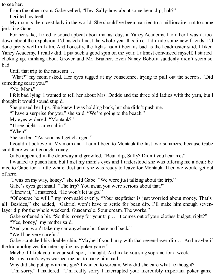to see her.

From the other room, Gabe yelled, "Hey, Sally-how about some bean dip, huh?"

I gritted my teeth.

My mom is the nicest lady in the world. She should've been married to a millionaire, not to some jerk like Gabe.

For her sake, I tried to sound upbeat about my last days at Yancy Academy. I told her I wasn't too down about the expulsion. I'd lasted almost the whole year this time. I'd made some new friends. I'd done pretty well in Latin. And honestly, the fights hadn't been as bad as the headmaster said. I liked Yancy Academy. I really did. I put such a good spin on the year, I almost convinced myself. I started choking up, thinking about Grover and Mr. Brunner. Even Nancy Bobofit suddenly didn't seem so bad.

Until that trip to the museum ...

"What?" my mom asked. Her eyes tugged at my conscience, trying to pull out the secrets. "Did something scare you?"

"No, Mom."

I felt bad lying. I wanted to tell her about Mrs. Dodds and the three old ladies with the yarn, but I thought it would sound stupid.

She pursed her lips. She knew I was holding back, but she didn't push me.

"I have a surprise for you," she said. "We're going to the beach."

My eyes widened. "Montauk?"

"Three nights-same cabin."

"When?"

She smiled. "As soon as I get changed."

I couldn't believe it. My mom and I hadn't been to Montauk the last two summers, because Gabe said there wasn't enough money.

Gabe appeared in the doorway and growled, "Bean dip, Sally? Didn't you hear me?"

I wanted to punch him, but I met my mom's eyes and I understood she was offering me a deal: be nice to Gabe for a little while. Just until she was ready to leave for Montauk. Then we would get out of here.

"I was on my way, honey," she told Gabe. "We were just talking about the trip."

Gabe's eyes got small. "The trip? You mean you were serious about that?"

"I knew it," I muttered. "He won't let us go."

"Of course he will," my mom said evenly. "Your stepfather is just worried about money. That's all. Besides," she added, "Gabriel won't have to settle for bean dip. I'll make him enough sevenlayer dip for the whole weekend. Guacamole. Sour cream. The works."

Gabe softened a bit. "So this money for your trip ... it comes out of your clothes budget, right?" "Yes, honey," my mother said.

"And you won't take my car anywhere but there and back."

"We'll be very careful."

Gabe scratched his double chin. "Maybe if you hurry with that seven-layer dip … And maybe if the kid apologizes for interrupting my poker game."

Maybe if I kick you in your soft spot, I thought. And make you sing soprano for a week. But my mom's eyes warned me not to make him mad.

Why did she put up with this guy? I wanted to scream. Why did she care what he thought?

"I'm sorry," I muttered. "I'm really sorry I interrupted your incredibly important poker game.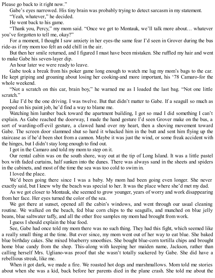Please go back to it right now."

Gabe's eyes narrowed. His tiny brain was probably trying to detect sarcasm in my statement.

"Yeah, whatever," he decided.

He went back to his game.

"Thank you, Percy," my mom said. "Once we get to Montauk, we'll talk more about… whatever you've forgotten to tell me, okay?"

For a moment, I thought I saw anxiety in her eyes-the same fear I'd seen in Grover during the bus ride-as if my mom too felt an odd chill in the air.

But then her smile returned, and I figured I must have been mistaken. She ruffled my hair and went to make Gabe his seven-layer dip.

An hour later we were ready to leave.

Gabe took a break from his poker game long enough to watch me lug my mom's bags to the car. He kept griping and groaning about losing her cooking-and more important, his '78 Camaro-for the whole weekend.

"Not a scratch on this car, brain boy," he warned me as I loaded the last bag. "Not one little scratch."

Like I'd be the one driving. I was twelve. But that didn't matter to Gabe. If a seagull so much as pooped on his paint job, he'd find a way to blame me.

Watching him lumber back toward the apartment building, I got so mad I did something I can't explain. As Gabe reached the doorway, I made the hand gesture I'd seen Grover make on the bus, a sort of warding-off-evil gesture, a clawed hand over my heart, then a shoving movement toward Gabe. The screen door slammed shut so hard it whacked him in the butt and sent him flying up the staircase as if he'd been shot from a cannon. Maybe it was just the wind, or some freak accident with the hinges, but I didn't stay long enough to find out.

I got in the Camaro and told my mom to step on it.

Our rental cabin was on the south shore, way out at the tip of Long Island. It was a little pastel box with faded curtains, half sunken into the dunes. There was always sand in the sheets and spiders in the cabinets, and most of the time the sea was too cold to swim in.

I loved the place.

We'd been going there since I was a baby. My mom had been going even longer. She never exactly said, but I knew why the beach was special to her. It was the place where she'd met my dad.

As we got closer to Montauk, she seemed to grow younger, years of worry and work disappearing from her face. Her eyes turned the color of the sea.

We got there at sunset, opened all the cabin's windows, and went through our usual cleaning routine. We walked on the beach, fed blue corn chips to the seagulls, and munched on blue jelly beans, blue saltwater taffy, and all the other free samples my mom had brought from work.

I guess I should explain the blue food.

See, Gabe had once told my mom there was no such thing. They had this fight, which seemed like a really small thing at the time. But ever since, my mom went out of her way to eat blue. She baked blue birthday cakes. She mixed blueberry smoothies. She bought blue-corn tortilla chips and brought home blue candy from the shop. This-along with keeping her maiden name, Jackson, rather than calling herself Mrs. Ugliano-was proof that she wasn't totally suckered by Gabe. She did have a rebellious streak, like me.

When it got dark, we made a fire. We roasted hot dogs and marshmallows. Mom told me stories about when she was a kid, back before her parents died in the plane crash. She told me about the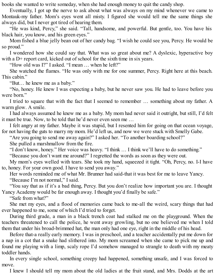books she wanted to write someday, when she had enough money to quit the candy shop.

Eventually, I got up the nerve to ask about what was always on my mind whenever we came to Montauk-my father. Mom's eyes went all misty. I figured she would tell me the same things she always did, but I never got tired of hearing them.

"He was kind, Percy," she said. "Tall, handsome, and powerful. But gentle, too. You have his black hair, you know, and his green eyes."

Mom fished a blue jelly bean out of her candy bag. "I wish he could see you, Percy. He would be so proud."

I wondered how she could say that. What was so great about me? A dyslexic, hyperactive boy with a D+ report card, kicked out of school for the sixth time in six years.

"How old was I?" I asked. "I mean … when he left?"

She watched the flames. "He was only with me for one summer, Percy. Right here at this beach. This cabin."

"But… he knew me as a baby."

"No, honey. He knew I was expecting a baby, but he never saw you. He had to leave before you were born."

I tried to square that with the fact that I seemed to remember … something about my father. A warm glow. A smile.

I had always assumed he knew me as a baby. My mom had never said it outright, but still, I'd felt it must be true. Now, to be told that he'd never even seen me …

I felt angry at my father. Maybe it was stupid, but I resented him for going on that ocean voyage, for not having the guts to marry my mom. He'd left us, and now we were stuck with Smelly Gabe.

"Are you going to send me away again?" I asked her. "To another boarding school?"

She pulled a marshmallow from the fire.

"I don't know, honey." Her voice was heavy. "I think … I think we'll have to do something."

"Because you don't want me around?" I regretted the words as soon as they were out.

My mom's eyes welled with tears. She took my hand, squeezed it tight. "Oh, Percy, no. I-I have to, honey. For your own good. I have to send you away."

Her words reminded me of what Mr. Brunner had said-that it was best for me to leave Yancy. "Because I'm not normal," I said.

"You say that as if it's a bad thing, Percy. But you don't realize how important you are. I thought Yancy Academy would be far enough away. I thought you'd finally be safe."

"Safe from what?"

She met my eyes, and a flood of memories came back to me-all the weird, scary things that had ever happened to me, some of which I'd tried to forget.

During third grade, a man in a black trench coat had stalked me on the playground. When the teachers threatened to call the police, he went away growling, but no one believed me when I told them that under his broad-brimmed hat, the man only had one eye, right in the middle of his head.

Before that-a really early memory. I was in preschool, and a teacher accidentally put me down for a nap in a cot that a snake had slithered into. My mom screamed when she came to pick me up and found me playing with a limp, scaly rope I'd somehow managed to strangle to death with my meaty toddler hands.

In every single school, something creepy had happened, something unsafe, and I was forced to move.

I knew I should tell my mom about the old ladies at the fruit stand, and Mrs. Dodds at the art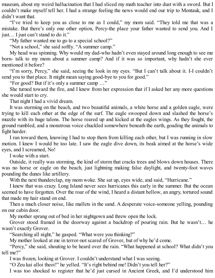museum, about my weird hallucination that I had sliced my math teacher into dust with a sword. But I couldn't make myself tell her. I had a strange feeling the news would end our trip to Montauk, and I didn't want that.

"I've tried to keep you as close to me as I could," my mom said. "They told me that was a mistake. But there's only one other option, Percy-the place your father wanted to send you. And I just… I just can't stand to do it."

"My father wanted me to go to a special school?"

"Not a school," she said softly. "A summer camp."

My head was spinning. Why would my dad-who hadn't even stayed around long enough to see me born- talk to my mom about a summer camp? And if it was so important, why hadn't she ever mentioned it before?

"I'm sorry, Percy," she said, seeing the look in my eyes. "But I can't talk about it. I-I couldn't send you to that place. It might mean saying good-bye to you for good."

"For good? But if it's only a summer camp …"

She turned toward the fire, and I knew from her expression that if I asked her any more questions she would start to cry.

That night I had a vivid dream.

It was storming on the beach, and two beautiful animals, a white horse and a golden eagle, were trying to kill each other at the edge of the surf. The eagle swooped down and slashed the horse's muzzle with its huge talons. The horse reared up and kicked at the eagles wings. As they fought, the ground rumbled, and a monstrous voice chuckled somewhere beneath the earth, goading the animals to fight harder.

I ran toward them, knowing I had to stop them from killing each other, but I was running in slow motion. I knew I would be too late. I saw the eagle dive down, its beak aimed at the horse's wide eyes, and I screamed, No!

I woke with a start.

Outside, it really was storming, the kind of storm that cracks trees and blows down houses. There was no horse or eagle on the beach, just lightning making false daylight, and twenty-foot waves pounding the dunes like artillery.

With the next thunderclap, my mom woke. She sat up, eyes wide, and said, "Hurricane."

I knew that was crazy. Long Island never sees hurricanes this early in the summer. But the ocean seemed to have forgotten. Over the roar of the wind, I heard a distant bellow, an angry, tortured sound that made my hair stand on end.

Then a much closer noise, like mallets in the sand. A desperate voice-someone yelling, pounding on our cabin door.

My mother sprang out of bed in her nightgown and threw open the lock.

Grover stood framed in the doorway against a backdrop of pouring rain. But he wasn't… he wasn't exactly Grover.

"Searching all night," he gasped. "What were you thinking?"

My mother looked at me in terror-not scared of Grover, but of why he'd come.

"Percy," she said, shouting to be heard over the rain. "What happened at school? What didn't you tell me?"

I was frozen, looking at Grover. I couldn't understand what I was seeing.

"O Zeu kai alloi theoi!" he yelled. "It's right behind me! Didn't you tell her?"

I was too shocked to register that he'd just cursed in Ancient Greek, and I'd understood him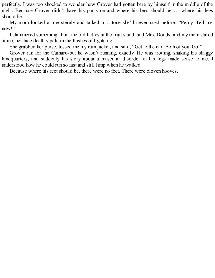perfectly. I was too shocked to wonder how Grover had gotten here by himself in the middle of the night. Because Grover didn't have his pants on-and where his legs should be … where his legs should be …

My mom looked at me sternly and talked in a tone she'd never used before: "Percy. Tell me now!"

I stammered something about the old ladies at the fruit stand, and Mrs. Dodds, and my mom stared at me, her face deathly pale in the flashes of lightning.

She grabbed her purse, tossed me my rain jacket, and said, "Get to the car. Both of you. Go!"

Grover ran for the Camaro-but he wasn't running, exactly. He was trotting, shaking his shaggy hindquarters, and suddenly his story about a muscular disorder in his legs made sense to me. I understood how he could run so fast and still limp when he walked.

Because where his feet should be, there were no feet. There were cloven hooves.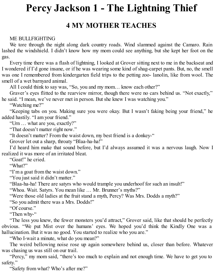#### **4 MY MOTHER TEACHES**

#### ME BULLFIGHTING

We tore through the night along dark country roads. Wind slammed against the Camaro. Rain lashed the windshield. I didn't know how my mom could see anything, but she kept her foot on the gas.

Every time there was a flash of lightning, I looked at Grover sitting next to me in the backseat and I wondered if I'd gone insane, or if he was wearing some kind of shag-carpet pants. But, no, the smell was one I remembered from kindergarten field trips to the petting zoo- lanolin, like from wool. The smell of a wet barnyard animal.

All I could think to say was, "So, you and my mom... know each other?"

Graver's eyes flitted to the rearview mirror, though there were no cars behind us. "Not exactly,"

he said. "I mean, we've never met in person. But she knew I was watching you."

"Watching me?"

"Keeping tabs on you. Making sure you were okay. But I wasn't faking being your friend," he added hastily. "I am your friend."

"Urn … what are you, exactly?"

"That doesn't matter right now."

"It doesn't matter? From the waist down, my best friend is a donkey-"

Grover let out a sharp, throaty "Blaa-ha-ha!"

I'd heard him make that sound before, but I'd always assumed it was a nervous laugh. Now I realized it was more of an irritated bleat.

"Goat!" he cried.

"What?"

"I'm a goat from the waist down."

"You just said it didn't matter."

"Blaa-ha-ha! There are satyrs who would trample you underhoof for such an insult!"

"Whoa. Wait. Satyrs. You mean like … Mr. Brunner's myths?"

"Were those old ladies at the fruit stand a myth, Percy? Was Mrs. Dodds a myth?"

"So you admit there was a Mrs. Dodds!"

"Of course."

"Then why-"

"The less you knew, the fewer monsters you'd attract," Grover said, like that should be perfectly obvious. "We put Mist over the humans' eyes. We hoped you'd think the Kindly One was a hallucination. But it was no good. You started to realize who you are."

"Who I-wait a minute, what do you mean?"

The weird bellowing noise rose up again somewhere behind us, closer than before. Whatever was chasing us was still on our trail.

"Percy," my mom said, "there's too much to explain and not enough time. We have to get you to safety."

"Safety from what? Who's after me?"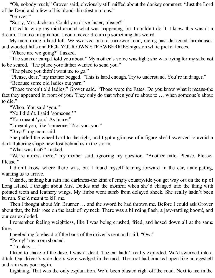"Oh, nobody much," Grover said, obviously still miffed about the donkey comment. "Just the Lord of the Dead and a few of his blood-thirstiest minions."

"Grover!"

"Sorry, Mrs. Jackson. Could you drive faster, please?"

I tried to wrap my mind around what was happening, but I couldn't do it. I knew this wasn't a dream. I had no imagination. I could never dream up something this weird.

My mom made a hard left. We swerved onto a narrower road, racing past darkened farmhouses and wooded hills and PICK YOUR OWN STRAWBERRIES signs on white picket fences.

"Where are we going?" I asked.

"The summer camp I told you about." My mother's voice was tight; she was trying for my sake not to be scared. "The place your father wanted to send you."

"The place you didn't want me to go."

"Please, dear," my mother begged. "This is hard enough. Try to understand. You're in danger."

"Because some old ladies cut yarn."

"Those weren't old ladies," Grover said. "Those were the Fates. Do you know what it means-the fact they appeared in front of you? They only do that when you're about to … when someone's about to die."

"Whoa. You said 'you.""

"No I didn't. I said 'someone."

"You meant 'you.' As in me."

"I meant you, like 'someone.' Not you, you."

"Boys!" my mom said.

She pulled the wheel hard to the right, and I got a glimpse of a figure she'd swerved to avoid-a dark fluttering shape now lost behind us in the storm.

"What was that?" I asked.

"We're almost there," my mother said, ignoring my question. "Another mile. Please. Please. Please."

I didn't know where there was, but I found myself leaning forward in the car, anticipating, wanting us to arrive.

Outside, nothing but rain and darkness-the kind of empty countryside you get way out on the tip of Long Island. I thought about Mrs. Dodds and the moment when she'd changed into the thing with pointed teeth and leathery wings. My limbs went numb from delayed shock. She really hadn't been human. She'd meant to kill me.

Then I thought about Mr. Brunner … and the sword he had thrown me. Before I could ask Grover about that, the hair rose on the back of my neck. There was a blinding flash, a jaw-rattling boom!, and our car exploded.

I remember feeling weightless, like I was being crushed, fried, and hosed down all at the same time.

I peeled my forehead off the back of the driver's seat and said, "Ow."

"Percy!" my mom shouted.

"I'm okay… ."

I tried to shake off the daze. I wasn't dead. The car hadn't really exploded. We'd swerved into a ditch. Our driver's-side doors were wedged in the mud. The roof had cracked open like an eggshell and rain was pouring in.

Lightning. That was the only explanation. We'd been blasted right off the road. Next to me in the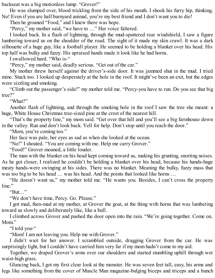backseat was a big motionless lump. "Grover!"

He was slumped over, blood trickling from the side of his mouth. I shook his furry hip, thinking, No! Even if you are half barnyard animal, you're my best friend and I don't want you to die!

Then he groaned "Food," and I knew there was hope.

"Percy," my mother said, "we have to …" Her voice faltered.

I looked back. In a flash of lightning, through the mud-spattered rear windshield, I saw a figure lumbering toward us on the shoulder of the road. The sight of it made my skin crawl. It was a dark silhouette of a huge guy, like a football player. He seemed to be holding a blanket over his head. His top half was bulky and fuzzy. His upraised hands made it look like he had horns.

I swallowed hard. "Who is-"

"Percy," my mother said, deadly serious. "Get out of the car."

My mother threw herself against the driver's-side door. It was jammed shut in the mud. I tried mine. Stuck too. I looked up desperately at the hole in the roof. It might've been an exit, but the edges were sizzling and smoking.

"Climb out the passenger's side!" my mother told me. "Percy-you have to run. Do you see that big tree?"

"What?"

Another flash of lightning, and through the smoking hole in the roof I saw the tree she meant: a huge, White House Christmas tree-sized pine at the crest of the nearest hill.

"That's the property line," my mom said. "Get over that hill and you'll see a big farmhouse down in the valley. Run and don't look back. Yell for help. Don't stop until you reach the door."

"Mom, you're coming too."

Her face was pale, her eyes as sad as when she looked at the ocean.

"No!" I shouted. "You are coming with me. Help me carry Grover."

"Food!" Grover moaned, a little louder.

The man with the blanket on his head kept coming toward us, making his grunting, snorting noises. As he got closer, I realized he couldn't be holding a blanket over his head, because his hands-huge meaty hands-were swinging at his sides. There was no blanket. Meaning the bulky, fuzzy mass that was too big to be his head … was his head. And the points that looked like horns …

"He doesn't want us," my mother told me. "He wants you. Besides, I can't cross the property line."

"But…"

"We don't have time, Percy. Go. Please."

I got mad, then-mad at my mother, at Grover the goat, at the thing with horns that was lumbering toward us slowly and deliberately like, like a bull.

I climbed across Grover and pushed the door open into the rain. "We're going together. Come on, Mom."

"I told you-"

"Mom! I am not leaving you. Help me with Grover."

I didn't wait for her answer. I scrambled outside, dragging Grover from the car. He was surprisingly light, but I couldn't have carried him very far if my mom hadn't come to my aid.

Together, we draped Grover's arms over our shoulders and started stumbling uphill through wet waist-high grass.

Glancing back, I got my first clear look at the monster. He was seven feet tall, easy, his arms and legs like something from the cover of Muscle Man magazine-bulging biceps and triceps and a bunch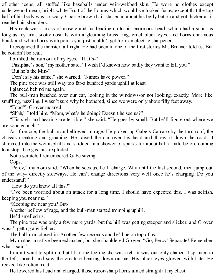of other 'ceps, all stuffed like baseballs under vein-webbed skin. He wore no clothes except underwear-I mean, bright white Fruit of the Looms-which would've looked funny, except that the top half of his body was so scary. Coarse brown hair started at about his belly button and got thicker as it reached his shoulders.

His neck was a mass of muscle and fur leading up to his enormous head, which had a snout as long as my arm, snotty nostrils with a gleaming brass ring, cruel black eyes, and horns-enormous black-and-white horns with points you just couldn't get from an electric sharpener.

I recognized the monster, all right. He had been in one of the first stories Mr. Brunner told us. But he couldn't be real.

I blinked the rain out of my eyes. "That's-"

"Pasiphae's son," my mother said. "I wish I'd known how badly they want to kill you."

"But he's the Min-"

"Don't say his name," she warned. "Names have power."

The pine tree was still way too far-a hundred yards uphill at least.

I glanced behind me again.

The bull-man hunched over our car, looking in the windows-or not looking, exactly. More like snuffling, nuzzling. I wasn't sure why he bothered, since we were only about fifty feet away.

"Food?" Grover moaned.

"Shhh," I told him. "Mom, what's he doing? Doesn't he see us?"

"His sight and hearing are terrible," she said. "He goes by smell. But he'll figure out where we are soon enough."

As if on cue, the bull-man bellowed in rage. He picked up Gabe's Camaro by the torn roof, the chassis creaking and groaning. He raised the car over his head and threw it down the road. It slammed into the wet asphalt and skidded in a shower of sparks for about half a mile before coming to a stop. The gas tank exploded.

Not a scratch, I remembered Gabe saying.

Oops.

"Percy," my mom said. "When he sees us, he'll charge. Wait until the last second, then jump out of the way- directly sideways. He can't change directions very well once he's charging. Do you understand?"

"How do you know all this?"

"I've been worried about an attack for a long time. I should have expected this. I was selfish, keeping you near me."

"Keeping me near you? But-"

Another bellow of rage, and the bull-man started tromping uphill.

He'd smelled us.

The pine tree was only a few more yards, but the hill was getting steeper and slicker, and Grover wasn't getting any lighter.

The bull-man closed in. Another few seconds and he'd be on top of us.

My mother must've been exhausted, but she shouldered Grover. "Go, Percy! Separate! Remember what I said."

I didn't want to split up, but I had the feeling she was right-it was our only chance. I sprinted to the left, turned, and saw the creature bearing down on me. His black eyes glowed with hate. He reeked like rotten meat.

He lowered his head and charged, those razor-sharp horns aimed straight at my chest.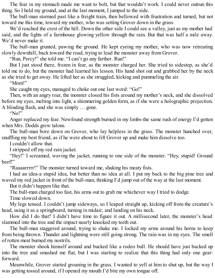The fear in my stomach made me want to bolt, but that wouldn't work. I could never outrun this thing. So I held my ground, and at the last moment, I jumped to the side.

The bull-man stormed past like a freight train, then bellowed with frustration and turned, but not toward me this time, toward my mother, who was setting Grover down in the grass.

We'd reached the crest of the hill. Down the other side I could see a valley, just as my mother had said, and the lights of a farmhouse glowing yellow through the rain. But that was half a mile away. We'd never make it.

The bull-man grunted, pawing the ground. He kept eyeing my mother, who was now retreating slowly downhill, back toward the road, trying to lead the monster away from Grover.

"Run, Percy!" she told me. "I can't go any farther. Run!"

But I just stood there, frozen in fear, as the monster charged her. She tried to sidestep, as she'd told me to do, but the monster had learned his lesson. His hand shot out and grabbed her by the neck as she tried to get away. He lifted her as she struggled, kicking and pummeling the air.

"Mom!"

She caught my eyes, managed to choke out one last word: "Go!"

Then, with an angry roar, the monster closed his fists around my mother's neck, and she dissolved before my eyes, melting into light, a shimmering golden form, as if she were a holographic projection. A blinding flash, and she was simply … gone.

"No!"

Anger replaced my fear. Newfound strength burned in my limbs-the same rush of energy I'd gotten when Mrs. Dodds grew talons.

The bull-man bore down on Grover, who lay helpless in the grass. The monster hunched over, snuffling my best friend, as if he were about to lift Grover up and make him dissolve too.

I couldn't allow that.

I stripped off my red rain jacket.

"Hey!" I screamed, waving the jacket, running to one side of the monster. "Hey, stupid! Ground beef!"

"Raaaarrrrr!" The monster turned toward me, shaking his meaty fists.

I had an idea-a stupid idea, but better than no idea at all. I put my back to the big pine tree and waved my red jacket in front of the bull-man, thinking I'd jump out of the way at the last moment.

But it didn't happen like that.

The bull-man charged too fast, his arms out to grab me whichever way I tried to dodge.

Time slowed down.

My legs tensed. I couldn't jump sideways, so I leaped straight up, kicking off from the creature's head, using it as a springboard, turning in midair, and landing on his neck.

How did I do that? I didn't have time to figure it out. A millisecond later, the monster's head slammed into the tree and the impact nearly knocked my teeth out.

The bull-man staggered around, trying to shake me. I locked my arms around his horns to keep from being thrown. Thunder and lightning were still going strong. The rain was in my eyes. The smell of rotten meat burned my nostrils.

The monster shook himself around and bucked like a rodeo bull. He should have just backed up into the tree and smashed me flat, but I was starting to realize that this thing had only one gear: forward.

Meanwhile, Grover started groaning in the grass. I wanted to yell at him to shut up, but the way I was getting tossed around, if I opened my mouth I'd bite my own tongue off.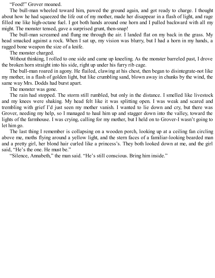"Food!" Grover moaned.

The bull-man wheeled toward him, pawed the ground again, and got ready to charge. I thought about how he had squeezed the life out of my mother, made her disappear in a flash of light, and rage filled me like high-octane fuel. I got both hands around one horn and I pulled backward with all my might. The monster tensed, gave a surprised grunt, then-snap!

The bull-man screamed and flung me through the air. I landed flat on my back in the grass. My head smacked against a rock. When I sat up, my vision was blurry, but I had a horn in my hands, a ragged bone weapon the size of a knife.

The monster charged.

Without thinking, I rolled to one side and came up kneeling. As the monster barreled past, I drove the broken horn straight into his side, right up under his furry rib cage.

The bull-man roared in agony. He flailed, clawing at his chest, then began to disintegrate-not like my mother, in a flash of golden light, but like crumbling sand, blown away in chunks by the wind, the same way Mrs. Dodds had burst apart.

The monster was gone.

The rain had stopped. The storm still rumbled, but only in the distance. I smelled like livestock and my knees were shaking. My head felt like it was splitting open. I was weak and scared and trembling with grief I'd just seen my mother vanish. I wanted to lie down and cry, but there was Grover, needing my help, so I managed to haul him up and stagger down into the valley, toward the lights of the farmhouse. I was crying, calling for my mother, but I held on to Grover-I wasn't going to let him go.

The last thing I remember is collapsing on a wooden porch, looking up at a ceiling fan circling above me, moths flying around a yellow light, and the stern faces of a familiar-looking bearded man and a pretty girl, her blond hair curled like a princess's. They both looked down at me, and the girl said, "He's the one. He must be."

"Silence, Annabeth," the man said. "He's still conscious. Bring him inside."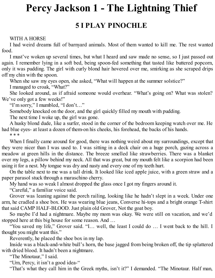#### **5 I PLAY PINOCHLE**

#### WITH A HORSE

I had weird dreams full of barnyard animals. Most of them wanted to kill me. The rest wanted food.

I must've woken up several times, but what I heard and saw made no sense, so I just passed out again. I remember lying in a soft bed, being spoon-fed something that tasted like buttered popcorn, only it was pudding. The girl with curly blond hair hovered over me, smirking as she scraped drips off my chin with the spoon.

When she saw my eyes open, she asked, "What will happen at the summer solstice?"

I managed to croak, "What?"

She looked around, as if afraid someone would overhear. "What's going on? What was stolen? We've only got a few weeks!"

"I'm sorry," I mumbled, "I don't…"

Somebody knocked on the door, and the girl quickly filled my mouth with pudding.

The next time I woke up, the girl was gone.

A husky blond dude, like a surfer, stood in the corner of the bedroom keeping watch over me. He had blue eyes- at least a dozen of them-on his cheeks, his forehead, the backs of his hands. \* \* \*

When I finally came around for good, there was nothing weird about my surroundings, except that they were nicer than I was used to. I was sitting in a deck chair on a huge porch, gazing across a meadow at green hills in the distance. The breeze smelled like strawberries. There was a blanket over my legs, a pillow behind my neck. All that was great, but my mouth felt like a scorpion had been using it for a nest. My tongue was dry and nasty and every one of my teeth hurt.

On the table next to me was a tall drink. It looked like iced apple juice, with a green straw and a paper parasol stuck through a maraschino cherry.

My hand was so weak I almost dropped the glass once I got my fingers around it.

"Careful," a familiar voice said.

Grover was leaning against the porch railing, looking like he hadn't slept in a week. Under one arm, he cradled a shoe box. He was wearing blue jeans, Converse hi-tops and a bright orange T-shirt that said CAMP HALF-BLOOD. Just plain old Grover, Not the goat boy.

So maybe I'd had a nightmare. Maybe my mom was okay. We were still on vacation, and we'd stopped here at this big house for some reason. And …

"You saved my life," Grover said. "I… well, the least I could do … I went back to the hill. I thought you might want this."

Reverently, he placed the shoe box in my lap.

Inside was a black-and-white bull's horn, the base jagged from being broken off, the tip splattered with dried blood. It hadn't been a nightmare.

"The Minotaur," I said.

"Urn, Percy, it isn't a good idea-"

"That's what they call him in the Greek myths, isn't it?" I demanded. "The Minotaur. Half man,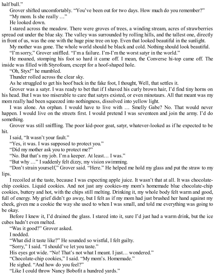half bull."

Grover shifted uncomfortably. "You've been out for two days. How much do you remember?"

"My mom. Is she really …"

He looked down.

I stared across the meadow. There were groves of trees, a winding stream, acres of strawberries spread out under the blue sky. The valley was surrounded by rolling hills, and the tallest one, directly in front of us, was the one with the huge pine tree on top. Even that looked beautiful in the sunlight.

My mother was gone. The whole world should be black and cold. Nothing should look beautiful.

"I'm sorry," Grover sniffled. "I'm a failure. I'm-I'm the worst satyr in the world."

He moaned, stomping his foot so hard it came off. I mean, the Converse hi-top came off. The inside was filled with Styrofoam, except for a hoof-shaped hole.

"Oh, Styx!" he mumbled.

Thunder rolled across the clear sky.

As he struggled to get his hoof back in the fake foot, I thought, Well, that settles it.

Grover was a satyr. I was ready to bet that if I shaved his curly brown hair, I'd find tiny horns on his head. But I was too miserable to care that satyrs existed, or even minotaurs. All that meant was my mom really had been squeezed into nothingness, dissolved into yellow light.

I was alone. An orphan. I would have to live with … Smelly Gabe? No. That would never happen. I would live on the streets first. I would pretend I was seventeen and join the army. I'd do something.

Grover was still sniffling. The poor kid-poor goat, satyr, whatever-looked as if he expected to be hit.

I said, "It wasn't your fault."

"Yes, it was. I was supposed to protect you."

"Did my mother ask you to protect me?"

"No. But that's my job. I'm a keeper. At least… I was."

"But why …" I suddenly felt dizzy, my vision swimming.

"Don't strain yourself," Grover said. "Here." He helped me hold my glass and put the straw to my lips.

I recoiled at the taste, because I was expecting apple juice. It wasn't that at all. It was chocolatechip cookies. Liquid cookies. And not just any cookies-my mom's homemade blue chocolate-chip cookies, buttery and hot, with the chips still melting. Drinking it, my whole body felt warm and good, full of energy. My grief didn't go away, but I felt as if my mom had just brushed her hand against my cheek, given me a cookie the way she used to when I was small, and told me everything was going to be okay.

Before I knew it, I'd drained the glass. I stared into it, sure I'd just had a warm drink, but the ice cubes hadn't even melted.

"Was it good?" Grover asked.

I nodded.

"What did it taste like?" He sounded so wistful, I felt guilty.

"Sorry," I said. "I should've let you taste."

His eyes got wide. "No! That's not what I meant. I just… wondered."

"Chocolate-chip cookies," I said. "My mom's. Homemade."

He sighed. "And how do you feel?"

"Like I could throw Nancy Bobofit a hundred yards."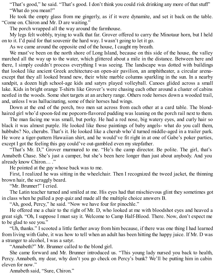"That's good," he said. "That's good. I don't think you could risk drinking any more of that stuff" "What do you mean?"

He took the empty glass from me gingerly, as if it were dynamite, and set it back on the table. "Come on. Chiron and Mr. D are waiting."

The porch wrapped all the way around the farmhouse.

My legs felt wobbly, trying to walk that far. Grover offered to carry the Minotaur horn, but I held on to it. I'd paid for that souvenir the hard way. I wasn't going to let it go.

As we came around the opposite end of the house, I caught my breath.

We must've been on the north shore of Long Island, because on this side of the house, the valley marched all the way up to the water, which glittered about a mile in the distance. Between here and there, I simply couldn't process everything I was seeing. The landscape was dotted with buildings that looked like ancient Greek architecture-an open-air pavilion, an amphitheater, a circular arenaexcept that they all looked brand new, their white marble columns sparkling in the sun. In a nearby sandpit, a dozen high school-age kids and satyrs played volleyball. Canoes glided across a small lake. Kids in bright orange T-shirts like Grover's were chasing each other around a cluster of cabins nestled in the woods. Some shot targets at an archery range. Others rode horses down a wooded trail, and, unless I was hallucinating, some of their horses had wings.

Down at the end of the porch, two men sat across from each other at a card table. The blondhaired girl who'd spoon-fed me popcorn-flavored pudding was leaning on the porch rail next to them.

The man facing me was small, but porky. He had a red nose, big watery eyes, and curly hair so black it was almost purple. He looked like those paintings of baby angels- what do you call them, hubbubs? No, cherubs. That's it. He looked like a cherub who'd turned middle-aged in a trailer park. He wore a tiger-pattern Hawaiian shirt, and he would've fit right in at one of Gabe's poker parties, except I got the feeling this guy could've out-gambled even my stepfather.

"That's Mr. D," Grover murmured to me. "He's the camp director. Be polite. The girl, that's Annabeth Chase. She's just a camper, but she's been here longer than just about anybody. And you already know Chiron… ."

He pointed at the guy whose back was to me.

First, I realized he was sitting in the wheelchair. Then I recognized the tweed jacket, the thinning brown hair, the scraggly beard.

"Mr. Brunner!" I cried.

The Latin teacher turned and smiled at me. His eyes had that mischievous glint they sometimes got in class when he pulled a pop quiz and made all the multiple choice answers B.

"Ah, good, Percy," he said. "Now we have four for pinochle."

He offered me a chair to the right of Mr. D, who looked at me with bloodshot eyes and heaved a great sigh. "Oh, I suppose I must say it. Welcome to Camp Half-Blood. There. Now, don't expect me to be glad to see you."

"Uh, thanks." I scooted a little farther away from him because, if there was one thing I had learned from living with Gabe, it was how to tell when an adult has been hitting the happy juice. If Mr. D was a stranger to alcohol, I was a satyr.

"Annabeth?" Mr. Brunner called to the blond girl.

She came forward and Mr. Brunner introduced us. "This young lady nursed you back to health, Percy. Annabeth, my dear, why don't you go check on Percy's bunk? We'll be putting him in cabin eleven for now."

Annabeth said, "Sure, Chiron."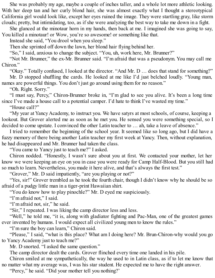She was probably my age, maybe a couple of inches taller, and a whole lot more athletic looking. With her deep tan and her curly blond hair, she was almost exactly what I thought a stereotypical California girl would look like, except her eyes ruined the image. They were startling gray, like storm clouds; pretty, but intimidating, too, as if she were analyzing the best way to take me down in a fight.

She glanced at the minotaur horn in my hands, then back at me. I imagined she was going to say, You killed a minotaur! or Wow, you're so awesome! or something like that.

Instead she said, "You drool when you sleep."

Then she sprinted off down the lawn, her blond hair flying behind her.

"So," I said, anxious to change the subject. "You, uh, work here, Mr. Brunner?"

"Not Mr. Brunner," the ex-Mr. Brunner said. "I'm afraid that was a pseudonym. You may call me Chiron."

"Okay." Totally confused, I looked at the director. "And Mr. D … does that stand for something?"

Mr. D stopped shuffling the cards. He looked at me like I'd just belched loudly. "Young man, names are powerful things. You don't just go around using them for no reason."

"Oh. Right. Sorry."

"I must say, Percy," Chiron-Brunner broke in, "I'm glad to see you alive. It's been a long time since I've made a house call to a potential camper. I'd hate to think I've wasted my time."

"House call?"

"My year at Yancy Academy, to instruct you. We have satyrs at most schools, of course, keeping a lookout. But Grover alerted me as soon as he met you. He sensed you were something special, so I decided to come upstate. I convinced the other Latin teacher to … ah, take a leave of absence."

I tried to remember the beginning of the school year. It seemed like so long ago, but I did have a fuzzy memory of there being another Latin teacher my first week at Yancy. Then, without explanation, he had disappeared and Mr. Brunner had taken the class.

"You came to Yancy just to teach me?" I asked.

Chiron nodded. "Honestly, I wasn't sure about you at first. We contacted your mother, let her know we were keeping an eye on you in case you were ready for Camp Half-Blood. But you still had so much to learn. Nevertheless, you made it here alive, and that's always the first test."

"Grover," Mr. D said impatiently, "are you playing or not?"

"Yes, sir!" Grover trembled as he took the fourth chair, though I didn't know why he should be so afraid of a pudgy little man in a tiger-print Hawaiian shirt.

"You do know how to play pinochle?" Mr. D eyed me suspiciously.

"I'm afraid not," I said.

"I'm afraid not, sir," he said.

"Sir," I repeated. I was liking the camp director less and less.

"Well," he told me, "it is, along with gladiator fighting and Pac-Man, one of the greatest games ever invented by humans. I would expect all civilized young men to know the rules."

"I'm sure the boy can learn," Chiron said.

"Please," I said, "what is this place? What am I doing here? Mr. Brun-Chiron-why would you go to Yancy Academy just to teach me?"

Mr. D snorted. "I asked the same question."

The camp director dealt the cards. Grover flinched every time one landed in his pile.

Chiron smiled at me sympathetically, the way he used to in Latin class, as if to let me know that no matter what my average was, I was his star student. He expected me to have the right answer.

"Percy," he said. "Did your mother tell you nothing?'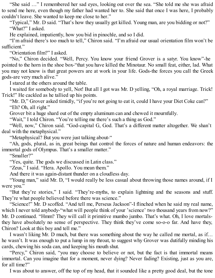"She said …" I remembered her sad eyes, looking out over the sea. "She told me she was afraid to send me here, even though my father had wanted her to. She said that once I was here, I probably couldn't leave. She wanted to keep me close to her."

"Typical," Mr. D said. "That's how they usually get killed. Young man, are you bidding or not?" "What?" I asked.

He explained, impatiently, how you bid in pinochle, and so I did.

"I'm afraid there's too much to tell," Chiron said. "I'm afraid our usual orientation film won't be sufficient."

"Orientation film?" I asked.

"No," Chiron decided. "Well, Percy. You know your friend Grover is a satyr. You know"-he pointed to the horn in the shoe box-"that you have killed the Minotaur. No small feat, either, lad. What you may not know is that great powers are at work in your life. Gods-the forces you call the Greek gods-are very much alive."

I stared at the others around the table.

I waited for somebody to yell, Not! But all I got was Mr. D yelling, "Oh, a royal marriage. Trick! Trick!" He cackled as he tallied up his points.

"Mr. D," Grover asked timidly, "if you're not going to eat it, could I have your Diet Coke can?" "Eh? Oh, all right."

Grover bit a huge shard out of the empty aluminum can and chewed it mournfully.

"Wait," I told Chiron. "You're telling me there's such a thing as God."

"Well, now," Chiron said. "God-capital G, God. That's a different matter altogether. We shan't deal with the metaphysical."

"Metaphysical? But you were just talking about-"

"Ah, gods, plural, as in, great beings that control the forces of nature and human endeavors: the immortal gods of Olympus. That's a smaller matter."

"Smaller?"

"Yes, quite. The gods we discussed in Latin class."

"Zeus," I said. "Hera. Apollo. You mean them."

And there it was again-distant thunder on a cloudless day.

"Young man," said Mr. D, "I would really be less casual about throwing those names around, if I were you."

"But they're stories," I said. "They're-myths, to explain lightning and the seasons and stuff. They're what people believed before there was science."

"Science!" Mr. D scoffed. "And tell me, Perseus Jackson"-I flinched when he said my real name, which I never told anybody-"what will people think of your 'science' two thousand years from now?" Mr. D continued. "Hmm? They will call it primitive mumbo jumbo. That's what. Oh, I love mortalsthey have absolutely no sense of perspective. They think they've come so-o-o far. And have they, Chiron? Look at this boy and tell me."

I wasn't liking Mr. D much, but there was something about the way he called me mortal, as if… he wasn't. It was enough to put a lump in my throat, to suggest why Grover was dutifully minding his cards, chewing his soda can, and keeping his mouth shut.

"Percy," Chiron said, "you may choose to believe or not, but the fact is that immortal means immortal. Can you imagine that for a moment, never dying? Never fading? Existing, just as you are, for all time?"

I was about to answer, off the top of my head, that it sounded like a pretty good deal, but the tone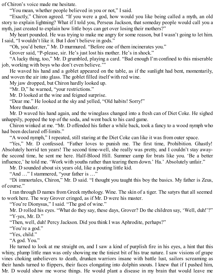of Chiron's voice made me hesitate.

"You mean, whether people believed in you or not," I said.

"Exactly," Chiron agreed. "If you were a god, how would you like being called a myth, an old story to explain lightning? What if I told you, Perseus Jackson, that someday people would call you a myth, just created to explain how little boys can get over losing their mothers?"

My heart pounded. He was trying to make me angry for some reason, but I wasn't going to let him. I said, "I wouldn't like it. But I don't believe in gods."

"Oh, you'd better," Mr. D murmured. "Before one of them incinerates you."

Grover said, "P-please, sir. He's just lost his mother. He's in shock."

"A lucky thing, too," Mr. D grumbled, playing a card. "Bad enough I'm confined to this miserable job, working with boys who don't even believe.'"

He waved his hand and a goblet appeared on the table, as if the sunlight had bent, momentarily, and woven the air into glass. The goblet filled itself with red wine.

My jaw dropped, but Chiron hardly looked up.

"Mr. D," he warned, "your restrictions."

Mr. D looked at the wine and feigned surprise.

"Dear me." He looked at the sky and yelled, "Old habits! Sorry!"

More thunder.

Mr. D waved his hand again, and the wineglass changed into a fresh can of Diet Coke. He sighed unhappily, popped the top of the soda, and went back to his card game.

Chiron winked at me. "Mr. D offended his father a while back, took a fancy to a wood nymph who had been declared off-limits."

"A wood nymph," I repeated, still staring at the Diet Coke can like it was from outer space.

"Yes," Mr. D confessed. "Father loves to punish me. The first time, Prohibition. Ghastly! Absolutely horrid ten years! The second time-well, she really was pretty, and I couldn't stay awaythe second time, he sent me here. Half-Blood Hill. Summer camp for brats like you. 'Be a better influence,' he told me. 'Work with youths rather than tearing them down.' Ha.' Absolutely unfair."

Mr. D sounded about six years old, like a pouting little kid.

"And …" I stammered, "your father is …"

"Di immortales, Chiron," Mr. D said. "I thought you taught this boy the basics. My father is Zeus, of course."

I ran through D names from Greek mythology. Wine. The skin of a tiger. The satyrs that all seemed to work here. The way Grover cringed, as if Mr. D were his master.

"You're Dionysus," I said. "The god of wine."

Mr. D rolled his eyes. "What do they say, these days, Grover? Do the children say, 'Well, duh!'?" "Y-yes, Mr. D."

"Then, well, duh! Percy Jackson. Did you think I was Aphrodite, perhaps?"

"You're a god."

"Yes, child."

"A god. You."

He turned to look at me straight on, and I saw a kind of purplish fire in his eyes, a hint that this whiny, plump little man was only showing me the tiniest bit of his true nature. I saw visions of grape vines choking unbelievers to death, drunken warriors insane with battle lust, sailors screaming as their hands turned to flippers, their faces elongating into dolphin snouts. I knew that if I pushed him, Mr. D would show me worse things. He would plant a disease in my brain that would leave me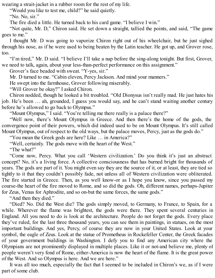wearing a strait-jacket in a rubber room for the rest of my life.

"Would you like to test me, child?" he said quietly.

"No. No, sir."

The fire died a little. He turned back to his card game. "I believe I win."

"Not quite, Mr. D," Chiron said. He set down a straight, tallied the points, and said, "The game goes to me."

I thought Mr. D was going to vaporize Chiron right out of his wheelchair, but he just sighed through his nose, as if he were used to being beaten by the Latin teacher. He got up, and Grover rose, too.

"I'm tired," Mr. D said. "I believe I'll take a nap before the sing-along tonight. But first, Grover, we need to talk, again, about your less-than-perfect performance on this assignment."

Grover's face beaded with sweat. "Y-yes, sir."

Mr. D turned to me. "Cabin eleven, Percy Jackson. And mind your manners."

He swept into the farmhouse, Grover following miserably.

"Will Grover be okay?" I asked Chiron.

Chiron nodded, though he looked a bit troubled. "Old Dionysus isn't really mad. He just hates his job. He's been … ah, grounded, I guess you would say, and he can't stand waiting another century before he's allowed to go back to Olympus."

"Mount Olympus," I said. "You're telling me there really is a palace there?"

"Well now, there's Mount Olympus in Greece. And then there's the home of the gods, the convergence point of their powers, which did indeed used to be on Mount Olympus. It's still called Mount Olympus, out of respect to the old ways, but the palace moves, Percy, just as the gods do."

"You mean the Greek gods are here? Like … in America?"

"Well, certainly. The gods move with the heart of the West."

"The what?"

"Come now, Percy. What you call 'Western civilization.' Do you think it's just an abstract concept? No, it's a living force. A collective consciousness that has burned bright for thousands of years. The gods are part of it. You might even say they are the source of it, or at least, they are tied so tightly to it that they couldn't possibly fade, not unless all of Western civilization were obliterated. The fire started in Greece. Then, as you well know-or as I hope you know, since you passed my course-the heart of the fire moved to Rome, and so did the gods. Oh, different names, perhaps-Jupiter for Zeus, Venus for Aphrodite, and so on-but the same forces, the same gods."

"And then they died."

"Died? No. Did the West die? The gods simply moved, to Germany, to France, to Spain, for a while. Wherever the flame was brightest, the gods were there. They spent several centuries in England. All you need to do is look at the architecture. People do not forget the gods. Every place they've ruled, for the last three thousand years, you can see them in paintings, in statues, on the most important buildings. And yes, Percy, of course they are now in your United States. Look at your symbol, the eagle of Zeus. Look at the statue of Prometheus in Rockefeller Center, the Greek facades of your government buildings in Washington. I defy you to find any American city where the Olympians are not prominently displayed in multiple places. Like it or not-and believe me, plenty of people weren't very fond of Rome, either-America is now the heart of the flame. It is the great power of the West. And so Olympus is here. And we are here."

It was all too much, especially the fact that I seemed to be included in Chiron's we, as if I were part of some club.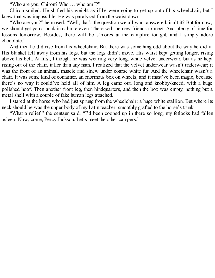"Who are you, Chiron? Who ... who am I?"

Chiron smiled. He shifted his weight as if he were going to get up out of his wheelchair, but I knew that was impossible. He was paralyzed from the waist down.

"Who are you?" he mused. "Well, that's the question we all want answered, isn't it? But for now, we should get you a bunk in cabin eleven. There will be new friends to meet. And plenty of time for lessons tomorrow. Besides, there will be s'mores at the campfire tonight, and I simply adore chocolate."

And then he did rise from his wheelchair. But there was something odd about the way he did it. His blanket fell away from his legs, but the legs didn't move. His waist kept getting longer, rising above his belt. At first, I thought he was wearing very long, white velvet underwear, but as he kept rising out of the chair, taller than any man, I realized that the velvet underwear wasn't underwear; it was the front of an animal, muscle and sinew under coarse white fur. And the wheelchair wasn't a chair. It was some kind of container, an enormous box on wheels, and it must've been magic, because there's no way it could've held all of him. A leg came out, long and knobby-kneed, with a huge polished hoof. Then another front leg, then hindquarters, and then the box was empty, nothing but a metal shell with a couple of fake human legs attached.

I stared at the horse who had just sprung from the wheelchair: a huge white stallion. But where its neck should be was the upper body of my Latin teacher, smoothly grafted to the horse's trunk.

"What a relief," the centaur said. "I'd been cooped up in there so long, my fetlocks had fallen asleep. Now, come, Percy Jackson. Let's meet the other campers."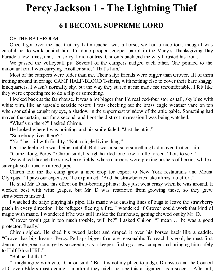## **Percy Jackson 1 - The Lightning Thief**

### **6 I BECOME SUPREME LORD**

#### OF THE BATHROOM

Once I got over the fact that my Latin teacher was a horse, we had a nice tour, though I was careful not to walk behind him. I'd done pooper-scooper patrol in the Macy's Thanksgiving Day Parade a few times, and, I'm sorry, I did not trust Chiron's back end the way I trusted his front.

We passed the volleyball pit. Several of the campers nudged each other. One pointed to the minotaur horn I was carrying. Another said, "That's him."

Most of the campers were older than me. Their satyr friends were bigger than Grover, all of them trotting around in orange CAMP HALF-BLOOD T-shirts, with nothing else to cover their bare shaggy hindquarters. I wasn't normally shy, but the way they stared at me made me uncomfortable. I felt like they were expecting me to do a flip or something.

I looked back at the farmhouse. It was a lot bigger than I'd realized-four stories tall, sky blue with white trim, like an upscale seaside resort. I was checking out the brass eagle weather vane on top when something caught my eye, a shadow in the uppermost window of the attic gable. Something had moved the curtain, just for a second, and I got the distinct impression I was being watched.

"What's up there?" I asked Chiron.

He looked where I was pointing, and his smile faded. "Just the attic."

"Somebody lives there?"

"No," he said with finality. "Not a single living thing."

I got the feeling he was being truthful. But I was also sure something had moved that curtain.

"Come along, Percy," Chiron said, his lighthearted tone now a little forced. "Lots to see."

We walked through the strawberry fields, where campers were picking bushels of berries while a satyr played a tune on a reed pipe.

Chiron told me the camp grew a nice crop for export to New York restaurants and Mount Olympus. "It pays our expenses," he explained. "And the strawberries take almost no effort."

He said Mr. D had this effect on fruit-bearing plants: they just went crazy when he was around. It worked best with wine grapes, but Mr. D was restricted from growing those, so they grew strawberries instead.

I watched the satyr playing his pipe. His music was causing lines of bugs to leave the strawberry patch in every direction, like refugees fleeing a fire. I wondered if Grover could work that kind of magic with music. I wondered if he was still inside the farmhouse, getting chewed out by Mr. D.

"Grover won't get in too much trouble, will he?" I asked Chiron. "I mean … he was a good protector. Really."

Chiron sighed. He shed his tweed jacket and draped it over his horses back like a saddle. "Grover has big dreams, Percy. Perhaps bigger than are reasonable. To reach his goal, he must first demonstrate great courage by succeeding as a keeper, finding a new camper and bringing him safely to Half-Blood Hill."

"But he did that!"

"I might agree with you," Chiron said. "But it is not my place to judge. Dionysus and the Council of Cloven Elders must decide. I'm afraid they might not see this assignment as a success. After all,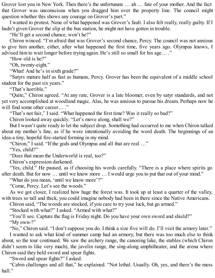Grover lost you in New York. Then there's the unfortunate … ah … fate of your mother. And the fact that Grover was unconscious when you dragged him over the property line. The council might question whether this shows any courage on Grover's part."

I wanted to protest. None of what happened was Grover's fault. I also felt really, really guilty. If I hadn't given Grover the slip at the bus station, he might not have gotten in trouble.

"He'll get a second chance, won't he?"

Chiron winced. "I'm afraid that was Grover's second chance, Percy. The council was not anxious to give him another, either, after what happened the first time, five years ago. Olympus knows, I advised him to wait longer before trying again. He's still so small for his age...."

"How old is he?"

"Oh, twenty-eight."

"What! And he's in sixth grade?"

"Satyrs mature half as fast as humans, Percy. Grover has been the equivalent of a middle school student for the past six years."

"That's horrible."

"Quite," Chiron agreed. "At any rate, Grover is a late bloomer, even by satyr standards, and not yet very accomplished at woodland magic. Alas, he was anxious to pursue his dream. Perhaps now he will find some other career...."

"That's not fair," I said. "What happened the first time? Was it really so bad?"

Chiron looked away quickly. "Let's move along, shall we?"

But I wasn't quite ready to let the subject drop. Something had occurred to me when Chiron talked about my mother's fate, as if he were intentionally avoiding the word death. The beginnings of an idea-a tiny, hopeful fire-started forming in my mind.

"Chiron," I said. "If the gods and Olympus and all that are real …"

"Yes, child?"

"Does that mean the Underworld is real, too?"

Chiron's expression darkened.

"Yes, child." He paused, as if choosing his words carefully. "There is a place where spirits go after death. But for now … until we know more … I would urge you to put that out of your mind."

"What do you mean, 'until we know more'?"

"Come, Percy. Let's see the woods."

As we got closer, I realized how huge the forest was. It took up at least a quarter of the valley, with trees so tall and thick, you could imagine nobody had been in there since the Native Americans.

Chiron said, "The woods are stocked, if you care to try your luck, but go armed."

"Stocked with what?" I asked. "Armed with what?"

"You'll see. Capture the flag is Friday night. Do you have your own sword and shield?" "My own-?"

"No," Chiron said. "I don't suppose you do. I think a size five will do. I'll visit the armory later."

I wanted to ask what kind of summer camp had an armory, but there was too much else to think about, so the tour continued. We saw the archery range, the canoeing lake, the stables (which Chiron didn't seem to like very much), the javelin range, the sing-along amphitheater, and the arena where Chiron said they held sword and spear fights.

"Sword and spear fights?" I asked.

"Cabin challenges and all that," he explained. "Not lethal. Usually. Oh, yes, and there's the mess hall."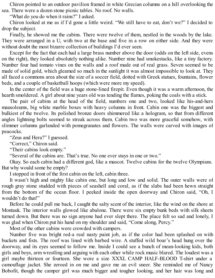Chiron pointed to an outdoor pavilion framed in white Grecian columns on a hill overlooking the sea. There were a dozen stone picnic tables. No roof. No walls.

"What do you do when it rains?" I asked.

Chiron looked at me as if I'd gone a little weird. "We still have to eat, don't we?" I decided to drop the subject.

Finally, he showed me the cabins. There were twelve of them, nestled in the woods by the lake. They were arranged in a U, with two at the base and five in a row on either side. And they were without doubt the most bizarre collection of buildings I'd ever seen.

Except for the fact that each had a large brass number above the door (odds on the left side, evens on the right), they looked absolutely nothing alike. Number nine had smokestacks, like a tiny factory. Number four had tomato vines on the walls and a roof made out of real grass. Seven seemed to be made of solid gold, which gleamed so much in the sunlight it was almost impossible to look at. They all faced a commons area about the size of a soccer field, dotted with Greek statues, fountains, flower beds, and a couple of basketball hoops (which were more my speed).

In the center of the field was a huge stone-lined firepit. Even though it was a warm afternoon, the hearth smoldered. A girl about nine years old was tending the flames, poking the coals with a stick.

The pair of cabins at the head of the field, numbers one and two, looked like his-and-hers mausoleums, big white marble boxes with heavy columns in front. Cabin one was the biggest and bulkiest of the twelve. Its polished bronze doors shimmered like a hologram, so that from different angles lightning bolts seemed to streak across them. Cabin two was more graceful somehow, with slimmer columns garlanded with pomegranates and flowers. The walls were carved with images of peacocks.

"Zeus and Hera?" I guessed.

"Correct," Chiron said.

"Their cabins look empty."

"Several of the cabins are. That's true. No one ever stays in one or two."

Okay. So each cabin had a different god, like a mascot. Twelve cabins for the twelve Olympians. But why would some be empty?

I stopped in front of the first cabin on the left, cabin three.

It wasn't high and mighty like cabin one, but long and low and solid. The outer walls were of rough gray stone studded with pieces of seashell and coral, as if the slabs had been hewn straight from the bottom of the ocean floor. I peeked inside the open doorway and Chiron said, "Oh, I wouldn't do that!"

Before he could pull me back, I caught the salty scent of the interior, like the wind on the shore at Montauk. The interior walls glowed like abalone. There were six empty bunk beds with silk sheets turned down. But there was no sign anyone had ever slept there. The place felt so sad and lonely, I was glad when Chiron put his hand on my shoulder and said, "Come along, Percy."

Most of the other cabins were crowded with campers.

Number five was bright red-a real nasty paint job, as if the color had been splashed on with buckets and fists. The roof was lined with barbed wire. A stuffed wild boar's head hung over the doorway, and its eyes seemed to follow me. Inside I could see a bunch of mean-looking kids, both girls and boys, arm wrestling and arguing with each other while rock music blared. The loudest was a girl maybe thirteen or fourteen. She wore a size XXXL CAMP HALF-BLOOD T-shirt under a camouflage jacket. She zeroed in on me and gave me an evil sneer. She reminded me of Nancy Bobofit, though the camper girl was much bigger and tougher looking, and her hair was long and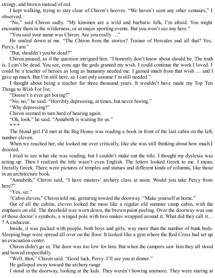stringy, and brown instead of red.

I kept walking, trying to stay clear of Chiron's hooves. "We haven't seen any other centaurs," I observed.

"No," said Chiron sadly. "My kinsmen are a wild and barbaric folk, I'm afraid. You might encounter them in the wilderness, or at major sporting events. But you won't see any here."

"You said your name was Chiron. Are you really …"

He smiled down at me. "The Chiron from the stories? Trainer of Hercules and all that? Yes, Percy, I am."

"But, shouldn't you be dead?"

Chiron paused, as if the question intrigued him. "I honestly don't know about should be. The truth is, I can't be dead. You see, eons ago the gods granted my wish. I could continue the work I loved. I could be a teacher of heroes as long as humanity needed me. I gained much from that wish … and I gave up much. But I'm still here, so I can only assume I'm still needed."

I thought about being a teacher for three thousand years. It wouldn't have made my Top Ten Things to Wish For list.

"Doesn't it ever get boring?"

"No, no," he said. "Horribly depressing, at times, but never boring."

"Why depressing?"

Chiron seemed to turn hard of hearing again.

"Oh, look," he said. "Annabeth is waiting for us."

\* \* \*

The blond girl I'd met at the Big House was reading a book in front of the last cabin on the left, number eleven.

When we reached her, she looked me over critically, like she was still thinking about how much I drooled.

I tried to see what she was reading, but I couldn't make out the title. I thought my dyslexia was acting up. Then I realized the title wasn't even English. The letters looked Greek to me. I mean, literally Greek. There were pictures of temples and statues and different kinds of columns, like those in an architecture book.

"Annabeth," Chiron said, "I have masters' archery class at noon. Would you take Percy from here?"

"Yes, sir."

"Cabin eleven," Chiron told me, gesturing toward the doorway. "Make yourself at home."

Out of all the cabins, eleven looked the most like a regular old summer camp cabin, with the emphasis on old. The threshold was worn down, the brown paint peeling. Over the doorway was one of those doctor's symbols, a winged pole with two snakes wrapped around it. What did they call it… ? A caduceus.

Inside, it was packed with people, both boys and girls, way more than the number of bunk beds. Sleeping bags were spread all over on the floor. It looked like a gym where the Red Cross had set up an evacuation center.

Chiron didn't go in. The door was too low for him. But when the campers saw him they all stood and bowed respectfully.

"Well, then," Chiron said. "Good luck, Percy. I'll see you at dinner."

He galloped away toward the archery range.

I stood in the doorway, looking at the kids. They weren't bowing anymore. They were staring at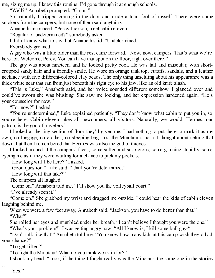me, sizing me up. I knew this routine. I'd gone through it at enough schools.

"Well?" Annabeth prompted. "Go on."

So naturally I tripped coming in the door and made a total fool of myself. There were some snickers from the campers, but none of them said anything.

Annabeth announced, "Percy Jackson, meet cabin eleven.

"Regular or undetermined?" somebody asked.

I didn't know what to say, but Annabeth said, "Undetermined."

Everybody groaned.

A guy who was a little older than the rest came forward. "Now, now, campers. That's what we're here for. Welcome, Percy. You can have that spot on the floor, right over there."

The guy was about nineteen, and he looked pretty cool. He was tall and muscular, with shortcropped sandy hair and a friendly smile. He wore an orange tank top, cutoffs, sandals, and a leather necklace with five different-colored clay beads. The only thing unsettling about his appearance was a thick white scar that ran from just beneath his right eye to his jaw, like an old knife slash.

"This is Luke," Annabeth said, and her voice sounded different somehow. I glanced over and could've sworn she was blushing. She saw me looking, and her expression hardened again. "He's your counselor for now."

"For now?" I asked.

"You're undetermined," Luke explained patiently. "They don't know what cabin to put you in, so you're here. Cabin eleven takes all newcomers, all visitors. Naturally, we would. Hermes, our patron, is the god of travelers."

I looked at the tiny section of floor they'd given me. I had nothing to put there to mark it as my own, no luggage, no clothes, no sleeping bag. Just the Minotaur's horn. I thought about setting that down, but then I remembered that Hermes was also the god of thieves.

I looked around at the campers' faces, some sullen and suspicious, some grinning stupidly, some eyeing me as if they were waiting for a chance to pick my pockets.

"How long will I be here?" I asked.

"Good question," Luke said. "Until you're determined."

"How long will that take?"

The campers all laughed.

"Come on," Annabeth told me. "I'll show you the volleyball court."

"I've already seen it."

"Come on." She grabbed my wrist and dragged me outside. I could hear the kids of cabin eleven laughing behind me.

When we were a few feet away, Annabeth said, "Jackson, you have to do better than that." "What?"

She rolled her eyes and mumbled under her breath, "I can't believe I thought you were the one."

"What's your problem?" I was getting angry now. "All I know is, I kill some bull guy-"

"Don't talk like that!" Annabeth told me. "You know how many kids at this camp wish they'd had your chance?"

"To get killed?"

"To fight the Minotaur! What do you think we train for?"

I shook my head. "Look, if the thing I fought really was the Minotaur, the same one in the stories …"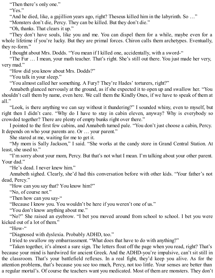"Then there's only one."

"Yes."

"And he died, like, a gajillion years ago, right? Theseus killed him in the labyrinth. So …"

"Monsters don't die, Percy. They can be killed. But they don't die."

"Oh, thanks. That clears it up."

"They don't have souls, like you and me. You can dispel them for a while, maybe even for a whole lifetime if you're lucky. But they are primal forces. Chiron calls them archetypes. Eventually, they re-form."

I thought about Mrs. Dodds. "You mean if I killed one, accidentally, with a sword-"

"The Fur … I mean, your math teacher. That's right. She's still out there. You just made her very, very mad."

"How did you know about Mrs. Dodds?"

"You talk in your sleep."

"You almost called her something. A Fury? They're Hades' torturers, right?"

Annabeth glanced nervously at the ground, as if she expected it to open up and swallow her. "You shouldn't call them by name, even here. We call them the Kindly Ones, if we have to speak of them at all."

"Look, is there anything we can say without it thundering?" I sounded whiny, even to myself, but right then I didn't care. "Why do I have to stay in cabin eleven, anyway? Why is everybody so crowded together? There are plenty of empty bunks right over there."

I pointed to the first few cabins, and Annabeth turned pale. "You don't just choose a cabin, Percy. It depends on who your parents are. Or … your parent."

She stared at me, waiting for me to get it.

"My mom is Sally Jackson," I said. "She works at the candy store in Grand Central Station. At least, she used to."

"I'm sorry about your mom, Percy. But that's not what I mean. I'm talking about your other parent. Your dad."

"He's dead. I never knew him."

Annabeth sighed. Clearly, she'd had this conversation before with other kids. "Your father's not dead, Percy."

"How can you say that? You know him?"

"No, of course not."

"Then how can you say-"

"Because I know you. You wouldn't be here if you weren't one of us."

"You don't know anything about me."

"No?" She raised an eyebrow. "I bet you moved around from school to school. I bet you were kicked out of a lot of them."

"How-"

"Diagnosed with dyslexia. Probably ADHD, too."

I tried to swallow my embarrassment. "What does that have to do with anything?"

"Taken together, it's almost a sure sign. The letters float off the page when you read, right? That's because your mind is hardwired for ancient Greek. And the ADHD-you're impulsive, can't sit still in the classroom. That's your battlefield reflexes. In a real fight, they'd keep you alive. As for the attention problems, that's because you see too much, Percy, not too little. Your senses are better than a regular mortal's. Of course the teachers want you medicated. Most of them are monsters. They don't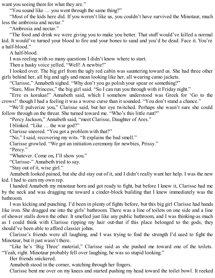want you seeing them for what they are."

"You sound like … you went through the same thing?"

"Most of the kids here did. If you weren't like us, you couldn't have survived the Minotaur, much less the ambrosia and nectar."

"Ambrosia and nectar."

"The food and drink we were giving you to make you better. That stuff would've killed a normal kid. It would've turned your blood to fire and your bones to sand and you'd be dead. Face it. You're a half-blood."

A half-blood.

I was reeling with so many questions I didn't know where to start.

Then a husky voice yelled, "Well! A newbie!"

I looked over. The big girl from the ugly red cabin was sauntering toward us. She had three other girls behind her, all big and ugly and mean looking like her, all wearing camo jackets.

"Clarisse," Annabeth sighed. "Why don't you go polish your spear or something?"

"Sure, Miss Princess," the big girl said. "So I can run you through with it Friday night."

"Erre es korakas!" Annabeth said, which I somehow understood was Greek for 'Go to the crows!' though I had a feeling it was a worse curse than it sounded. "You don't stand a chance."

"We'll pulverize you," Clarisse said, but her eye twitched. Perhaps she wasn't sure she could follow through on the threat. She turned toward me. "Who's this little runt?"

"Percy Jackson," Annabeth said, "meet Clarisse, Daughter of Ares."

I blinked. "Like … the war god?"

Clarisse sneered. "You got a problem with that?"

"No," I said, recovering my wits. "It explains the bad smell."

Clarisse growled. "We got an initiation ceremony for newbies, Prissy."

"Percy."

"Whatever. Come on, I'll show you."

"Clarisse-" Annabeth tried to say.

"Stay out of it, wise girl."

Annabeth looked pained, but she did stay out of it, and I didn't really want her help. I was the new kid. I had to earn my own rep.

I handed Annabeth my minotaur horn and got ready to fight, but before I knew it, Clarisse had me by the neck and was dragging me toward a cinder-block building that I knew immediately was the bathroom.

I was kicking and punching. I'd been in plenty of fights before, but this big girl Clarisse had hands like iron. She dragged me into the girls' bathroom. There was a line of toilets on one side and a line of shower stalls down the other. It smelled just like any public bathroom, and I was thinking-as much as I could think with Clarisse ripping my hair out-that if this place belonged to the gods, they should've been able to afford classier johns.

Clarisse's friends were all laughing, and I was trying to find the strength I'd used to fight the Minotaur, but it just wasn't there.

"Like he's 'Big Three' material," Clarisse said as she pushed me toward one of the toilets. "Yeah, right. Minotaur probably fell over laughing, he was so stupid looking."

Her friends snickered.

Annabeth stood in the corner, watching through her fingers.

Clarisse bent me over on my knees and started pushing my head toward the toilet bowl. It reeked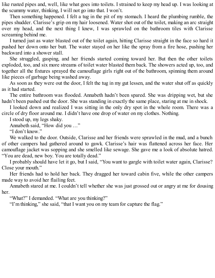like rusted pipes and, well, like what goes into toilets. I strained to keep my head up. I was looking at the scummy water, thinking, I will not go into that. I won't.

Then something happened. I felt a tug in the pit of my stomach. I heard the plumbing rumble, the pipes shudder. Clarisse's grip on my hair loosened. Water shot out of the toilet, making an arc straight over my head, and the next thing I knew, I was sprawled on the bathroom tiles with Clarisse screaming behind me.

I turned just as water blasted out of the toilet again, hitting Clarisse straight in the face so hard it pushed her down onto her butt. The water stayed on her like the spray from a fire hose, pushing her backward into a shower stall.

She struggled, gasping, and her friends started coming toward her. But then the other toilets exploded, too, and six more streams of toilet water blasted them back. The showers acted up, too, and together all the fixtures sprayed the camouflage girls right out of the bathroom, spinning them around like pieces of garbage being washed away.

As soon as they were out the door, I felt the tug in my gut lessen, and the water shut off as quickly as it had started.

The entire bathroom was flooded. Annabeth hadn't been spared. She was dripping wet, but she hadn't been pushed out the door. She was standing in exactly the same place, staring at me in shock.

I looked down and realized I was sitting in the only dry spot in the whole room. There was a circle of dry floor around me. I didn't have one drop of water on my clothes. Nothing.

I stood up, my legs shaky.

Annabeth said, "How did you …"

"I don't know."

We walked to the door. Outside, Clarisse and her friends were sprawled in the mud, and a bunch of other campers had gathered around to gawk. Clarisse's hair was flattened across her face. Her camouflage jacket was sopping and she smelled like sewage. She gave me a look of absolute hatred. "You are dead, new boy. You are totally dead."

I probably should have let it go, but I said, "You want to gargle with toilet water again, Clarisse? Close your mouth."

Her friends had to hold her back. They dragged her toward cabin five, while the other campers made way to avoid her flailing feet.

Annabeth stared at me. I couldn't tell whether she was just grossed out or angry at me for dousing her.

"What?" I demanded. "What are you thinking?"

"I'm thinking," she said, "that I want you on my team for capture the flag."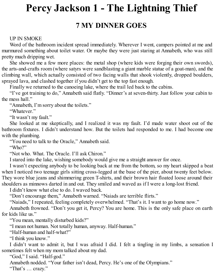## **Percy Jackson 1 - The Lightning Thief**

## **7 MY DINNER GOES**

#### UP IN SMOKE

Word of the bathroom incident spread immediately. Wherever I went, campers pointed at me and murmured something about toilet water. Or maybe they were just staring at Annabeth, who was still pretty much dripping wet.

She showed me a few more places: the metal shop (where kids were forging their own swords), the arts-and-crafts room (where satyrs were sandblasting a giant marble statue of a goat-man), and the climbing wall, which actually consisted of two facing walls that shook violently, dropped boulders, sprayed lava, and clashed together if you didn't get to the top fast enough.

Finally we returned to the canoeing lake, where the trail led back to the cabins.

"I've got training to do," Annabeth said flatly. "Dinner's at seven-thirty. Just follow your cabin to the mess hall."

"Annabeth, I'm sorry about the toilets."

"Whatever."

"It wasn't my fault."

She looked at me skeptically, and I realized it was my fault. I'd made water shoot out of the bathroom fixtures. I didn't understand how. But the toilets had responded to me. I had become one with the plumbing.

"You need to talk to the Oracle," Annabeth said.

"Who?"

"Not who. What. The Oracle. I'll ask Chiron."

I stared into the lake, wishing somebody would give me a straight answer for once.

I wasn't expecting anybody to be looking back at me from the bottom, so my heart skipped a beat when I noticed two teenage girls sitting cross-legged at the base of the pier, about twenty feet below. They wore blue jeans and shimmering green T-shirts, and their brown hair floated loose around their shoulders as minnows darted in and out. They smiled and waved as if I were a long-lost friend.

I didn't know what else to do. I waved back.

"Don't encourage them," Annabeth warned. "Naiads are terrible flirts."

"Naiads," I repeated, feeling completely overwhelmed. "That's it. I want to go home now."

Annabeth frowned. "Don't you get it, Percy? You are home. This is the only safe place on earth for kids like us."

"You mean, mentally disturbed kids?"

"I mean not human. Not totally human, anyway. Half-human."

"Half-human and half-what?"

"I think you know."

I didn't want to admit it, but I was afraid I did. I felt a tingling in my limbs, a sensation I sometimes felt when my mom talked about my dad.

"God," I said. "Half-god."

Annabeth nodded. "Your father isn't dead, Percy. He's one of the Olympians."

"That's … crazy."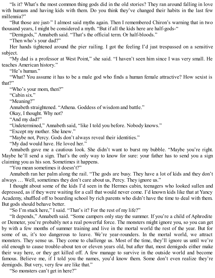"Is it? What's the most common thing gods did in the old stories? They ran around falling in love with humans and having kids with them. Do you think they've changed their habits in the last few millennia?"

"But those are just-" I almost said myths again. Then I remembered Chiron's warning that in two thousand years, I might be considered a myth. "But if all the kids here are half-gods-"

"Demigods," Annabeth said. "That's the official term. Or half-bloods."

"Then who's your dad?"

Her hands tightened around the pier railing. I got the feeling I'd just trespassed on a sensitive subject.

"My dad is a professor at West Point," she said. "I haven't seen him since I was very small. He teaches American history."

"He's human."

"What? You assume it has to be a male god who finds a human female attractive? How sexist is that?"

"Who's your mom, then?"

"Cabin six."

"Meaning?"

Annabeth straightened. "Athena. Goddess of wisdom and battle."

Okay, I thought. Why not?

"And my dad?"

"Undetermined," Annabeth said, "like I told you before. Nobody knows."

"Except my mother. She knew."

"Maybe not, Percy. Gods don't always reveal their identities."

"My dad would have. He loved her."

Annabeth gave me a cautious look. She didn't want to burst my bubble. "Maybe you're right. Maybe he'll send a sign. That's the only way to know for sure: your father has to send you a sign claiming you as his son. Sometimes it happens.

"You mean sometimes it doesn't?"

Annabeth ran her palm along the rail. "The gods are busy. They have a lot of kids and they don't always … Well, sometimes they don't care about us, Percy. They ignore us."

I thought about some of the kids I'd seen in the Hermes cabin, teenagers who looked sullen and depressed, as if they were waiting for a call that would never come. I'd known kids like that at Yancy Academy, shuffled off to boarding school by rich parents who didn't have the time to deal with them. But gods should behave better.

"So I'm stuck here," I said. "That's it? For the rest of my life?"

"It depends," Annabeth said. "Some campers only stay the summer. If you're a child of Aphrodite or Demeter, you're probably not a real powerful force. The monsters might ignore you, so you can get by with a few months of summer training and live in the mortal world the rest of the year. But for some of us, it's too dangerous to leave. We're year-rounders. In the mortal world, we attract monsters. They sense us. They come to challenge us. Most of the time, they'll ignore us until we're old enough to cause trouble-about ten or eleven years old, but after that, most demigods either make their way here, or they get killed off. A few manage to survive in the outside world and become famous. Believe me, if I told you the names, you'd know them. Some don't even realize they're demigods. But very, very few are like that."

"So monsters can't get in here?"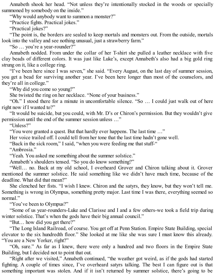Annabeth shook her head. "Not unless they're intentionally stocked in the woods or specially summoned by somebody on the inside."

"Why would anybody want to summon a monster?"

"Practice fights. Practical jokes."

"Practical jokes?"

"The point is, the borders are sealed to keep mortals and monsters out. From the outside, mortals look into the valley and see nothing unusual, just a strawberry farm."

"So … you're a year-rounder?"

Annabeth nodded. From under the collar of her T-shirt she pulled a leather necklace with five clay beads of different colors. It was just like Luke's, except Annabeth's also had a big gold ring strung on it, like a college ring.

"I've been here since I was seven," she said. "Every August, on the last day of summer session, you get a bead for surviving another year. I've been here longer than most of the counselors, and they're all in college."

"Why did you come so young?"

She twisted the ring on her necklace. "None of your business."

"Oh." I stood there for a minute in uncomfortable silence. "So … I could just walk out of here right now if I wanted to?"

"It would be suicide, but you could, with Mr. D's or Chiron's permission. But they wouldn't give permission until the end of the summer session unless …"

"Unless?"

"You were granted a quest. But that hardly ever happens. The last time …"

Her voice trailed off. I could tell from her tone that the last time hadn't gone well.

"Back in the sick room," I said, "when you were feeding me that stuff-"

"Ambrosia."

"Yeah. You asked me something about the summer solstice."

Annabeth's shoulders tensed. "So you do know something?"

"Well… no. Back at my old school, I overheard Grover and Chiron talking about it. Grover mentioned the summer solstice. He said something like we didn't have much time, because of the deadline. What did that mean?"

She clenched her fists. "I wish I knew. Chiron and the satyrs, they know, but they won't tell me. Something is wrong in Olympus, something pretty major. Last time I was there, everything seemed so normal."

"You've been to Olympus?"

"Some of us year-rounders-Luke and Clarisse and I and a few others-we took a field trip during winter solstice. That's when the gods have their big annual council."

"But… how did you get there?"

"The Long Island Railroad, of course. You get off at Penn Station. Empire State Building, special elevator to the six hundredth floor." She looked at me like she was sure I must know this already. "You are a New Yorker, right?"

"Oh, sure." As far as I knew, there were only a hundred and two floors in the Empire State Building, but I decided not to point that out.

"Right after we visited," Annabeth continued, "the weather got weird, as if the gods had started fighting. A couple of times since, I've overheard satyrs talking. The best I can figure out is that something important was stolen. And if it isn't returned by summer solstice, there's going to be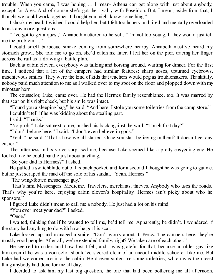trouble. When you came, I was hoping … I mean- Athena can get along with just about anybody, except for Ares. And of course she's got the rivalry with Poseidon. But, I mean, aside from that, I thought we could work together. I thought you might know something."

I shook my head. I wished I could help her, but I felt too hungry and tired and mentally overloaded to ask any more questions.

"I've got to get a quest," Annabeth muttered to herself. "I'm not too young. If they would just tell me the problem …"

I could smell barbecue smoke coming from somewhere nearby. Annabeth must've heard my stomach growl. She told me to go on, she'd catch me later. I left her on the pier, tracing her finger across the rail as if drawing a battle plan.

Back at cabin eleven, everybody was talking and horsing around, waiting for dinner. For the first time, I noticed that a lot of the campers had similar features: sharp noses, upturned eyebrows, mischievous smiles. They were the kind of kids that teachers would peg as troublemakers. Thankfully, nobody paid much attention to me as I walked over to my spot on the floor and plopped down with my minotaur horn.

The counselor, Luke, came over. He had the Hermes family resemblance, too. It was marred by that scar on his right cheek, but his smile was intact.

"Found you a sleeping bag," he said. "And here, I stole you some toiletries from the camp store." I couldn't tell if he was kidding about the stealing part.

I said, "Thanks."

"No prob." Luke sat next to me, pushed his back against the wall. "Tough first day?"

"I don't belong here," I said. "I don't even believe in gods."

"Yeah," he said. "That's how we all started. Once you start believing in them? It doesn't get any easier."

The bitterness in his voice surprised me, because Luke seemed like a pretty easygoing guy. He looked like he could handle just about anything.

"So your dad is Hermes?" I asked.

He pulled a switchblade out of his back pocket, and for a second I thought he was going to gut me, but he just scraped the mud off the sole of his sandal. "Yeah. Hermes."

"The wing-footed messenger guy."

"That's him. Messengers. Medicine. Travelers, merchants, thieves. Anybody who uses the roads. That's why you're here, enjoying cabin eleven's hospitality. Hermes isn't picky about who he sponsors."

I figured Luke didn't mean to call me a nobody. He just had a lot on his mind.

"You ever meet your dad?" I asked.

"Once."

I waited, thinking that if he wanted to tell me, he'd tell me. Apparently, he didn't. I wondered if the story had anything to do with how he got his scar.

Luke looked up and managed a smile. "Don't worry about it, Percy. The campers here, they're mostly good people. After all, we're extended family, right? We take care of each other."

He seemed to understand how lost I felt, and I was grateful for that, because an older guy like him-even if he was a counselor-should've steered clear of an uncool middle-schooler like me. But Luke had welcomed me into the cabin. He'd even stolen me some toiletries, which was the nicest thing anybody had done for me all day.

I decided to ask him my last big question, the one that had been bothering me all afternoon.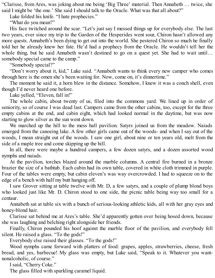"Clarisse, from Ares, was joking about me being 'Big Three' material. Then Annabeth … twice, she said I might be 'the one.' She said I should talk to the Oracle. What was that all about?"

Luke folded his knife. "I hate prophecies."

"What do you mean?"

His face twitched around the scar. "Let's just say I messed things up for everybody else. The last two years, ever since my trip to the Garden of the Hesperides went sour, Chiron hasn't allowed any more quests. Annabeth's been dying to get out into the world. She pestered Chiron so much he finally told her he already knew her fate. He'd had a prophecy from the Oracle. He wouldn't tell her the whole thing, but he said Annabeth wasn't destined to go on a quest yet. She had to wait until… somebody special came to the camp."

"Somebody special?"

"Don't worry about it, kid," Luke said. "Annabeth wants to think every new camper who comes through here is the omen she's been waiting for. Now, come on, it's dinnertime."

The moment he said it, a horn blew in the distance. Somehow, I knew it was a conch shell, even though I'd never heard one before.

Luke yelled, "Eleven, fall in!"

The whole cabin, about twenty of us, filed into the commons yard. We lined up in order of seniority, so of course I was dead last. Campers came from the other cabins, too, except for the three empty cabins at the end, and cabin eight, which had looked normal in the daytime, but was now starting to glow silver as the sun went down.

We marched up the hill to the mess hall pavilion. Satyrs joined us from the meadow. Naiads emerged from the canoeing lake. A few other girls came out of the woods- and when I say out of the woods, I mean straight out of the woods. I saw one girl, about nine or ten years old, melt from the side of a maple tree and come skipping up the hill.

In all, there were maybe a hundred campers, a few dozen satyrs, and a dozen assorted wood nymphs and naiads.

At the pavilion, torches blazed around the marble columns. A central fire burned in a bronze brazier the size of a bathtub. Each cabin had its own table, covered in white cloth trimmed in purple. Four of the tables were empty, but cabin eleven's was way overcrowded. I had to squeeze on to the edge of a bench with half my butt hanging off.

I saw Grover sitting at table twelve with Mr. D, a few satyrs, and a couple of plump blond boys who looked just like Mr. D. Chiron stood to one side, the picnic table being way too small for a centaur.

Annabeth sat at table six with a bunch of serious-looking athletic kids, all with her gray eyes and honey-blond hair.

Clarisse sat behind me at Ares's table. She'd apparently gotten over being hosed down, because she was laughing and belching right alongside her friends.

Finally, Chiron pounded his hoof against the marble floor of the pavilion, and everybody fell silent. He raised a glass. "To the gods!"

Everybody else raised their glasses. "To the gods!"

Wood nymphs came forward with platters of food: grapes, apples, strawberries, cheese, fresh bread, and yes, barbecue! My glass was empty, but Luke said, "Speak to it. Whatever you wantnonalcoholic, of course."

I said, "Cherry Coke."

The glass filled with sparkling caramel liquid.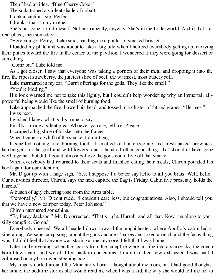Then I had an idea. "Blue Cherry Coke."

The soda turned a violent shade of cobalt.

I took a cautious sip. Perfect.

I drank a toast to my mother.

She's not gone, I told myself. Not permanently, anyway. She's in the Underworld. And if that's a real place, then someday…

"Here you go, Percy," Luke said, handing me a platter of smoked brisket.

I loaded my plate and was about to take a big bite when I noticed everybody getting up, carrying their plates toward the fire in the center of the pavilion. I wondered if they were going for dessert or something.

"Come on," Luke told me.

As I got closer, I saw that everyone was taking a portion of their meal and dropping it into the fire, the ripest strawberry, the juiciest slice of beef, the warmest, most buttery roll.

Luke murmured in my ear, "Burnt offerings for the gods. They like the smell."

"You're kidding."

His look warned me not to take this lightly, but I couldn't help wondering why an immortal, allpowerful being would like the smell of burning food.

Luke approached the fire, bowed his head, and tossed in a cluster of fat red grapes. "Hermes." I was next.

I wished I knew what god's name to say.

Finally, I made a silent plea. Whoever you are, tell me. Please.

I scraped a big slice of brisket into the flames.

When I caught a whiff of the smoke, I didn't gag.

It smelled nothing like burning food. It smelled of hot chocolate and fresh-baked brownies, hamburgers on the grill and wildflowers, and a hundred other good things that shouldn't have gone well together, but did. I could almost believe the gods could live off that smoke.

When everybody had returned to their seats and finished eating their meals, Chiron pounded his hoof again for our attention.

Mr. D got up with a huge sigh. "Yes, I suppose I'd better say hello to all you brats. Well, hello. Our activities director, Chiron, says the next capture the flag is Friday. Cabin five presently holds the laurels."

A bunch of ugly cheering rose from the Ares table.

"Personally," Mr. D continued, "I couldn't care less, but congratulations. Also, I should tell you that we have a new camper today. Peter Johnson."

Chiron murmured something.

"Er, Percy Jackson," Mr. D corrected. "That's right. Hurrah, and all that. Now run along to your silly campfire. Go on."

Everybody cheered. We all headed down toward the amphitheater, where Apollo's cabin led a sing-along. We sang camp songs about the gods and ate s'mores and joked around, and the funny thing was, I didn't feel that anyone was staring at me anymore. I felt that I was home.

Later in the evening, when the sparks from the campfire were curling into a starry sky, the conch horn blew again, and we all filed back to our cabins. I didn't realize how exhausted I was until I collapsed on my borrowed sleeping bag.

My fingers curled around the Minotaur's horn. I thought about my mom, but I had good thoughts: her smile, the bedtime stories she would read me when I was a kid, the way she would tell me not to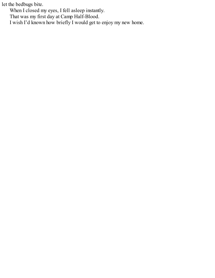let the bedbugs bite.

When I closed my eyes, I fell asleep instantly.

That was my first day at Camp Half-Blood.

I wish I'd known how briefly I would get to enjoy my new home.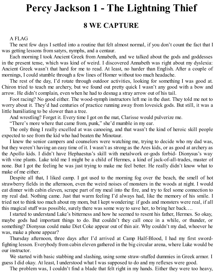# **Percy Jackson 1 - The Lightning Thief**

### **8 WE CAPTURE**

#### A FLAG

The next few days I settled into a routine that felt almost normal, if you don't count the fact that I was getting lessons from satyrs, nymphs, and a centaur.

Each morning I took Ancient Greek from Annabeth, and we talked about the gods and goddesses in the present tense, which was kind of weird. I discovered Annabeth was right about my dyslexia: Ancient Greek wasn't that hard for me to read. At least, no harder than English. After a couple of mornings, I could stumble through a few lines of Homer without too much headache.

The rest of the day, I'd rotate through outdoor activities, looking for something I was good at. Chiron tried to teach me archery, but we found out pretty quick I wasn't any good with a bow and arrow. He didn't complain, even when he had to desnag a stray arrow out of his tail.

Foot racing? No good either. The wood-nymph instructors left me in the dust. They told me not to worry about it. They'd had centuries of practice running away from lovesick gods. But still, it was a little humiliating to be slower than a tree.

And wrestling? Forget it. Every time I got on the mat, Clarisse would pulverize me.

"There's more where that came from, punk," she'd mumble in my ear.

The only thing I really excelled at was canoeing, and that wasn't the kind of heroic skill people expected to see from the kid who had beaten the Minotaur.

I knew the senior campers and counselors were watching me, trying to decide who my dad was, but they weren't having an easy time of it. I wasn't as strong as the Ares kids, or as good at archery as the Apollo kids. I didn't have Hephaestus's skill with metalwork or-gods forbid- Dionysus's way with vine plants. Luke told me I might be a child of Hermes, a kind of jack-of-all-trades, master of none. But I got the feeling he was just trying to make me feel better. He really didn't know what to make of me either.

Despite all that, I liked camp. I got used to the morning fog over the beach, the smell of hot strawberry fields in the afternoon, even the weird noises of monsters in the woods at night. I would eat dinner with cabin eleven, scrape part of my meal into the fire, and try to feel some connection to my real dad. Nothing came. Just that warm feeling I'd always had, like the memory of his smile. I tried not to think too much about my mom, but I kept wondering: if gods and monsters were real, if all this magical stuff was possible, surely there was some way to save her, to bring her back….

I started to understand Luke's bitterness and how he seemed to resent his father, Hermes. So okay, maybe gods had important things to do. But couldn't they call once in a while, or thunder, or something? Dionysus could make Diet Coke appear out of thin air. Why couldn't my dad, whoever he was, make a phone appear?

Thursday afternoon, three days after I'd arrived at Camp Half-Blood, I had my first swordfighting lesson. Everybody from cabin eleven gathered in the big circular arena, where Luke would be our instructor.

We started with basic stabbing and slashing, using some straw-stuffed dummies in Greek armor. I guess I did okay. At least, I understood what I was supposed to do and my reflexes were good.

The problem was, I couldn't find a blade that felt right in my hands. Either they were too heavy,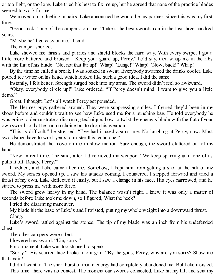or too light, or too long. Luke tried his best to fix me up, but he agreed that none of the practice blades seemed to work for me.

We moved on to dueling in pairs. Luke announced he would be my partner, since this was my first time.

"Good luck," one of the campers told me. "Luke's the best swordsman in the last three hundred years."

"Maybe he'll go easy on me," I said.

The camper snorted.

Luke showed me thrusts and parries and shield blocks the hard way. With every swipe, I got a little more battered and bruised. "Keep your guard up, Percy," he'd say, then whap me in the ribs with the flat of his blade. "No, not that far up!" Whap! "Lunge!" Whap! "Now, back!" Whap!

By the time he called a break, I was soaked in sweat. Everybody swarmed the drinks cooler. Luke poured ice water on his head, which looked like such a good idea, I did the same.

Instantly, I felt better. Strength surged back into my arms. The sword didn't feel so awkward.

"Okay, everybody circle up!" Luke ordered. "If Percy doesn't mind, I want to give you a little demo."

Great, I thought. Let's all watch Percy get pounded.

The Hermes guys gathered around. They were suppressing smiles. I figured they'd been in my shoes before and couldn't wait to see how Luke used me for a punching bag. He told everybody he was going to demonstrate a disarming technique: how to twist the enemy's blade with the flat of your own sword so that he had no choice but to drop his weapon.

"This is difficult," he stressed. "I've had it used against me. No laughing at Percy, now. Most swordsmen have to work years to master this technique."

He demonstrated the move on me in slow motion. Sure enough, the sword clattered out of my hand.

"Now in real time," he said, after I'd retrieved my weapon. "We keep sparring until one of us pulls it off. Ready, Percy?"

I nodded, and Luke came after me. Somehow, I kept him from getting a shot at the hilt of my sword. My senses opened up. I saw his attacks coming. I countered. I stepped forward and tried a thrust of my own. Luke deflected it easily, but I saw a change in his face. His eyes narrowed, and he started to press me with more force.

The sword grew heavy in my hand. The balance wasn't right. I knew it was only a matter of seconds before Luke took me down, so I figured, What the heck?

I tried the disarming maneuver.

My blade hit the base of Luke's and I twisted, putting my whole weight into a downward thrust. Clang.

Luke's sword rattled against the stones. The tip of my blade was an inch from his undefended chest.

The other campers were silent.

I lowered my sword. "Um, sorry."

For a moment, Luke was too stunned to speak.

"Sorry?" His scarred face broke into a grin. "By the gods, Percy, why are you sorry? Show me that again!"

I didn't want to. The short burst of manic energy had completely abandoned me. But Luke insisted. This time, there was no contest. The moment our swords connected, Luke hit my hilt and sent my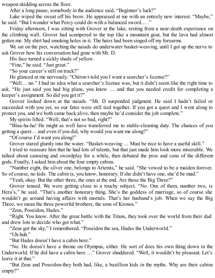weapon skidding across the floor.

After a long pause, somebody in the audience said, "Beginner's luck?"

Luke wiped the sweat off his brow. He appraised at me with an entirely new interest. "Maybe," he said. "But I wonder what Percy could do with a balanced sword… ."

Friday afternoon, I was sitting with Grover at the lake, resting from a near-death experience on the climbing wall. Grover had scampered to the top like a mountain goat, but the lava had almost gotten me. My shirt had smoking holes in it. The hairs had been singed off my forearms.

We sat on the pier, watching the naiads do underwater basket-weaving, until I got up the nerve to ask Grover how his conversation had gone with Mr. D.

His face turned a sickly shade of yellow.

"Fine," he said. "Just great."

"So your career's still on track?"

He glanced at me nervously. "Chiron t-told you I want a searcher's license?"

"Well… no." I had no idea what a searcher's license was, but it didn't seem like the right time to ask. "He just said you had big plans, you know … and that you needed credit for completing a keeper's assignment. So did you get it?"

Grover looked down at the naiads. "Mr. D suspended judgment. He said I hadn't failed or succeeded with you yet, so our fates were still tied together. If you got a quest and I went along to protect you, and we both came back alive, then maybe he'd consider the job complete."

My spirits lifted. "Well, that's not so bad, right?"

"Blaa-ha-ha! He might as well have transferred me to stable-cleaning duty. The chances of you getting a quest… and even if you did, why would you want me along?"

"Of course I'd want you along!"

Grover stared glumly into the water. "Basket-weaving … Must be nice to have a useful skill."

I tried to reassure him that he had lots of talents, but that just made him look more miserable. We talked about canoeing and swordplay for a while, then debated the pros and cons of the different gods. Finally, I asked him about the four empty cabins.

"Number eight, the silver one, belongs to Artemis," he said. "She vowed to be a maiden forever. So of course, no kids. The cabin is, you know, honorary. If she didn't have one, she'd be mad."

"Yeah, okay. But the other three, the ones at the end. Are those the Big Three?"

Grover tensed. We were getting close to a touchy subject. "No. One of them, number two, is Hera's," he said. "That's another honorary thing. She's the goddess of marriage, so of course she wouldn't go around having affairs with mortals. That's her husband's job. When we say the Big Three, we mean the three powerful brothers, the sons of Kronos."

"Zeus, Poseidon, Hades."

"Right. You know. After the great battle with the Titans, they took over the world from their dad and drew lots to decide who got what."

"Zeus got the sky," I remembered. "Poseidon the sea, Hades the Underworld."

"Uh-huh."

"But Hades doesn't have a cabin here."

"No. He doesn't have a throne on Olympus, either. He sort of does his own thing down in the Underworld. If he did have a cabin here …" Grover shuddered. "Well, it wouldn't be pleasant. Let's leave it at that."

"But Zeus and Poseidon-they both had, like, a bazillion kids in the myths. Why are their cabins empty?"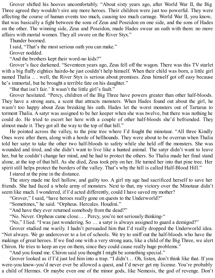Grover shifted his hooves uncomfortably. "About sixty years ago, after World War II, the Big Three agreed they wouldn't sire any more heroes. Their children were just too powerful. They were affecting the course of human events too much, causing too much carnage. World War II, you know, that was basically a fight between the sons of Zeus and Poseidon on one side, and the sons of Hades on the other. The winning side, Zeus and Poseidon, made Hades swear an oath with them: no more affairs with mortal women. They all swore on the River Styx."

Thunder boomed.

I said, "That's the most serious oath you can make."

Grover nodded.

"And the brothers kept their word-no kids?"

Grover's face darkened. "Seventeen years ago, Zeus fell off the wagon. There was this TV starlet with a big fluffy eighties hairdo-he just couldn't help himself. When their child was born, a little girl named Thalia .. . well, the River Styx is serious about promises. Zeus himself got off easy because he's immortal, but he brought a terrible fate on his daughter."

"But that isn't fair.' It wasn't the little girl's fault."

Grover hesitated. "Percy, children of the Big Three have powers greater than other half-bloods. They have a strong aura, a scent that attracts monsters. When Hades found out about the girl, he wasn't too happy about Zeus breaking his oath. Hades let the worst monsters out of Tartarus to torment Thalia. A satyr was assigned to be her keeper when she was twelve, but there was nothing he could do. He tried to escort her here with a couple of other half-bloods she'd befriended. They almost made it. They got all the way to the top of that hill."

He pointed across the valley, to the pine tree where I'd fought the minotaur. "All three Kindly Ones were after them, along with a horde of hellhounds. They were about to be overrun when Thalia told her satyr to take the other two half-bloods to safety while she held off the monsters. She was wounded and tired, and she didn't want to live like a hunted animal. The satyr didn't want to leave her, but he couldn't change her mind, and he had to protect the others. So Thalia made her final stand alone, at the top of that hill. As she died, Zeus took pity on her. He turned her into that pine tree. Her spirit still helps protect the borders of the valley. That's why the hill is called Half-Blood Hill."

I stared at the pine in the distance.

The story made me feel hollow, and guilty too. A girl my age had sacrificed herself to save her friends. She had faced a whole army of monsters. Next to that, my victory over the Minotaur didn't seem like much. I wondered, if I'd acted differently, could I have saved my mother?

"Grover," I said, "have heroes really gone on quests to the Underworld?"

"Sometimes," he said. "Orpheus. Hercules. Houdini."

"And have they ever returned somebody from the dead?"

"No. Never. Orpheus came close… . Percy, you're not seriously thinking-"

"No," I lied. "I was just wondering. So … a satyr is always assigned to guard a demigod?"

Grover studied me warily. I hadn't persuaded him that I'd really dropped the Underworld idea. "Not always. We go undercover to a lot of schools. We try to sniff out the half-bloods who have the makings of great heroes. If we find one with a very strong aura, like a child of the Big Three, we alert Chiron. He tries to keep an eye on them, since they could cause really huge problems."

"And you found me. Chiron said you thought I might be something special."

Grover looked as if I'd just led him into a trap. "I didn't… Oh, listen, don't think like that. If you were-you know-you'd never ever be allowed a quest, and I'd never get my license. You're probably a child of Hermes. Or maybe even one of the minor gods, like Nemesis, the god of revenge. Don't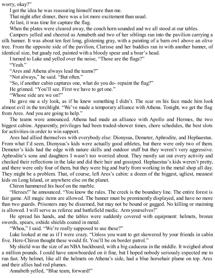worry, okay?"

I got the idea he was reassuring himself more than me.

That night after dinner, there was a lot more excitement than usual.

At last, it was time for capture the flag.

When the plates were cleared away, the conch horn sounded and we all stood at our tables.

Campers yelled and cheered as Annabeth and two of her siblings ran into the pavilion carrying a silk banner. It was about ten feet long, glistening gray, with a painting of a barn owl above an olive tree. From the opposite side of the pavilion, Clarisse and her buddies ran in with another banner, of identical size, but gaudy red, painted with a bloody spear and a boar's head.

I turned to Luke and yelled over the noise, "Those are the flags?"

"Yeah."

"Ares and Athena always lead the teams?"

"Not always," he said. "But often."

"So, if another cabin captures one, what do you do- repaint the flag?"

He grinned. "You'll see. First we have to get one."

"Whose side are we on?"

He gave me a sly look, as if he knew something I didn't. The scar on his face made him look almost evil in the torchlight. "We've made a temporary alliance with Athena. Tonight, we get the flag from Ares. And you are going to help."

The teams were announced. Athena had made an alliance with Apollo and Hermes, the two biggest cabins. Apparently, privileges had been traded-shower times, chore schedules, the best slots for activities-in order to win support.

Ares had allied themselves with everybody else: Dionysus, Demeter, Aphrodite, and Hephaestus. From what I'd seen, Dionysus's kids were actually good athletes, but there were only two of them. Demeter's kids had the edge with nature skills and outdoor stuff but they weren't very aggressive. Aphrodite's sons and daughters I wasn't too worried about. They mostly sat out every activity and checked their reflections in the lake and did their hair and gossiped. Hephaestus's kids weren't pretty, and there were only four of them, but they were big and burly from working in the metal shop all day. They might be a problem. That, of course, left Ares's cabin: a dozen of the biggest, ugliest, meanest kids on Long Island, or anywhere else on the planet.

Chiron hammered his hoof on the marble.

"Heroes!" he announced. "You know the rules. The creek is the boundary line. The entire forest is fair game. All magic items are allowed. The banner must be prominently displayed, and have no more than two guards. Prisoners may be disarmed, but may not be bound or gagged. No killing or maiming is allowed. I will serve as referee and battlefield medic. Arm yourselves!"

He spread his hands, and the tables were suddenly covered with equipment: helmets, bronze swords, spears, oxhide shields coated in metal.

"Whoa," I said. "We're really supposed to use these?"

Luke looked at me as if I were crazy. "Unless you want to get skewered by your friends in cabin five. Here-Chiron thought these would fit. You'll be on border patrol."

My shield was the size of an NBA backboard, with a big caduceus in the middle. It weighed about a million pounds. I could have snowboarded on it fine, but I hoped nobody seriously expected me to run fast. My helmet, like all the helmets on Athena's side, had a blue horsehair plume on top. Ares and their allies had red plumes.

Annabeth yelled, "Blue team, forward!"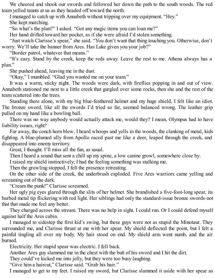We cheered and shook our swords and followed her down the path to the south woods. The red team yelled taunts at us as they headed off toward the north.

I managed to catch up with Annabeth without tripping over my equipment. "Hey."

She kept marching.

"So what's the plan?" I asked. "Got any magic items you can loan me?"

Her hand drifted toward her pocket, as if she were afraid I'd stolen something.

"Just watch Clarisse's spear," she said. "You don't want that thing touching you. Otherwise, don't worry. We'll take the banner from Ares. Has Luke given you your job?"

"Border patrol, whatever that means."

"It's easy. Stand by the creek, keep the reds away. Leave the rest to me. Athena always has a plan."

She pushed ahead, leaving me in the dust.

"Okay," I mumbled. "Glad you wanted me on your team."

It was a warm, sticky night. The woods were dark, with fireflies popping in and out of view. Annabeth stationed me next to a little creek that gurgled over some rocks, then she and the rest of the team scattered into the trees.

Standing there alone, with my big blue-feathered helmet and my huge shield, I felt like an idiot. The bronze sword, like all the swords I'd tried so far, seemed balanced wrong. The leather grip pulled on my hand like a bowling ball.

There was no way anybody would actually attack me, would they? I mean, Olympus had to have liability issues, right?

Far away, the conch horn blew. I heard whoops and yells in the woods, the clanking of metal, kids fighting. A blue-plumed ally from Apollo raced past me like a deer, leaped through the creek, and disappeared into enemy territory.

Great, I thought. I'll miss all the fun, as usual.

Then I heard a sound that sent a chill up my spine, a low canine growl, somewhere close by.

I raised my shield instinctively; I had the feeling something was stalking me.

Then the growling stopped. I felt the presence retreating.

On the other side of the creek, the underbrush exploded. Five Ares warriors came yelling and screaming out of the dark.

"Cream the punk!" Clarisse screamed.

Her ugly pig eyes glared through the slits of her helmet. She brandished a five-foot-long spear, its barbed metal tip flickering with red light. Her siblings had only the standard-issue bronze swords-not that that made me feel any better.

They charged across the stream. There was no help in sight. I could run. Or I could defend myself against half the Ares cabin.

I managed to sidestep the first kid's swing, but these guys were not as stupid the Minotaur. They surrounded me, and Clarisse thrust at me with her spear. My shield deflected the point, but I felt a painful tingling all over my body. My hair stood on end. My shield arm went numb, and the air burned.

Electricity. Her stupid spear was electric. I fell back.

Another Ares guy slammed me in the chest with the butt of his sword and I hit the dirt.

They could've kicked me into jelly, but they were too busy laughing.

"Give him a haircut," Clarisse said. "Grab his hair."

I managed to get to my feet. I raised my sword, but Clarisse slammed it aside with her spear as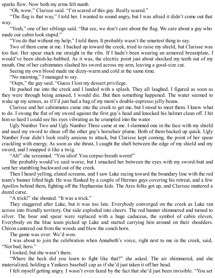sparks flew. Now both my arms felt numb.

"Oh, wow," Clarisse said. "I'm scared of this guy. Really scared."

"The flag is that way," I told her. I wanted to sound angry, but I was afraid it didn't come out that way.

"Yeah," one of her siblings said. "But see, we don't care about the flag. We care about a guy who made our cabin look stupid."

"You do that without my help," I told them. It probably wasn't the smartest thing to say.

Two of them came at me. I backed up toward the creek, tried to raise my shield, but Clarisse was too fast. Her spear stuck me straight in the ribs. If I hadn't been wearing an armored breastplate, I would've been shish-ke-babbed. As it was, the electric point just about shocked my teeth out of my mouth. One of her cabinmates slashed his sword across my arm, leaving a good-size cut.

Seeing my own blood made me dizzy-warm and cold at the same time.

"No maiming," I managed to say.

"Oops," the guy said. "Guess I lost my dessert privilege.

He pushed me into the creek and I landed with a splash. They all laughed. I figured as soon as they were through being amused, I would die. But then something happened. The water seemed to wake up my senses, as if I'd just had a bag of my mom's double-espresso jelly beans.

Clarisse and her cabinmates came into the creek to get me, but I stood to meet them. I knew what to do. I swung the flat of my sword against the first guy's head and knocked his helmet clean off. I hit him so hard I could see his eyes vibrating as he crumpled into the water.

Ugly Number Two and Ugly Number Three came at me. I slammed one in the face with my shield and used my sword to shear off the other guy's horsehair plume. Both of them backed up quick. Ugly Number Four didn't look really anxious to attack, but Clarisse kept coming, the point of her spear crackling with energy. As soon as she thrust, I caught the shaft between the edge of my shield and my sword, and I snapped it like a twig.

"Ah!" she screamed. "You idiot! You corpse-breath worm!"

She probably would've said worse, but I smacked her between the eyes with my sword-butt and sent her stumbling backward out of the creek.

Then I heard yelling, elated screams, and I saw Luke racing toward the boundary line with the red team's banner lifted high. He was flanked by a couple of Hermes guys covering his retreat, and a few Apollos behind them, fighting off the Hephaestus kids. The Ares folks got up, and Clarisse muttered a dazed curse.

"A trick!" she shouted. "It was a trick."

They staggered after Luke, but it was too late. Everybody converged on the creek as Luke ran across into friendly territory. Our side exploded into cheers. The red banner shimmered and turned to silver. The boar and spear were replaced with a huge caduceus, the symbol of cabin eleven. Everybody on the blue team picked up Luke and started carrying him around on their shoulders. Chiron cantered out from the woods and blew the conch horn.

The game was over. We'd won.

I was about to join the celebration when Annabeth's voice, right next to me in the creek, said, "Not bad, hero."

I looked, but she wasn't there.

"Where the heck did you learn to fight like that?" she asked. The air shimmered, and she materialized, holding a Yankees baseball cap as if she'd just taken it off her head.

I felt myself getting angry. I wasn't even fazed by the fact that she'd just been invisible. "You set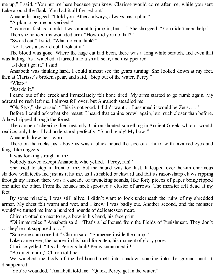me up," I said. "You put me here because you knew Clarisse would come after me, while you sent Luke around the flank. You had it all figured out."

Annabeth shrugged. "I told you. Athena always, always has a plan."

"A plan to get me pulverized."

"I came as fast as I could. I was about to jump in, but …" She shrugged. "You didn't need help." Then she noticed my wounded arm. "How did you do that?"

"Sword cut," I said. "What do you think?"

"No. It was a sword cut. Look at it."

The blood was gone. Where the huge cut had been, there was a long white scratch, and even that was fading. As I watched, it turned into a small scar, and disappeared.

"I-I don't get it," I said.

Annabeth was thinking hard. I could almost see the gears turning. She looked down at my feet, then at Clarisse's broken spear, and said, "Step out of the water, Percy."

"What-"

"Just do it."

I came out of the creek and immediately felt bone tired. My arms started to go numb again. My adrenaline rush left me. I almost fell over, but Annabeth steadied me.

"Oh, Styx," she cursed. "This is not good. I didn't want … I assumed it would be Zeus… ."

Before I could ask what she meant, I heard that canine growl again, but much closer than before. A howl ripped through the forest.

The campers' cheering died instantly. Chiron shouted something in Ancient Greek, which I would realize, only later, I had understood perfectly: "Stand ready! My bow!"

Annabeth drew her sword.

There on the rocks just above us was a black hound the size of a rhino, with lava-red eyes and fangs like daggers.

It was looking straight at me.

Nobody moved except Annabeth, who yelled, "Percy, run!"

She tried to step in front of me, but the hound was too fast. It leaped over her-an enormous shadow with teeth-and just as it hit me, as I stumbled backward and felt its razor-sharp claws ripping through my armor, there was a cascade of thwacking sounds, like forty pieces of paper being ripped one after the other. From the hounds neck sprouted a cluster of arrows. The monster fell dead at my feet.

By some miracle, I was still alive. I didn't want to look underneath the ruins of my shredded armor. My chest felt warm and wet, and I knew I was badly cut. Another second, and the monster would've turned me into a hundred pounds of delicatessen meat.

Chiron trotted up next to us, a bow in his hand, his face grim.

"Di immortales!" Annabeth said. "That's a hellhound from the Fields of Punishment. They don't … they're not supposed to …"

"Someone summoned it," Chiron said. "Someone inside the camp."

Luke came over, the banner in his hand forgotten, his moment of glory gone.

Clarisse yelled, "It's all Percy's fault! Percy summoned it!"

"Be quiet, child," Chiron told her.

We watched the body of the hellhound melt into shadow, soaking into the ground until it disappeared.

"You're wounded," Annabeth told me. "Quick, Percy, get in the water."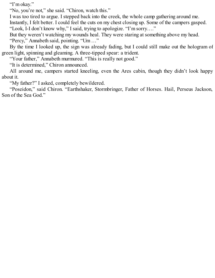"I'm okay."

"No, you're not," she said. "Chiron, watch this."

I was too tired to argue. I stepped back into the creek, the whole camp gathering around me.

Instantly, I felt better. I could feel the cuts on my chest closing up. Some of the campers gasped.

"Look, I-I don't know why," I said, trying to apologize. "I'm sorry…."

But they weren't watching my wounds heal. They were staring at something above my head. "Percy," Annabeth said, pointing. "Um …"

By the time I looked up, the sign was already fading, but I could still make out the hologram of green light, spinning and gleaming. A three-tipped spear: a trident.

"Your father," Annabeth murmured. "This is really not good."

"It is determined," Chiron announced.

All around me, campers started kneeling, even the Ares cabin, though they didn't look happy about it.

"My father?" I asked, completely bewildered.

"Poseidon," said Chiron. "Earthshaker, Stormbringer, Father of Horses. Hail, Perseus Jackson, Son of the Sea God."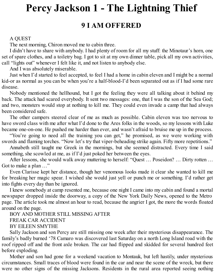## **Percy Jackson 1 - The Lightning Thief**

### **9 I AM OFFERED**

#### A QUEST

The next morning, Chiron moved me to cabin three.

I didn't have to share with anybody. I had plenty of room for all my stuff: the Minotaur's horn, one set of spare clothes, and a toiletry bag. I got to sit at my own dinner table, pick all my own activities, call "lights out" whenever I felt like it, and not listen to anybody else.

And I was absolutely miserable.

Just when I'd started to feel accepted, to feel I had a home in cabin eleven and I might be a normal kid-or as normal as you can be when you're a half-blood-I'd been separated out as if I had some rare disease.

Nobody mentioned the hellhound, but I got the feeling they were all talking about it behind my back. The attack had scared everybody. It sent two messages: one, that I was the son of the Sea God; and two, monsters would stop at nothing to kill me. They could even invade a camp that had always been considered safe.

The other campers steered clear of me as much as possible. Cabin eleven was too nervous to have sword class with me after what I'd done to the Ares folks in the woods, so my lessons with Luke became one-on-one. He pushed me harder than ever, and wasn't afraid to bruise me up in the process.

"You're going to need all the training you can get," he promised, as we were working with swords and flaming torches. "Now let's try that viper-beheading strike again. Fifty more repetitions."

Annabeth still taught me Greek in the mornings, but she seemed distracted. Every time I said something, she scowled at me, as if I'd just poked her between the eyes.

After lessons, she would walk away muttering to herself: "Quest … Poseidon? … Dirty rotten … Got to make a plan …"

Even Clarisse kept her distance, though her venomous looks made it clear she wanted to kill me for breaking her magic spear. I wished she would just yell or punch me or something. I'd rather get into fights every day than be ignored.

I knew somebody at camp resented me, because one night I came into my cabin and found a mortal newspaper dropped inside the doorway, a copy of the New York Daily News, opened to the Metro page. The article took me almost an hour to read, because the angrier I got, the more the words floated around on the page.

#### BOY AND MOTHER STILL MISSING AFTER

FREAK CAR ACCIDENT

#### BY EILEEN SMYTHE

Sally Jackson and son Percy are still missing one week after their mysterious disappearance. The family's badly burned '78 Camaro was discovered last Saturday on a north Long Island road with the roof ripped off and the front axle broken. The car had flipped and skidded for several hundred feet before exploding.

Mother and son had gone for a weekend vacation to Montauk, but left hastily, under mysterious circumstances. Small traces of blood were found in the car and near the scene of the wreck, but there were no other signs of the missing Jacksons. Residents in the rural area reported seeing nothing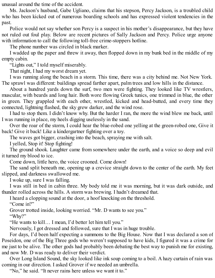unusual around the time of the accident.

Ms. Jackson's husband, Gabe Ugliano, claims that his stepson, Percy Jackson, is a troubled child who has been kicked out of numerous boarding schools and has expressed violent tendencies in the past.

Police would not say whether son Percy is a suspect in his mother's disappearance, but they have not ruled out foul play. Below are recent pictures of Sally Jackson and Percy. Police urge anyone with information to call the following toll-free crime-stoppers hotline.

The phone number was circled in black marker.

I wadded up the paper and threw it away, then flopped down in my bunk bed in the middle of my empty cabin.

"Lights out," I told myself miserably.

That night, I had my worst dream yet.

I was running along the beach in a storm. This time, there was a city behind me. Not New York. The sprawl was different: buildings spread farther apart, palm trees and low hills in the distance.

About a hundred yards down the surf, two men were fighting. They looked like TV wrestlers, muscular, with beards and long hair. Both wore flowing Greek tunics, one trimmed in blue, the other in green. They grappled with each other, wrestled, kicked and head-butted, and every time they connected, lightning flashed, the sky grew darker, and the wind rose.

I had to stop them. I didn't know why. But the harder I ran, the more the wind blew me back, until I was running in place, my heels digging uselessly in the sand.

Over the roar of the storm, I could hear the blue-robed one yelling at the green-robed one, Give it back! Give it back! Like a kindergartner fighting over a toy.

The waves got bigger, crashing into the beach, spraying me with salt.

I yelled, Stop it! Stop fighting!

The ground shook. Laughter came from somewhere under the earth, and a voice so deep and evil it turned my blood to ice.

Come down, little hero, the voice crooned. Come down!

The sand split beneath me, opening up a crevice straight down to the center of the earth. My feet slipped, and darkness swallowed me.

I woke up, sure I was falling.

I was still in bed in cabin three. My body told me it was morning, but it was dark outside, and thunder rolled across the hills. A storm was brewing. I hadn't dreamed that.

I heard a clopping sound at the door, a hoof knocking on the threshold.

"Come in?"

Grover trotted inside, looking worried. "Mr. D wants to see you."

"Why?"

"He wants to kill… I mean, I'd better let him tell you."

Nervously, I got dressed and followed, sure that I was in huge trouble.

For days, I'd been half expecting a summons to the Big House. Now that I was declared a son of Poseidon, one of the Big Three gods who weren't supposed to have kids, I figured it was a crime for me just to be alive. The other gods had probably been debating the best way to punish me for existing, and now Mr. D was ready to deliver their verdict.

Over Long Island Sound, the sky looked like ink soup coming to a boil. A hazy curtain of rain was coming in our direction. I asked Grover if we needed an umbrella.

"No," he said. "It never rains here unless we want it to."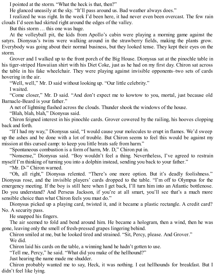I pointed at the storm. "What the heck is that, then?"

He glanced uneasily at the sky. "It'll pass around us. Bad weather always does."

I realized he was right. In the week I'd been here, it had never even been overcast. The few rain clouds I'd seen had skirted right around the edges of the valley.

But this storm … this one was huge.

At the volleyball pit, the kids from Apollo's cabin were playing a morning game against the satyrs. Dionysus's twins were walking around in the strawberry fields, making the plants grow. Everybody was going about their normal business, but they looked tense. They kept their eyes on the storm.

Grover and I walked up to the front porch of the Big House. Dionysus sat at the pinochle table in his tiger-striped Hawaiian shirt with his Diet Coke, just as he had on my first day. Chiron sat across the table in his fake wheelchair. They were playing against invisible opponents–two sets of cards hovering in the air.

"Well, well," Mr. D said without looking up. "Our little celebrity."

I waited.

"Come closer," Mr. D said. "And don't expect me to kowtow to you, mortal, just because old Barnacle-Beard is your father."

A net of lightning flashed across the clouds. Thunder shook the windows of the house.

"Blah, blah, blah," Dionysus said.

Chiron feigned interest in his pinochle cards. Grover cowered by the railing, his hooves clopping back and forth.

"If I had my way," Dionysus said, "I would cause your molecules to erupt in flames. We'd sweep up the ashes and be done with a lot of trouble. But Chiron seems to feel this would be against my mission at this cursed camp: to keep you little brats safe from harm."

"Spontaneous combustion is a form of harm, Mr. D," Chiron put in.

"Nonsense," Dionysus said. "Boy wouldn't feel a thing. Nevertheless, I've agreed to restrain myself I'm thinking of turning you into a dolphin instead, sending you back to your father."

"Mr. D-" Chiron warned.

"Oh, all right," Dionysus relented. "There's one more option. But it's deadly foolishness." Dionysus rose, and the invisible players' cards dropped to the table. "I'm off to Olympus for the emergency meeting. If the boy is still here when I get back, I'll turn him into an Atlantic bottlenose. Do you understand? And Perseus Jackson, if you're at all smart, you'll see that's a much more sensible choice than what Chiron feels you must do."

Dionysus picked up a playing card, twisted it, and it became a plastic rectangle. A credit card? No. A security pass.

He snapped his fingers.

The air seemed to fold and bend around him. He became a hologram, then a wind, then he was gone, leaving only the smell of fresh-pressed grapes lingering behind.

Chiron smiled at me, but he looked tired and strained. "Sit, Percy, please. And Grover." We did.

Chiron laid his cards on the table, a winning hand he hadn't gotten to use.

"Tell me, Percy," he said. "What did you make of the hellhound?"

Just hearing the name made me shudder.

Chiron probably wanted me to say, Heck, it was nothing. I eat hellhounds for breakfast. But I didn't feel like lying.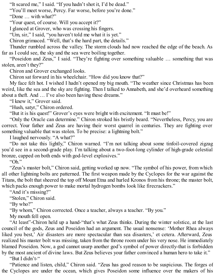"It scared me," I said. "If you hadn't shot it, I'd be dead."

"You'll meet worse, Percy. Far worse, before you're done."

"Done … with what?"

"Your quest, of course. Will you accept it?"

I glanced at Grover, who was crossing his fingers.

"Um, sir," I said, "you haven't told me what it is yet."

Chiron grimaced. "Well, that's the hard part, the details."

Thunder rumbled across the valley. The storm clouds had now reached the edge of the beach. As far as I could see, the sky and the sea were boiling together.

"Poseidon and Zeus," I said. "They're fighting over something valuable … something that was stolen, aren't they?"

Chiron and Grover exchanged looks.

Chiron sat forward in his wheelchair. "How did you know that?"

My face felt hot. I wished I hadn't opened my big mouth. "The weather since Christmas has been weird, like the sea and the sky are fighting. Then I talked to Annabeth, and she'd overheard something about a theft. And … I've also been having these dreams."

"I knew it," Grover said.

"Hush, satyr," Chiron ordered.

"But it is his quest!" Grover's eyes were bright with excitement. "It must be!"

"Only the Oracle can determine." Chiron stroked his bristly beard. "Nevertheless, Percy, you are correct. Your father and Zeus are having their worst quarrel in centuries. They are fighting over something valuable that was stolen. To be precise: a lightning bolt."

I laughed nervously. "A what?"

"Do not take this lightly," Chiron warned. "I'm not talking about some tinfoil-covered zigzag you'd see in a second-grade play. I'm talking about a two-foot-long cylinder of high-grade celestial bronze, capped on both ends with god-level explosives."

" $Oh$ "

"Zeus's master bolt," Chiron said, getting worked up now. "The symbol of his power, from which all other lightning bolts are patterned. The first weapon made by the Cyclopes for the war against the Titans, the bolt that sheered the top off Mount Etna and hurled Kronos from his throne; the master bolt, which packs enough power to make mortal hydrogen bombs look like firecrackers."

"And it's missing?"

"Stolen," Chiron said.

"By who?"

"By whom," Chiron corrected. Once a teacher, always a teacher. "By you."

My mouth fell open.

"At least"-Chiron held up a hand-"that's what Zeus thinks. During the winter solstice, at the last council of the gods, Zeus and Poseidon had an argument. The usual nonsense: 'Mother Rhea always liked you best,' Air disasters are more spectacular than sea disasters,' et cetera. Afterward, Zeus realized his master bolt was missing, taken from the throne room under his very nose. He immediately blamed Poseidon. Now, a god cannot usurp another god's symbol of power directly-that is forbidden by the most ancient of divine laws. But Zeus believes your father convinced a human hero to take it."

"But I didn't-"

"Patience and listen, child," Chiron said. "Zeus has good reason to be suspicious. The forges of the Cyclopes are under the ocean, which gives Poseidon some influence over the makers of his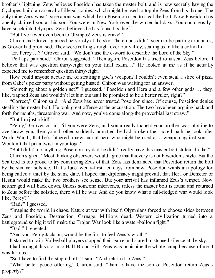brother's lightning. Zeus believes Poseidon has taken the master bolt, and is now secretly having the Cyclopes build an arsenal of illegal copies, which might be used to topple Zeus from his throne. The only thing Zeus wasn't sure about was which hero Poseidon used to steal the bolt. Now Poseidon has openly claimed you as his son. You were in New York over the winter holidays. You could easily have snuck into Olympus. Zeus believes he has found his thief."

"But I've never even been to Olympus! Zeus is crazy!"

Chiron and Grover glanced nervously at the sky. The clouds didn't seem to be parting around us, as Grover had promised. They were rolling straight over our valley, sealing us in like a coffin lid.

"Er, Percy …?" Grover said. "We don't use the c-word to describe the Lord of the Sky."

"Perhaps paranoid," Chiron suggested. "Then again, Poseidon has tried to unseat Zeus before. I believe that was question thirty-eight on your final exam…." He looked at me as if he actually expected me to remember question thirty-eight.

How could anyone accuse me of stealing a god's weapon? I couldn't even steal a slice of pizza from Gabe's poker party without getting busted. Chiron was waiting for an answer.

"Something about a golden net?" I guessed. "Poseidon and Hera and a few other gods … they, like, trapped Zeus and wouldn't let him out until he promised to be a better ruler, right?"

"Correct," Chiron said. "And Zeus has never trusted Poseidon since. Of course, Poseidon denies stealing the master bolt. He took great offense at the accusation. The two have been arguing back and forth for months, threatening war. And now, you've come along-the proverbial last straw."

"But I'm just a kid!"

"Percy," Grover cut in, "if you were Zeus, and you already thought your brother was plotting to overthrow you, then your brother suddenly admitted he had broken the sacred oath he took after World War II, that he's fathered a new mortal hero who might be used as a weapon against you.... Wouldn't that put a twist in your toga?"

"But I didn't do anything. Poseidon-my dad-he didn't really have this master bolt stolen, did he?"

Chiron sighed. "Most thinking observers would agree that thievery is not Poseidon's style. But the Sea God is too proud to try convincing Zeus of that. Zeus has demanded that Poseidon return the bolt by the summer solstice. That's June twenty-first, ten days from now. Poseidon wants an apology for being called a thief by the same date. I hoped that diplomacy might prevail, that Hera or Demeter or Hestia would make the two brothers see sense. But your arrival has inflamed Zeus's temper. Now neither god will back down. Unless someone intervenes, unless the master bolt is found and returned to Zeus before the solstice, there will be war. And do you know what a full-fledged war would look like, Percy?"

"Bad?" I guessed.

"Imagine the world in chaos. Nature at war with itself. Olympians forced to choose sides between Zeus and Poseidon. Destruction. Carnage. Millions dead. Western civilization turned into a battleground so big it will make the Trojan War look like a water-balloon fight."

"Bad," I repeated.

"And you, Percy Jackson, would be the first to feel Zeus's wrath."

It started to rain. Volleyball players stopped their game and stared in stunned silence at the sky.

I had brought this storm to Half-Blood Hill. Zeus was punishing the whole camp because of me. I was furious.

"So I have to find the stupid bolt," I said. "And return it to Zeus."

"What better peace offering," Chiron said, "than to have the son of Poseidon return Zeus's property?"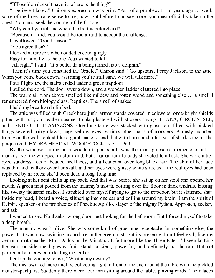"If Poseidon doesn't have it, where is the thing?"

"I believe I know." Chiron's expression was grim. "Part of a prophecy I had years ago … well, some of the lines make sense to me, now. But before I can say more, you must officially take up the quest. You must seek the counsel of the Oracle."

"Why can't you tell me where the bolt is beforehand?"

"Because if I did, you would be too afraid to accept the challenge."

I swallowed. "Good reason."

"You agree then?"

I looked at Grover, who nodded encouragingly.

Easy for him. I was the one Zeus wanted to kill.

"All right," I said. "It's better than being turned into a dolphin."

"Then it's time you consulted the Oracle," Chiron said. "Go upstairs, Percy Jackson, to the attic. When you come back down, assuming you're still sane, we will talk more."

Four flights up, the stairs ended under a green trapdoor.

I pulled the cord. The door swung down, and a wooden ladder clattered into place.

The warm air from above smelled like mildew and rotten wood and something else … a smell I remembered from biology class. Reptiles. The smell of snakes.

I held my breath and climbed.

The attic was filled with Greek hero junk: armor stands covered in cobwebs; once-bright shields pitted with rust; old leather steamer trunks plastered with stickers saying ITHAKA, CIRCE'S ISLE, and LAND OF THE AMAZONS. One long table was stacked with glass jars filled with pickled things-severed hairy claws, huge yellow eyes, various other parts of monsters. A dusty mounted trophy on the wall looked like a giant snake's head, but with horns and a full set of shark's teeth. The plaque read, HYDRA HEAD #1, WOODSTOCK, N.Y., 1969.

By the window, sitting on a wooden tripod stool, was the most gruesome memento of all: a mummy. Not the wrapped-in-cloth kind, but a human female body shriveled to a husk. She wore a tiedyed sundress, lots of beaded necklaces, and a headband over long black hair. The skin of her face was thin and leathery over her skull, and her eyes were glassy white slits, as if the real eyes had been replaced by marbles; she'd been dead a long, long time.

Looking at her sent chills up my back. And that was before she sat up on her stool and opened her mouth. A green mist poured from the mummy's mouth, coiling over the floor in thick tendrils, hissing like twenty thousand snakes. I stumbled over myself trying to get to the trapdoor, but it slammed shut. Inside my head, I heard a voice, slithering into one ear and coiling around my brain: I am the spirit of Delphi, speaker of the prophecies of Phoebus Apollo, slayer of the mighty Python. Approach, seeker, and ask.

I wanted to say, No thanks, wrong door, just looking for the bathroom. But I forced myself to take a deep breath.

The mummy wasn't alive. She was some kind of gruesome receptacle for something else, the power that was now swirling around me in the green mist. But its presence didn't feel evil, like my demonic math teacher Mrs. Dodds or the Minotaur. It felt more like the Three Fates I'd seen knitting the yarn outside the highway fruit stand: ancient, powerful, and definitely not human. But not particularly interested in killing me, either.

I got up the courage to ask, "What is my destiny?"

The mist swirled more thickly, collecting right in front of me and around the table with the pickled monster-part jars. Suddenly there were four men sitting around the table, playing cards. Their faces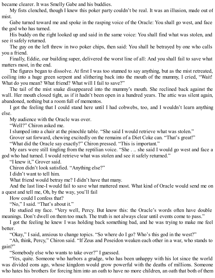became clearer. It was Smelly Gabe and his buddies.

My fists clenched, though I knew this poker party couldn't be real. It was an illusion, made out of mist.

Gabe turned toward me and spoke in the rasping voice of the Oracle: You shall go west, and face the god who has turned.

His buddy on the right looked up and said in the same voice: You shall find what was stolen, and see it safely returned.

The guy on the left threw in two poker chips, then said: You shall he betrayed by one who calls you a friend.

Finally, Eddie, our building super, delivered the worst line of all: And you shall fail to save what matters most, in the end.

The figures began to dissolve. At first I was too stunned to say anything, but as the mist retreated, coiling into a huge green serpent and slithering back into the mouth of the mummy, I cried, "Wait! What do you mean? What friend? What will I fail to save?"

The tail of the mist snake disappeared into the mummy's mouth. She reclined back against the wall. Her mouth closed tight, as if it hadn't been open in a hundred years. The attic was silent again, abandoned, nothing but a room full of mementos.

I got the feeling that I could stand here until I had cobwebs, too, and I wouldn't learn anything else.

My audience with the Oracle was over.

"Well?" Chiron asked me.

I slumped into a chair at the pinochle table. "She said I would retrieve what was stolen."

Grover sat forward, chewing excitedly on the remains of a Diet Coke can. "That's great!"

"What did the Oracle say exactly?" Chiron pressed. "This is important."

My ears were still tingling from the reptilian voice. "She . .. she said I would go west and face a god who had turned. I would retrieve what was stolen and see it safely returned."

"I knew it," Grover said.

Chiron didn't look satisfied. "Anything else?"

I didn't want to tell him.

What friend would betray me? I didn't have that many.

And the last line-I would fail to save what mattered most. What kind of Oracle would send me on a quest and tell me, Oh, by the way, you'll fail

How could I confess that?

"No," I said. "That's about it."

He studied my face. "Very well, Percy. But know this: the Oracle's words often have double meanings. Don't dwell on them too much. The truth is not always clear until events come to pass."

I got the feeling he knew I was holding back something bad, and he was trying to make me feel better.

"Okay," I said, anxious to change topics. "So where do I go? Who's this god in the west?"

"Ah, think, Percy," Chiron said. "If Zeus and Poseidon weaken each other in a war, who stands to gain?"

"Somebody else who wants to take over?" I guessed.

"Yes, quite. Someone who harbors a grudge, who has been unhappy with his lot since the world was divided eons ago, whose kingdom would grow powerful with the deaths of millions. Someone who hates his brothers for forcing him into an oath to have no more children, an oath that both of them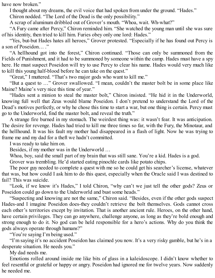have now broken."

I thought about my dreams, the evil voice that had spoken from under the ground. "Hades."

Chiron nodded. "The Lord of the Dead is the only possibility."

A scrap of aluminum dribbled out of Grover's mouth. "Whoa, wait. Wh-what?"

"A Fury came after Percy," Chiron reminded him. "She watched the young man until she was sure of his identity, then tried to kill him. Furies obey only one lord: Hades."

"Yes, but-but Hades hates all heroes," Grover protested. "Especially if he has found out Percy is a son of Poseidon… ."

"A hellhound got into the forest," Chiron continued. "Those can only be summoned from the Fields of Punishment, and it had to be summoned by someone within the camp. Hades must have a spy here. He must suspect Poseidon will try to use Percy to clear his name. Hades would very much like to kill this young half-blood before he can take on the quest."

"Great," I muttered. "That's two major gods who want to kill me."

"But a quest to …" Grover swallowed. "I mean, couldn't the master bolt be in some place like Maine? Maine's very nice this time of year."

"Hades sent a minion to steal the master bolt," Chiron insisted. "He hid it in the Underworld, knowing full well that Zeus would blame Poseidon. I don't pretend to understand the Lord of the Dead's motives perfectly, or why he chose this time to start a war, but one thing is certain. Percy must go to the Underworld, find the master bolt, and reveal the truth."

A strange fire burned in my stomach. The weirdest thing was: it wasn't fear. It was anticipation. The desire for revenge. Hades had tried to kill me three times so far, with the Fury, the Minotaur, and the hellhound. It was his fault my mother had disappeared in a flash of light. Now he was trying to frame me and my dad for a theft we hadn't committed.

I was ready to take him on.

Besides, if my mother was in the Underworld …

Whoa, boy, said the small part of my brain that was still sane. You're a kid. Hades is a god.

Grover was trembling. He'd started eating pinochle cards like potato chips.

The poor guy needed to complete a quest with me so he could get his searcher's license, whatever that was, but how could I ask him to do this quest, especially when the Oracle said I was destined to fail? This was suicide.

"Look, if we know it's Hades," I told Chiron, "why can't we just tell the other gods? Zeus or Poseidon could go down to the Underworld and bust some heads."

"Suspecting and knowing are not the same," Chiron said. "Besides, even if the other gods suspect Hades-and I imagine Poseidon does-they couldn't retrieve the bolt themselves. Gods cannot cross each other's territories except by invitation. That is another ancient rule. Heroes, on the other hand, have certain privileges. They can go anywhere, challenge anyone, as long as they're bold enough and strong enough to do it. No god can be held responsible for a hero's actions. Why do you think the gods always operate through humans?"

"You're saying I'm being used."

"I'm saying it's no accident Poseidon has claimed you now. It's a very risky gamble, but he's in a desperate situation. He needs you."

My dad needs me.

Emotions rolled around inside me like bits of glass in a kaleidoscope. I didn't know whether to feel resentful or grateful or happy or angry. Poseidon had ignored me for twelve years. Now suddenly he needed me.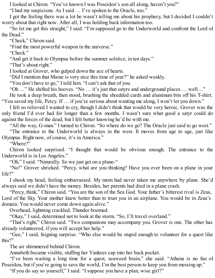I looked at Chiron. "You've known I was Poseidon's son all along, haven't you?"

"I had my suspicions. As I said … I've spoken to the Oracle, too."

I got the feeling there was a lot he wasn't telling me about his prophecy, but I decided I couldn't worry about that right now. After all, I was holding back information too.

"So let me get this straight," I said. "I'm supposed go to the Underworld and confront the Lord of the Dead."

"Check," Chiron said.

"Find the most powerful weapon in the universe."

"Check."

"And get it back to Olympus before the summer solstice, in ten days."

"That's about right."

I looked at Grover, who gulped down the ace of hearts.

"Did I mention that Maine is very nice this time of year?" he asked weakly.

"You don't have to go," I told him. "I can't ask that of you.

"Oh …" He shifted his hooves. "No … it's just that satyrs and underground places … well…"

He took a deep breath, then stood, brushing the shredded cards and aluminum bits off his T-shirt. "You saved my life, Percy. If … if you're serious about wanting me along, I won't let you down."

I felt so relieved I wanted to cry, though I didn't think that would be very heroic. Grover was the only friend I'd ever had for longer than a few months. I wasn't sure what good a satyr could do against the forces of the dead, but I felt better knowing he'd be with me.

"All the way, G-man." I turned to Chiron. "So where do we go? The Oracle just said to go west."

"The entrance to the Underworld is always in the west. It moves from age to age, just like Olympus. Right now, of course, it's in America."

"Where?"

Chiron looked surprised. "I thought that would be obvious enough. The entrance to the Underworld is in Los Angeles."

"Oh," I said. "Naturally. So we just get on a plane-"

"No!" Grover shrieked. "Percy, what are you thinking? Have you ever been on a plane in your life?"

I shook my head, feeling embarrassed. My mom had never taken me anywhere by plane. She'd always said we didn't have the money. Besides, her parents had died in a plane crash.

"Percy, think," Chiron said. "You are the son of the Sea God. Your father's bitterest rival is Zeus, Lord of the Sky. Your mother knew better than to trust you in an airplane. You would be in Zeus's domain. You would never come down again alive."

Overhead, lightning crackled. Thunder boomed.

"Okay," I said, determined not to look at the storm. "So, I'll travel overland."

"That's right," Chiron said. "Two companions may accompany you. Grover is one. The other has already volunteered, if you will accept her help."

"Gee," I said, feigning surprise. "Who else would be stupid enough to volunteer for a quest like this?"

The air shimmered behind Chiron.

Annabeth became visible, stuffing her Yankees cap into her back pocket.

"I've been waiting a long time for a quest, seaweed brain," she said. "Athena is no fan of Poseidon, but if you're going to save the world, I'm the best person to keep you from messing up."

"If you do say so yourself," I said. "I suppose you have a plan, wise girl?"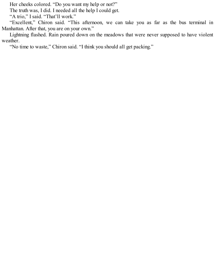Her cheeks colored. "Do you want my help or not?"

The truth was, I did. I needed all the help I could get.

"A trio," I said. "That'll work."

"Excellent," Chiron said. "This afternoon, we can take you as far as the bus terminal in Manhattan. After that, you are on your own."

Lightning flashed. Rain poured down on the meadows that were never supposed to have violent weather.

"No time to waste," Chiron said. "I think you should all get packing."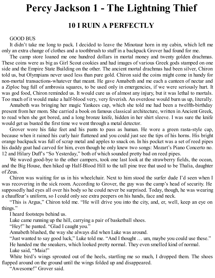# **Percy Jackson 1 - The Lightning Thief 10 I RUIN A PERFECTLY**

#### GOOD BUS

It didn't take me long to pack. I decided to leave the Minotaur horn in my cabin, which left me only an extra change of clothes and a toothbrush to stuff in a backpack Grover had found for me.

The camp store loaned me one hundred dollars in mortal money and twenty golden drachmas. These coins were as big as Girl Scout cookies and had images of various Greek gods stamped on one side and the Empire State Building on the other. The ancient mortal drachmas had been silver, Chiron told us, but Olympians never used less than pure gold. Chiron said the coins might come in handy for non-mortal transactions-whatever that meant. He gave Annabeth and me each a canteen of nectar and a Ziploc bag full of ambrosia squares, to be used only in emergencies, if we were seriously hurt. It was god food, Chiron reminded us. It would cure us of almost any injury, but it was lethal to mortals. Too much of it would make a half-blood very, very feverish. An overdose would burn us up, literally.

Annabeth was bringing her magic Yankees cap, which she told me had been a twelfth-birthday present from her mom. She carried a book on famous classical architecture, written in Ancient Greek, to read when she got bored, and a long bronze knife, hidden in her shirt sleeve. I was sure the knife would get us busted the first time we went through a metal detector.

Grover wore his fake feet and his pants to pass as human. He wore a green rasta-style cap, because when it rained his curly hair flattened and you could just see the tips of his horns. His bright orange backpack was full of scrap metal and apples to snack on. In his pocket was a set of reed pipes his daddy goat had carved for him, even though he only knew two songs: Mozart's Piano Concerto no. 12 and Hilary Duff's "So Yesterday," both of which sounded pretty bad on reed pipes.

We waved good-bye to the other campers, took one last look at the strawberry fields, the ocean, and the Big House, then hiked up Half-Blood Hill to the tall pine tree that used to be Thalia, daughter of Zeus.

Chiron was waiting for us in his wheelchair. Next to him stood the surfer dude I'd seen when I was recovering in the sick room. According to Grover, the guy was the camp's head of security. He supposedly had eyes all over his body so he could never be surprised. Today, though, he was wearing a chauffeur's uniform, so I could only see extra peepers on his hands, face and neck.

"This is Argus," Chiron told me. "He will drive you into the city, and, er, well, keep an eye on things."

I heard footsteps behind us.

Luke came running up the hill, carrying a pair of basketball shoes.

"Hey!" he panted. "Glad I caught you."

Annabeth blushed, the way she always did when Luke was around.

"Just wanted to say good luck," Luke told me. "And I thought … um, maybe you could use these." He handed me the sneakers, which looked pretty normal. They even smelled kind of normal. Luke said, "Maia!"

White bird's wings sprouted out of the heels, startling me so much, I dropped them. The shoes flapped around on the ground until the wings folded up and disappeared.

"Awesome!" Grover said.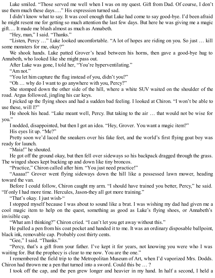Luke smiled. "Those served me well when I was on my quest. Gift from Dad. Of course, I don't use them much these days…." His expression turned sad.

I didn't know what to say. It was cool enough that Luke had come to say good-bye. I'd been afraid he might resent me for getting so much attention the last few days. But here he was giving me a magic gift…. It made me blush almost as much as Annabeth.

"Hey, man," I said. "Thanks."

"Listen, Percy …" Luke looked uncomfortable. "A lot of hopes are riding on you. So just … kill some monsters for me, okay?"

We shook hands. Luke patted Grover's head between his horns, then gave a good-bye hug to Annabeth, who looked like she might pass out.

After Luke was gone, I told her, "You're hyperventilating."

"Am not."

"You let him capture the flag instead of you, didn't you?"

"Oh … why do I want to go anywhere with you, Percy?"

She stomped down the other side of the hill, where a white SUV waited on the shoulder of the road. Argus followed, jingling his car keys.

I picked up the flying shoes and had a sudden bad feeling. I looked at Chiron. "I won't be able to use these, will I?"

He shook his head. "Luke meant well, Percy. But taking to the air … that would not be wise for you."

I nodded, disappointed, but then I got an idea. "Hey, Grover. You want a magic item?"

His eyes lit up. "Me?"

Pretty soon we'd laced the sneakers over his fake feet, and the world's first flying goat boy was ready for launch.

"Maia!" he shouted.

He got off the ground okay, but then fell over sideways so his backpack dragged through the grass. The winged shoes kept bucking up and down like tiny broncos.

"Practice," Chiron called after him. "You just need practice!"

"Aaaaa!" Grover went flying sideways down the hill like a possessed lawn mower, heading toward the van.

Before I could follow, Chiron caught my arm. "I should have trained you better, Percy," he said. "If only I had more time. Hercules, Jason-they all got more training."

"That's okay. I just wish-"

I stopped myself because I was about to sound like a brat. I was wishing my dad had given me a cool magic item to help on the quest, something as good as Luke's flying shoes, or Annabeth's invisible cap.

"What am I thinking?" Chiron cried. "I can't let you get away without this."

He pulled a pen from his coat pocket and handed it to me. It was an ordinary disposable ballpoint, black ink, removable cap. Probably cost thirty cents.

"Gee," I said. "Thanks."

"Percy, that's a gift from your father. I've kept it for years, not knowing you were who I was waiting for. But the prophecy is clear to me now. You are the one."

I remembered the field trip to the Metropolitan Museum of Art, when I'd vaporized Mrs. Dodds. Chiron had thrown me a pen that turned into a sword. Could this be … ?

I took off the cap, and the pen grew longer and heavier in my hand. In half a second, I held a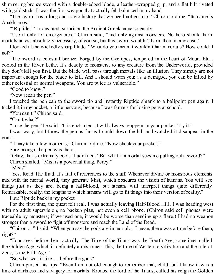shimmering bronze sword with a double-edged blade, a leather-wrapped grip, and a flat hilt riveted with gold studs. It was the first weapon that actually felt balanced in my hand.

"The sword has a long and tragic history that we need not go into," Chiron told me. "Its name is Anaklusmos."

"'Riptide," I translated, surprised the Ancient Greek came so easily.

"Use it only for emergencies," Chiron said, "and only against monsters. No hero should harm mortals unless absolutely necessary, of course, but this sword wouldn't harm them in any case."

I looked at the wickedly sharp blade. "What do you mean it wouldn't harm mortals? How could it not?"

"The sword is celestial bronze. Forged by the Cyclopes, tempered in the heart of Mount Etna, cooled in the River Lethe. It's deadly to monsters, to any creature from the Underworld, provided they don't kill you first. But the blade will pass through mortals like an illusion. They simply are not important enough for the blade to kill. And I should warn you: as a demigod, you can be killed by either celestial or normal weapons. You are twice as vulnerable."

"Good to know."

"Now recap the pen."

I touched the pen cap to the sword tip and instantly Riptide shrank to a ballpoint pen again. I tucked it in my pocket, a little nervous, because I was famous for losing pens at school.

"You can't," Chiron said.

"Can't what?"

"Lose the pen," he said. "It is enchanted. It will always reappear in your pocket. Try it."

I was wary, but I threw the pen as far as I could down the hill and watched it disappear in the grass.

"It may take a few moments," Chiron told me. "Now check your pocket."

Sure enough, the pen was there.

"Okay, that's extremely cool," I admitted. "But what if a mortal sees me pulling out a sword?" Chiron smiled. "Mist is a powerful thing, Percy."

"Mist?"

"Yes. Read The Iliad. It's full of references to the stuff. Whenever divine or monstrous elements mix with the mortal world, they generate Mist, which obscures the vision of humans. You will see things just as they are, being a half-blood, but humans will interpret things quite differently. Remarkable, really, the lengths to which humans will go to fit things into their version of reality."

I put Riptide back in my pocket.

For the first time, the quest felt real. I was actually leaving Half-Blood Hill. I was heading west with no adult supervision, no backup plan, not even a cell phone. (Chiron said cell phones were traceable by monsters; if we used one, it would be worse than sending up a flare.) I had no weapon stronger than a sword to fight off monsters and reach the Land of the Dead.

"Chiron …" I said. "When you say the gods are immortal… I mean, there was a time before them, right?"

"Four ages before them, actually. The Time of the Titans was the Fourth Age, sometimes called the Golden Age, which is definitely a misnomer. This, the time of Western civilization and the rule of Zeus, is the Fifth Age."

"So what was it like … before the gods?"

Chiron pursed his lips. "Even I am not old enough to remember that, child, but I know it was a time of darkness and savagery for mortals. Kronos, the lord of the Titans, called his reign the Golden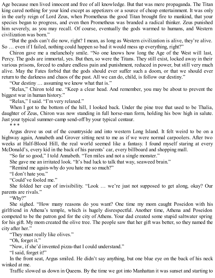Age because men lived innocent and free of all knowledge. But that was mere propaganda. The Titan king cared nothing for your kind except as appetizers or a source of cheap entertainment. It was only in the early reign of Lord Zeus, when Prometheus the good Titan brought fire to mankind, that your species began to progress, and even then Prometheus was branded a radical thinker. Zeus punished him severely, as you may recall. Of course, eventually the gods warmed to humans, and Western civilization was born."

"But the gods can't die now, right? I mean, as long as Western civilization is alive, they're alive. So … even if I failed, nothing could happen so bad it would mess up everything, right?"

Chiron gave me a melancholy smile. "No one knows how long the Age of the West will last, Percy. The gods are immortal, yes. But then, so were the Titans. They still exist, locked away in their various prisons, forced to endure endless pain and punishment, reduced in power, but still very much alive. May the Fates forbid that the gods should ever suffer such a doom, or that we should ever return to the darkness and chaos of the past. All we can do, child, is follow our destiny."

"Our destiny … assuming we know what that is."

"Relax," Chiron told me. "Keep a clear head. And remember, you may be about to prevent the biggest war in human history."

"Relax," I said. "I'm very relaxed."

When I got to the bottom of the hill, I looked back. Under the pine tree that used to be Thalia, daughter of Zeus, Chiron was now standing in full horse-man form, holding his bow high in salute. Just your typical summer-camp send-off by your typical centaur.

\* \* \*

Argus drove us out of the countryside and into western Long Island. It felt weird to be on a highway again, Annabeth and Grover sitting next to me as if we were normal carpoolers. After two weeks at Half-Blood Hill, the real world seemed like a fantasy. I found myself staring at every McDonald's, every kid in the back of his parents' car, every billboard and shopping mall.

"So far so good," I told Annabeth. "Ten miles and not a single monster."

She gave me an irritated look. "It's bad luck to talk that way, seaweed brain."

"Remind me again-why do you hate me so much?"

"I don't hate you."

"Could've fooled me."

She folded her cap of invisibility. "Look … we're just not supposed to get along, okay? Our parents are rivals."

"Why?"

She sighed. "How many reasons do you want? One time my mom caught Poseidon with his girlfriend in Athena's temple, which is hugely disrespectful. Another time, Athena and Poseidon competed to be the patron god for the city of Athens. Your dad created some stupid saltwater spring for his gift. My mom created the olive tree. The people saw that her gift was better, so they named the city after her."

"They must really like olives."

"Oh, forget it."

"Now, if she'd invented pizza-that I could understand."

"I said, forget it!"

In the front seat, Argus smiled. He didn't say anything, but one blue eye on the back of his neck winked at me.

Traffic slowed us down in Queens. By the time we got into Manhattan it was sunset and starting to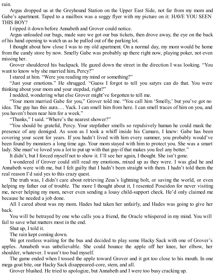rain.

Argus dropped us at the Greyhound Station on the Upper East Side, not far from my mom and Gabe's apartment. Taped to a mailbox was a soggy flyer with my picture on it: HAVE YOU SEEN THIS BOY?

I ripped it down before Annabeth and Grover could notice.

Argus unloaded our bags, made sure we got our bus tickets, then drove away, the eye on the back of his hand opening to watch us as he pulled out of the parking lot.

I thought about how close I was to my old apartment. On a normal day, my mom would be home from the candy store by now. Smelly Gabe was probably up there right now, playing poker, not even missing her.

Grover shouldered his backpack. He gazed down the street in the direction I was looking. "You want to know why she married him, Percy?"

I stared at him. "Were you reading my mind or something?"

"Just your emotions." He shrugged. "Guess I forgot to tell you satyrs can do that. You were thinking about your mom and your stepdad, right?"

I nodded, wondering what else Grover might've forgotten to tell me.

"Your mom married Gabe for you," Grover told me. "You call him 'Smelly,' but you've got no idea. The guy has this aura…. Yuck. I can smell him from here. I can smell traces of him on you, and you haven't been near him for a week."

"Thanks," I said. "Where's the nearest shower?"

"You should be grateful, Percy. Your stepfather smells so repulsively human he could mask the presence of any demigod. As soon as I took a whiff inside his Camaro, I knew: Gabe has been covering your scent for years. If you hadn't lived with him every summer, you probably would've been found by monsters a long time ago. Your mom stayed with him to protect you. She was a smart lady. She must've loved you a lot to put up with that guy-if that makes you feel any better."

It didn't, but I forced myself not to show it. I'll see her again, I thought. She isn't gone.

I wondered if Grover could still read my emotions, mixed up as they were. I was glad he and Annabeth were with me, but I felt guilty that I hadn't been straight with them. I hadn't told them the real reason I'd said yes to this crazy quest.

The truth was, I didn't care about retrieving Zeus's lightning bolt, or saving the world, or even helping my father out of trouble. The more I thought about it, I resented Poseidon for never visiting me, never helping my mom, never even sending a lousy child-support check. He'd only claimed me because he needed a job done.

All I cared about was my mom. Hades had taken her unfairly, and Hades was going to give her back.

You will be betrayed by one who calls you a friend, the Oracle whispered in my mind. You will fail to save what matters most in the end.

Shut up, I told it.

The rain kept coming down.

We got restless waiting for the bus and decided to play some Hacky Sack with one of Grover's apples. Annabeth was unbelievable. She could bounce the apple off her knee, her elbow, her shoulder, whatever. I wasn't too bad myself.

The game ended when I tossed the apple toward Grover and it got too close to his mouth. In one mega goat bite, our Hacky Sack disappeared-core, stem, and all.

Grover blushed. He tried to apologize, but Annabeth and I were too busy cracking up.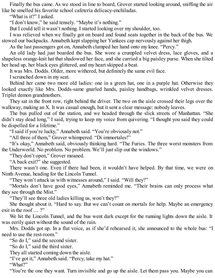Finally the bus came. As we stood in line to board, Grover started looking around, sniffing the air like he smelled his favorite school cafeteria delicacy-enchiladas.

"What is it?" I asked.

"I don't know," he said tensely. "Maybe it's nothing."

But I could tell it wasn't nothing. I started looking over my shoulder, too.

I was relieved when we finally got on board and found seats together in the back of the bus. We stowed our backpacks. Annabeth kept slapping her Yankees cap nervously against her thigh.

As the last passengers got on, Annabeth clamped her hand onto my knee. "Percy."

An old lady had just boarded the bus. She wore a crumpled velvet dress, lace gloves, and a shapeless orange-knit hat that shadowed her face, and she carried a big paisley purse. When she tilted her head up, her black eyes glittered, and my heart skipped a beat.

It was Mrs. Dodds. Older, more withered, but definitely the same evil face.

I scrunched down in my seat.

Behind her came two more old ladies: one in a green hat, one in a purple hat. Otherwise they looked exactly like Mrs. Dodds-same gnarled hands, paisley handbags, wrinkled velvet dresses. Triplet demon grandmothers.

They sat in the front row, right behind the driver. The two on the aisle crossed their legs over the walkway, making an X. It was casual enough, but it sent a clear message: nobody leaves.

The bus pulled out of the station, and we headed through the slick streets of Manhattan. "She didn't stay dead long," I said, trying to keep my voice from quivering. "I thought you said they could be dispelled for a lifetime."

"I said if you're lucky," Annabeth said. "You're obviously not."

"All three of them," Grover whimpered. "Di immortales!"

"It's okay," Annabeth said, obviously thinking hard. "The Furies. The three worst monsters from the Underworld. No problem. No problem. We'll just slip out the windows."

"They don't open," Grover moaned.

"A back exit?" she suggested.

There wasn't one. Even if there had been, it wouldn't have helped. By that time, we were on Ninth Avenue, heading for the Lincoln Tunnel.

"They won't attack us with witnesses around," I said. "Will they?"

"Mortals don't have good eyes," Annabeth reminded me. "Their brains can only process what they see through the Mist."

"They'll see three old ladies killing us, won't they?"

She thought about it. "Hard to say. But we can't count on mortals for help. Maybe an emergency exit in the roof ...?"

We hit the Lincoln Tunnel, and the bus went dark except for the running lights down the aisle. It was eerily quiet without the sound of the rain.

Mrs. Dodds got up. In a flat voice, as if she'd rehearsed it, she announced to the whole bus: "I need to use the rest-room."

"So do I," said the second sister.

"So do I," said the third sister.

They all started coming down the aisle.

"I've got it," Annabeth said. "Percy, take my hat."

"What?"

"You're the one they want. Turn invisible and go up the aisle. Let them pass you. Maybe you can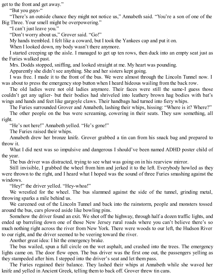get to the front and get away."

"But you guys-"

"There's an outside chance they might not notice us," Annabeth said. "You're a son of one of the Big Three. Your smell might be overpowering."

"I can't just leave you."

"Don't worry about us," Grover said. "Go!"

My hands trembled. I felt like a coward, but I took the Yankees cap and put it on.

When I looked down, my body wasn't there anymore.

I started creeping up the aisle. I managed to get up ten rows, then duck into an empty seat just as the Furies walked past.

Mrs. Dodds stopped, sniffing, and looked straight at me. My heart was pounding.

Apparently she didn't see anything. She and her sisters kept going.

I was free. I made it to the front of the bus. We were almost through the Lincoln Tunnel now. I was about to press the emergency stop button when I heard hideous wailing from the back row.

The old ladies were not old ladies anymore. Their faces were still the same-I guess those couldn't get any uglier- but their bodies had shriveled into leathery brown hag bodies with bat's wings and hands and feet like gargoyle claws. Their handbags had turned into fiery whips.

The Furies surrounded Grover and Annabeth, lashing their whips, hissing: "Where is it? Where?"

The other people on the bus were screaming, cowering in their seats. They saw something, all right.

"He's not here!" Annabeth yelled. "He's gone!"

The Furies raised their whips.

Annabeth drew her bronze knife. Grover grabbed a tin can from his snack bag and prepared to throw it.

What I did next was so impulsive and dangerous I should've been named ADHD poster child of the year.

The bus driver was distracted, trying to see what was going on in his rearview mirror.

Still invisible, I grabbed the wheel from him and jerked it to the left. Everybody howled as they were thrown to the right, and I heard what I hoped was the sound of three Furies smashing against the windows.

"Hey!" the driver yelled. "Hey-whoa!"

We wrestled for the wheel. The bus slammed against the side of the tunnel, grinding metal, throwing sparks a mile behind us.

We careened out of the Lincoln Tunnel and back into the rainstorm, people and monsters tossed around the bus, cars plowed aside like bowling pins.

Somehow the driver found an exit. We shot off the highway, through half a dozen traffic lights, and ended up barreling down one of those New Jersey rural roads where you can't believe there's so much nothing right across the river from New York. There were woods to our left, the Hudson River to our right, and the driver seemed to be veering toward the river.

Another great idea: I hit the emergency brake.

The bus wailed, spun a full circle on the wet asphalt, and crashed into the trees. The emergency lights came on. The door flew open. The bus driver was the first one out, the passengers yelling as they stampeded after him. I stepped into the driver's seat and let them pass.

The Furies regained their balance. They lashed their whips at Annabeth while she waved her knife and yelled in Ancient Greek, telling them to back off. Grover threw tin cans.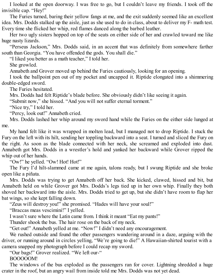I looked at the open doorway. I was free to go, but I couldn't leave my friends. I took off the invisible cap. "Hey!"

The Furies turned, baring their yellow fangs at me, and the exit suddenly seemed like an excellent idea. Mrs. Dodds stalked up the aisle, just as she used to do in class, about to deliver my F- math test. Every time she flicked her whip, red flames danced along the barbed leather.

Her two ugly sisters hopped on top of the seats on either side of her and crawled toward me like huge nasty lizards.

"Perseus Jackson," Mrs. Dodds said, in an accent that was definitely from somewhere farther south than Georgia. "You have offended the gods. You shall die."

"I liked you better as a math teacher," I told her.

She growled.

Annabeth and Grover moved up behind the Furies cautiously, looking for an opening.

I took the ballpoint pen out of my pocket and uncapped it. Riptide elongated into a shimmering double-edged sword.

The Furies hesitated.

Mrs. Dodds had felt Riptide's blade before. She obviously didn't like seeing it again.

"Submit now," she hissed. "And you will not suffer eternal torment."

"Nice try," I told her.

"Percy, look out!" Annabeth cried.

Mrs. Dodds lashed her whip around my sword hand while the Furies on the either side lunged at me.

My hand felt like it was wrapped in molten lead, but I managed not to drop Riptide. I stuck the Fury on the left with its hilt, sending her toppling backward into a seat. I turned and sliced the Fury on the right. As soon as the blade connected with her neck, she screamed and exploded into dust. Annabeth got Mrs. Dodds in a wrestler's hold and yanked her backward while Grover ripped the whip out of her hands.

"Ow!" he yelled. "Ow! Hot! Hot!"

The Fury I'd hilt-slammed came at me again, talons ready, but I swung Riptide and she broke open like a piñata.

Mrs. Dodds was trying to get Annabeth off her back. She kicked, clawed, hissed and bit, but Annabeth held on while Grover got Mrs. Dodds's legs tied up in her own whip. Finally they both shoved her backward into the aisle. Mrs. Dodds tried to get up, but she didn't have room to flap her bat wings, so she kept falling down.

"Zeus will destroy you!" she promised. "Hades will have your soul!"

"Braccas meas vescimini!" I yelled.

I wasn't sure where the Latin came from. I think it meant "Eat my pants!"

Thunder shook the bus. The hair rose on the back of my neck.

"Get out!" Annabeth yelled at me. "Now!" I didn't need any encouragement.

We rushed outside and found the other passengers wandering around in a daze, arguing with the driver, or running around in circles yelling, "We're going to die!" A Hawaiian-shirted tourist with a camera snapped my photograph before I could recap my sword.

"Our bags!" Grover realized. "We left our-"

BOOOOOM!

The windows of the bus exploded as the passengers ran for cover. Lightning shredded a huge crater in the roof, but an angry wail from inside told me Mrs. Dodds was not yet dead.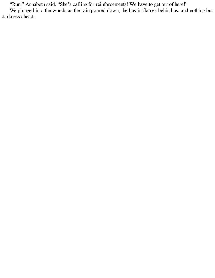"Run!" Annabeth said. "She's calling for reinforcements! We have to get out of here!"

We plunged into the woods as the rain poured down, the bus in flames behind us, and nothing but darkness ahead.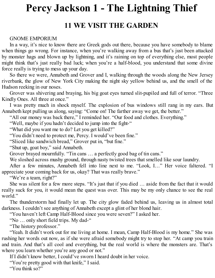## **Percy Jackson 1 - The Lightning Thief**

### **11 WE VISIT THE GARDEN**

#### GNOME EMPORIUM

In a way, it's nice to know there are Greek gods out there, because you have somebody to blame when things go wrong. For instance, when you're walking away from a bus that's just been attacked by monster hags and blown up by lightning, and it's raining on top of everything else, most people might think that's just really bad luck; when you're a half-blood, you understand that some divine force really is trying to mess up your day.

So there we were, Annabeth and Grover and I, walking through the woods along the New Jersey riverbank, the glow of New York City making the night sky yellow behind us, and the smell of the Hudson reeking in our noses.

Grover was shivering and braying, his big goat eyes turned slit-pupiled and full of terror. "Three Kindly Ones. All three at once."

I was pretty much in shock myself. The explosion of bus windows still rang in my ears. But Annabeth kept pulling us along, saying: "Come on! The farther away we get, the better."

"All our money was back there," I reminded her. "Our food and clothes. Everything."

"Well, maybe if you hadn't decided to jump into the fight-"

"What did you want me to do? Let you get killed?"

"You didn't need to protect me, Percy. I would've been fine."

"Sliced like sandwich bread," Grover put in, "but fine."

"Shut up, goat boy," said Annabeth.

Grover brayed mournfully. "Tin cans ... a perfectly good bag of tin cans."

We sloshed across mushy ground, through nasty twisted trees that smelled like sour laundry.

After a few minutes, Annabeth fell into line next to me. "Look, I…" Her voice faltered. "I appreciate your coming back for us, okay? That was really brave."

"We're a team, right?"

She was silent for a few more steps. "It's just that if you died … aside from the fact that it would really suck for you, it would mean the quest was over. This may be my only chance to see the real world."

The thunderstorm had finally let up. The city glow faded behind us, leaving us in almost total darkness. I couldn't see anything of Annabeth except a glint of her blond hair.

"You haven't left Camp Half-Blood since you were seven?" I asked her.

"No … only short field trips. My dad-"

"The history professor."

"Yeah. It didn't work out for me living at home. I mean, Camp Half-Blood is my home." She was rushing her words out now, as if she were afraid somebody might try to stop her. "At camp you train and train. And that's all cool and everything, but the real world is where the monsters are. That's where you learn whether you're any good or not."

If I didn't know better, I could've sworn I heard doubt in her voice.

"You're pretty good with that knife," I said.

"You think so?"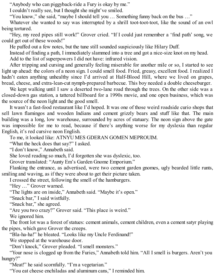"Anybody who can piggyback-ride a Fury is okay by me."

I couldn't really see, but I thought she might've smiled.

"You know," she said, "maybe I should tell you … Something funny back on the bus …"

Whatever she wanted to say was interrupted by a shrill toot-toot-toot, like the sound of an owl being tortured.

"Hey, my reed pipes still work!" Grover cried. "If I could just remember a 'find path' song, we could get out of these woods!"

He puffed out a few notes, but the tune still sounded suspiciously like Hilary Duff.

Instead of finding a path, I immediately slammed into a tree and got a nice-size knot on my head. Add to the list of superpowers I did not have: infrared vision.

After tripping and cursing and generally feeling miserable for another mile or so, I started to see light up ahead: the colors of a neon sign. I could smell food. Fried, greasy, excellent food. I realized I hadn't eaten anything unhealthy since I'd arrived at Half-Blood Hill, where we lived on grapes, bread, cheese, and extra-lean-cut nymph-prepared barbecue. This boy needed a double cheeseburger.

We kept walking until I saw a deserted two-lane road through the trees. On the other side was a closed-down gas station, a tattered billboard for a 1990s movie, and one open business, which was the source of the neon light and the good smell.

It wasn't a fast-food restaurant like I'd hoped. It was one of those weird roadside curio shops that sell lawn flamingos and wooden Indians and cement grizzly bears and stuff like that. The main building was a long, low warehouse, surrounded by acres of statuary. The neon sign above the gate was impossible for me to read, because if there's anything worse for my dyslexia than regular English, it's red cursive neon English.

To me, it looked like: ATNYU MES GDERAN GOMEN MEPROUIM.

"What the heck does that say?" I asked.

"I don't know," Annabeth said.

She loved reading so much, I'd forgotten she was dyslexic, too.

Grover translated: "Aunty Em's Garden Gnome Emporium."

Flanking the entrance, as advertised, were two cement garden gnomes, ugly bearded little runts, smiling and waving, as if they were about to get their picture taken.

I crossed the street, following the smell of the hamburgers.

"Hey …" Grover warned.

"The lights are on inside," Annabeth said. "Maybe it's open."

"Snack bar," I said wistfully.

"Snack bar," she agreed.

"Are you two crazy?" Grover said. "This place is weird."

We ignored him.

The front lot was a forest of statues: cement animals, cement children, even a cement satyr playing the pipes, which gave Grover the creeps.

"Bla-ha-ha!" he bleated. "Looks like my Uncle Ferdinand!"

We stopped at the warehouse door.

"Don't knock," Grover pleaded. "I smell monsters."

"Your nose is clogged up from the Furies," Annabeth told him. "All I smell is burgers. Aren't you hungry?"

"Meat!" he said scornfully. "I'm a vegetarian."

"You eat cheese enchiladas and aluminum cans," I reminded him.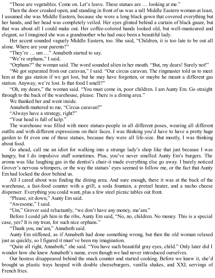"Those are vegetables. Come on. Let's leave. These statues are … looking at me."

Then the door creaked open, and standing in front of us was a tall Middle Eastern woman-at least, I assumed she was Middle Eastern, because she wore a long black gown that covered everything but her hands, and her head was completely veiled. Her eyes glinted behind a curtain of black gauze, but that was about all I could make out. Her coffee-colored hands looked old, but well-manicured and elegant, so I imagined she was a grandmother who had once been a beautiful lady.

Her accent sounded vaguely Middle Eastern, too. She said, "Children, it is too late to be out all alone. Where are your parents?"

"They're … um …" Annabeth started to say.

"We're orphans," I said.

"Orphans?" the woman said. The word sounded alien in her mouth. "But, my dears! Surely not!"

"We got separated from our caravan," I said. "Our circus caravan. The ringmaster told us to meet him at the gas station if we got lost, but he may have forgotten, or maybe he meant a different gas station. Anyway, we're lost. Is that food I smell?"

"Oh, my dears," the woman said. "You must come in, poor children. I am Aunty Em. Go straight through to the back of the warehouse, please. There is a dining area."

We thanked her and went inside.

Annabeth muttered to me, "Circus caravan?"

"Always have a strategy, right?"

"Your head is full of kelp."

The warehouse was filled with more statues-people in all different poses, wearing all different outfits and with different expressions on their faces. I was thinking you'd have to have a pretty huge garden to fit even one of these statues, because they were all life-size. But mostly, I was thinking about food.

Go ahead, call me an idiot for walking into a strange lady's shop like that just because I was hungry, but I do impulsive stuff sometimes. Plus, you've never smelled Aunty Em's burgers. The aroma was like laughing gas in the dentist's chair-it made everything else go away. I barely noticed Grover's nervous whimpers, or the way the statues' eyes seemed to follow me, or the fact that Aunty Em had locked the door behind us.

All I cared about was finding the dining area. And sure enough, there it was at the back of the warehouse, a fast-food counter with a grill, a soda fountain, a pretzel heater, and a nacho cheese dispenser. Everything you could want, plus a few steel picnic tables out front.

"Please, sit down," Aunty Em said.

"Awesome," I said.

"Um," Grover said reluctantly, "we don't have any money, ma'am."

Before I could jab him in the ribs, Aunty Em said, "No, no, children. No money. This is a special case, yes? It is my treat, for such nice orphans."

"Thank you, ma'am," Annabeth said.

Aunty Em stiffened, as if Annabeth had done something wrong, but then the old woman relaxed just as quickly, so I figured it must've been my imagination.

"Quite all right, Annabeth," she said. "You have such beautiful gray eyes, child." Only later did I wonder how she knew Annabeth's name, even though we had never introduced ourselves.

Our hostess disappeared behind the snack counter and started cooking. Before we knew it, she'd brought us plastic trays heaped with double cheeseburgers, vanilla shakes, and XXL servings of French fries.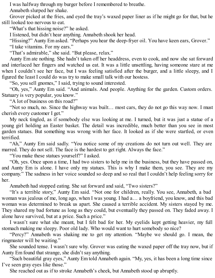I was halfway through my burger before I remembered to breathe.

Annabeth slurped her shake.

Grover picked at the fries, and eyed the tray's waxed paper liner as if he might go for that, but he still looked too nervous to eat.

"What's that hissing noise?" he asked.

I listened, but didn't hear anything. Annabeth shook her head.

"Hissing?" Aunty Em asked. "Perhaps you hear the deep-fryer oil. You have keen ears, Grover."

"I take vitamins. For my ears."

"That's admirable," she said. "But please, relax."

Aunty Em ate nothing. She hadn't taken off her headdress, even to cook, and now she sat forward and interlaced her fingers and watched us eat. It was a little unsettling, having someone stare at me when I couldn't see her face, but I was feeling satisfied after the burger, and a little sleepy, and I figured the least I could do was try to make small talk with our hostess.

"So, you sell gnomes," I said, trying to sound interested.

"Oh, yes," Aunty Em said. "And animals. And people. Anything for the garden. Custom orders. Statuary is very popular, you know."

"A lot of business on this road?"

"Not so much, no. Since the highway was built… most cars, they do not go this way now. I must cherish every customer I get."

My neck tingled, as if somebody else was looking at me. I turned, but it was just a statue of a young girl holding an Easter basket. The detail was incredible, much better than you see in most garden statues. But something was wrong with her face. It looked as if she were startled, or even terrified.

"Ah," Aunty Em said sadly. "You notice some of my creations do not turn out well. They are marred. They do not sell. The face is the hardest to get right. Always the face."

"You make these statues yourself?" I asked.

"Oh, yes. Once upon a time, I had two sisters to help me in the business, but they have passed on, and Aunty Em is alone. I have only my statues. This is why I make them, you see. They are my company." The sadness in her voice sounded so deep and so real that I couldn't help feeling sorry for her.

Annabeth had stopped eating. She sat forward and said, "Two sisters?"

"It's a terrible story," Aunty Em said. "Not one for children, really. You see, Annabeth, a bad woman was jealous of me, long ago, when I was young. I had a… a boyfriend, you know, and this bad woman was determined to break us apart. She caused a terrible accident. My sisters stayed by me. They shared my bad fortune as long as they could, but eventually they passed on. They faded away. I alone have survived, but at a price. Such a price."

I wasn't sure what she meant, but I felt bad for her. My eyelids kept getting heavier, my full stomach making me sleepy. Poor old lady. Who would want to hurt somebody so nice?

"Percy?" Annabeth was shaking me to get my attention. "Maybe we should go. I mean, the ringmaster will be waiting."

She sounded tense. I wasn't sure why. Grover was eating the waxed paper off the tray now, but if Aunty Em found that strange, she didn't say anything.

"Such beautiful gray eyes," Aunty Em told Annabeth again. "My, yes, it has been a long time since I've seen gray eyes like those."

She reached out as if to stroke Annabeth's cheek, but Annabeth stood up abruptly.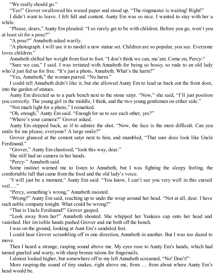"We really should go."

"Yes!" Grover swallowed his waxed paper and stood up. "The ringmaster is waiting! Right!"

I didn't want to leave. I felt full and content. Aunty Em was so nice. I wanted to stay with her a while.

"Please, dears," Aunty Em pleaded. "I so rarely get to be with children. Before you go, won't you at least sit for a pose?"

"A pose?" Annabeth asked warily.

"A photograph. I will use it to model a new statue set. Children are so popular, you see. Everyone loves children."

Annabeth shifted her weight from foot to foot. "I don't think we can, ma'am. Come on, Percy-"

"Sure we can," I said. I was irritated with Annabeth for being so bossy, so rude to an old lady who'd just fed us for free. "It's just a photo, Annabeth. What's the harm?"

"Yes, Annabeth," the woman purred. "No harm."

I could tell Annabeth didn't like it, but she allowed Aunty Em to lead us back out the front door, into the garden of statues.

Aunty Em directed us to a park bench next to the stone satyr. "Now," she said, "I'll just position you correctly. The young girl in the middle, I think, and the two young gentlemen on either side."

"Not much light for a photo," I remarked.

"Oh, enough," Aunty Em said. "Enough for us to see each other, yes?"

"Where's your camera?" Grover asked.

Aunty Em stepped back, as if to admire the shot. "Now, the face is the most difficult. Can you smile for me please, everyone? A large smile?"

Grover glanced at the cement satyr next to him, and mumbled, "That sure does look like Uncle Ferdinand."

"Grover," Aunty Em chastised, "look this way, dear."

She still had no camera in her hands.

"Percy-" Annabeth said.

Some instinct warned me to listen to Annabeth, but I was fighting the sleepy feeling, the comfortable lull that came from the food and the old lady's voice.

"I will just be a moment," Aunty Em said. "You know, I can't see you very well in this cursed veil…."

"Percy, something's wrong," Annabeth insisted.

"Wrong?" Aunty Em said, reaching up to undo the wrap around her head. "Not at all, dear. I have such noble company tonight. What could be wrong?"

"That is Uncle Ferdinand!" Grover gasped.

"Look away from her!" Annabeth shouted. She whipped her Yankees cap onto her head and vanished. Her invisible hands pushed Grover and me both off the bench.

I was on the ground, looking at Aunt Em's sandaled feet.

I could hear Grover scrambling off in one direction, Annabeth in another. But I was too dazed to move.

Then I heard a strange, rasping sound above me. My eyes rose to Aunty Em's hands, which had turned gnarled and warty, with sharp bronze talons for fingernails.

I almost looked higher, but somewhere off to my left Annabeth screamed, "No! Don't!"

More rasping-the sound of tiny snakes, right above me, from ... from about where Aunty Em's head would be.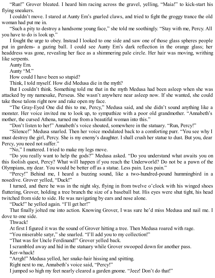"Run!" Grover bleated. I heard him racing across the gravel, yelling, "Maia!" to kick-start his flying sneakers.

I couldn't move. I stared at Aunty Em's gnarled claws, and tried to fight the groggy trance the old woman had put me in.

"Such a pity to destroy a handsome young face," she told me soothingly. "Stay with me, Percy. All you have to do is look up."

I fought the urge to obey. Instead I looked to one side and saw one of those glass spheres people put in gardens- a gazing ball. I could see Aunty Em's dark reflection in the orange glass; her headdress was gone, revealing her face as a shimmering pale circle. Her hair was moving, writhing like serpents.

Aunty Em.

Aunty "M."

How could I have been so stupid?

Think, I told myself. How did Medusa die in the myth?

But I couldn't think. Something told me that in the myth Medusa had been asleep when she was attacked by my namesake, Perseus. She wasn't anywhere near asleep now. If she wanted, she could take those talons right now and rake open my face.

"The Gray-Eyed One did this to me, Percy," Medusa said, and she didn't sound anything like a monster. Her voice invited me to look up, to sympathize with a poor old grandmother. "Annabeth's mother, the cursed Athena, turned me from a beautiful woman into this."

"Don't listen to her!" Annabeth's voice shouted, somewhere in the statuary. "Run, Percy!"

"Silence!" Medusa snarled. Then her voice modulated back to a comforting purr. "You see why I must destroy the girl, Percy. She is my enemy's daughter. I shall crush her statue to dust. But you, dear Percy, you need not suffer."

"No," I muttered. I tried to make my legs move.

"Do you really want to help the gods?" Medusa asked. "Do you understand what awaits you on this foolish quest, Percy? What will happen if you reach the Underworld? Do not be a pawn of the Olympians, my dear. You would be better off as a statue. Less pain. Less pain."

"Percy!" Behind me, I heard a buzzing sound, like a two-hundred-pound hummingbird in a nosedive. Grover yelled, "Duck!"

I turned, and there he was in the night sky, flying in from twelve o'clock with his winged shoes fluttering, Grover, holding a tree branch the size of a baseball bat. His eyes were shut tight, his head twitched from side to side. He was navigating by ears and nose alone.

"Duck!" he yelled again. "I'll get her!"

That finally jolted me into action. Knowing Grover, I was sure he'd miss Medusa and nail me. I dove to one side.

Thwack!

At first I figured it was the sound of Grover hitting a tree. Then Medusa roared with rage.

"You miserable satyr," she snarled. "I'll add you to my collection!"

"That was for Uncle Ferdinand!" Grover yelled back.

I scrambled away and hid in the statuary while Grover swooped down for another pass. Ker-whack!

"Arrgh!" Medusa yelled, her snake-hair hissing and spitting.

Right next to me, Annabeth's voice said, "Percy!"

I jumped so high my feet nearly cleared a garden gnome. "Jeez! Don't do that!"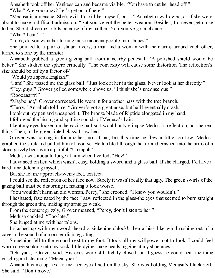Annabeth took off her Yankees cap and became visible. 'You have to cut her head off."

"What? Are you crazy? Let's get out of here."

"Medusa is a menace. She's evil. I'd kill her myself, but…" Annabeth swallowed, as if she were about to make a difficult admission. "But you've got the better weapon. Besides, I'd never get close to her. She'd slice me to bits because of my mother. You-you've got a chance."

"What? I can't-"

"Look, do you want her turning more innocent people into statues?"

She pointed to a pair of statue lovers, a man and a woman with their arms around each other, turned to stone by the monster.

Annabeth grabbed a green gazing ball from a nearby pedestal. "A polished shield would be better." She studied the sphere critically. "The convexity will cause some distortion. The reflection's size should be off by a factor of-"

"Would you speak English?"

"I am!" She tossed me the glass ball. "Just look at her in the glass. Never look at her directly."

"Hey, guys!" Grover yelled somewhere above us. "I think she's unconscious!"

"Roooaaarrr!"

"Maybe not," Grover corrected. He went in for another pass with the tree branch.

"Hurry," Annabeth told me. "Grover's got a great nose, but he'll eventually crash."

I took out my pen and uncapped it. The bronze blade of Riptide elongated in my hand.

I followed the hissing and spitting sounds of Medusa's hair.

I kept my eyes locked on the gazing ball so I would only glimpse Medusa's reflection, not the real thing. Then, in the green tinted glass, I saw her.

Grover was coming in for another turn at bat, but this time he flew a little too low. Medusa grabbed the stick and pulled him off course. He tumbled through the air and crashed into the arms of a stone grizzly bear with a painful "Ummphh!"

Medusa was about to lunge at him when I yelled, "Hey!"

I advanced on her, which wasn't easy, holding a sword and a glass ball. If she charged, I'd have a hard time defending myself.

But she let me approach-twenty feet, ten feet.

I could see the reflection of her face now. Surely it wasn't really that ugly. The green swirls of the gazing ball must be distorting it, making it look worse.

"You wouldn't harm an old woman, Percy," she crooned. "I know you wouldn't."

I hesitated, fascinated by the face I saw reflected in the glass-the eyes that seemed to burn straight through the green tint, making my arms go weak.

From the cement grizzly, Grover moaned, "Percy, don't listen to her!"

Medusa cackled. "Too late."

She lunged at me with her talons.

I slashed up with my sword, heard a sickening shlock!, then a hiss like wind rushing out of a cavern-the sound of a monster disintegrating.

Something fell to the ground next to my foot. It took all my willpower not to look. I could feel warm ooze soaking into my sock, little dying snake heads tugging at my shoelaces.

"Oh, yuck," Grover said. His eyes were still tightly closed, but I guess he could hear the thing gurgling and steaming. "Mega-yuck."

Annabeth came up next to me, her eyes fixed on the sky. She was holding Medusa's black veil. She said, "Don't move."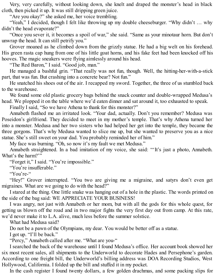Very, very carefully, without looking down, she knelt and draped the monster's head in black cloth, then picked it up. It was still dripping green juice.

"Are you okay?" she asked me, her voice trembling.

"Yeah," I decided, though I felt like throwing up my double cheeseburger. "Why didn't … why didn't the head evaporate?"

"Once you sever it, it becomes a spoil of war," she said. "Same as your minotaur horn. But don't unwrap the head. It can still petrify you."

Grover moaned as he climbed down from the grizzly statue. He had a big welt on his forehead. His green rasta cap hung from one of his little goat horns, and his fake feet had been knocked off his hooves. The magic sneakers were flying aimlessly around his head.

"The Red Baron," I said. "Good job, man."

He managed a bashful grin. "That really was not fun, though. Well, the hitting-her-with-a-stick part, that was fun. But crashing into a concrete bear? Not fun."

He snatched his shoes out of the air. I recapped my sword. Together, the three of us stumbled back to the warehouse.

We found some old plastic grocery bags behind the snack counter and double-wrapped Medusa's head. We plopped it on the table where we'd eaten dinner and sat around it, too exhausted to speak.

Finally I said, "So we have Athena to thank for this monster?"

Annabeth flashed me an irritated look. "Your dad, actually. Don't you remember? Medusa was Poseidon's girlfriend. They decided to meet in my mother's temple. That's why Athena turned her into a monster. Medusa and her two sisters who had helped her get into the temple, they became the three gorgons. That's why Medusa wanted to slice me up, but she wanted to preserve you as a nice statue. She's still sweet on your dad. You probably reminded her of him."

My face was burning. "Oh, so now it's my fault we met Medusa."

Annabeth straightened. In a bad imitation of my voice, she said: "'It's just a photo, Annabeth. What's the harm?"

"Forget it," I said. "You're impossible."

"You're insufferable."

"You're-"

"Hey!" Grover interrupted. "You two are giving me a migraine, and satyrs don't even get migraines. What are we going to do with the head?"

I stared at the thing. One little snake was hanging out of a hole in the plastic. The words printed on the side of the bag said: WE APPRECIATE YOUR BUSINESS!

I was angry, not just with Annabeth or her mom, but with all the gods for this whole quest, for getting us blown off the road and in two major fights the very first day out from camp. At this rate, we'd never make it to L.A. alive, much less before the summer solstice.

What had Medusa said?

Do not be a pawn of the Olympians, my dear. You would be better off as a statue.

I got up. "I'll be back."

"Percy," Annabeth called after me. "What are you-"

I searched the back of the warehouse until I found Medusa's office. Her account book showed her six most recent sales, all shipments to the Underworld to decorate Hades and Persephone's garden. According to one freight bill, the Underworld's billing address was DOA Recording Studios, West Hollywood, California. I folded up the bill and stuffed it in my pocket.

In the cash register I found twenty dollars, a few golden drachmas, and some packing slips for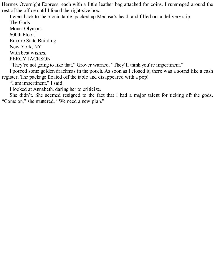Hermes Overnight Express, each with a little leather bag attached for coins. I rummaged around the rest of the office until I found the right-size box.

I went back to the picnic table, packed up Medusa's head, and filled out a delivery slip: The Gods Mount Olympus 600th Floor, Empire State Building New York, NY With best wishes, PERCY JACKSON "They're not going to like that," Grover warned. "They'll think you're impertinent." I poured some golden drachmas in the pouch. As soon as I closed it, there was a sound like a cash register. The package floated off the table and disappeared with a pop! "I am impertinent," I said.

I looked at Annabeth, daring her to criticize.

She didn't. She seemed resigned to the fact that I had a major talent for ticking off the gods. "Come on," she muttered. "We need a new plan."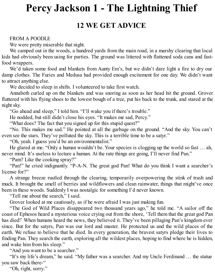## **Percy Jackson 1 - The Lightning Thief**

### **12 WE GET ADVICE**

#### FROM A POODLE

We were pretty miserable that night.

We camped out in the woods, a hundred yards from the main road, in a marshy clearing that local kids had obviously been using for parties. The ground was littered with flattened soda cans and fastfood wrappers.

We'd taken some food and blankets from Aunty Em's, but we didn't dare light a fire to dry our damp clothes. The Furies and Medusa had provided enough excitement for one day. We didn't want to attract anything else.

We decided to sleep in shifts. I volunteered to take first watch.

Annabeth curled up on the blankets and was snoring as soon as her head hit the ground. Grover fluttered with his flying shoes to the lowest bough of a tree, put his back to the trunk, and stared at the night sky.

"Go ahead and sleep," I told him. "I'll wake you if there's trouble."

He nodded, but still didn't close his eyes. "It makes me sad, Percy."

"What does? The fact that you signed up for this stupid quest?"

"No. This makes me sad." He pointed at all the garbage on the ground. "And the sky. You can't even see the stars. They've polluted the sky. This is a terrible time to be a satyr."

"Oh, yeah. I guess you'd be an environmentalist."

He glared at me. "Only a human wouldn't be. Your species is clogging up the world so fast … ah, never mind. It's useless to lecture a human. At the rate things are going, I'll never find Pan."

"Pam? Like the cooking spray?"

"Pan!" he cried indignantly. "P-A-N. The great god Pan! What do you think I want a searcher's license for?"

A strange breeze rustled through the clearing, temporarily overpowering the stink of trash and muck. It brought the smell of berries and wildflowers and clean rainwater, things that might've once been in these woods. Suddenly I was nostalgic for something I'd never known.

"Tell me about the search," I said.

Grover looked at me cautiously, as if he were afraid I was just making fun.

"The God of Wild Places disappeared two thousand years ago," he told me. "A sailor off the coast of Ephesos heard a mysterious voice crying out from the shore, 'Tell them that the great god Pan has died!' When humans heard the news, they believed it. They've been pillaging Pan's kingdom ever since. But for the satyrs, Pan was our lord and master. He protected us and the wild places of the earth. We refuse to believe that he died. In every generation, the bravest satyrs pledge their lives to finding Pan. They search the earth, exploring all the wildest places, hoping to find where he is hidden, and wake him from his sleep."

"And you want to be a searcher."

"It's my life's dream," he said. "My father was a searcher. And my Uncle Ferdinand … the statue you saw back there-"

"Oh, right, sorry."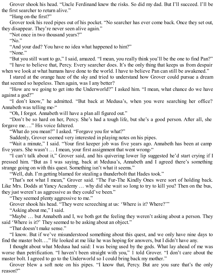Grover shook his head. "Uncle Ferdinand knew the risks. So did my dad. But I'll succeed. I'll be the first searcher to return alive."

"Hang on-the first?"

Grover took his reed pipes out of his pocket. "No searcher has ever come back. Once they set out, they disappear. They're never seen alive again."

"Not once in two thousand years?"

"No."

"And your dad? You have no idea what happened to him?"

"None."

"But you still want to go," I said, amazed. "I mean, you really think you'll be the one to find Pan?" "I have to believe that, Percy. Every searcher does. It's the only thing that keeps us from despair when we look at what humans have done to the world. I have to believe Pan can still be awakened."

I stared at the orange haze of the sky and tried to understand how Grover could pursue a dream that seemed so hopeless. Then again, was I any better?

"How are we going to get into the Underworld?" I asked him. "I mean, what chance do we have against a god?"

"I don't know," he admitted. "But back at Medusa's, when you were searching her office? Annabeth was telling me-"

"Oh, I forgot. Annabeth will have a plan all figured out."

"Don't be so hard on her, Percy. She's had a tough life, but she's a good person. After all, she forgave me…." His voice faltered.

"What do you mean?" I asked. "Forgave you for what?"

Suddenly, Grover seemed very interested in playing notes on his pipes.

"Wait a minute," I said. "Your first keeper job was five years ago. Annabeth has been at camp five years. She wasn't … I mean, your first assignment that went wrong-"

"I can't talk about it," Grover said, and his quivering lower lip suggested he'd start crying if I pressed him. "But as I was saying, back at Medusa's, Annabeth and I agreed there's something strange going on with this quest. Something isn't what it seems."

"Well, duh. I'm getting blamed for stealing a thunderbolt that Hades took."

"That's not what I mean," Grover said. "The Fur-The Kindly Ones were sort of holding back. Like Mrs. Dodds at Yancy Academy … why did she wait so long to try to kill you? Then on the bus, they just weren't as aggressive as they could've been."

"They seemed plenty aggressive to me."

Grover shook his head. "They were screeching at us: 'Where is it? Where?'"

"Asking about me," I said.

"Maybe … but Annabeth and I, we both got the feeling they weren't asking about a person. They said 'Where is it?' They seemed to be asking about an object."

"That doesn't make sense."

"I know. But if we've misunderstood something about this quest, and we only have nine days to find the master bolt…." He looked at me like he was hoping for answers, but I didn't have any.

I thought about what Medusa had said: I was being used by the gods. What lay ahead of me was worse than petrification. "I haven't been straight with you," 1 told Grover. "I don't care about the master bolt. I agreed to go to the Underworld so I could bring back my mother."

Grover blew a soft note on his pipes. "I know that, Percy. But are you sure that's the only reason?"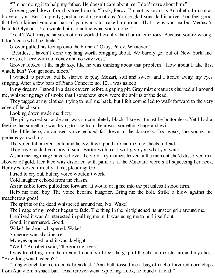"I'm not doing it to help my father. He doesn't care about me. I don't care about him."

Grover gazed down from his tree branch. "Look, Percy, I'm not as smart as Annabeth. I'm not as brave as you. But I'm pretty good at reading emotions. You're glad your dad is alive. You feel good that he's claimed you, and part of you wants to make him proud. That's why you mailed Medusa's head to Olympus. You wanted him to notice what you'd done."

"Yeah? Well maybe satyr emotions work differently than human emotions. Because you're wrong. I don't care what he thinks."

Grover pulled his feet up onto the branch. "Okay, Percy. Whatever."

"Besides, I haven't done anything worth bragging about. We barely got out of New York and we're stuck here with no money and no way west."

Grover looked at the night sky, like he was thinking about that problem. "How about I take first watch, huh? You get some sleep."

I wanted to protest, but he started to play Mozart, soft and sweet, and I turned away, my eyes stinging. After a few bars of Piano Concerto no. 12, I was asleep.

In my dreams, I stood in a dark cavern before a gaping pit. Gray mist creatures churned all around me, whispering rags of smoke that I somehow knew were the spirits of the dead.

They tugged at my clothes, trying to pull me back, but I felt compelled to walk forward to the very edge of the chasm.

Looking down made me dizzy.

The pit yawned so wide and was so completely black, I knew it must be bottomless. Yet I had a feeling that something was trying to rise from the abyss, something huge and evil.

The little hero, an amused voice echoed far down in the darkness. Too weak, too young, but perhaps you will do.

The voice felt ancient-cold and heavy. It wrapped around me like sheets of lead.

They have misled you, boy, it said. Barter with me. I will give you what you want.

A shimmering image hovered over the void: my mother, frozen at the moment she'd dissolved in a shower of gold. Her face was distorted with pain, as if the Minotaur were still squeezing her neck. Her eyes looked directly at me, pleading: Go!

I tried to cry out, but my voice wouldn't work.

Cold laughter echoed from the chasm.

An invisible force pulled me forward. It would drag me into the pit unless I stood firm.

Help me rise, boy. The voice became hungrier. Bring me the bolt. Strike a blow against the treacherous gods!

The spirits of the dead whispered around me, No! Wake!

The image of my mother began to fade. The thing in the pit tightened its unseen grip around me.

I realized it wasn't interested in pulling me in. It was using me to pull itself out.

Good, it murmured. Good.

Wake! the dead whispered. Wake!

Someone was shaking me.

My eyes opened, and it was daylight.

"Well," Annabeth said, "the zombie lives."

I was trembling from the dream. I could still feel the grip of the chasm monster around my chest. "How long was I asleep?"

"Long enough for me to cook breakfast." Annabeth tossed me a bag of nacho-flavored corn chips from Aunty Em's snack bar. "And Grover went exploring. Look, he found a friend."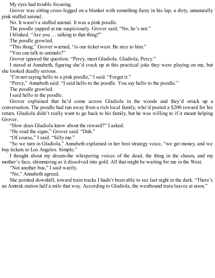My eyes had trouble focusing.

Grover was sitting cross-legged on a blanket with something fuzzy in his lap, a dirty, unnaturally pink stuffed animal.

No. It wasn't a stuffed animal. It was a pink poodle.

The poodle yapped at me suspiciously. Grover said, "No, he's not."

I blinked. "Are you … talking to that thing?"

The poodle growled.

"This thing," Grover warned, "is our ticket west. Be nice to him."

"You can talk to animals?"

Grover ignored the question. "Percy, meet Gladiola. Gladiola, Percy."

I stared at Annabeth, figuring she'd crack up at this practical joke they were playing on me, but she looked deadly serious.

"I'm not saying hello to a pink poodle," I said. "Forget it."

"Percy," Annabeth said. "I said hello to the poodle. You say hello to the poodle."

The poodle growled.

I said hello to the poodle.

Grover explained that he'd come across Gladiola in the woods and they'd struck up a conversation. The poodle had run away from a rich local family, who'd posted a \$200 reward for his return. Gladiola didn't really want to go back to his family, but he was willing to if it meant helping Grover.

"How does Gladiola know about the reward?" I asked.

"He read the signs," Grover said. "Duh."

"Of course," I said. "Silly me."

"So we turn in Gladiola," Annabeth explained in her best strategy voice, "we get money, and we buy tickets to Los Angeles. Simple."

I thought about my dream-the whispering voices of the dead, the thing in the chasm, and my mother's face, shimmering as it dissolved into gold. All that might be waiting for me in the West.

"Not another bus," I said warily.

"No," Annabeth agreed.

She pointed downhill, toward train tracks I hadn't been able to see last night in the dark. "There's an Amtrak station half a mile that way. According to Gladiola, the westbound train leaves at noon."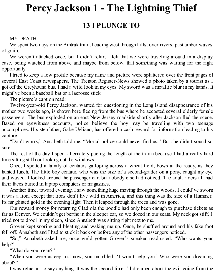# **Percy Jackson 1 - The Lightning Thief 13 I PLUNGE TO**

#### MY DEATH

We spent two days on the Amtrak train, heading west through hills, over rivers, past amber waves of grain.

We weren't attacked once, but I didn't relax. I felt that we were traveling around in a display case, being watched from above and maybe from below, that something was waiting for the right opportunity.

I tried to keep a low profile because my name and picture were splattered over the front pages of several East Coast newspapers. The Trenton Register-News showed a photo taken by a tourist as I got off the Greyhound bus. I had a wild look in my eyes. My sword was a metallic blur in my hands. It might've been a baseball bat or a lacrosse stick.

The picture's caption read:

Twelve-year-old Percy Jackson, wanted for questioning in the Long Island disappearance of his mother two weeks ago, is shown here fleeing from the bus where he accosted several elderly female passengers. The bus exploded on an east New Jersey roadside shortly after Jackson fled the scene. Based on eyewitness accounts, police believe the boy may be traveling with two teenage accomplices. His stepfather, Gabe Ugliano, has offered a cash reward for information leading to his capture.

"Don't worry," Annabeth told me. "Mortal police could never find us." But she didn't sound so sure.

The rest of the day I spent alternately pacing the length of the train (because I had a really hard time sitting still) or looking out the windows.

Once, I spotted a family of centaurs galloping across a wheat field, bows at the ready, as they hunted lunch. The little boy centaur, who was the size of a second-grader on a pony, caught my eye and waved. I looked around the passenger car, but nobody else had noticed. The adult riders all had their faces buried in laptop computers or magazines.

Another time, toward evening, I saw something huge moving through the woods. I could've sworn it was a lion, except that lions don't live wild in America, and this thing was the size of a Hummer. Its fur glinted gold in the evening light. Then it leaped through the trees and was gone.

Our reward money for returning Gladiola the poodle had only been enough to purchase tickets as far as Denver. We couldn't get berths in the sleeper car, so we dozed in our seats. My neck got stiff. I tried not to drool in my sleep, since Annabeth was sitting right next to me.

Grover kept snoring and bleating and waking me up. Once, he shuffled around and his fake foot fell off. Annabeth and I had to stick it back on before any of the other passengers noticed.

"So," Annabeth asked me, once we'd gotten Grover's sneaker readjusted. "Who wants your help?"

"What do you mean?"

"When you were asleep just now, you mumbled, 'I won't help you.' Who were you dreaming about?"

I was reluctant to say anything. It was the second time I'd dreamed about the evil voice from the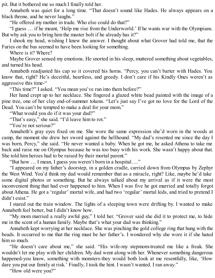pit. But it bothered me so much I finally told her.

Annabeth was quiet for a long time. "That doesn't sound like Hades. He always appears on a black throne, and he never laughs."

"He offered my mother in trade. Who else could do that?"

"I guess … if he meant, 'Help me rise from the Underworld.' If he wants war with the Olympians. But why ask you to bring him the master bolt if he already has it?"

I shook my head, wishing I knew the answer. I thought about what Grover had told me, that the Furies on the bus seemed to have been looking for something.

Where is it? Where?

Maybe Grover sensed my emotions. He snorted in his sleep, muttered something about vegetables, and turned his head.

Annabeth readjusted his cap so it covered his horns. "Percy, you can't barter with Hades. You know that, right? He's deceitful, heartless, and greedy. I don't care if his Kindly Ones weren't as aggressive this time-"

"This time?" I asked. "You mean you've run into them before?"

Her hand crept up to her necklace. She fingered a glazed white bead painted with the image of a pine tree, one of her clay end-of-summer tokens. "Let's just say I've got no love for the Lord of the Dead. You can't be tempted to make a deal for your mom."

"What would you do if it was your dad?"

"That's easy," she said. "I'd leave him to rot."

"You're not serious?"

Annabeth's gray eyes fixed on me. She wore the same expression she'd worn in the woods at camp, the moment she drew her sword against the hellhound. "My dad's resented me since the day I was born, Percy," she said. "He never wanted a baby. When he got me, he asked Athena to take me back and raise me on Olympus because he was too busy with his work. She wasn't happy about that. She told him heroes had to be raised by their mortal parent."

"But how … I mean, I guess you weren't born in a hospital…."

"I appeared on my father's doorstep, in a golden cradle, carried down from Olympus by Zephyr the West Wind. You'd think my dad would remember that as a miracle, right? Like, maybe he'd take some digital photos or something. But he always talked about my arrival as if it were the most inconvenient thing that had ever happened to him. When I was five he got married and totally forgot about Athena. He got a 'regular' mortal wife, and had two 'regular' mortal kids, and tried to pretend I didn't exist."

I stared out the train window. The lights of a sleeping town were drifting by. I wanted to make Annabeth feel better, but I didn't know how.

"My mom married a really awful guy," I told her. "Grover said she did it to protect me, to hide me in the scent of a human family. Maybe that's what your dad was thinking."

Annabeth kept worrying at her necklace. She was pinching the gold college ring that hung with the beads. It occurred to me that the ring must be her father's. I wondered why she wore it if she hated him so much.

"He doesn't care about me," she said. "His wife-my stepmom-treated me like a freak. She wouldn't let me play with her children. My dad went along with her. Whenever something dangerous happened-you know, something with monsters-they would both look at me resentfully, like, 'How dare you put our family at risk.' Finally, I took the hint. I wasn't wanted. I ran away."

"How old were you?"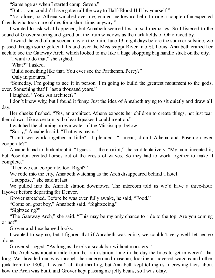"Same age as when I started camp. Seven."

"But … you couldn't have gotten all the way to Half-Blood Hill by yourself."

"Not alone, no. Athena watched over me, guided me toward help. I made a couple of unexpected friends who took care of me, for a short time, anyway."

I wanted to ask what happened, but Annabeth seemed lost in sad memories. So I listened to the sound of Grover snoring and gazed out the train windows as the dark fields of Ohio raced by.

Toward the end of our second day on the train, June 13, eight days before the summer solstice, we passed through some golden hills and over the Mississippi River into St. Louis. Annabeth craned her neck to see the Gateway Arch, which looked to me like a huge shopping bag handle stuck on the city.

"I want to do that," she sighed.

"What?" I asked.

"Build something like that. You ever see the Parthenon, Percy?"

"Only in pictures."

"Someday, I'm going to see it in person. I'm going to build the greatest monument to the gods, ever. Something that'll last a thousand years."

I laughed. "You? An architect?"

I don't know why, but I found it funny. Just the idea of Annabeth trying to sit quietly and draw all day.

Her cheeks flushed. "Yes, an architect. Athena expects her children to create things, not just tear them down, like a certain god of earthquakes I could mention."

I watched the churning brown water of the Mississippi below.

"Sorry," Annabeth said. "That was mean."

"Can't we work together a little?" I pleaded. "I mean, didn't Athena and Poseidon ever cooperate?"

Annabeth had to think about it. "I guess … the chariot," she said tentatively. "My mom invented it, but Poseidon created horses out of the crests of waves. So they had to work together to make it complete."

"Then we can cooperate, too. Right?"

We rode into the city, Annabeth watching as the Arch disappeared behind a hotel.

"I suppose," she said at last.

We pulled into the Amtrak station downtown. The intercom told us we'd have a three-hour layover before departing for Denver.

Grover stretched. Before he was even fully awake, he said, "Food."

"Come on, goat boy," Annabeth said. "Sightseeing."

"Sightseeing?"

"The Gateway Arch," she said. "This may be my only chance to ride to the top. Are you coming or not?"

Grover and I exchanged looks.

I wanted to say no, but I figured that if Annabeth was going, we couldn't very well let her go alone.

Grover shrugged. "As long as there's a snack bar without monsters."

The Arch was about a mile from the train station. Late in the day the lines to get in weren't that long. We threaded our way through the underground museum, looking at covered wagons and other junk from the 1800s. It wasn't all that thrilling, but Annabeth kept telling us interesting facts about how the Arch was built, and Grover kept passing me jelly beans, so I was okay.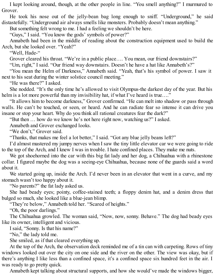I kept looking around, though, at the other people in line. "You smell anything?" I murmured to Grover.

He took his nose out of the jelly-bean bag long enough to sniff. "Underground," he said distastefully. "Underground air always smells like monsters. Probably doesn't mean anything."

But something felt wrong to me. I had a feeling we shouldn't be here.

"Guys," I said. "You know the gods' symbols of power?"

Annabeth had been in the middle of reading about the construction equipment used to build the Arch, but she looked over. "Yeah?"

"Well, Hade-"

Grover cleared his throat. "We're in a public place…. You mean, our friend downstairs?"

"Um, right," I said. "Our friend way downstairs. Doesn't he have a hat like Annabeth's?"

"You mean the Helm of Darkness," Annabeth said. "Yeah, that's his symbol of power. I saw it next to his seat during the winter solstice council meeting."

"He was there?" I asked.

She nodded. "It's the only time he's allowed to visit Olympus-the darkest day of the year. But his helm is a lot more powerful than my invisibility hat, if what I've heard is true...."

"It allows him to become darkness," Grover confirmed. "He can melt into shadow or pass through walls. He can't be touched, or seen, or heard. And he can radiate fear so intense it can drive you insane or stop your heart. Why do you think all rational creatures fear the dark?"

"But then … how do we know he's not here right now, watching us?" I asked.

Annabeth and Grover exchanged looks.

"We don't," Grover said.

"Thanks, that makes me feel a lot better," I said. "Got any blue jelly beans left?"

I'd almost mastered my jumpy nerves when I saw the tiny little elevator car we were going to ride to the top of the Arch, and I knew I was in trouble. I hate confined places. They make me nuts.

We got shoehorned into the car with this big fat lady and her dog, a Chihuahua with a rhinestone collar. I figured maybe the dog was a seeing-eye Chihuahua, because none of the guards said a word about it.

We started going up, inside the Arch. I'd never been in an elevator that went in a curve, and my stomach wasn't too happy about it.

"No parents?" the fat lady asked us.

She had beady eyes; pointy, coffee-stained teeth; a floppy denim hat, and a denim dress that bulged so much, she looked like a blue-jean blimp.

"They're below," Annabeth told her. "Scared of heights."

"Oh, the poor darlings."

The Chihuahua growled. The woman said, "Now, now, sonny. Behave." The dog had beady eyes like its owner, intelligent and vicious.

I said, "Sonny. Is that his name?"

"No," the lady told me.

She smiled, as if that cleared everything up.

At the top of the Arch, the observation deck reminded me of a tin can with carpeting. Rows of tiny windows looked out over the city on one side and the river on the other. The view was okay, but if there's anything I like less than a confined space, it's a confined space six hundred feet in the air. I was ready to go pretty quick.

Annabeth kept talking about structural supports, and how she would've made the windows bigger,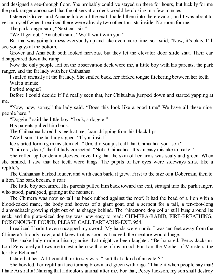and designed a see-through floor. She probably could've stayed up there for hours, but luckily for me the park ranger announced that the observation deck would be closing in a few minutes.

I steered Grover and Annabeth toward the exit, loaded them into the elevator, and I was about to get in myself when I realized there were already two other tourists inside. No room for me.

The park ranger said, "Next car, sir."

"We'll get out," Annabeth said. "We'll wait with you."

But that was going to mess everybody up and take even more time, so I said, "Naw, it's okay. I'll see you guys at the bottom."

Grover and Annabeth both looked nervous, but they let the elevator door slide shut. Their car disappeared down the ramp.

Now the only people left on the observation deck were me, a little boy with his parents, the park ranger, and the fat lady with her Chihuahua.

I smiled uneasily at the fat lady. She smiled back, her forked tongue flickering between her teeth. Wait a minute.

Forked tongue?

Before I could decide if I'd really seen that, her Chihuahua jumped down and started yapping at me.

"Now, now, sonny," the lady said. "Does this look like a good time? We have all these nice people here."

"Doggie!" said the little boy. "Look, a doggie!"

His parents pulled him back.

The Chihuahua bared his teeth at me, foam dripping from his black lips.

"Well, son," the fat lady sighed. "If you insist."

Ice started forming in my stomach. "Urn, did you just call that Chihuahua your son?"

"Chimera, dear," the fat lady corrected. "Not a Chihuahua. It's an easy mistake to make."

She rolled up her denim sleeves, revealing that the skin of her arms was scaly and green. When she smiled, I saw that her teeth were fangs. The pupils of her eyes were sideways slits, like a reptile's.

The Chihuahua barked louder, and with each bark, it grew. First to the size of a Doberman, then to a lion. The bark became a roar.

The little boy screamed. His parents pulled him back toward the exit, straight into the park ranger, who stood, paralyzed, gaping at the monster.

The Chimera was now so tall its back rubbed against the roof. It had the head of a lion with a blood-caked mane, the body and hooves of a giant goat, and a serpent for a tail, a ten-foot-long diamondback growing right out of its shaggy behind. The rhinestone dog collar still hung around its neck, and the plate-sized dog tag was now easy to read: CHIMERA-RABID, FIRE-BREATHING, POISONOUS-IF FOUND, PLEASE CALL TARTARUS-EXT. 954.

I realized I hadn't even uncapped my sword. My hands were numb. I was ten feet away from the Chimera's bloody maw, and I knew that as soon as I moved, the creature would lunge.

The snake lady made a hissing noise that might've been laughter. "Be honored, Percy Jackson. Lord Zeus rarely allows me to test a hero with one of my brood. For I am the Mother of Monsters, the terrible Echidna!"

I stared at her. All I could think to say was: "Isn't that a kind of anteater?"

She howled, her reptilian face turning brown and green with rage. "I hate it when people say that! I hate Australia! Naming that ridiculous animal after me. For that, Percy Jackson, my son shall destroy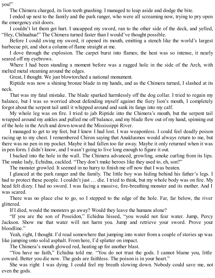you!"

The Chimera charged, its lion teeth gnashing. I managed to leap aside and dodge the bite.

I ended up next to the family and the park ranger, who were all screaming now, trying to pry open the emergency exit doors.

I couldn't let them get hurt. I uncapped my sword, ran to the other side of the deck, and yelled, "Hey, Chihuahua!" The Chimera turned faster than I would've thought possible.

Before I could swing my sword, it opened its mouth, emitting a stench like the world's largest barbecue pit, and shot a column of flame straight at me.

I dove through the explosion. The carpet burst into flames; the heat was so intense, it nearly seared off my eyebrows.

Where I had been standing a moment before was a ragged hole in the side of the Arch, with melted metal steaming around the edges.

Great, I thought. We just blowtorched a national monument.

Riptide was now a shining bronze blade in my hands, and as the Chimera turned, I slashed at its neck.

That was my fatal mistake. The blade sparked harmlessly off the dog collar. I tried to regain my balance, but I was so worried about defending myself against the fiery lion's mouth, I completely forgot about the serpent tail until it whipped around and sank its fangs into my calf.

My whole leg was on fire. I tried to jab Riptide into the Chimera's mouth, but the serpent tail wrapped around my ankles and pulled me off balance, and my blade flew out of my hand, spinning out of the hole in the Arch and down toward the Mississippi River.

I managed to get to my feet, but I knew I had lost. I was weaponless. I could feel deadly poison racing up to my chest. I remembered Chiron saying that Anaklusmos would always return to me, but there was no pen in my pocket. Maybe it had fallen too far away. Maybe it only returned when it was in pen form. I didn't know, and I wasn't going to live long enough to figure it out.

I backed into the hole in the wall. The Chimera advanced, growling, smoke curling from its lips. The snake lady, Echidna, cackled. "They don't make heroes like they used to, eh, son?"

The monster growled. It seemed in no hurry to finish me off now that I was beaten.

I glanced at the park ranger and the family. The little boy was hiding behind his father's legs. I had to protect these people. I couldn't just … die. I tried to think, but my whole body was on fire. My head felt dizzy. I had no sword. I was facing a massive, fire-breathing monster and its mother. And I was scared.

There was no place else to go, so I stepped to the edge of the hole. Far, far below, the river glittered.

If I died, would the monsters go away? Would they leave the humans alone?

"If you are the son of Poseidon," Echidna hissed, "you would not fear water. Jump, Percy Jackson. Show me that water will not harm you. Jump and retrieve your sword. Prove your bloodline."

Yeah, right, I thought. I'd read somewhere that jumping into water from a couple of stories up was like jumping onto solid asphalt. From here, I'd splatter on impact.

The Chimera's mouth glowed red, heating up for another blast.

"You have no faith," Echidna told me. "You do not trust the gods. I cannot blame you, little coward. Better you die now. The gods are faithless. The poison is in your heart."

She was right: I was dying. I could feel my breath slowing down. Nobody could save me, not even the gods.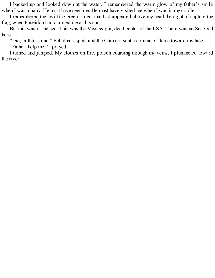I backed up and looked down at the water. I remembered the warm glow of my father's smile when I was a baby. He must have seen me. He must have visited me when I was in my cradle.

I remembered the swirling green trident that had appeared above my head the night of capture the flag, when Poseidon had claimed me as his son.

But this wasn't the sea. This was the Mississippi, dead center of the USA. There was no Sea God here.

"Die, faithless one," Echidna rasped, and the Chimera sent a column of flame toward my face.

"Father, help me," I prayed.

I turned and jumped. My clothes on fire, poison coursing through my veins, I plummeted toward the river.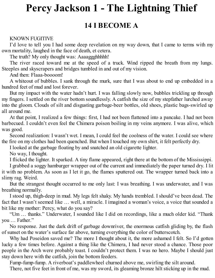## **Percy Jackson 1 - The Lightning Thief**

### **14 I BECOME A**

#### KNOWN FUGITIVE

I'd love to tell you I had some deep revelation on my way down, that I came to terms with my own mortality, laughed in the face of death, et cetera.

The truth? My only thought was: Aaaaggghhhhh!

The river raced toward me at the speed of a truck. Wind ripped the breath from my lungs. Steeples and skyscrapers and bridges tumbled in and out of my vision.

And then: Flaaa-boooom!

A whiteout of bubbles. I sank through the murk, sure that I was about to end up embedded in a hundred feet of mud and lost forever.

But my impact with the water hadn't hurt. I was falling slowly now, bubbles trickling up through my fingers. I settled on the river bottom soundlessly. A catfish the size of my stepfather lurched away into the gloom. Clouds of silt and disgusting garbage-beer bottles, old shoes, plastic bags-swirled up all around me.

At that point, I realized a few things: first, I had not been flattened into a pancake. I had not been barbecued. I couldn't even feel the Chimera poison boiling in my veins anymore. I was alive, which was good.

Second realization: I wasn't wet. I mean, I could feel the coolness of the water. I could see where the fire on my clothes had been quenched. But when I touched my own shirt, it felt perfectly dry.

I looked at the garbage floating by and snatched an old cigarette lighter.

No way, I thought.

I flicked the lighter. It sparked. A tiny flame appeared, right there at the bottom of the Mississippi.

I grabbed a soggy hamburger wrapper out of the current and immediately the paper turned dry. I lit it with no problem. As soon as I let it go, the flames sputtered out. The wrapper turned back into a slimy rag. Weird.

But the strangest thought occurred to me only last: I was breathing. I was underwater, and I was breathing normally.

I stood up, thigh-deep in mud. My legs felt shaky. My hands trembled. I should've been dead. The fact that I wasn't seemed like … well, a miracle. I imagined a woman's voice, a voice that sounded a bit like my mother: Percy, what do you say?

"Um … thanks." Underwater, I sounded like I did on recordings, like a much older kid. "Thank you … Father."

No response. Just the dark drift of garbage downriver, the enormous catfish gliding by, the flash of sunset on the water's surface far above, turning everything the color of butterscotch.

Why had Poseidon saved me? The more I thought about it, the more ashamed I felt. So I'd gotten lucky a few times before. Against a thing like the Chimera, I had never stood a chance. Those poor people in the Arch were probably toast. I couldn't protect them. I was no hero. Maybe I should just stay down here with the catfish, join the bottom feeders.

Fump-fump-fump. A riverboat's paddlewheel churned above me, swirling the silt around.

There, not five feet in front of me, was my sword, its gleaming bronze hilt sticking up in the mud.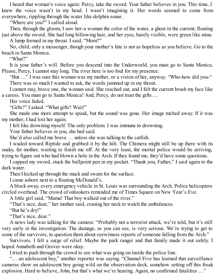I heard that woman's voice again: Percy, take the sword. Your father believes in you. This time, I knew the voice wasn't in my head. I wasn't imagining it. Her words seemed to come from everywhere, rippling through the water like dolphin sonar.

"Where are you?" I called aloud.

Then, through the gloom, I saw her-a woman the color of the water, a ghost in the current, floating just above the sword. She had long billowing hair, and her eyes, barely visible, were green like mine.

A lump formed in my throat. I said, "Mom?"

No, child, only a messenger, though your mother's fate is not as hopeless as you believe. Go to the beach in Santa Monica.

"What?"

It is your father's will. Before you descend into the Underworld, you must go to Santa Monica. Please, Percy, I cannot stay long. The river here is too foul for my presence.

"But …" I was sure this woman was my mother, or a vision of her, anyway. "Who-how did you-" There was so much I wanted to ask, the words jammed up in my throat.

I cannot stay, brave one, the woman said. She reached out, and I felt the current brush my face like a caress. You must go to Santa Monica! And, Percy, do not trust the gifts….

Her voice faded.

"Gifts?" I asked. "What gifts? Wait!"

She made one more attempt to speak, but the sound was gone. Her image melted away. If it was my mother, I had lost her again.

I felt like drowning myself. The only problem: I was immune to drowning.

Your father believes in you, she had said.

She'd also called me brave … unless she was talking to the catfish.

I waded toward Riptide and grabbed it by the hilt. The Chimera might still be up there with its snaky, fat mother, waiting to finish me off. At the very least, the mortal police would be arriving, trying to figure out who had blown a hole in the Arch. If they found me, they'd have some questions.

I capped my sword, stuck the ballpoint pen in my pocket. "Thank you, Father," I said again to the dark water.

Then I kicked up through the muck and swam for the surface.

I came ashore next to a floating McDonald's.

A block away, every emergency vehicle in St. Louis was surrounding the Arch. Police helicopters circled overhead. The crowd of onlookers reminded me of Times Square on New Year's Eve.

A little girl said, "Mama! That boy walked out of the river."

"That's nice, dear," her mother said, craning her neck to watch the ambulances.

"But he's dry!"

"That's nice, dear."

A news lady was talking for the camera: "Probably not a terrorist attack, we're told, but it's still very early in the investigation. The damage, as you can see, is very serious. We're trying to get to some of the survivors, to question them about eyewitness reports of someone falling from the Arch."

Survivors. I felt a surge of relief. Maybe the park ranger and that family made it out safely. I hoped Annabeth and Grover were okay.

I tried to push through the crowd to see what was going on inside the police line.

"… an adolescent boy," another reporter was saying. "Channel Five has learned that surveillance cameras show an adolescent boy going wild on the observation deck, somehow setting off this freak explosion. Hard to believe, John, but that's what we're hearing. Again, no confirmed fatalities …"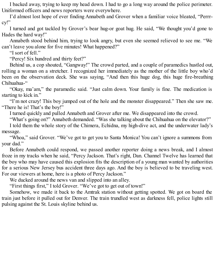I backed away, trying to keep my head down. I had to go a long way around the police perimeter. Uniformed officers and news reporters were everywhere.

I'd almost lost hope of ever finding Annabeth and Grover when a familiar voice bleated, "Perrrcy!"

I turned and got tackled by Grover's bear hug-or goat hug. He said, "We thought you'd gone to Hades the hard way!"

Annabeth stood behind him, trying to look angry, but even she seemed relieved to see me. "We can't leave you alone for five minutes! What happened?"

"I sort of fell."

"Percy! Six hundred and thirty feet?"

Behind us, a cop shouted, "Gangway!" The crowd parted, and a couple of paramedics hustled out, rolling a woman on a stretcher. I recognized her immediately as the mother of the little boy who'd been on the observation deck. She was saying, "And then this huge dog, this huge fire-breathing Chihuahua-"

"Okay, ma'am," the paramedic said. "Just calm down. Your family is fine. The medication is starting to kick in."

"I'm not crazy! This boy jumped out of the hole and the monster disappeared." Then she saw me. "There he is! That's the boy!"

I turned quickly and pulled Annabeth and Grover after me. We disappeared into the crowd.

"What's going on?" Annabeth demanded. "Was she talking about the Chihuahua on the elevator?"

I told them the whole story of the Chimera, Echidna, my high-dive act, and the underwater lady's message.

"Whoa," said Grover. "We've got to get you to Santa Monica! You can't ignore a summons from your dad."

Before Annabeth could respond, we passed another reporter doing a news break, and I almost froze in my tracks when he said, "Percy Jackson. That's right, Dan. Channel Twelve has learned that the boy who may have caused this explosion fits the description of a young man wanted by authorities for a serious New Jersey bus accident three days ago. And the boy is believed to be traveling west. For our viewers at home, here is a photo of Percy Jackson."

We ducked around the news van and slipped into an alley.

"First things first," I told Grover. "We've got to get out of town!"

Somehow, we made it back to the Amtrak station without getting spotted. We got on board the train just before it pulled out for Denver. The train trundled west as darkness fell, police lights still pulsing against the St. Louis skyline behind us.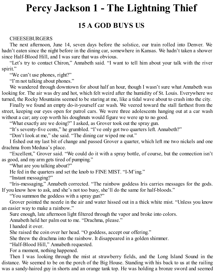## **Percy Jackson 1 - The Lightning Thief**

### **15 A GOD BUYS US**

#### CHEESEBURGERS

The next afternoon, June 14, seven days before the solstice, our train rolled into Denver. We hadn't eaten since the night before in the dining car, somewhere in Kansas. We hadn't taken a shower since Half-Blood Hill, and I was sure that was obvious.

"Let's try to contact Chiron," Annabeth said. "I want to tell him about your talk with the river spirit."

"We can't use phones, right?"

"I'm not talking about phones."

We wandered through downtown for about half an hour, though I wasn't sure what Annabeth was looking for. The air was dry and hot, which felt weird after the humidity of St. Louis. Everywhere we turned, the Rocky Mountains seemed to be staring at me, like a tidal wave about to crash into the city.

Finally we found an empty do-it-yourself car wash. We veered toward the stall farthest from the street, keeping our eyes open for patrol cars. We were three adolescents hanging out at a car wash without a car; any cop worth his doughnuts would figure we were up to no good.

"What exactly are we doing?" I asked, as Grover took out the spray gun.

"It's seventy-five cents," he grumbled. "I've only got two quarters left. Annabeth?"

"Don't look at me," she said. "The dining car wiped me out."

I fished out my last bit of change and passed Grover a quarter, which left me two nickels and one drachma from Medusa's place.

"Excellent," Grover said. "We could do it with a spray bottle, of course, but the connection isn't as good, and my arm gets tired of pumping."

"What are you talking about?"

He fed in the quarters and set the knob to FINE MIST. "I-M'ing."

"Instant messaging?"

"Iris-messaging," Annabeth corrected. "The rainbow goddess Iris carries messages for the gods. If you know how to ask, and she's not too busy, she'll do the same for half-bloods."

"You summon the goddess with a spray gun?"

Grover pointed the nozzle in the air and water hissed out in a thick white mist. "Unless you know an easier way to make a rainbow."

Sure enough, late afternoon light filtered through the vapor and broke into colors.

Annabeth held her palm out to me. "Drachma, please."

I handed it over.

She raised the coin over her head. "O goddess, accept our offering."

She threw the drachma into the rainbow. It disappeared in a golden shimmer.

"Half-Blood Hill," Annabeth requested.

For a moment, nothing happened.

Then I was looking through the mist at strawberry fields, and the Long Island Sound in the distance. We seemed to be on the porch of the Big House. Standing with his back to us at the railing was a sandy-haired guy in shorts and an orange tank top. He was holding a bronze sword and seemed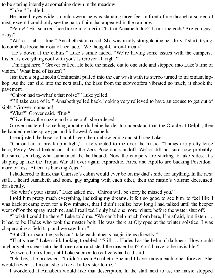to be staring intently at something down in the meadow.

"Luke!" I called.

He turned, eyes wide. I could swear he was standing three feet in front of me through a screen of mist, except I could only see the part of him that appeared in the rainbow.

"Percy!" His scarred face broke into a grin. "Is that Annabeth, too? Thank the gods! Are you guys okay?"

"We're … uh … fine," Annabeth stammered. She was madly straightening her dirty T-shirt, trying to comb the loose hair out of her face. "We thought-Chiron-I mean-"

"He's down at the cabins." Luke's smile faded. "We're having some issues with the campers. Listen, is everything cool with you? Is Grover all right?"

"I'm right here," Grover called. He held the nozzle out to one side and stepped into Luke's line of vision. "What kind of issues?"

Just then a big Lincoln Continental pulled into the car wash with its stereo turned to maximum hiphop. As the car slid into the next stall, the bass from the subwoofers vibrated so much, it shook the pavement.

"Chiron had to-what's that noise?" Luke yelled.

"I'll take care of it.'" Annabeth yelled back, looking very relieved to have an excuse to get out of sight. "Grover, come on!

"What?" Grover said. "But-"

"Give Percy the nozzle and come on!" she ordered.

Grover muttered something about girls being harder to understand than the Oracle at Delphi, then he handed me the spray gun and followed Annabeth.

I readjusted the hose so I could keep the rainbow going and still see Luke.

"Chiron had to break up a fight," Luke shouted to me over the music. "Things are pretty tense here, Percy. Word leaked out about the Zeus-Poseidon standoff. We're still not sure how-probably the same scumbag who summoned the hellhound. Now the campers are starting to take sides. It's shaping up like the Trojan War all over again. Aphrodite, Ares, and Apollo are backing Poseidon, more or less. Athena is backing Zeus."

I shuddered to think that Clarisse's cabin would ever be on my dad's side for anything. In the next stall, I heard Annabeth and some guy arguing with each other, then the music's volume decreased drastically.

"So what's your status?" Luke asked me. "Chiron will be sorry he missed you."

I told him pretty much everything, including my dreams. It felt so good to see him, to feel like I was back at camp even for a few minutes, that I didn't realize how long I had talked until the beeper went off on the spray machine, and I realized I only had one more minute before the water shut off.

"I wish I could be there," Luke told me. "We can't help much from here, I'm afraid, but listen … it had to be Hades who took the master bolt. He was there at Olympus at the winter solstice. I was chaperoning a field trip and we saw him."

"But Chiron said the gods can't take each other's magic items directly."

"That's true," Luke said, looking troubled. "Still … Hades has the helm of darkness. How could anybody else sneak into the throne room and steal the master bolt? You'd have to be invisible."

We were both silent, until Luke seemed to realize what he'd said.

"Oh, hey," he protested. "I didn't mean Annabeth. She and I have known each other forever. She would never … I mean, she's like a little sister to me."

I wondered if Annabeth would like that description. In the stall next to us, the music stopped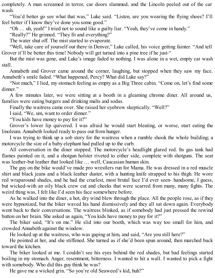completely. A man screamed in terror, car doors slammed, and the Lincoln peeled out of the car wash.

"You'd better go see what that was," Luke said. "Listen, are you wearing the flying shoes? I'll feel better if I know they've done you some good."

"Oh … uh, yeah!" I tried not to sound like a guilty liar. "Yeah, they've come in handy."

"Really?" He grinned. "They fit and everything?"

The water shut off. The mist started to evaporate.

"Well, take care of yourself out there in Denver," Luke called, his voice getting fainter. "And tell Grover it'll be better this time! Nobody will get turned into a pine tree if he just-"

But the mist was gone, and Luke's image faded to nothing. I was alone in a wet, empty car wash stall.

Annabeth and Grover came around the corner, laughing, but stopped when they saw my face. Annabeth's smile faded. "What happened, Percy? What did Luke say?"

"Not much," I lied, my stomach feeling as empty as a Big Three cabin. "Come on, let's find some dinner."

A few minutes later, we were sitting at a booth in a gleaming chrome diner. All around us, families were eating burgers and drinking malts and sodas.

Finally the waitress came over. She raised her eyebrow skeptically. "Well?"

I said, "We, um, want to order dinner."

"You kids have money to pay for it?"

Grover's lower lip quivered. I was afraid he would start bleating, or worse, start eating the linoleum. Annabeth looked ready to pass out from hunger.

I was trying to think up a sob story for the waitress when a rumble shook the whole building; a motorcycle the size of a baby elephant had pulled up to the curb.

All conversation in the diner stopped. The motorcycle's headlight glared red. Its gas tank had flames painted on it, and a shotgun holster riveted to either side, complete with shotguns. The seat was leather-but leather that looked like … well, Caucasian human skin.

The guy on the bike would've made pro wrestlers run for Mama. He was dressed in a red muscle shirt and black jeans and a black leather duster, with a hunting knife strapped to his thigh. He wore red wraparound shades, and he had the cruelest, most brutal face I'd ever seen- handsome, I guess, but wicked-with an oily black crew cut and cheeks that were scarred from many, many fights. The weird thing was, I felt like I'd seen his face somewhere before.

As he walked into the diner, a hot, dry wind blew through the place. All the people rose, as if they were hypnotized, but the biker waved his hand dismissively and they all sat down again. Everybody went back to their conversations. The waitress blinked, as if somebody had just pressed the rewind button on her brain. She asked us again, "You kids have money to pay for it?"

The biker said, "It's on me." He slid into our booth, which was way too small for him, and crowded Annabeth against the window.

He looked up at the waitress, who was gaping at him, and said, "Are you still here?"

He pointed at her, and she stiffened. She turned as if she'd been spun around, then marched back toward the kitchen.

The biker looked at me. I couldn't see his eyes behind the red shades, but bad feelings started boiling in my stomach. Anger, resentment, bitterness. I wanted to hit a wall. I wanted to pick a fight with somebody. Who did this guy think he was?

He gave me a wicked grin. "So you're old Seaweed's kid, huh?"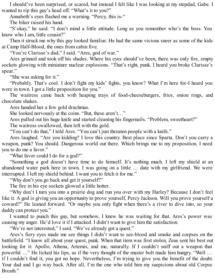I should've been surprised, or scared, but instead I felt like I was looking at my stepdad, Gabe. I wanted to rip this guy's head off. "What's it to you?"

Annabeth's eyes flashed me a warning. "Percy, this is-"

The biker raised his hand.

"S'okay," he said. "I don't mind a little attitude. Long as you remember who's the boss. You know who I am, little cousin?"

Then it struck me why this guy looked familiar. He had the same vicious sneer as some of the kids at Camp Half-Blood, the ones from cabin five.

"You're Clarisse's dad," I said. "Ares, god of war."

Ares grinned and took off his shades. Where his eyes should've been, there was only fire, empty sockets glowing with miniature nuclear explosions. "That's right, punk. I heard you broke Clarisse's spear."

"She was asking for it."

"Probably. That's cool. I don't fight my kids' fights, you know? What I'm here for-I heard you were in town. I got a little proposition for you."

The waitress came back with heaping trays of food-cheeseburgers, fries, onion rings, and chocolate shakes.

Ares handed her a few gold drachmas.

She looked nervously at the coins. "But, these aren't…"

Ares pulled out his huge knife and started cleaning his fingernails. "Problem, sweetheart?"

The waitress swallowed, then left with the gold.

"You can't do that," I told Ares. "You can't just threaten people with a knife."

Ares laughed. "Are you kidding? I love this country. Best place since Sparta. Don't you carry a weapon, punk? You should. Dangerous world out there. Which brings me to my proposition. I need you to do me a favor."

"What favor could I do for a god?"

"Something a god doesn't have time to do himself. It's nothing much. I left my shield at an abandoned water park here in town. I was going on a little … date with my girlfriend. We were interrupted. I left my shield behind. I want you to fetch it for me."

"Why don't you go back and get it yourself?"

The fire in his eye sockets glowed a little hotter.

"Why don't I turn you into a prairie dog and run you over with my Harley? Because I don't feel like it. A god is giving you an opportunity to prove yourself, Percy Jackson. Will you prove yourself a coward?" He leaned forward. "Or maybe you only fight when there's a river to dive into, so your daddy can protect you."

I wanted to punch this guy, but somehow, I knew he was waiting for that. Ares's power was causing my anger. He'd love it if I attacked. I didn't want to give him the satisfaction.

"We're not interested," I said. "We've already got a quest."

Ares's fiery eyes made me see things I didn't want to see-blood and smoke and corpses on the battlefield. "I know all about your quest, punk. When that item was first stolen, Zeus sent his best out looking for it: Apollo, Athena, Artemis, and me, naturally. If I couldn't sniff out a weapon that powerful …" He licked his lips, as if the very thought of the master bolt made him hungry. "Well … if I couldn't find it, you got no hope. Nevertheless, I'm trying to give you the benefit of the doubt. Your dad and I go way back. After all, I'm the one who told him my suspicions about old Corpse Breath."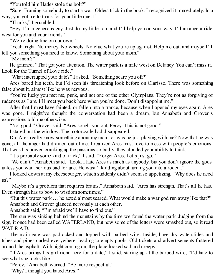"You told him Hades stole the bolt?"

"Sure. Framing somebody to start a war. Oldest trick in the book. I recognized it immediately. In a way, you got me to thank for your little quest."

"Thanks," I grumbled.

"Hey, I'm a generous guy. Just do my little job, and I'll help you on your way. I'll arrange a ride west for you and your friends."

"We're doing fine on our own."

"Yeah, right. No money. No wheels. No clue what you're up against. Help me out, and maybe I'll tell you something you need to know. Something about your mom."

"My mom?"

He grinned. "That got your attention. The water park is a mile west on Delancy. You can't miss it. Look for the Tunnel of Love ride."

"What interrupted your date?" I asked. "Something scare you off?"

Ares bared his teeth, but I'd seen his threatening look before on Clarisse. There was something false about it, almost like he was nervous.

"You're lucky you met me, punk, and not one of the other Olympians. They're not as forgiving of rudeness as I am. I'll meet you back here when you're done. Don't disappoint me."

After that I must have fainted, or fallen into a trance, because when I opened my eyes again, Ares was gone. I might've thought the conversation had been a dream, but Annabeth and Grover's expressions told me otherwise.

"Not good," Grover said. "Ares sought you out, Percy. This is not good."

I stared out the window. The motorcycle had disappeared.

Did Ares really know something about my mom, or was he just playing with me? Now that he was gone, all the anger had drained out of me. I realized Ares must love to mess with people's emotions. That was his power-cranking up the passions so badly, they clouded your ability to think.

"It's probably some kind of trick," I said. "Forget Ares. Let's just go."

"We can't," Annabeth said. "Look, I hate Ares as much as anybody, but you don't ignore the gods unless you want serious bad fortune. He wasn't kidding about turning you into a rodent."

I looked down at my cheeseburger, which suddenly didn't seem so appetizing. "Why does he need  $us?"$ 

"Maybe it's a problem that requires brains," Annabeth said. "Ares has strength. That's all he has. Even strength has to bow to wisdom sometimes."

"But this water park … he acted almost scared. What would make a war god run away like that?" Annabeth and Grover glanced nervously at each other.

Annabeth said, "I'm afraid we'll have to find out."

The sun was sinking behind the mountains by the time we found the water park. Judging from the sign, it once had been called WATERLAND, but now some of the letters were smashed out, so it read WAT R A D.

The main gate was padlocked and topped with barbed wire. Inside, huge dry waterslides and tubes and pipes curled everywhere, leading to empty pools. Old tickets and advertisements fluttered around the asphalt. With night coming on, the place looked sad and creepy.

"If Ares brings his girlfriend here for a date," I said, staring up at the barbed wire, "I'd hate to see what she looks like."

"Percy," Annabeth warned. "Be more respectful."

"Why? I thought you hated Ares."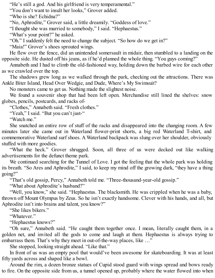"He's still a god. And his girlfriend is very temperamental."

"You don't want to insult her looks," Grover added.

"Who is she? Echidna?"

"No, Aphrodite," Grover said, a little dreamily. "Goddess of love."

"I thought she was married to somebody," I said. "Hephaestus."

"What's your point?" he asked.

"Oh." I suddenly felt the need to change the subject. "So how do we get in?"

"Maia!" Grover's shoes sprouted wings.

He flew over the fence, did an unintended somersault in midair, then stumbled to a landing on the opposite side. He dusted off his jeans, as if he'd planned the whole thing. "You guys coming?"

Annabeth and I had to climb the old-fashioned way, holding down the barbed wire for each other as we crawled over the top.

The shadows grew long as we walked through the park, checking out the attractions. There was Ankle Biter Island, Head Over Wedgie, and Dude, Where's My Swimsuit?

No monsters came to get us. Nothing made the slightest noise.

We found a souvenir shop that had been left open. Merchandise still lined the shelves: snow globes, pencils, postcards, and racks of-

"Clothes," Annabeth said. "Fresh clothes."

"Yeah," I said. "But you can't just-"

"Watch me."

She snatched an entire row of stuff of the racks and disappeared into the changing room. A few minutes later she came out in Waterland flower-print shorts, a big red Waterland T-shirt, and commemorative Waterland surf shoes. A Waterland backpack was slung over her shoulder, obviously stuffed with more goodies.

"What the heck." Grover shrugged. Soon, all three of us were decked out like walking advertisements for the defunct theme park.

We continued searching for the Tunnel of Love. I got the feeling that the whole park was holding its breath. "So Ares and Aphrodite," I said, to keep my mind off the growing dark, "they have a thing going?"

"That's old gossip, Percy," Annabeth told me. "Three-thousand-year-old gossip."

"What about Aphrodite's husband?"

"Well, you know," she said. "Hephaestus. The blacksmith. He was crippled when he was a baby, thrown off Mount Olympus by Zeus. So he isn't exactly handsome. Clever with his hands, and all, but Aphrodite isn't into brains and talent, you know?"

"She likes bikers."

"Whatever."

"Hephaestus knows?"

"Oh sure," Annabeth said. "He caught them together once. I mean, literally caught them, in a golden net, and invited all the gods to come and laugh at them. Hephaestus is always trying to embarrass them. That's why they meet in out-of-the-way places, like …"

She stopped, looking straight ahead. "Like that."

In front of us was an empty pool that would've been awesome for skateboarding. It was at least fifty yards across and shaped like a bowl.

Around the rim, a dozen bronze statues of Cupid stood guard with wings spread and bows ready to fire. On the opposite side from us, a tunnel opened up, probably where the water flowed into when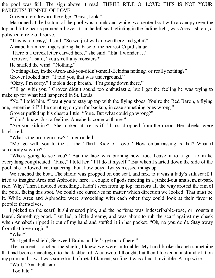the pool was full. The sign above it read, THRILL RIDE O' LOVE: THIS IS NOT YOUR PARENTS' TUNNEL OF LOVE!

Grover crept toward the edge. "Guys, look."

Marooned at the bottom of the pool was a pink-and-white two-seater boat with a canopy over the top and little hearts painted all over it. In the left seat, glinting in the fading light, was Ares's shield, a polished circle of bronze.

"This is too easy," I said. "So we just walk down there and get it?"

Annabeth ran her fingers along the base of the nearest Cupid statue.

"There's a Greek letter carved here," she said. "Eta. I wonder …"

"Grover," I said, "you smell any monsters?"

He sniffed the wind. "Nothing."

"Nothing-like, in-the-Arch-and-you-didn't-smell-Echidna nothing, or really nothing?"

Grover looked hurt. "I told you, that was underground."

"Okay, I'm sorry." I took a deep breath. "I'm going down there."

"I'll go with you." Grover didn't sound too enthusiastic, but I got the feeling he was trying to make up for what had happened in St. Louis.

"No," I told him. "I want you to stay up top with the flying shoes. You're the Red Baron, a flying ace, remember? I'll be counting on you for backup, in case something goes wrong."

Grover puffed up his chest a little. "Sure. But what could go wrong?"

"I don't know. Just a feeling. Annabeth, come with me-"

"Are you kidding?" She looked at me as if I'd just dropped from the moon. Her cheeks were bright red.

"What's the problem now?" I demanded.

"Me, go with you to the … the 'Thrill Ride of Love'? How embarrassing is that? What if somebody saw me?"

"Who's going to see you?" But my face was burning now, too. Leave it to a girl to make everything complicated. "Fine," I told her. "I'll do it myself." But when I started down the side of the pool, she followed me, muttering about how boys always messed things up.

We reached the boat. The shield was propped on one seat, and next to it was a lady's silk scarf. I tried to imagine Ares and Aphrodite here, a couple of gods meeting in a junked-out amusement-park ride. Why? Then I noticed something I hadn't seen from up top: mirrors all the way around the rim of the pool, facing this spot. We could see ourselves no matter which direction we looked. That must be it. While Ares and Aphrodite were smooching with each other they could look at their favorite people: themselves.

I picked up the scarf. It shimmered pink, and the perfume was indescribable-rose, or mountain laurel. Something good. I smiled, a little dreamy, and was about to rub the scarf against my cheek when Annabeth ripped it out of my hand and stuffed it in her pocket. "Oh, no you don't. Stay away from that love magic."

"What?"

"Just get the shield, Seaweed Brain, and let's get out of here."

The moment I touched the shield, I knew we were in trouble. My hand broke through something that had been connecting it to the dashboard. A cobweb, I thought, but then I looked at a strand of it on my palm and saw it was some kind of metal filament, so fine it was almost invisible. A trip wire.

"Wait," Annabeth said.

"Too late."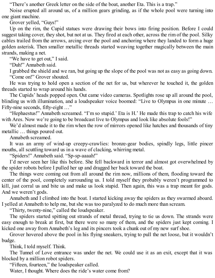"There's another Greek letter on the side of the boat, another Eta. This is a trap."

Noise erupted all around us, of a million gears grinding, as if the whole pool were turning into one giant machine.

Grover yelled, "Guys!"

Up on the rim, the Cupid statues were drawing their bows into firing position. Before I could suggest taking cover, they shot, but not at us. They fired at each other, across the rim of the pool. Silky cables trailed from the arrows, arcing over the pool and anchoring where they landed to form a huge golden asterisk. Then smaller metallic threads started weaving together magically between the main strands, making a net.

"We have to get out," I said.

"Duh!" Annabeth said.

I grabbed the shield and we ran, but going up the slope of the pool was not as easy as going down. "Come on!" Grover shouted.

He was trying to hold open a section of the net for us, but wherever he touched it, the golden threads started to wrap around his hands.

The Cupids' heads popped open. Out came video cameras. Spotlights rose up all around the pool, blinding us with illumination, and a loudspeaker voice boomed: "Live to Olympus in one minute … Fifty-nine seconds, fifty-eight …"

"Hephaestus!" Annabeth screamed. "I'm so stupid.' Eta is H.' He made this trap to catch his wife with Ares. Now we're going to be broadcast live to Olympus and look like absolute fools!"

We'd almost made it to the rim when the row of mirrors opened like hatches and thousands of tiny metallic … things poured out.

Annabeth screamed.

It was an army of wind-up creepy-crawlies: bronze-gear bodies, spindly legs, little pincer mouths, all scuttling toward us in a wave of clacking, whirring metal.

"Spiders!" Annabeth said. "Sp-sp-aaaah!"

I'd never seen her like this before. She fell backward in terror and almost got overwhelmed by the spider robots before I pulled her up and dragged her back toward the boat.

The things were coming out from all around the rim now, millions of them, flooding toward the center of the pool, completely surrounding us. I told myself they probably weren't programmed to kill, just corral us and bite us and make us look stupid. Then again, this was a trap meant for gods. And we weren't gods.

Annabeth and I climbed into the boat. I started kicking away the spiders as they swarmed aboard. I yelled at Annabeth to help me, but she was too paralyzed to do much more than scream.

"Thirty, twenty-nine," called the loudspeaker.

The spiders started spitting out strands of metal thread, trying to tie us down. The strands were easy enough to break at first, but there were so many of them, and the spiders just kept coming. I kicked one away from Annabeth's leg and its pincers took a chunk out of my new surf shoe.

Grover hovered above the pool in his flying sneakers, trying to pull the net loose, but it wouldn't budge.

Think, I told myself. Think.

The Tunnel of Love entrance was under the net. We could use it as an exit, except that it was blocked by a million robot spiders.

"Fifteen, fourteen," the loudspeaker called.

Water, I thought. Where does the ride's water come from?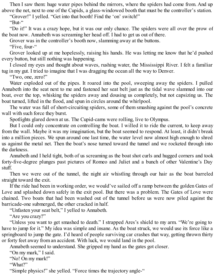Then I saw them: huge water pipes behind the mirrors, where the spiders had come from. And up above the net, next to one of the Cupids, a glass-windowed booth that must be the controller's station.

"Grover!" I yelled. "Get into that booth! Find the 'on' switch!"

"But-"

"Do it!" It was a crazy hope, but it was our only chance. The spiders were all over the prow of the boat now. Annabeth was screaming her head off. I had to get us out of there.

Grover was in the controller's booth now, slamming away at the buttons.

"Five, four-"

Grover looked up at me hopelessly, raising his hands. He was letting me know that he'd pushed every button, but still nothing was happening.

I closed my eyes and thought about waves, rushing water, the Mississippi River. I felt a familiar tug in my gut. I tried to imagine that I was dragging the ocean all the way to Denver.

"Two, one, zero!"

Water exploded out of the pipes. It roared into the pool, sweeping away the spiders. I pulled Annabeth into the seat next to me and fastened her seat belt just as the tidal wave slammed into our boat, over the top, whisking the spiders away and dousing us completely, but not capsizing us. The boat turned, lifted in the flood, and spun in circles around the whirlpool.

The water was full of short-circuiting spiders, some of them smashing against the pool's concrete wall with such force they burst.

Spotlights glared down at us. The Cupid-cams were rolling, live to Olympus.

But I could only concentrate on controlling the boat. I willed it to ride the current, to keep away from the wall. Maybe it was my imagination, but the boat seemed to respond. At least, it didn't break into a million pieces. We spun around one last time, the water level now almost high enough to shred us against the metal net. Then the boat's nose turned toward the tunnel and we rocketed through into the darkness.

Annabeth and I held tight, both of us screaming as the boat shot curls and hugged corners and took forty-five-degree plunges past pictures of Romeo and Juliet and a bunch of other Valentine's Day stuff.

Then we were out of the tunnel, the night air whistling through our hair as the boat barreled straight toward the exit.

If the ride had been in working order, we would've sailed off a ramp between the golden Gates of Love and splashed down safely in the exit pool. But there was a problem. The Gates of Love were chained. Two boats that had been washed out of the tunnel before us were now piled against the barricade-one submerged, the other cracked in half.

"Unfasten your seat belt," I yelled to Annabeth.

"Are you crazy?"

"Unless you want to get smashed to death." I strapped Ares's shield to my arm. "We're going to have to jump for it." My idea was simple and insane. As the boat struck, we would use its force like a springboard to jump the gate. I'd heard of people surviving car crashes that way, getting thrown thirty or forty feet away from an accident. With luck, we would land in the pool.

Annabeth seemed to understand. She gripped my hand as the gates got closer.

"On my mark," I said.

"No! On my mark!"

"What?"

"Simple physics!" she yelled. "Force times the trajectory angle-"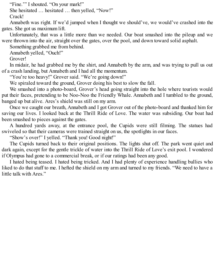"Fine."" I shouted. "On your mark!"

She hesitated … hesitated … then yelled, "Now!"

Crack!

Annabeth was right. If we'd jumped when I thought we should've, we would've crashed into the gates. She got us maximum lift.

Unfortunately, that was a little more than we needed. Our boat smashed into the pileup and we were thrown into the air, straight over the gates, over the pool, and down toward solid asphalt.

Something grabbed me from behind.

Annabeth yelled, "Ouch!"

Grover!

In midair, he had grabbed me by the shirt, and Annabeth by the arm, and was trying to pull us out of a crash landing, but Annabeth and I had all the momentum.

"You're too heavy!" Grover said. "We're going down!"

We spiraled toward the ground, Grover doing his best to slow the fall.

We smashed into a photo-board, Grover's head going straight into the hole where tourists would put their faces, pretending to be Noo-Noo the Friendly Whale. Annabeth and I tumbled to the ground, banged up but alive. Ares's shield was still on my arm.

Once we caught our breath, Annabeth and I got Grover out of the photo-board and thanked him for saving our lives. I looked back at the Thrill Ride of Love. The water was subsiding. Our boat had been smashed to pieces against the gates.

A hundred yards away, at the entrance pool, the Cupids were still filming. The statues had swiveled so that their cameras were trained straight on us, the spotlights in our faces.

"Show's over!" I yelled. "Thank you! Good night!"

The Cupids turned back to their original positions. The lights shut off. The park went quiet and dark again, except for the gentle trickle of water into the Thrill Ride of Love's exit pool. I wondered if Olympus had gone to a commercial break, or if our ratings had been any good.

I hated being teased. I hated being tricked. And I had plenty of experience handling bullies who liked to do that stuff to me. I hefted the shield on my arm and turned to my friends. "We need to have a little talk with Ares."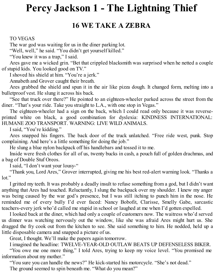## **Percy Jackson 1 - The Lightning Thief**

### **16 WE TAKE A ZEBRA**

#### TO VEGAS

The war god was waiting for us in the diner parking lot.

"Well, well," he said. "You didn't get yourself killed."

"You knew it was a trap," I said.

Ares gave me a wicked grin. "Bet that crippled blacksmith was surprised when he netted a couple of stupid kids. You looked good on TV."

I shoved his shield at him. "You're a jerk."

Annabeth and Grover caught their breath.

Ares grabbed the shield and spun it in the air like pizza dough. It changed form, melting into a bulletproof vest. He slung it across his back.

"See that truck over there?" He pointed to an eighteen-wheeler parked across the street from the diner. "That's your ride. Take you straight to L.A., with one stop in Vegas."

The eighteen-wheeler had a sign on the back, which I could read only because it was reverseprinted white on black, a good combination for dyslexia: KINDNESS INTERNATIONAL: HUMANE ZOO TRANSPORT. WARNING: LIVE WILD ANIMALS.

I said, "You're kidding."

Ares snapped his fingers. The back door of the truck unlatched. "Free ride west, punk. Stop complaining. And here's a little something for doing the job."

He slung a blue nylon backpack off his handlebars and tossed it to me.

Inside were fresh clothes for all of us, twenty bucks in cash, a pouch full of golden drachmas, and a bag of Double Stuf Oreos.

I said, "I don't want your lousy-"

"Thank you, Lord Ares," Grover interrupted, giving me his best red-alert warning look. "Thanks a lot."

I gritted my teeth. It was probably a deadly insult to refuse something from a god, but I didn't want anything that Ares had touched. Reluctantly, I slung the backpack over my shoulder. I knew my anger was being caused by the war god's presence, but I was still itching to punch him in the nose. He reminded me of every bully I'd ever faced: Nancy Bobofit, Clarisse, Smelly Gabe, sarcastic teachers-every jerk who'd called me stupid in school or laughed at me when I'd gotten expelled.

I looked back at the diner, which had only a couple of customers now. The waitress who'd served us dinner was watching nervously out the window, like she was afraid Ares might hurt us. She dragged the fry cook out from the kitchen to see. She said something to him. He nodded, held up a little disposable camera and snapped a picture of us.

Great, I thought. We'll make the papers again tomorrow.

I imagined the headline: TWELVE-YEAR-OLD OUTLAW BEATS UP DEFENSELESS BIKER.

"You owe me one more thing," I told Ares, trying to keep my voice level. "You promised me information about my mother."

"You sure you can handle the news?" He kick-started his motorcycle. "She's not dead."

The ground seemed to spin beneath me. "What do you mean?"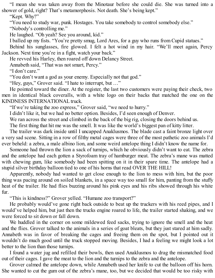"I mean she was taken away from the Minotaur before she could die. She was turned into a shower of gold, right? That's metamorphosis. Not death. She's being kept."

"Kept. Why?"

"You need to study war, punk. Hostages. You take somebody to control somebody else."

"Nobody's controlling me."

He laughed. "Oh yeah? See you around, kid."

I balled up my fists. "You're pretty smug, Lord Ares, for a guy who runs from Cupid statues."

Behind his sunglasses, fire glowed. I felt a hot wind in my hair. "We'll meet again, Percy Jackson. Next time you're in a fight, watch your back."

He revved his Harley, then roared off down Delancy Street.

Annabeth said, "That was not smart, Percy."

"I don't care."

"You don't want a god as your enemy. Especially not that god."

"Hey, guys," Grover said. "I hate to interrupt, but …"

He pointed toward the diner. At the register, the last two customers were paying their check, two men in identical black coveralls, with a white logo on their backs that matched the one on the KINDNESS INTERNATIONAL truck.

"If we're taking the zoo express," Grover said, "we need to hurry."

I didn't like it, but we had no better option. Besides, I'd seen enough of Denver.

We ran across the street and climbed in the back of the big rig, closing the doors behind us.

The first thing that hit me was the smell. It was like the world's biggest pan of kitty litter.

The trailer was dark inside until I uncapped Anaklusmos. The blade cast a faint bronze light over a very sad scene. Sitting in a row of filthy metal cages were three of the most pathetic zoo animals I'd ever beheld: a zebra, a male albino lion, and some weird antelope thing I didn't know the name for.

Someone had thrown the lion a sack of turnips, which he obviously didn't want to eat. The zebra and the antelope had each gotten a Styrofoam tray of hamburger meat. The zebra's mane was matted with chewing gum, like somebody had been spitting on it in their spare time. The antelope had a stupid silver birthday balloon tied to one of his horns that read OVER THE HILL!

Apparently, nobody had wanted to get close enough to the lion to mess with him, but the poor thing was pacing around on soiled blankets, in a space way too small for him, panting from the stuffy heat of the trailer. He had flies buzzing around his pink eyes and his ribs showed through his white fur.

"This is kindness?" Grover yelled. "Humane zoo transport?"

He probably would've gone right back outside to beat up the truckers with his reed pipes, and I would've helped him, but just then the trucks engine roared to life, the trailer started shaking, and we were forced to sit down or fall down.

We huddled in the corner on some mildewed feed sacks, trying to ignore the smell and the heat and the flies. Grover talked to the animals in a series of goat bleats, but they just stared at him sadly. Annabeth was in favor of breaking the cages and freeing them on the spot, but I pointed out it wouldn't do much good until the truck stopped moving. Besides, I had a feeling we might look a lot better to the lion than those turnips.

I found a water jug and refilled their bowls, then used Anaklusmos to drag the mismatched food out of their cages. I gave the meat to the lion and the turnips to the zebra and the antelope.

Grover calmed the antelope down, while Annabeth used her knife to cut the balloon off his horn. She wanted to cut the gum out of the zebra's mane, too, but we decided that would be too risky with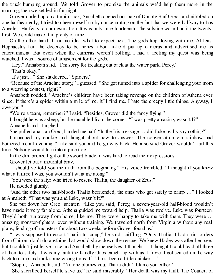the truck bumping around. We told Grover to promise the animals we'd help them more in the morning, then we settled in for night.

Grover curled up on a turnip sack; Annabeth opened our bag of Double Stuf Oreos and nibbled on one halfheartedly; I tried to cheer myself up by concentrating on the fact that we were halfway to Los Angeles. Halfway to our destination. It was only June fourteenth. The solstice wasn't until the twentyfirst. We could make it in plenty of time.

On the other hand, I had no idea what to expect next. The gods kept toying with me. At least Hephaestus had the decency to be honest about it-he'd put up cameras and advertised me as entertainment. But even when the cameras weren't rolling, I had a feeling my quest was being watched. I was a source of amusement for the gods.

"Hey," Annabeth said, "I'm sorry for freaking out back at the water park, Percy."

"That's okay."

"It's just…" She shuddered. "Spiders."

"Because of the Arachne story," I guessed. "She got turned into a spider for challenging your mom to a weaving contest, right?"

Annabeth nodded. "Arachne's children have been taking revenge on the children of Athena ever since. If there's a spider within a mile of me, it'll find me. I hate the creepy little things. Anyway, I owe you."

"We're a team, remember?" I said. "Besides, Grover did the fancy flying."

I thought he was asleep, but he mumbled from the corner, "I was pretty amazing, wasn't I?" Annabeth and I laughed.

She pulled apart an Oreo, handed me half. "In the Iris message … did Luke really say nothing?"

I munched my cookie and thought about how to answer. The conversation via rainbow had bothered me all evening. "Luke said you and he go way back. He also said Grover wouldn't fail this time. Nobody would turn into a pine tree."

In the dim bronze light of the sword blade, it was hard to read their expressions.

Grover let out a mournful bray.

"I should've told you the truth from the beginning." His voice trembled. "I thought if you knew what a failure I was, you wouldn't want me along."

"You were the satyr who tried to rescue Thalia, the daughter of Zeus."

He nodded glumly.

"And the other two half-bloods Thalia befriended, the ones who got safely to camp …" I looked at Annabeth. "That was you and Luke, wasn't it?"

She put down her Oreo, uneaten. "Like you said, Percy, a seven-year-old half-blood wouldn't have made it very far alone. Athena guided me toward help. Thalia was twelve. Luke was fourteen. They'd both run away from home, like me. They were happy to take me with them. They were … amazing monster-fighters, even without training. We traveled north from Virginia without any real plans, fending off monsters for about two weeks before Grover found us."

"I was supposed to escort Thalia to camp," he said, sniffling. "Only Thalia. I had strict orders from Chiron: don't do anything that would slow down the rescue. We knew Hades was after her, see, but I couldn't just leave Luke and Annabeth by themselves. I thought … I thought I could lead all three of them to safety. It was my fault the Kindly Ones caught up with us. I froze. I got scared on the way back to camp and took some wrong turns. If I'd just been a little quicker ..."

"Stop it," Annabeth said. "No one blames you. Thalia didn't blame you either."

"She sacrificed herself to save us," he said miserably, "Her death was my fault. The Council of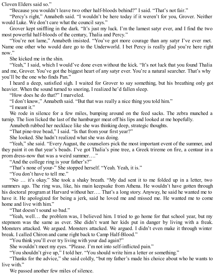Cloven Elders said so."

"Because you wouldn't leave two other half-bloods behind?" I said. "That's not fair."

"Percy's right," Annabeth said. "I wouldn't be here today if it weren't for you, Grover. Neither would Luke. We don't care what the council says."

Grover kept sniffling in the dark. "It's just my luck. I'm the lamest satyr ever, and I find the two most powerful half-bloods of the century, Thalia and Percy."

"You're not lame," Annabeth insisted. "You've got more courage than any satyr I've ever met. Name one other who would dare go to the Underworld. I bet Percy is really glad you're here right now."

She kicked me in the shin.

"Yeah," I said, which I would've done even without the kick. "It's not luck that you found Thalia and me, Grover. You've got the biggest heart of any satyr ever. You're a natural searcher. That's why you'll be the one who finds Pan."

I heard a deep, satisfied sigh. I waited for Grover to say something, but his breathing only got heavier. When the sound turned to snoring, I realized he'd fallen sleep.

"How does he do that?" I marveled.

"I don't know," Annabeth said. "But that was really a nice thing you told him."

"I meant it."

We rode in silence for a few miles, bumping around on the feed sacks. The zebra munched a turnip. The lion licked the last of the hamburger meat off his lips and looked at me hopefully.

Annabeth rubbed her necklace like she was thinking deep, strategic thoughts.

"That pine-tree bead," I said. "Is that from your first year?"

She looked. She hadn't realized what she was doing.

"Yeah," she said. "Every August, the counselors pick the most important event of the summer, and they paint it on that year's beads. I've got Thalia's pine tree, a Greek trireme on fire, a centaur in a prom dress-now that was a weird summer…."

"And the college ring is your father's?"

"That's none of your-" She stopped herself. "Yeah. Yeah, it is."

"You don't have to tell me."

"No … it's okay." She took a shaky breath. "My dad sent it to me folded up in a letter, two summers ago. The ring was, like, his main keepsake from Athena. He wouldn't have gotten through his doctoral program at Harvard without her…. That's a long story. Anyway, he said he wanted me to have it. He apologized for being a jerk, said he loved me and missed me. He wanted me to come home and live with him."

"That doesn't sound so bad."

"Yeah, well… the problem was, I believed him. I tried to go home for that school year, but my stepmom was the same as ever. She didn't want her kids put in danger by living with a freak. Monsters attacked. We argued. Monsters attacked. We argued. I didn't even make it through winter break. I called Chiron and came right back to Camp Half-Blood."

"You think you'll ever try living with your dad again?"

She wouldn't meet my eyes. "Please. I'm not into self-inflicted pain."

"You shouldn't give up," I told her. "You should write him a letter or something."

"Thanks for the advice," she said coldly, "but my father's made his choice about who he wants to live with."

We passed another few miles of silence.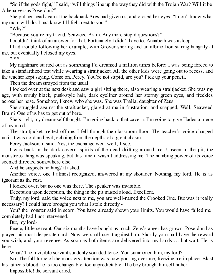"So if the gods fight," I said, "will things line up the way they did with the Trojan War? Will it be Athena versus Poseidon?"

She put her head against the backpack Ares had given us, and closed her eyes. "I don't know what my mom will do. I just know I'll fight next to you."

"Why?"

"Because you're my friend, Seaweed Brain. Any more stupid questions?"

I couldn't think of an answer for that. Fortunately I didn't have to. Annabeth was asleep.

I had trouble following her example, with Grover snoring and an albino lion staring hungrily at me, but eventually I closed my eyes.

\* \* \*

My nightmare started out as something I'd dreamed a million times before: I was being forced to take a standardized test while wearing a straitjacket. All the other kids were going out to recess, and the teacher kept saying, Come on, Percy. You're not stupid, are you? Pick up your pencil.

Then the dream strayed from the usual.

I looked over at the next desk and saw a girl sitting there, also wearing a straitjacket. She was my age, with unruly black, punk-style hair, dark eyeliner around her stormy green eyes, and freckles across her nose. Somehow, I knew who she was. She was Thalia, daughter of Zeus.

She struggled against the straitjacket, glared at me in frustration, and snapped, Well, Seaweed Brain? One of us has to get out of here.

She's right, my dream-self thought. I'm going back to that cavern. I'm going to give Hades a piece of my mind.

The straitjacket melted off me. I fell through the classroom floor. The teacher's voice changed until it was cold and evil, echoing from the depths of a great chasm.

Percy Jackson, it said. Yes, the exchange went well, 1 see.

I was back in the dark cavern, spirits of the dead drifting around me. Unseen in the pit, the monstrous thing was speaking, but this time it wasn't addressing me. The numbing power of its voice seemed directed somewhere else.

And he suspects nothing? it asked.

Another voice, one I almost recognized, answered at my shoulder. Nothing, my lord. He is as ignorant as the rest.

I looked over, but no one was there. The speaker was invisible.

Deception upon deception, the thing in the pit mused aloud. Excellent.

Truly, my lord, said the voice next to me, you are well-named the Crooked One. But was it really necessary? I could have brought you what I stole directly -

You? the monster said in scorn. You have already shown your limits. You would have failed me completely had I not intervened.

But, my lord-

Peace, little servant. Our six months have bought us much. Zeus's anger has grown. Poseidon has played his most desperate card. Now we shall use it against him. Shortly you shall have the reward you wish, and your revenge. As soon as both items are delivered into my hands … but wait. He is here.

What? The invisible servant suddenly sounded tense. You summoned him, my lord?

No. The full force of the monsters attention was now pouring over me, freezing me in place. Blast his father's blood-he is too changeable, too unpredictable. The boy brought himself hither.

Impossible! the servant cried.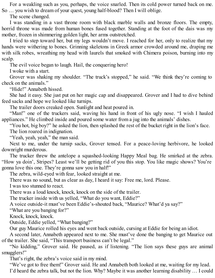For a weakling such as you, perhaps, the voice snarled. Then its cold power turned back on me. So … you wish to dream of your quest, young half-blood? Then I will oblige.

The scene changed.

I was standing in a vast throne room with black marble walls and bronze floors. The empty, horrid throne was made from human bones fused together. Standing at the foot of the dais was my mother, frozen in shimmering golden light, her arms outstretched.

I tried to step toward her, but my legs wouldn't move. I reached for her, only to realize that my hands were withering to bones. Grinning skeletons in Greek armor crowded around me, draping me with silk robes, wreathing my head with laurels that smoked with Chimera poison, burning into my scalp.

The evil voice began to laugh. Hail, the conquering hero!

I woke with a start.

Grover was shaking my shoulder. "The truck's stopped," he said. "We think they're coming to check on the animals."

"Hide!" Annabeth hissed.

She had it easy. She just put on her magic cap and disappeared. Grover and I had to dive behind feed sacks and hope we looked like turnips.

The trailer doors creaked open. Sunlight and heat poured in.

"Man!" one of the truckers said, waving his hand in front of his ugly nose. "I wish I hauled appliances." He climbed inside and poured some water from a jug into the animals' dishes.

"You hot, big boy?" he asked the lion, then splashed the rest of the bucket right in the lion's face. The lion roared in indignation.

"Yeah, yeah, yeah," the man said.

Next to me, under the turnip sacks, Grover tensed. For a peace-loving herbivore, he looked downright murderous.

The trucker threw the antelope a squashed-looking Happy Meal bag. He smirked at the zebra. "How ya doin', Stripes? Least we'll be getting rid of you this stop. You like magic shows? You're gonna love this one. They're gonna saw you in half!"

The zebra, wild-eyed with fear, looked straight at me.

There was no sound, but as clear as day, I heard it say: Free me, lord. Please.

I was too stunned to react.

There was a loud knock, knock, knock on the side of the trailer.

The trucker inside with us yelled, "What do you want, Eddie?"

A voice outside-it must've been Eddie's-shouted back, "Maurice? What'd ya say?"

"What are you banging for?"

Knock, knock, knock.

Outside, Eddie yelled, "What banging?"

Our guy Maurice rolled his eyes and went back outside, cursing at Eddie for being an idiot.

A second later, Annabeth appeared next to me. She must've done the banging to get Maurice out of the trailer. She said, "This transport business can't be legal."

"No kidding," Grover said. He paused, as if listening. "The lion says these guys are animal smugglers!"

That's right, the zebra's voice said in my mind.

"We've got to free them!" Grover said. He and Annabeth both looked at me, waiting for my lead. I'd heard the zebra talk, but not the lion. Why? Maybe it was another learning disability … I could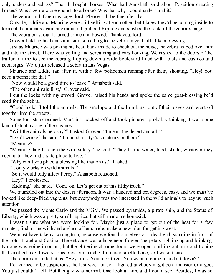only understand zebras? Then I thought: horses. What had Annabeth said about Poseidon creating horses? Was a zebra close enough to a horse? Was that why I could understand it?

The zebra said, Open my cage, lord. Please. I'll be fine after that.

Outside, Eddie and Maurice were still yelling at each other, but I knew they'd be coming inside to torment the animals again any minute. I grabbed Riptide and slashed the lock off the zebra's cage.

The zebra burst out. It turned to me and bowed. Thank you, lord.

Grover held up his hands and said something to the zebra in goat talk, like a blessing.

Just as Maurice was poking his head back inside to check out the noise, the zebra leaped over him and into the street. There was yelling and screaming and cars honking. We rushed to the doors of the trailer in time to see the zebra galloping down a wide boulevard lined with hotels and casinos and neon signs. We'd just released a zebra in Las Vegas.

Maurice and Eddie ran after it, with a few policemen running after them, shouting, "Hey! You need a permit for that!"

"Now would be a good time to leave," Annabeth said.

"The other animals first," Grover said.

I cut the locks with my sword. Grover raised his hands and spoke the same goat-blessing he'd used for the zebra.

"Good luck," I told the animals. The antelope and the lion burst out of their cages and went off together into the streets.

Some tourists screamed. Most just backed off and took pictures, probably thinking it was some kind of stunt by one of the casinos.

"Will the animals be okay?" I asked Grover. "I mean, the desert and all-"

"Don't worry," he said. "I placed a satyr's sanctuary on them."

"Meaning?"

"Meaning they'll reach the wild safely," he said. "They'll find water, food, shade, whatever they need until they find a safe place to live."

"Why can't you place a blessing like that on us?" I asked.

"It only works on wild animals."

"So it would only affect Percy," Annabeth reasoned.

"Hey!" I protested.

"Kidding," she said. "Come on. Let's get out of this filthy truck."

We stumbled out into the desert afternoon. It was a hundred and ten degrees, easy, and we must've looked like deep-fried vagrants, but everybody was too interested in the wild animals to pay us much attention.

We passed the Monte Carlo and the MGM. We passed pyramids, a pirate ship, and the Statue of Liberty, which was a pretty small replica, but still made me homesick.

I wasn't sure what we were looking for. Maybe just a place to get out of the heat for a few minutes, find a sandwich and a glass of lemonade, make a new plan for getting west.

We must have taken a wrong turn, because we found ourselves at a dead end, standing in front of the Lotus Hotel and Casino. The entrance was a huge neon flower, the petals lighting up and blinking. No one was going in or out, but the glittering chrome doors were open, spilling out air-conditioning that smelled like flowers-lotus blossom, maybe. I'd never smelled one, so I wasn't sure.

The doorman smiled at us. "Hey, kids. You look tired. You want to come in and sit down?"

I'd learned to be suspicious, the last week or so. I figured anybody might be a monster or a god. You just couldn't tell. But this guy was normal. One look at him, and I could see. Besides, I was so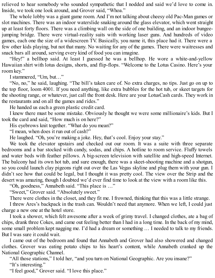relieved to hear somebody who sounded sympathetic that I nodded and said we'd love to come in. Inside, we took one look around, and Grover said, "Whoa."

The whole lobby was a giant game room. And I'm not talking about cheesy old Pac-Man games or slot machines. There was an indoor waterslide snaking around the glass elevator, which went straight up at least forty floors. There was a climbing wall on the side of one building, and an indoor bungeejumping bridge. There were virtual-reality suits with working laser guns. And hundreds of video games, each one the size of a widescreen TV. Basically, you name it, this place had it. There were a few other kids playing, but not that many. No waiting for any of the games. There were waitresses and snack bars all around, serving every kind of food you can imagine.

"Hey!" a bellhop said. At least I guessed he was a bellhop. He wore a white-and-yellow Hawaiian shirt with lotus designs, shorts, and flip-flops. "Welcome to the Lotus Casino. Here's your room key."

I stammered, "Um, but…"

"No, no," he said, laughing. "The bill's taken care of. No extra charges, no tips. Just go on up to the top floor, loom 4001. If you need anything, like extra bubbles for the hot tub, or skeet targets for the shooting range, or whatever, just call the front desk. Here are your LotusCash cards. They work in the restaurants and on all the games and rides."

He handed us each a green plastic credit card.

I knew there must be some mistake. Obviously he thought we were some millionaire's kids. But I took the card and said, "How much is on here?"

His eyebrows knit together. "What do you mean?"

"I mean, when does it run out of cash?"

He laughed. "Oh, you're making a joke. Hey, that's cool. Enjoy your stay."

We took the elevator upstairs and checked out our room. It was a suite with three separate bedrooms and a bar stocked with candy, sodas, and chips. A hotline to room service. Fluffy towels and water beds with feather pillows. A big-screen television with satellite and high-speed Internet. The balcony had its own hot tub, and sure enough, there was a skeet-shooting machine and a shotgun, so you could launch clay pigeons right out over the Las Vegas skyline and plug them with your gun. I didn't see how that could be legal, but I thought it was pretty cool. The view over the Strip and the desert was amazing, though I doubted we'd ever find time to look at the view with a room like this.

"Oh, goodness," Annabeth said. "This place is …"

"Sweet," Grover said. "Absolutely sweet."

There were clothes in the closet, and they fit me. I frowned, thinking that this was a little strange.

I threw Ares's backpack in the trash can. Wouldn't need that anymore. When we left, I could just charge a new one at the hotel store.

I took a shower, which felt awesome after a week of grimy travel. I changed clothes, ate a bag of chips, drank three Cokes, and came out feeling better than I had in a long time. In the back of my mind, some small problem kept nagging me. I'd had a dream or something … I needed to talk to my friends. But I was sure it could wait.

I came out of the bedroom and found that Annabeth and Grover had also showered and changed clothes. Grover was eating potato chips to his heart's content, while Annabeth cranked up the National Geographic Channel.

"All those stations," I told her, "and you turn on National Geographic. Are you insane?" "It's interesting."

"I feel good," Grover said. "I love this place."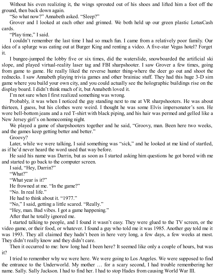Without his even realizing it, the wings sprouted out of his shoes and lifted him a foot off the ground, then back down again.

"So what now?" Annabeth asked. "Sleep?"

Grover and I looked at each other and grinned. We both held up our green plastic LotusCash cards.

"Play time," I said.

I couldn't remember the last time I had so much fun. I came from a relatively poor family. Our idea of a splurge was eating out at Burger King and renting a video. A five-star Vegas hotel? Forget it.

I bungee-jumped the lobby five or six times, did the waterslide, snowboarded the artificial ski slope, and played virtual-reality laser tag and FBI sharpshooter. I saw Grover a few times, going from game to game. He really liked the reverse hunter thing-where the deer go out and shoot the rednecks. I saw Annabeth playing trivia games and other brainiac stuff. They had this huge 3-D sim game where you build your own city, and you could actually see the holographic buildings rise on the display board. I didn't think much of it, but Annabeth loved it.

I'm not sure when I first realized something was wrong.

Probably, it was when I noticed the guy standing next to me at VR sharpshooters. He was about thirteen, I guess, but his clothes were weird. I thought he was some Elvis impersonator's son. He wore bell-bottom jeans and a red T-shirt with black piping, and his hair was permed and gelled like a New Jersey girl's on homecoming night.

We played a game of sharpshooters together and he said, "Groovy, man. Been here two weeks, and the games keep getting better and better."

Groovy?

Later, while we were talking, I said something was "sick," and he looked at me kind of startled, as if he'd never heard the word used that way before.

He said his name was Darrin, but as soon as I started asking him questions he got bored with me and started to go back to the computer screen.

I said, "Hey, Darrin?" "What?" "What year is it?" He frowned at me. "In the game?" "No. In real life."

He had to think about it. "1977."

"No," I said, getting a little scared. "Really."

"Hey, man. Bad vibes. I got a game happening."

After that he totally ignored me.

I started talking to people, and I found it wasn't easy. They were glued to the TV screen, or the video game, or their food, or whatever. I found a guy who told me it was 1985. Another guy told me it was 1993. They all claimed they hadn't been in here very long, a few days, a few weeks at most. They didn't really know and they didn't care.

Then it occurred to me: how long had I been here? It seemed like only a couple of hours, but was it?

I tried to remember why we were here. We were going to Los Angeles. We were supposed to find the entrance to the Underworld. My mother … for a scary second, I had trouble remembering her name. Sally. Sally Jackson. I had to find her. I had to stop Hades from causing World War III.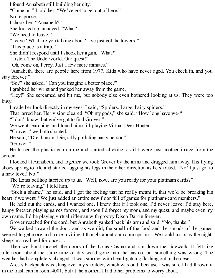I found Annabeth still building her city.

"Come on," I told her. "We've got to get out of here."

No response.

I shook her. "Annabeth?"

She looked up, annoyed. "What?

"We need to leave."

"Leave? What are you talking about? I've just got the towers-"

"This place is a trap."

She didn't respond until I shook her again. "What?"

"Listen. The Underworld. Our quest!"

"Oh, come on, Percy. Just a few more minutes."

"Annabeth, there are people here from 1977. Kids who have never aged. You check in, and you stay forever."

"So?" she asked. "Can you imagine a better place?"

I grabbed her wrist and yanked her away from the game.

"Hey!" She screamed and hit me, but nobody else even bothered looking at us. They were too busy.

I made her look directly in my eyes. I said, "Spiders. Large, hairy spiders."

That jarred her. Her vision cleared. "Oh my gods," she said. "How long have we-"

"I don't know, but we've got to find Grover."

We went searching, and found him still playing Virtual Deer Hunter.

"Grover!" we both shouted.

He said, "Die, human! Die, silly polluting nasty person!"

"Grover!"

He turned the plastic gun on me and started clicking, as if I were just another image from the screen.

I looked at Annabeth, and together we took Grover by the arms and dragged him away. His flying shoes sprang to life and started tugging his legs in the other direction as he shouted, "No! I just got to a new level! No!"

The Lotus bellhop hurried up to us. "Well, now, are you ready for your platinum cards?"

"We're leaving," I told him.

"Such a shame," he said, and I got the feeling that he really meant it, that we'd be breaking his heart if we went. "We just added an entire new floor full of games for platinum-card members."

He held out the cards, and I wanted one. I knew that if I took one, I'd never leave. I'd stay here, happy forever, playing games forever, and soon I'd forget my mom, and my quest, and maybe even my own name. I'd be playing virtual rifleman with groovy Disco Darrin forever.

Grover reached for the card, but Annabeth yanked back his arm and said, "No, thanks."

We walked toward the door, and as we did, the smell of the food and the sounds of the games seemed to get more and more inviting. I thought about our room upstairs. We could just stay the night, sleep in a real bed for once….

Then we burst through the doors of the Lotus Casino and ran down the sidewalk. It felt like afternoon, about the same time of day we'd gone into the casino, but something was wrong. The weather had completely changed. It was stormy, with heat lightning flashing out in the desert.

Ares's backpack was slung over my shoulder, which was odd, because I was sure I had thrown it in the trash can in room 4001, but at the moment I had other problems to worry about.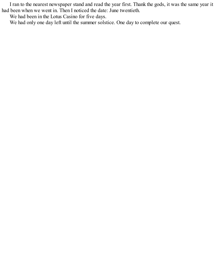I ran to the nearest newspaper stand and read the year first. Thank the gods, it was the same year it had been when we went in. Then I noticed the date: June twentieth.

We had been in the Lotus Casino for five days.

We had only one day left until the summer solstice. One day to complete our quest.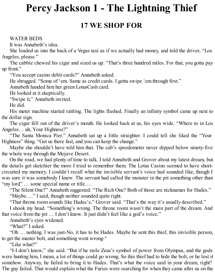## **Percy Jackson 1 - The Lightning Thief**

### **17 WE SHOP FOR**

### WATER BEDS

It was Annabeth's idea.

She loaded us into the back of a Vegas taxi as if we actually had money, and told the driver, "Los Angeles, please."

The cabbie chewed his cigar and sized us up. "That's three hundred miles. For that, you gotta pay up front."

"You accept casino debit cards?" Annabeth asked.

He shrugged. "Some of 'em. Same as credit cards. I gotta swipe 'em through first."

Annabeth handed him her green LotusCash card.

He looked at it skeptically.

"Swipe it," Annabeth invited.

He did.

His meter machine started rattling. The lights flashed. Finally an infinity symbol came up next to the dollar sign.

The cigar fell out of the driver's mouth. He looked back at us, his eyes wide. "Where to in Los Angeles… uh, Your Highness?"

"The Santa Monica Pier." Annabeth sat up a little straighter. I could tell she liked the "Your Highness" thing. "Get us there fast, and you can keep the change."

Maybe she shouldn't have told him that. The cab's speedometer never dipped below ninety-five the whole way through the Mojave Desert.

On the road, we had plenty of time to talk. I told Annabeth and Grover about my latest dream, but the details got sketchier the more I tried to remember them. The Lotus Casino seemed to have shortcircuited my memory. I couldn't recall what the invisible servant's voice had sounded like, though I was sure it was somebody I knew. The servant had called the monster in the pit something other than "my lord" ... some special name or title....

"The Silent One?" Annabeth suggested. "The Rich One? Both of those are nicknames for Hades." "Maybe …" I said, though neither sounded quite right.

"That throne room sounds like Hades's," Grover said. "That's the way it's usually described."

I shook my head. "Something's wrong. The throne room wasn't the main part of the dream. And that voice from the pit … I don't know. It just didn't feel like a god's voice."

Annabeth's eyes widened.

"What?" I asked.

"Oh … nothing. I was just-No, it has to be Hades. Maybe he sent this thief, this invisible person, to get the master bolt, and something went wrong-"

"Like what?"

"I-I don't know," she said. "But if he stole Zeus's symbol of power from Olympus, and the gods were hunting him, I mean, a lot of things could go wrong. So this thief had to hide the bolt, or he lost it somehow. Anyway, he failed to bring it to Hades. That's what the voice said in your dream, right? The guy failed. That would explain what the Furies were searching for when they came after us on the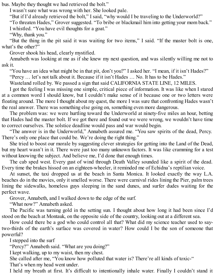bus. Maybe they thought we had retrieved the bolt."

I wasn't sure what was wrong with her. She looked pale.

"But if I'd already retrieved the bolt," I said, "why would I be traveling to the Underworld?"

"To threaten Hades," Grover suggested. "To bribe or blackmail him into getting your mom back." I whistled. "You have evil thoughts for a goat."

"Why, thank you."

"But the thing in the pit said it was waiting for two items," I said. "If the master bolt is one, what's the other?"

Grover shook his head, clearly mystified.

Annabeth was looking at me as if she knew my next question, and was silently willing me not to ask it.

"You have an idea what might be in that pit, don't you?" I asked her. "I mean, if it isn't Hades?"

"Percy … let's not talk about it. Because if it isn't Hades … No. It has to be Hades."

Wasteland rolled by. We passed a sign that said CALIFORNIA STATE LINE, 12 MILES.

I got the feeling I was missing one simple, critical piece of information. It was like when I stared at a common word I should know, but I couldn't make sense of it because one or two letters were floating around. The more I thought about my quest, the more I was sure that confronting Hades wasn't the real answer. There was something else going on, something even more dangerous.

The problem was: we were hurtling toward the Underworld at ninety-five miles an hour, betting that Hades had the master bolt. If we got there and found out we were wrong, we wouldn't have time to correct ourselves. The solstice deadline would pass and war would begin.

"The answer is in the Underworld," Annabeth assured me. "You saw spirits of the dead, Percy. There's only one place that could be. We're doing the right thing."

She tried to boost our morale by suggesting clever strategies for getting into the Land of the Dead, but my heart wasn't in it. There were just too many unknown factors. It was like cramming for a test without knowing the subject. And believe me, I'd done that enough times.

The cab sped west. Every gust of wind through Death Valley sounded like a spirit of the dead. Every time the brakes hissed on an eighteen-wheeler, it reminded me of Echidna's reptilian voice.

At sunset, the taxi dropped us at the beach in Santa Monica. It looked exactly the way L.A. beaches do in the movies, only it smelled worse. There were carnival rides lining the Pier, palm trees lining the sidewalks, homeless guys sleeping in the sand dunes, and surfer dudes waiting for the perfect wave.

Grover, Annabeth, and I walked down to the edge of the surf.

"What now?" Annabeth asked.

The Pacific was turning gold in the setting sun. I thought about how long it had been since I'd stood on the beach at Montauk, on the opposite side of the country, looking out at a different sea.

How could there be a god who could control all that? What did my science teacher used to saytwo-thirds of the earth's surface was covered in water? How could I be the son of someone that powerful?

I stepped into the surf

"Percy?" Annabeth said. "What are you doing?"

I kept walking, up to my waist, then my chest.

She called after me, "You know how polluted that water is? There're all kinds of toxic-"

That's when my head went under.

I held my breath at first. It's difficult to intentionally inhale water. Finally I couldn't stand it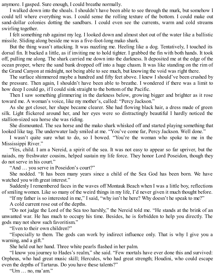anymore. I gasped. Sure enough, I could breathe normally.

I walked down into the shoals. I shouldn't have been able to see through the murk, but somehow I could tell where everything was. I could sense the rolling texture of the bottom. I could make out sand-dollar colonies dotting the sandbars. I could even see the currents, warm and cold streams swirling together.

I felt something rub against my leg. I looked down and almost shot out of the water like a ballistic missile. Sliding along beside me was a five-foot-long mako shark.

But the thing wasn't attacking. It was nuzzling me. Heeling like a dog. Tentatively, I touched its dorsal fin. It bucked a little, as if inviting me to hold tighter. I grabbed the fin with both hands. It took off, pulling me along. The shark carried me down into the darkness. It deposited me at the edge of the ocean proper, where the sand bank dropped off into a huge chasm. It was like standing on the rim of the Grand Canyon at midnight, not being able to see much, but knowing the void was right there.

The surface shimmered maybe a hundred and fifty feet above. I knew I should've been crushed by the pressure. Then again, I shouldn't have been able to breathe. I wondered if there was a limit to how deep I could go, if I could sink straight to the bottom of the Pacific.

Then I saw something glimmering in the darkness below, growing bigger and brighter as it rose toward me. A woman's voice, like my mother's, called: "Percy Jackson."

As she got closer, her shape became clearer. She had flowing black hair, a dress made of green silk. Light flickered around her, and her eyes were so distractingly beautiful I hardly noticed the stallion-sized sea horse she was riding.

She dismounted. The sea horse and the mako shark whisked off and started playing something that looked like tag. The underwater lady smiled at me. "You've come far, Percy Jackson. Well done."

I wasn't quite sure what to do, so I bowed. "You're the woman who spoke to me in the Mississippi River."

"Yes, child. I am a Nereid, a spirit of the sea. It was not easy to appear so far upriver, but the naiads, my freshwater cousins, helped sustain my life force. They honor Lord Poseidon, though they do not serve in his court."

"And … you serve in Poseidon's court?"

She nodded. "It has been many years since a child of the Sea God has been born. We have watched you with great interest."

Suddenly I remembered faces in the waves off Montauk Beach when I was a little boy, reflections of smiling women. Like so many of the weird things in my life, I'd never given it much thought before.

"If my father is so interested in me," I said, "why isn't he here? Why doesn't he speak to me?"

A cold current rose out of the depths.

"Do not judge the Lord of the Sea too harshly," the Nereid told me. "He stands at the brink of an unwanted war. He has much to occupy his time. Besides, he is forbidden to help you directly. The gods may not show such favoritism."

"Even to their own children?"

"Especially to them. The gods can work by indirect influence only. That is why I give you a warning, and a gift."

She held out her hand. Three white pearls flashed in her palm.

"I know you journey to Hades's realm," she said. "Few mortals have ever done this and survived: Orpheus, who had great music skill; Hercules, who had great strength; Houdini, who could escape even the depths of Tartarus. Do you have these talents?"

"Urn … no, ma'am."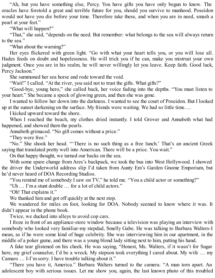"Ah, but you have something else, Percy. You have gifts you have only begun to know. The oracles have foretold a great and terrible future for you, should you survive to manhood. Poseidon would not have you die before your time. Therefore take these, and when you are in need, smash a pearl at your feet."

"What will happen?"

"That," she said, "depends on the need. But remember: what belongs to the sea will always return to the sea."

"What about the warning?"

Her eyes flickered with green light. "Go with what your heart tells you, or you will lose all. Hades feeds on doubt and hopelessness. He will trick you if he can, make you mistrust your own judgment. Once you are in his realm, he will never willingly let you leave. Keep faith. Good luck, Percy Jackson."

She summoned her sea horse and rode toward the void.

"Wait!" I called. "At the river, you said not to trust the gifts. What gifts?"

"Good-bye, young hero," she called back, her voice fading into the depths. "You must listen to your heart." She became a speck of glowing green, and then she was gone.

I wanted to follow her down into the darkness. I wanted to see the court of Poseidon. But I looked up at the sunset darkening on the surface. My friends were waiting. We had so little time….

I kicked upward toward the shore.

When I reached the beach, my clothes dried instantly. I told Grover and Annabeth what had happened, and showed them the pearls.

Annabeth grimaced. "No gift comes without a price."

"They were free."

"No." She shook her head. "'There is no such thing as a free lunch.' That's an ancient Greek saying that translated pretty well into American. There will be a price. You wait."

On that happy thought, we turned our backs on the sea.

With some spare change from Ares's backpack, we took the bus into West Hollywood. I showed the driver the Underworld address slip I'd taken from Aunty Em's Garden Gnome Emporium, but he'd never heard of DOA Recording Studios.

"You remind me of somebody I saw on TV," he told me. "You a child actor or something?"

"Uh … I'm a stunt double … for a lot of child actors."

"Oh! That explains it."

We thanked him and got off quickly at the next stop.

We wandered for miles on foot, looking for DOA. Nobody seemed to know where it was. It didn't appear in the phone book.

Twice, we ducked into alleys to avoid cop cars.

I froze in front of an appliance-store window because a television was playing an interview with somebody who looked very familiar-my stepdad, Smelly Gabe. He was talking to Barbara Walters-I mean, as if he were some kind of huge celebrity. She was interviewing him in our apartment, in the middle of a poker game, and there was a young blond lady sitting next to him, patting his hand.

A fake tear glistened on his cheek. He was saying, "Honest, Ms. Walters, if it wasn't for Sugar here, my grief counselor, I'd be a wreck. My stepson took everything I cared about. My wife ... my Camaro … I-I'm sorry. I have trouble talking about it."

"There you have it, America." Barbara Walters turned to the camera. "A man torn apart. An adolescent boy with serious issues. Let me show you, again, the last known photo of this troubled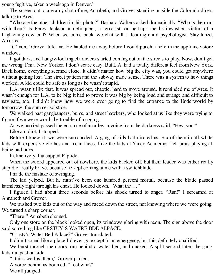young fugitive, taken a week ago in Denver."

The screen cut to a grainy shot of me, Annabeth, and Grover standing outside the Colorado diner, talking to Ares.

"Who are the other children in this photo?" Barbara Walters asked dramatically. "Who is the man with them? Is Percy Jackson a delinquent, a terrorist, or perhaps the brainwashed victim of a frightening new cult? When we come back, we chat with a leading child psychologist. Stay tuned, America."

"C'mon," Grover told me. He hauled me away before I could punch a hole in the appliance-store window.

It got dark, and hungry-looking characters started coming out on the streets to play. Now, don't get me wrong. I'm a New Yorker. I don't scare easy. But L.A. had a totally different feel from New York. Back home, everything seemed close. It didn't matter how big the city was, you could get anywhere without getting lost. The street pattern and the subway made sense. There was a system to how things worked. A kid could be safe as long as he wasn't stupid.

L.A. wasn't like that. It was spread out, chaotic, hard to move around. It reminded me of Ares. It wasn't enough for L.A. to be big; it had to prove it was big by being loud and strange and difficult to navigate, too. I didn't know how we were ever going to find the entrance to the Underworld by tomorrow, the summer solstice.

We walked past gangbangers, bums, and street hawkers, who looked at us like they were trying to figure if we were worth the trouble of mugging.

As we hurried passed the entrance of an alley, a voice from the darkness said, "Hey, you." Like an idiot, I stopped.

Before I knew it, we were surrounded. A gang of kids had circled us. Six of them in all-white kids with expensive clothes and mean faces. Like the kids at Yancy Academy: rich brats playing at being bad boys.

Instinctively, I uncapped Riptide.

When the sword appeared out of nowhere, the kids backed off, but their leader was either really stupid or really brave, because he kept coming at me with a switchblade.

I made the mistake of swinging.

The kid yelped. But he must've been one hundred percent mortal, because the blade passed harmlessly right through his chest. He looked down. "What the ..."

I figured I had about three seconds before his shock turned to anger. "Run!" I screamed at Annabeth and Grover.

We pushed two kids out of the way and raced down the street, not knowing where we were going. We turned a sharp corner.

"There!" Annabeth shouted.

Only one store on the block looked open, its windows glaring with neon. The sign above the door said something like CRSTUY'S WATRE BDE ALPACE.

"Crusty's Water Bed Palace?" Grover translated.

It didn't sound like a place I'd ever go except in an emergency, but this definitely qualified.

We burst through the doors, ran behind a water bed, and ducked. A split second later, the gang kids ran past outside.

"I think we lost them," Grover panted.

A voice behind us boomed, "Lost who?"

We all jumped.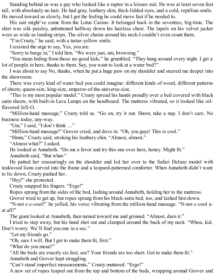Standing behind us was a guy who looked like a raptor in a leisure suit. He was at least seven feet tall, with absolutely no hair. He had gray, leathery skin, thick-lidded eyes, and a cold, reptilian smile. He moved toward us slowly, but I got the feeling he could move fast if he needed to.

His suit might've come from the Lotus Casino. It belonged back in the seventies, big-time. The shirt was silk paisley, unbuttoned halfway down his hairless chest. The lapels on his velvet jacket were as wide as landing strips. The silver chains around his neck-I couldn't even count them.

"I'm Crusty," he said, with a tartar-yellow smile.

I resisted the urge to say, Yes, you are.

"Sorry to barge in," I told him. "We were just, um, browsing."

"You mean hiding from those no-good kids," he grumbled. "They hang around every night. I get a lot of people in here, thanks to them. Say, you want to look at a water bed?"

I was about to say No, thanks, when he put a huge paw on my shoulder and steered me deeper into the showroom.

There was every kind of water bed you could imagine: different kinds of wood, different patterns of sheets; queen-size, king-size, emperor-of-the-universe-size.

"This is my most popular model." Crusty spread his hands proudly over a bed covered with black satin sheets, with built-in Lava Lamps on the headboard. The mattress vibrated, so it looked like oilflavored Jell-O.

"Million-hand massage," Crusty told us. "Go on, try it out. Shoot, take a nap. I don't care. No business today, any-way.

"Um," I said, "I don't think …"

"Million-hand massage!" Grover cried, and dove in. "Oh, you guys! This is cool."

"Hmm," Crusty said, stroking his leathery chin. "Almost, almost."

"Almost what?" I asked.

He looked at Annabeth. "Do me a favor and try this one over here, honey. Might fit."

Annabeth said, "But what-"

He patted her reassuringly on the shoulder and led her over to the Safari Deluxe model with teakwood lions carved into the frame and a leopard-patterned comforter. When Annabeth didn't want to lie down, Crusty pushed her.

"Hey!" she protested.

Crusty snapped his fingers. "Ergo!"

Ropes sprang from the sides of the bed, lashing around Annabeth, holding her to the mattress.

Grover tried to get up, but ropes sprang from his black-satin bed, too, and lashed him down.

"N-not c-c-cool!" he yelled, his voice vibrating from the million-hand massage. "N-not c-cool aat all!"

The giant looked at Annabeth, then turned toward me and grinned. "Almost, darn it."

I tried to step away, but his hand shot out and clamped around the back of my neck. "Whoa, kid. Don't worry. We'll find you one in a sec."

"Let my friends go."

"Oh, sure I will. But I got to make them fit, first."

"What do you mean?"

"All the beds are exactly six feet, see? Your friends are too short. Got to make them fit." Annabeth and Grover kept struggling.

"Can't stand imperfect measurements," Crusty muttered. "Ergo!"

A new set of ropes leaped out from the top and bottom of the beds, wrapping around Grover and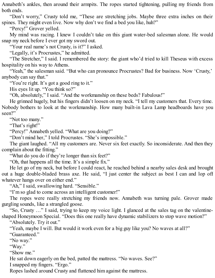Annabeth's ankles, then around their armpits. The ropes started tightening, pulling my friends from both ends.

"Don't worry," Crusty told me, "These are stretching jobs. Maybe three extra inches on their spines. They might even live. Now why don't we find a bed you like, huh?"

"Percy!" Grover yelled.

My mind was racing. I knew I couldn't take on this giant water-bed salesman alone. He would snap my neck before I ever got my sword out.

"Your real name's not Crusty, is it?" I asked.

"Legally, it's Procrustes," he admitted.

"The Stretcher," I said. I remembered the story: the giant who'd tried to kill Theseus with excess hospitality on his way to Athens.

"Yeah," the salesman said. "But who can pronounce Procrustes? Bad for business. Now 'Crusty,' anybody can say that."

"You're right. It's got a good ring to it."

His eyes lit up. "You think so?"

"Oh, absolutely," I said. "And the workmanship on these beds? Fabulous!"

He grinned hugely, but his fingers didn't loosen on my neck. "I tell my customers that. Every time. Nobody bothers to look at the workmanship. How many built-in Lava Lamp headboards have you seen?"

"Not too many."

"That's right!"

"Percy!" Annabeth yelled. "What are you doing?"

"Don't mind her," I told Procrustes. "She's impossible."

The giant laughed. "All my customers are. Never six feet exactly. So inconsiderate. And then they complain about the fitting."

"What do you do if they're longer than six feet?"

"Oh, that happens all the time. It's a simple fix."

He let go of my neck, but before I could react, he reached behind a nearby sales desk and brought out a huge double-bladed brass axe. He said, "I just center the subject as best I can and lop off whatever hangs over on either end."

"Ah," I said, swallowing hard. "Sensible."

"I'm so glad to come across an intelligent customer!"

The ropes were really stretching my friends now. Annabeth was turning pale. Grover made gurgling sounds, like a strangled goose.

"So, Crusty …" I said, trying to keep my voice light. I glanced at the sales tag on the valentineshaped Honeymoon Special. "Does this one really have dynamic stabilizers to stop wave motion?"

"Absolutely. Try it out."

"Yeah, maybe I will. But would it work even for a big guy like you? No waves at all?"

"Guaranteed."

"No way."

"Way."

"Show me."

He sat down eagerly on the bed, patted the mattress. "No waves. See?"

I snapped my fingers. "Ergo."

Ropes lashed around Crusty and flattened him against the mattress.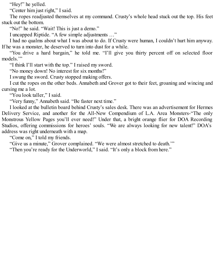"Hey!" he yelled.

"Center him just right," I said.

The ropes readjusted themselves at my command. Crusty's whole head stuck out the top. His feet stuck out the bottom.

"No!" he said. "Wait! This is just a demo."

I uncapped Riptide. "A few simple adjustments …"

I had no qualms about what I was about to do. If Crusty were human, I couldn't hurt him anyway. If he was a monster, he deserved to turn into dust for a while.

"You drive a hard bargain," he told me. "I'll give you thirty percent off on selected floor models."

"I think I'll start with the top." I raised my sword.

"No money down! No interest for six months!"

I swung the sword. Crusty stopped making offers.

I cut the ropes on the other beds. Annabeth and Grover got to their feet, groaning and wincing and cursing me a lot.

"You look taller," I said.

"Very funny," Annabeth said. "Be faster next time."

I looked at the bulletin board behind Crusty's sales desk. There was an advertisement for Hermes Delivery Service, and another for the All-New Compendium of L.A. Area Monsters-"The only Monstrous Yellow Pages you'll ever need!" Under that, a bright orange flier for DOA Recording Studios, offering commissions for heroes' souls. "We are always looking for new talent!" DOA's address was right underneath with a map.

"Come on," I told my friends.

"Give us a minute," Grover complained. "We were almost stretched to death.'"

"Then you're ready for the Underworld," I said. "It's only a block from here."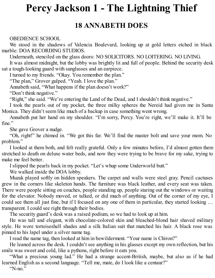## **Percy Jackson 1 - The Lightning Thief**

### **18 ANNABETH DOES**

### OBEDIENCE SCHOOL

We stood in the shadows of Valencia Boulevard, looking up at gold letters etched in black marble: DOA RECORDING STUDIOS.

Underneath, stenciled on the glass doors: NO SOLICITORS. NO LOITERING. NO LIVING.

It was almost midnight, but the lobby was brightly lit and full of people. Behind the security desk sat a tough-looking guard with sunglasses and an earpiece.

I turned to my friends. "Okay. You remember the plan."

"The plan," Grover gulped. "Yeah. I love the plan."

Annabeth said, "What happens if the plan doesn't work?"

"Don't think negative."

"Right," she said. "We're entering the Land of the Dead, and I shouldn't think negative."

I took the pearls out of my pocket, the three milky spheres the Nereid had given me in Santa Monica. They didn't seem like much of a backup in case something went wrong.

Annabeth put her hand on my shoulder. "I'm sorry, Percy. You're right, we'll make it. It'll be fine."

She gave Grover a nudge.

"Oh, right!" he chimed in. "We got this far. We'll find the master bolt and save your mom. No problem."

I looked at them both, and felt really grateful. Only a few minutes before, I'd almost gotten them stretched to death on deluxe water beds, and now they were trying to be brave for my sake, trying to make me feel better.

I slipped the pearls back in my pocket. "Let's whup some Underworld butt."

We walked inside the DOA lobby.

Muzak played softly on hidden speakers. The carpet and walls were steel gray. Pencil cactuses grew in the corners like skeleton hands. The furniture was black leather, and every seat was taken. There were people sitting on couches, people standing up, people staring out the windows or waiting for the elevator. Nobody moved, or talked, or did much of anything. Out of the corner of my eye, I could see them all just fine, but if I focused on any one of them in particular, they started looking … transparent. I could see right through their bodies.

The security guard's desk was a raised podium, so we had to look up at him.

He was tall and elegant, with chocolate-colored skin and bleached-blond hair shaved military style. He wore tortoiseshell shades and a silk Italian suit that matched his hair. A black rose was pinned to his lapel under a silver name tag.

I read the name tag, then looked at him in bewilderment. "Your name is Chiron?"

He leaned across the desk. I couldn't see anything in his glasses except my own reflection, but his smile was sweet and cold, like a pythons, right before it eats you.

"What a precious young lad." He had a strange accent-British, maybe, but also as if he had learned English as a second language. "Tell me, mate, do I look like a centaur?"

"N-no."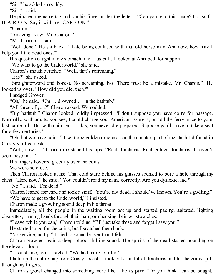"Sir," he added smoothly.

"Sir," I said.

He pinched the name tag and ran his finger under the letters. "Can you read this, mate? It says C-H-A-R-O-N. Say it with me: CARE-ON."

"Charon."

"Amazing! Now: Mr. Charon."

"Mr. Charon," I said.

"Well done." He sat back. "I hate being confused with that old horse-man. And now, how may I help you little dead ones?"

His question caught in my stomach like a fastball. I looked at Annabeth for support.

"We want to go the Underworld," she said.

Charon's mouth twitched. "Well, that's refreshing."

"It is?" she asked.

"Straightforward and honest. No screaming. No 'There must be a mistake, Mr. Charon.'" He looked us over. "How did you die, then?"

I nudged Grover.

"Oh," he said. "Um … drowned … in the bathtub."

"All three of you?" Charon asked. We nodded.

"Big bathtub." Charon looked mildly impressed. "I don't suppose you have coins for passage. Normally, with adults, you see, I could charge your American Express, or add the ferry price to your last cable bill. But with children … alas, you never die prepared. Suppose you'll have to take a seat for a few centuries."

"Oh, but we have coins." I set three golden drachmas on the counter, part of the stash I'd found in Crusty's office desk.

"Well, now …" Charon moistened his lips. "Real drachmas. Real golden drachmas. I haven't seen these in …"

His fingers hovered greedily over the coins.

We were so close.

Then Charon looked at me. That cold stare behind his glasses seemed to bore a hole through my chest. "Here now," he said. "You couldn't read my name correctly. Are you dyslexic, lad?"

"No," I said. "I'm dead."

Charon leaned forward and took a sniff. "You're not dead. I should've known. You're a godling." "We have to get to the Underworld," I insisted.

Charon made a growling sound deep in his throat.

Immediately, all the people in the waiting room got up and started pacing, agitated, lighting cigarettes, running hands through their hair, or checking their wristwatches.

"Leave while you can," Charon told us. "I'll just take these and forget I saw you."

He started to go for the coins, but I snatched them back.

"No service, no tip." I tried to sound braver than I felt.

Charon growled again-a deep, blood-chilling sound. The spirits of the dead started pounding on the elevator doors.

"It's a shame, too," I sighed. "We had more to offer."

I held up the entire bag from Crusty's stash. I took out a fistful of drachmas and let the coins spill through my fingers.

Charon's growl changed into something more like a lion's purr. "Do you think I can be bought,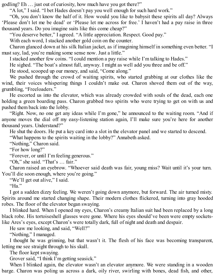godling? Eh … just out of curiosity, how much have you got there?"

"A lot," I said. "I bet Hades doesn't pay you well enough for such hard work."

"Oh, you don't know the half of it. How would you like to babysit these spirits all day? Always 'Please don't let me be dead' or 'Please let me across for free.' I haven't had a pay raise in three thousand years. Do you imagine suits like this come cheap?"

"You deserve better," I agreed. "A little appreciation. Respect. Good pay."

With each word, I stacked another gold coin on the counter.

Charon glanced down at his silk Italian jacket, as if imagining himself in something even better. "I must say, lad, you're making some sense now. Just a little."

I stacked another few coins. "I could mention a pay raise while I'm talking to Hades."

He sighed. "The boat's almost full, anyway. I might as well add you three and be off."

He stood, scooped up our money, and said, "Come along."

We pushed through the crowd of waiting spirits, who started grabbing at our clothes like the wind, their voices whispering things I couldn't make out. Charon shoved them out of the way, grumbling, "Freeloaders."

He escorted us into the elevator, which was already crowded with souls of the dead, each one holding a green boarding pass. Charon grabbed two spirits who were trying to get on with us and pushed them back into the lobby.

"Right. Now, no one get any ideas while I'm gone," he announced to the waiting room. "And if anyone moves the dial off my easy-listening station again, I'll make sure you're here for another thousand years. Understand?"

He shut the doors. He put a key card into a slot in the elevator panel and we started to descend.

"What happens to the spirits waiting in the lobby?" Annabeth asked.

"Nothing," Charon said.

"For how long?"

"Forever, or until I'm feeling generous."

"Oh," she said. "That's … fair."

Charon raised an eyebrow. "Whoever said death was fair, young miss? Wait until it's your turn. You'll die soon enough, where you're going."

"We'll get out alive," I said.

"Ha."

I got a sudden dizzy feeling. We weren't going down anymore, but forward. The air turned misty. Spirits around me started changing shape. Their modern clothes flickered, turning into gray hooded robes. The floor of the elevator began swaying.

I blinked hard. When I opened my eyes, Charon's creamy Italian suit had been replaced by a long black robe. His tortoiseshell glasses were gone. Where his eyes should've been were empty socketslike Ares's eyes, except Charon's were totally dark, full of night and death and despair.

He saw me looking, and said, "Well?"

"Nothing," I managed.

I thought he was grinning, but that wasn't it. The flesh of his face was becoming transparent, letting me see straight through to his skull.

The floor kept swaying.

Grover said, "I think I'm getting seasick."

When I blinked again, the elevator wasn't an elevator anymore. We were standing in a wooden barge. Charon was poling us across a dark, oily river, swirling with bones, dead fish, and other,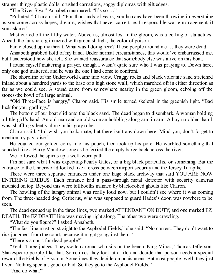stranger things-plastic dolls, crushed carnations, soggy diplomas with gilt edges.

"The River Styx," Annabeth murmured. "It's so …"

"Polluted," Charon said. "For thousands of years, you humans have been throwing in everything as you come across-hopes, dreams, wishes that never came true. Irresponsible waste management, if you ask me."

Mist curled off the filthy water. Above us, almost lost in the gloom, was a ceiling of stalactites. Ahead, the far shore glimmered with greenish light, the color of poison.

Panic closed up my throat. What was I doing here? These people around me … they were dead.

Annabeth grabbed hold of my hand. Under normal circumstances, this would've embarrassed me, but I understood how she felt. She wanted reassurance that somebody else was alive on this boat.

I found myself muttering a prayer, though I wasn't quite sure who I was praying to. Down here, only one god mattered, and he was the one I had come to confront.

The shoreline of the Underworld came into view. Craggy rocks and black volcanic sand stretched inland about a hundred yards to the base of a high stone wall, which marched off in either direction as far as we could see. A sound came from somewhere nearby in the green gloom, echoing off the stones-the howl of a large animal.

"Old Three-Face is hungry," Charon said. His smile turned skeletal in the greenish light. "Bad luck for you, godlings."

The bottom of our boat slid onto the black sand. The dead began to disembark. A woman holding a little girl's hand. An old man and an old woman hobbling along arm in arm. A boy no older than I was, shuffling silently along in his gray robe.

Charon said, "I'd wish you luck, mate, but there isn't any down here. Mind you, don't forget to mention my pay raise."

He counted our golden coins into his pouch, then took up his pole. He warbled something that sounded like a Barry Manilow song as he ferried the empty barge back across the river.

We followed the spirits up a well-worn path.

I'm not sure what I was expecting-Pearly Gates, or a big black portcullis, or something. But the entrance to the Underworld looked like a cross between airport security and the Jersey Turnpike.

There were three separate entrances under one huge black archway that said YOU ARE NOW ENTERING EREBUS. Each entrance had a pass-through metal detector with security cameras mounted on top. Beyond this were tollbooths manned by black-robed ghouls like Charon.

The howling of the hungry animal was really loud now, but I couldn't see where it was coming from. The three-headed dog, Cerberus, who was supposed to guard Hades's door, was nowhere to be seen.

The dead queued up in the three lines, two marked ATTENDANT ON DUTY, and one marked EZ DEATH. The EZ DEATH line was moving right along. The other two were crawling.

"What do you figure?" I asked Annabeth.

"The fast line must go straight to the Asphodel Fields," she said. "No contest. They don't want to risk judgment from the court, because it might go against them."

"There's a court for dead people?"

"Yeah. Three judges. They switch around who sits on the bench. King Minos, Thomas Jefferson, Shakespeare-people like that. Sometimes they look at a life and decide that person needs a special reward-the Fields of Elysium. Sometimes they decide on punishment. But most people, well, they just lived. Nothing special, good or bad. So they go to the Asphodel Fields."

"And do what?"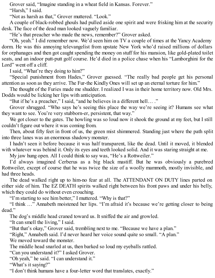Grover said, "Imagine standing in a wheat field in Kansas. Forever."

"Harsh," I said.

"Not as harsh as that," Grover muttered. "Look."

A couple of black-robbed ghouls had pulled aside one spirit and were frisking him at the security desk. The face of the dead man looked vaguely familiar.

"He's that preacher who made the news, remember?" Grover asked.

"Oh, yeah." I did remember now. We'd seen him on TV a couple of times at the Yancy Academy dorm. He was this annoying televangelist from upstate New York who'd raised millions of dollars for orphanages and then got caught spending the money on stuff for his mansion, like gold-plated toilet seats, and an indoor putt-putt golf course. He'd died in a police chase when his "Lamborghini for the Lord" went off a cliff.

I said, "What're they doing to him?"

"Special punishment from Hades," Grover guessed. "The really bad people get his personal attention as soon as they arrive. The Fur-the Kindly Ones will set up an eternal torture for him."

The thought of the Furies made me shudder. I realized I was in their home territory now. Old Mrs. Dodds would be licking her lips with anticipation.

"But if he's a preacher," I said, "and he believes in a different hell… ."

Grover shrugged. "Who says he's seeing this place the way we're seeing it? Humans see what they want to see. You're very stubborn-er, persistent, that way."

We got closer to the gates. The howling was so loud now it shook the ground at my feet, but I still couldn't figure out where it was coming from.

Then, about fifty feet in front of us, the green mist shimmered. Standing just where the path split into three lanes was an enormous shadowy monster.

I hadn't seen it before because it was half transparent, like the dead. Until it moved, it blended with whatever was behind it. Only its eyes and teeth looked solid. And it was staring straight at me.

My jaw hung open. All I could think to say was, "He's a Rottweiler."

I'd always imagined Cerberus as a big black mastiff. But he was obviously a purebred Rottweiler, except of course that he was twice the size of a woolly mammoth, mostly invisible, and had three heads.

The dead walked right up to him-no fear at all. The ATTENDANT ON DUTY lines parted on either side of him. The EZ DEATH spirits walked right between his front paws and under his belly, which they could do without even crouching.

"I'm starting to see him better," I muttered. "Why is that?"

"I think …" Annabeth moistened her lips. "I'm afraid it's because we're getting closer to being dead."

The dog's middle head craned toward us. It sniffed the air and growled.

"It can smell the living," I said.

"But that's okay," Grover said, trembling next to me. "Because we have a plan."

"Right," Annabeth said. I'd never heard her voice sound quite so small. "A plan."

We moved toward the monster.

The middle head snarled at us, then barked so loud my eyeballs rattled.

"Can you understand it?" I asked Grover.

"Oh yeah," he said. "I can understand it."

"What's it saying?"

"I don't think humans have a four-letter word that translates, exactly."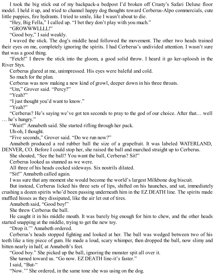I took the big stick out of my backpack-a bedpost I'd broken off Crusty's Safari Deluxe floor model. I held it up, and tried to channel happy dog thoughts toward Cerberus-Alpo commercials, cute little puppies, fire hydrants. I tried to smile, like I wasn't about to die.

"Hey, Big Fella," I called up. "I bet they don't play with you much."

"GROWWWLLLL!"

"Good boy," I said weakly.

I waved the stick. The dog's middle head followed the movement. The other two heads trained their eyes on me, completely ignoring the spirits. I had Cerberus's undivided attention. I wasn't sure that was a good thing.

"Fetch!" I threw the stick into the gloom, a good solid throw. I heard it go ker-sploosh in the River Styx.

Cerberus glared at me, unimpressed. His eyes were baleful and cold.

So much for the plan.

Cerberus was now making a new kind of growl, deeper down in his three throats.

"Um," Grover said. "Percy?"

"Yeah?"

"I just thought you'd want to know."

"Yeah?"

"Cerberus? He's saying we've got ten seconds to pray to the god of our choice. After that… well … he's hungry."

"Wait!" Annabeth said. She started rifling through her pack.

Uh-oh, I thought.

"Five seconds," Grover said. "Do we run now?"

Annabeth produced a red rubber ball the size of a grapefruit. It was labeled WATERLAND, DENVER, CO. Before I could stop her, she raised the ball and marched straight up to Cerberus.

She shouted, "See the ball? You want the ball, Cerberus? Sit!"

Cerberus looked as stunned as we were.

All three of his heads cocked sideways. Six nostrils dilated.

"Sit!" Annabeth called again.

I was sure that any moment she would become the world's largest Milkbone dog biscuit.

But instead, Cerberus licked his three sets of lips, shifted on his haunches, and sat, immediately crushing a dozen spirits who'd been passing underneath him in the EZ DEATH line. The spirits made muffled hisses as they dissipated, like the air let out of tires.

Annabeth said, "Good boy!"

She threw Cerberus the ball.

He caught it in his middle mouth. It was barely big enough for him to chew, and the other heads started snapping at the middle, trying to get the new toy.

"Drop it.'" Annabeth ordered.

Cerberus's heads stopped fighting and looked at her. The ball was wedged between two of his teeth like a tiny piece of gum. He made a loud, scary whimper, then dropped the ball, now slimy and bitten nearly in half, at Annabeth's feet.

"Good boy." She picked up the ball, ignoring the monster spit all over it.

She turned toward us. "Go now. EZ DEATH line-it's faster."

I said, "But-"

"Now.'" She ordered, in the same tone she was using on the dog.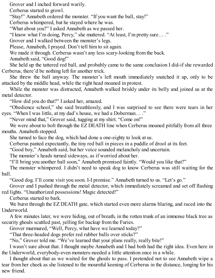Grover and I inched forward warily.

Cerberus started to growl.

"Stay!" Annabeth ordered the monster. "If you want the ball, stay!"

Cerberus whimpered, but he stayed where he was.

"What about you?" I asked Annabeth as we passed her.

"I know what I'm doing, Percy," she muttered. "At least, I'm pretty sure… ."

Grover and I walked between the monster's legs.

Please, Annabeth, I prayed. Don't tell him to sit again.

We made it through. Cerberus wasn't any less scary-looking from the back.

Annabeth said, "Good dog!"

She held up the tattered red ball, and probably came to the same conclusion I did-if she rewarded Cerberus, there'd be nothing left for another trick.

She threw the ball anyway. The monster's left mouth immediately snatched it up, only to be attacked by the middle head, while the right head moaned in protest.

While the monster was distracted, Annabeth walked briskly under its belly and joined us at the metal detector.

"How did you do that?" I asked her, amazed.

"Obedience school," she said breathlessly, and I was surprised to see there were tears in her eyes. "When I was little, at my dad's house, we had a Doberman..."

"Never mind that," Grover said, tugging at my shirt. "Come on!"

We were about to bolt through the EZ DEATH line when Cerberus moaned pitifully from all three mouths. Annabeth stopped.

She turned to face the dog, which had done a one-eighty to look at us.

Cerberus panted expectantly, the tiny red ball in pieces in a puddle of drool at its feet.

"Good boy," Annabeth said, but her voice sounded melancholy and uncertain.

The monster's heads turned sideways, as if worried about her.

"I'll bring you another ball soon," Annabeth promised faintly. "Would you like that?"

The monster whimpered. I didn't need to speak dog to know Cerberus was still waiting for the ball.

"Good dog. I'll come visit you soon. I-I promise." Annabeth turned to us. "Let's go."

Grover and I pushed through the metal detector, which immediately screamed and set off flashing red lights. "Unauthorized possessions! Magic detected!"

Cerberus started to bark.

We burst through the EZ DEATH gate, which started even more alarms blaring, and raced into the Underworld.

A few minutes later, we were hiding, out of breath, in the rotten trunk of an immense black tree as security ghouls scuttled past, yelling for backup from the Furies.

Grover murmured, "Well, Percy, what have we learned today?"

"That three-headed dogs prefer red rubber balls over sticks?"

"No," Grover told me. "We've learned that your plans really, really bite!"

I wasn't sure about that. I thought maybe Annabeth and I had both had the right idea. Even here in the Underworld, everybody-even monsters-needed a little attention once in a while.

I thought about that as we waited for the ghouls to pass. I pretended not to see Annabeth wipe a tear from her cheek as she listened to the mournful keening of Cerberus in the distance, longing for his new friend.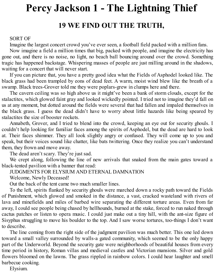# **Percy Jackson 1 - The Lightning Thief 19 WE FIND OUT THE TRUTH,**

#### SORT OF

Imagine the largest concert crowd you've ever seen, a football field packed with a million fans.

Now imagine a field a million times that big, packed with people, and imagine the electricity has gone out, and there is no noise, no light, no beach ball bouncing around over the crowd. Something tragic has happened backstage. Whispering masses of people are just milling around in the shadows, waiting for a concert that will never start.

If you can picture that, you have a pretty good idea what the Fields of Asphodel looked like. The black grass had been trampled by eons of dead feet. A warm, moist wind blew like the breath of a swamp. Black trees-Grover told me they were poplars-grew in clumps here and there.

The cavern ceiling was so high above us it might've been a bank of storm clouds, except for the stalactites, which glowed faint gray and looked wickedly pointed. I tried not to imagine they'd fall on us at any moment, but dotted around the fields were several that had fallen and impaled themselves in the black grass. I guess the dead didn't have to worry about little hazards like being speared by stalactites the size of booster rockets.

Annabeth, Grover, and I tried to blend into the crowd, keeping an eye out for security ghouls. I couldn't help looking for familiar faces among the spirits of Asphodel, but the dead are hard to look at. Their faces shimmer. They all look slightly angry or confused. They will come up to you and speak, but their voices sound like chatter, like bats twittering. Once they realize you can't understand them, they frown and move away.

The dead aren't scary. They're just sad.

We crept along, following the line of new arrivals that snaked from the main gates toward a black-tented pavilion with a banner that read:

#### JUDGMENTS FOR ELYSIUM AND ETERNAL DAMNATION

Welcome, Newly Deceased!

Out the back of the tent came two much smaller lines.

To the left, spirits flanked by security ghouls were marched down a rocky path toward the Fields of Punishment, which glowed and smoked in the distance, a vast, cracked wasteland with rivers of lava and minefields and miles of barbed wire separating the different torture areas. Even from far away, I could see people being chased by hellhounds, burned at the stake, forced to run naked through cactus patches or listen to opera music. I could just make out a tiny hill, with the ant-size figure of Sisyphus struggling to move his boulder to the top. And I saw worse tortures, too-things I don't want to describe.

The line coming from the right side of the judgment pavilion was much better. This one led down toward a small valley surrounded by walls-a gated community, which seemed to be the only happy part of the Underworld. Beyond the security gate were neighborhoods of beautiful houses from every time period in history, Roman villas and medieval castles and Victorian mansions. Silver and gold flowers bloomed on the lawns. The grass rippled in rainbow colors. I could hear laughter and smell barbecue cooking.

Elysium.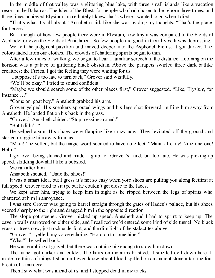In the middle of that valley was a glittering blue lake, with three small islands like a vacation resort in the Bahamas. The Isles of the Blest, for people who had chosen to be reborn three times, and three times achieved Elysium. Immediately I knew that's where I wanted to go when I died.

"That's what it's all about," Annabeth said, like she was reading my thoughts. "That's the place for heroes."

But I thought of how few people there were in Elysium, how tiny it was compared to the Fields of Asphodel or even the Fields of Punishment. So few people did good in their lives. It was depressing.

We left the judgment pavilion and moved deeper into the Asphodel Fields. It got darker. The colors faded from our clothes. The crowds of chattering spirits began to thin.

After a few miles of walking, we began to hear a familiar screech in the distance. Looming on the horizon was a palace of glittering black obsidian. Above the parapets swirled three dark batlike creatures: the Furies. I got the feeling they were waiting for us.

"I suppose it's too late to turn back," Grover said wistfully.

"We'll be okay." I tried to sound confident.

"Maybe we should search some of the other places first," Grover suggested. "Like, Elysium, for instance …"

"Come on, goat boy." Annabeth grabbed his arm.

Grover yelped. His sneakers sprouted wings and his legs shot forward, pulling him away from Annabeth. He landed flat on his back in the grass.

"Grover," Annabeth chided. "Stop messing around."

"But I didn't-"

He yelped again. His shoes were flapping like crazy now. They levitated off the ground and started dragging him away from us.

"Maia!" he yelled, but the magic word seemed to have no effect. "Maia, already! Nine-one-one! Help!"

I got over being stunned and made a grab for Grover's hand, but too late. He was picking up speed, skidding downhill like a bobsled.

We ran after him.

Annabeth shouted, "Untie the shoes!"

It was a smart idea, but I guess it's not so easy when your shoes are pulling you along feetfirst at full speed. Grover tried to sit up, but he couldn't get close to the laces.

We kept after him, trying to keep him in sight as he ripped between the legs of spirits who chattered at him in annoyance.

I was sure Grover was going to barrel straight through the gates of Hades's palace, but his shoes veered sharply to the right and dragged him in the opposite direction.

The slope got steeper. Grover picked up speed. Annabeth and I had to sprint to keep up. The cavern walls narrowed on either side, and I realized we'd entered some kind of side tunnel. No black grass or trees now, just rock underfoot, and the dim light of the stalactites above.

"Grover!" I yelled, my voice echoing. "Hold on to something!"

"What?" he yelled back.

He was grabbing at gravel, but there was nothing big enough to slow him down.

The tunnel got darker and colder. The hairs on my arms bristled. It smelled evil down here. It made me think of things I shouldn't even know about-blood spilled on an ancient stone altar, the foul breath of a murderer.

Then I saw what was ahead of us, and I stopped dead in my tracks.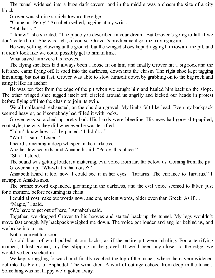The tunnel widened into a huge dark cavern, and in the middle was a chasm the size of a city block.

Grover was sliding straight toward the edge.

"Come on, Percy!" Annabeth yelled, tugging at my wrist.

"But that's-"

"I know!" she shouted. "The place you described in your dream! But Grover's going to fall if we don't catch him." She was right, of course. Grover's predicament got me moving again.

He was yelling, clawing at the ground, but the winged shoes kept dragging him toward the pit, and it didn't look like we could possibly get to him in time.

What saved him were his hooves.

The flying sneakers had always been a loose fit on him, and finally Grover hit a big rock and the left shoe came flying off. It sped into the darkness, down into the chasm. The right shoe kept tugging him along, but not as fast. Grover was able to slow himself down by grabbing on to the big rock and using it like an anchor.

He was ten feet from the edge of the pit when we caught him and hauled him back up the slope. The other winged shoe tugged itself off, circled around us angrily and kicked our heads in protest before flying off into the chasm to join its twin.

We all collapsed, exhausted, on the obsidian gravel. My limbs felt like lead. Even my backpack seemed heavier, as if somebody had filled it with rocks.

Grover was scratched up pretty bad. His hands were bleeding. His eyes had gone slit-pupiled, goat style, the way they did whenever he was terrified.

"I don't know how …" he panted. "I didn't…"

"Wait," I said. "Listen."

I heard something-a deep whisper in the darkness.

Another few seconds, and Annabeth said, "Percy, this place-"

"Shh." I stood.

The sound was getting louder, a muttering, evil voice from far, far below us. Coming from the pit. Grover sat up. "Wh-what's that noise?"

Annabeth heard it too, now. I could see it in her eyes. "Tartarus. The entrance to Tartarus." I uncapped Anaklusmos.

The bronze sword expanded, gleaming in the darkness, and the evil voice seemed to falter, just for a moment, before resuming its chant.

I could almost make out words now, ancient, ancient words, older even than Greek. As if …

"Magic," I said.

"We have to get out of here," Annabeth said.

Together, we dragged Grover to his hooves and started back up the tunnel. My legs wouldn't move fast enough. My backpack weighed me down. The voice got louder and angrier behind us, and we broke into a run.

Not a moment too soon.

A cold blast of wind pulled at our backs, as if the entire pit were inhaling. For a terrifying moment, I lost ground, my feet slipping in the gravel. If we'd been any closer to the edge, we would've been sucked in.

We kept struggling forward, and finally reached the top of the tunnel, where the cavern widened out into the Fields of Asphodel. The wind died. A wail of outrage echoed from deep in the tunnel. Something was not happy we'd gotten away.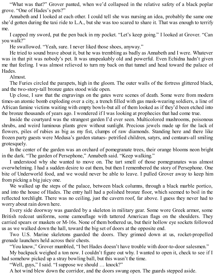"What was that?" Grover panted, when we'd collapsed in the relative safety of a black poplar grove. "One of Hades's pets?"

Annabeth and I looked at each other. I could tell she was nursing an idea, probably the same one she'd gotten during the taxi ride to L.A., but she was too scared to share it. That was enough to terrify me.

I capped my sword, put the pen back in my pocket. "Let's keep going." I looked at Grover. "Can you walk?"

He swallowed. "Yeah, sure. I never liked those shoes, anyway."

He tried to sound brave about it, but he was trembling as badly as Annabeth and I were. Whatever was in that pit was nobody's pet. It was unspeakably old and powerful. Even Echidna hadn't given me that feeling. I was almost relieved to turn my back on that tunnel and head toward the palace of Hades.

Almost.

The Furies circled the parapets, high in the gloom. The outer walls of the fortress glittered black, and the two-story-tall bronze gates stood wide open.

Up close, I saw that the engravings on the gates were scenes of death. Some were from modern times-an atomic bomb exploding over a city, a trench filled with gas mask-wearing soldiers, a line of African famine victims waiting with empty bowls-but all of them looked as if they'd been etched into the bronze thousands of years ago. I wondered if I was looking at prophecies that had come true.

Inside the courtyard was the strangest garden I'd ever seen. Multicolored mushrooms, poisonous shrubs, and weird luminous plants grew without sunlight. Precious jewels made up for the lack of flowers, piles of rubies as big as my fist, clumps of raw diamonds. Standing here and there like frozen party guests were Medusa's garden statues- petrified children, satyrs, and centaurs-all smiling grotesquely.

In the center of the garden was an orchard of pomegranate trees, their orange blooms neon bright in the dark. "The garden of Persephone," Annabeth said. "Keep walking."

I understood why she wanted to move on. The tart smell of those pomegranates was almost overwhelming. I had a sudden desire to eat them, but then I remembered the story of Persephone. One bite of Underworld food, and we would never be able to leave. I pulled Grover away to keep him from picking a big juicy one.

We walked up the steps of the palace, between black columns, through a black marble portico, and into the house of Hades. The entry hall had a polished bronze floor, which seemed to boil in the reflected torchlight. There was no ceiling, just the cavern roof, far above. I guess they never had to worry about rain down here.

Every side doorway was guarded by a skeleton in military gear. Some wore Greek armor, some British redcoat uniforms, some camouflage with tattered American flags on the shoulders. They carried spears or muskets or M-16s. None of them bothered us, but their hollow eye sockets followed us as we walked down the hall, toward the big set of doors at the opposite end.

Two U.S. Marine skeletons guarded the doors. They grinned down at us, rocket-propelled grenade launchers held across their chests.

"You know," Grover mumbled, "I bet Hades doesn't have trouble with door-to-door salesmen."

My backpack weighed a ton now. I couldn't figure out why. I wanted to open it, check to see if I had somehow picked up a stray bowling ball, but this wasn't the time.

"Well, guys," I said. "I suppose we should … knock?"

A hot wind blew down the corridor, and the doors swung open. The guards stepped aside.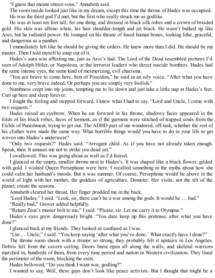"I guess that means entrez-vous," Annabeth said.

The room inside looked just like in my dream, except this time the throne of Hades was occupied. He was the third god I'd met, but the first who really struck me as godlike.

He was at least ten feet tall, for one thing, and dressed in black silk robes and a crown of braided gold. His skin was albino white, his hair shoulder-length and jet black. He wasn't bulked up like Ares, but he radiated power. He lounged on his throne of fused human bones, looking lithe, graceful, and dangerous as a panther.

I immediately felt like he should be giving the orders. He knew more than I did. He should be my master. Then I told myself to snap out of it.

Hades's aura was affecting me, just as Ares's had. The Lord of the Dead resembled pictures I'd seen of Adolph Hitler, or Napoleon, or the terrorist leaders who direct suicide bombers. Hades had the same intense eyes, the same kind of mesmerizing, evil charisma.

"You are brave to come here, Son of Poseidon," he said in an oily voice. "After what you have done to me, very brave indeed. Or perhaps you are simply very foolish."

Numbness crept into my joints, tempting me to lie down and just take a little nap at Hades's feet. Curl up here and sleep forever.

I fought the feeling and stepped forward. I knew what I had to say. "Lord and Uncle, I come with two requests."

Hades raised an eyebrow. When he sat forward in his throne, shadowy faces appeared in the folds of his black robes, faces of torment, as if the garment were stitched of trapped souls from the Fields of Punishment, trying to get out. The ADHD part of me wondered, off-task, whether the rest of his clothes were made the same way. What horrible things would you have to do in your life to get woven into Hades's underwear?

"Only two requests?" Hades said. "Arrogant child. As if you have not already taken enough. Speak, then. It amuses me not to strike you dead yet."

I swallowed. This was going about as well as I'd feared.

I glanced at the empty, smaller throne next to Hades's. It was shaped like a black flower, gilded with gold. I wished Queen Persephone were here. I recalled something in the myths about how she could calm her husband's moods. But it was summer. Of course, Persephone would be above in the world of light with her mother, the goddess of agriculture, Demeter. Her visits, not the tilt of the planet, create the seasons.

Annabeth cleared her throat. Her finger prodded me in the back.

"Lord Hades," I said. "Look, sir, there can't be a war among the gods. It would be … bad."

"Really bad," Grover added helpfully.

"Return Zeus's master bolt to me," I said. "Please, sir. Let me carry it to Olympus."

Hades's eyes grew dangerously bright. "You dare keep up this pretense, after what you have done?"

I glanced back at my friends. They looked as confused as I was.

"Um … Uncle," I said. "You keep saying 'after what you've done.' What exactly have I done?"

The throne room shook with a tremor so strong, they probably felt it upstairs in Los Angeles. Debris fell from the cavern ceiling. Doors burst open all along the walls, and skeletal warriors marched in, hundreds of them, from every time period and nation in Western civilization. They lined the perimeter of the room, blocking the exits.

Hades bellowed, "Do you think I want war, godling?"

I wanted to say, Well, these guys don't look like peace activists. But I thought that might be a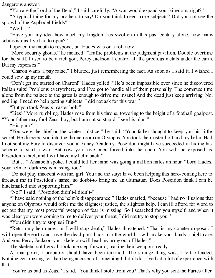dangerous answer.

"You are the Lord of the Dead," I said carefully. "A war would expand your kingdom, right?"

"A typical thing for my brothers to say! Do you think I need more subjects? Did you not see the sprawl of the Asphodel Fields?"

"Well…"

"Have you any idea how much my kingdom has swollen in this past century alone, how many subdivisions I've had to open?"

I opened my mouth to respond, but Hades was on a roll now.

"More security ghouls," he moaned. "Traffic problems at the judgment pavilion. Double overtime for the staff. I used to be a rich god, Percy Jackson. I control all the precious metals under the earth. But my expenses!"

"Charon wants a pay raise," I blurted, just remembering the fact. As soon as I said it, I wished I could sew up my mouth.

"Don't get me started on Charon!" Hades yelled. "He's been impossible ever since he discovered Italian suits! Problems everywhere, and I've got to handle all of them personally. The commute time alone from the palace to the gates is enough to drive me insane! And the dead just keep arriving. No, godling. I need no help getting subjects! I did not ask for this war."

"But you took Zeus's master bolt."

"Lies!" More rumbling. Hades rose from his throne, towering to the height of a football goalpost. "Your father may fool Zeus, boy, but I am not so stupid. I see his plan."

"His plan?"

"You were the thief on the winter solstice," he said. "Your father thought to keep you his little secret. He directed you into the throne room on Olympus, You took the master bolt and my helm. Had I not sent my Fury to discover you at Yancy Academy, Poseidon might have succeeded in hiding his scheme to start a war. But now you have been forced into the open. You will be exposed as Poseidon's thief, and I will have my helm back!"

"But …" Annabeth spoke. I could tell her mind was going a million miles an hour. "Lord Hades, your helm of darkness is missing, too?"

"Do not play innocent with me, girl. You and the satyr have been helping this hero-coming here to threaten me in Poseidon's name, no doubt-to bring me an ultimatum. Does Poseidon think I can be blackmailed into supporting him?"

"No!" I said. "Poseidon didn't-I didn't-"

"I have said nothing of the helm's disappearance," Hades snarled, "because I had no illusions that anyone on Olympus would offer me the slightest justice, the slightest help. I can ill afford for word to get out that my most powerful weapon of fear is missing. So I searched for you myself, and when it was clear you were coming to me to deliver your threat, I did not try to stop you."

"You didn't try to stop us? But-"

"Return my helm now, or I will stop death," Hades threatened. "That is my counterproposal. I will open the earth and have the dead pour back into the world. I will make your lands a nightmare. And you, Percy Jackson-your skeleton will lead my army out of Hades."

The skeletal soldiers all took one step forward, making their weapons ready.

At that point, I probably should have been terrified. The strange thing was, I felt offended. Nothing gets me angrier than being accused of something I didn't do. I've had a lot of experience with that.

"You're as bad as Zeus," I said. "You think I stole from you? That's why you sent the Furies after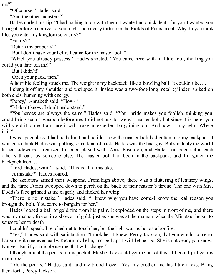me?"

"Of course," Hades said.

"And the other monsters?"

Hades curled his lip. "I had nothing to do with them. I wanted no quick death for you-I wanted you brought before me alive so you might face every torture in the Fields of Punishment. Why do you think I let you enter my kingdom so easily?"

"Easily?"

"Return my property!"

"But I don't have your helm. I came for the master bolt."

"Which you already possess!" Hades shouted. "You came here with it, little fool, thinking you could you threaten me!"

"But I didn't!"

"Open your pack, then."

A horrible feeling struck me. The weight in my backpack, like a bowling ball. It couldn't be….

I slung it off my shoulder and unzipped it. Inside was a two-foot-long metal cylinder, spiked on both ends, humming with energy.

"Percy," Annabeth said. "How-"

"I-I don't know. I don't understand."

"You heroes are always the same," Hades said. "Your pride makes you foolish, thinking you could bring such a weapon before me. I did not ask for Zeus's master bolt, but since it is here, you will yield it to me. I am sure it will make an excellent bargaining tool. And now ... my helm. Where is it?"

I was speechless. I had no helm. I had no idea how the master bolt had gotten into my backpack. I wanted to think Hades was pulling some kind of trick. Hades was the bad guy. But suddenly the world turned sideways. I realized I'd been played with. Zeus, Poseidon, and Hades had been set at each other's throats by someone else. The master bolt had been in the backpack, and I'd gotten the backpack from ...

"Lord Hades, wait," I said. "This is all a mistake."

"A mistake?" Hades roared.

The skeletons aimed their weapons. From high above, there was a fluttering of leathery wings, and the three Furies swooped down to perch on the back of their master's throne. The one with Mrs. Dodds's face grinned at me eagerly and flicked her whip.

"There is no mistake," Hades said. "I know why you have come-I know the real reason you brought the bolt. You came to bargain for her."

Hades loosed a ball of gold fire from his palm. It exploded on the steps in front of me, and there was my mother, frozen in a shower of gold, just as she was at the moment when the Minotaur began to squeeze her to death.

I couldn't speak. I reached out to touch her, but the light was as hot as a bonfire.

"Yes," Hades said with satisfaction. "I took her. I knew, Percy Jackson, that you would come to bargain with me eventually. Return my helm, and perhaps I will let her go. She is not dead, you know. Not yet. But if you displease me, that will change."

I thought about the pearls in my pocket. Maybe they could get me out of this. If I could just get my mom free …

"Ah, the pearls," Hades said, and my blood froze. "Yes, my brother and his little tricks. Bring them forth, Percy Jackson."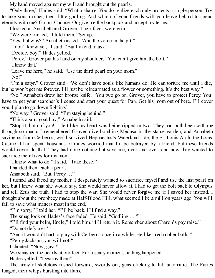My hand moved against my will and brought out the pearls.

"Only three," Hades said. "What a shame. You do realize each only protects a single person. Try to take your mother, then, little godling. And which of your friends will you leave behind to spend eternity with me? Go on. Choose. Or give me the backpack and accept my terms."

I looked at Annabeth and Grover. Their faces were grim.

"We were tricked," I told them. "Set up."

"Yes, but why?" Annabeth asked. "And the voice in the pit-"

"I don't know yet," I said. "But I intend to ask."

"Decide, boy!" Hades yelled.

"Percy." Grover put his hand on my shoulder. "You can't give him the bolt,"

"I know that."

"Leave me here," he said. "Use the third pearl on your mom."

"No!"

"I'm a satyr," Grover said. "We don't have souls like humans do. He can torture me until I die, but he won't get me forever. I'll just be reincarnated as a flower or something. It's the best way."

"No." Annabeth drew her bronze knife. "You two go on. Grover, you have to protect Percy. You have to get your searcher's license and start your quest for Pan. Get his mom out of here. I'll cover you. I plan to go down fighting."

"No way," Grover said. "I'm staying behind."

"Think again, goat boy," Annabeth said.

"Stop it, both of you!" I felt like my heart was being ripped in two. They had both been with me through so much. I remembered Grover dive-bombing Medusa in the statue garden, and Annabeth saving us from Cerberus; we'd survived Hephaestus's Waterland ride, the St. Louis Arch, the Lotus Casino. I had spent thousands of miles worried that I'd be betrayed by a friend, but these friends would never do that. They had done nothing but save me, over and over, and now they wanted to sacrifice their lives for my mom.

"I know what to do," I said. "Take these."

I handed them each a pearl.

Annabeth said, "But, Percy …"

I turned and faced my mother. I desperately wanted to sacrifice myself and use the last pearl on her, but I knew what she would say. She would never allow it. I had to get the bolt back to Olympus and tell Zeus the truth. I had to stop the war. She would never forgive me if I saved her instead. I thought about the prophecy made at Half-Blood Hill, what seemed like a million years ago. You will fail to save what matters most in the end.

"I'm sorry," I told her. "I'll be back. I'll find a way."

The smug look on Hades's face faded. He said, "Godling … ?"

"I'll find your helm, Uncle," I told him. "I'll return it. Remember about Charon's pay raise." "Do not defy me-"

"And it wouldn't hurt to play with Cerberus once in a while. He likes red rubber balls."

"Percy Jackson, you will not-"

I shouted, "Now, guys!"

We smashed the pearls at our feet. For a scary moment, nothing happened.

Hades yelled, "Destroy them!"

The army of skeletons rushed forward, swords out, guns clicking to full automatic. The Furies lunged, their whips bursting into flame.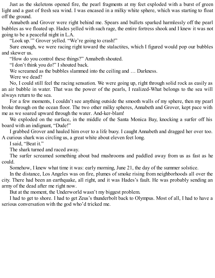Just as the skeletons opened fire, the pearl fragments at my feet exploded with a burst of green light and a gust of fresh sea wind. I was encased in a milky white sphere, which was starting to float off the ground.

Annabeth and Grover were right behind me. Spears and bullets sparked harmlessly off the pearl bubbles as we floated up. Hades yelled with such rage, the entire fortress shook and I knew it was not going to be a peaceful night in L.A.

"Look up.'" Grover yelled. "We're going to crash!"

Sure enough, we were racing right toward the stalactites, which I figured would pop our bubbles and skewer us.

"How do you control these things?" Annabeth shouted.

"I don't think you do!" I shouted back.

We screamed as the bubbles slammed into the ceiling and … Darkness.

Were we dead?

No, I could still feel the racing sensation. We were going up, right through solid rock as easily as an air bubble in water. That was the power of the pearls, I realized-What belongs to the sea will always return to the sea.

For a few moments, I couldn't see anything outside the smooth walls of my sphere, then my pearl broke through on the ocean floor. The two other milky spheres, Annabeth and Grover, kept pace with me as we soared upward through the water. And-ker-blam!

We exploded on the surface, in the middle of the Santa Monica Bay, knocking a surfer off his board with an indignant, "Dude!"

I grabbed Grover and hauled him over to a life buoy. I caught Annabeth and dragged her over too. A curious shark was circling us, a great white about eleven feet long.

I said, "Beat it."

The shark turned and raced away.

The surfer screamed something about bad mushrooms and paddled away from us as fast as he could.

Somehow, I knew what time it was: early morning, June 21, the day of the summer solstice.

In the distance, Los Angeles was on fire, plumes of smoke rising from neighborhoods all over the city. There had been an earthquake, all right, and it was Hades's fault. He was probably sending an army of the dead after me right now.

But at the moment, the Underworld wasn't my biggest problem.

I had to get to shore. I had to get Zeus's thunderbolt back to Olympus. Most of all, I had to have a serious conversation with the god who'd tricked me.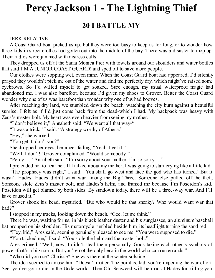## **Percy Jackson 1 - The Lightning Thief**

## **20 I BATTLE MY**

#### JERK RELATIVE

A Coast Guard boat picked us up, but they were too busy to keep us for long, or to wonder how three kids in street clothes had gotten out into the middle of the bay. There was a disaster to mop up. Their radios were jammed with distress calls.

They dropped us off at the Santa Monica Pier with towels around our shoulders and water bottles that said I'M A JUNIOR COAST GUARD! and sped off to save more people.

Our clothes were sopping wet, even mine. When the Coast Guard boat had appeared, I'd silently prayed they wouldn't pick me out of the water and find me perfectly dry, which might've raised some eyebrows. So I'd willed myself to get soaked. Sure enough, my usual waterproof magic had abandoned me. I was also barefoot, because I'd given my shoes to Grover. Better the Coast Guard wonder why one of us was barefoot than wonder why one of us had hooves.

After reaching dry land, we stumbled down the beach, watching the city burn against a beautiful sunrise. I felt as if I'd just come back from the dead-which I had. My backpack was heavy with Zeus's master bolt. My heart was even heavier from seeing my mother.

"I don't believe it," Annabeth said. "We went all that way-"

"It was a trick," I said. "A strategy worthy of Athena."

"Hey," she warned.

"You get it, don't you?"

She dropped her eyes, her anger fading. "Yeah. I get it."

"Well, I don't!" Grover complained. "Would somebody-"

"Percy …" Annabeth said. "I'm sorry about your mother. I'm so sorry…."

I pretended not to hear her. If I talked about my mother, I was going to start crying like a little kid.

"The prophecy was right," I said. "You shall go west and face the god who has turned.' But it wasn't Hades. Hades didn't want war among the Big Three. Someone else pulled off the theft. Someone stole Zeus's master bolt, and Hades's helm, and framed me because I'm Poseidon's kid. Poseidon will get blamed by both sides. By sundown today, there will be a three-way war. And I'll have caused it."

Grover shook his head, mystified. "But who would be that sneaky? Who would want war that bad?"

I stopped in my tracks, looking down the beach. "Gee, let me think."

There he was, waiting for us, in his black leather duster and his sunglasses, an aluminum baseball bat propped on his shoulder. His motorcycle rumbled beside him, its headlight turning the sand red.

"Hey, kid," Ares said, seeming genuinely pleased to see me. "You were supposed to die."

"You tricked me," I said. "You stole the helm and the master bolt."

Ares grinned. "Well, now, I didn't steal them personally. Gods taking each other's symbols of power-that's a big no-no. But you're not the only hero in the world who can run errands."

"Who did you use? Clarisse? She was there at the winter solstice."

The idea seemed to amuse him. "Doesn't matter. The point is, kid, you're impeding the war effort. See, you've got to die in the Underworld. Then Old Seaweed will be mad at Hades for killing you.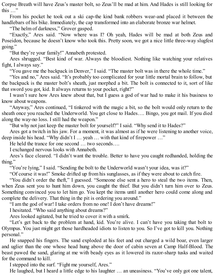Corpse Breath will have Zeus's master bolt, so Zeus'll be mad at him. And Hades is still looking for this …"

From his pocket he took out a ski cap-the kind bank robbers wear-and placed it between the handlebars of his bike. Immediately, the cap transformed into an elaborate bronze war helmet.

"The helm of darkness," Grover gasped.

"Exactly," Ares said. "Now where was I? Oh yeah, Hades will be mad at both Zeus and Poseidon, because he doesn't know who took this. Pretty soon, we got a nice little three-way slugfest going."

"But they're your family!" Annabeth protested.

Ares shrugged. "Best kind of war. Always the bloodiest. Nothing like watching your relatives fight, I always say."

"You gave me the backpack in Denver," I said. "The master bolt was in there the whole time."

"Yes and no," Ares said. "It's probably too complicated for your little mortal brain to follow, but the backpack is the master bolt's sheath, just morphed a bit. The bolt is connected to it, sort of like that sword you got, kid. It always returns to your pocket, right?"

I wasn't sure how Ares knew about that, but I guess a god of war had to make it his business to know about weapons.

"Anyway," Ares continued, "I tinkered with the magic a bit, so the bolt would only return to the sheath once you reached the Underworld. You get close to Hades…. Bingo, you got mail. If you died along the way-no loss. I still had the weapon."

"But why not just keep the master bolt for yourself?" I said. "Why send it to Hades?"

Ares got a twitch in his jaw. For a moment, it was almost as if he were listening to another voice, deep inside his head. "Why didn't I ... yeah ... with that kind of firepower ..."

He held the trance for one second … two seconds….

I exchanged nervous looks with Annabeth.

Ares's face cleared. "I didn't want the trouble. Better to have you caught redhanded, holding the thing."

"You're lying," I said. "Sending the bolt to the Underworld wasn't your idea, was it?"

"Of course it was!" Smoke drifted up from his sunglasses, as if they were about to catch fire.

"You didn't order the theft," I guessed. "Someone else sent a hero to steal the two items. Then, when Zeus sent you to hunt him down, you caught the thief. But you didn't turn him over to Zeus. Something convinced you to let him go. You kept the items until another hero could come along and complete the delivery. That thing in the pit is ordering you around."

"I am the god of war! I take orders from no one! I don't have dreams!"

I hesitated. "Who said anything about dreams?"

Ares looked agitated, but he tried to cover it with a smirk.

"Let's get back to the problem at hand, kid. You're alive. I can't have you taking that bolt to Olympus. You just might get those hardheaded idiots to listen to you. So I've got to kill you. Nothing personal."

He snapped his fingers. The sand exploded at his feet and out charged a wild boar, even larger and uglier than the one whose head hung above the door of cabin seven at Camp Half-Blood. The beast pawed the sand, glaring at me with beady eyes as it lowered its razor-sharp tusks and waited for the command to kill.

I stepped into the surf. "Fight me yourself, Ares."

He laughed, but I heard a little edge to his laughter … an uneasiness. "You've only got one talent,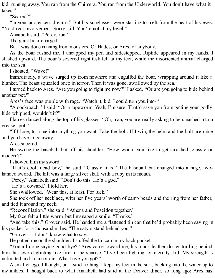kid, running away. You ran from the Chimera. You ran from the Underworld. You don't have what it takes."

"Scared?"

"In your adolescent dreams." But his sunglasses were starting to melt from the heat of his eyes. "No direct involvement. Sorry, kid. You're not at my level."

Annabeth said, "Percy, run!"

The giant boar charged.

But I was done running from monsters. Or Hades, or Ares, or anybody.

As the boar rushed me, I uncapped my pen and sidestepped. Riptide appeared in my hands. I slashed upward. The boar's severed right tusk fell at my feet, while the disoriented animal charged into the sea.

I shouted, "Wave!"

Immediately, a wave surged up from nowhere and engulfed the boar, wrapping around it like a blanket. The beast squealed once in terror. Then it was gone, swallowed by the sea.

I turned back to Ares. "Are you going to fight me now?" I asked. "Or are you going to hide behind another pet?"

Ares's face was purple with rage. "Watch it, kid. I could turn you into-"

"A cockroach," I said. "Or a tapeworm. Yeah, I'm sure. That'd save you from getting your godly hide whipped, wouldn't it?"

Flames danced along the top of his glasses. "Oh, man, you are really asking to be smashed into a grease spot."

"If I lose, turn me into anything you want. Take the bolt. If I win, the helm and the bolt are mine and you have to go away."

Ares sneered.

He swung the baseball bat off his shoulder. "How would you like to get smashed: classic or modern?"

I showed him my sword.

"That's cool, dead boy," he said. "Classic it is." The baseball bat changed into a huge, twohanded sword. The hilt was a large silver skull with a ruby in its mouth.

"Percy," Annabeth said. "Don't do this. He's a god."

"He's a coward," I told her.

She swallowed. "Wear this, at least. For luck."

She took off her necklace, with her five years' worth of camp beads and the ring from her father, and tied it around my neck.

"Reconciliation," she said. "Athena and Poseidon together."

My face felt a little warm, but I managed a smile. "Thanks."

"And take this," Grover said. He handed me a flattened tin can that he'd probably been saving in his pocket for a thousand miles. "The satyrs stand behind you."

"Grover … I don't know what to say."

He patted me on the shoulder. I stuffed the tin can in my back pocket.

"You all done saying good-bye?" Ares came toward me, his black leather duster trailing behind him, his sword glinting like fire in the sunrise. "I've been fighting for eternity, kid. My strength is unlimited and I cannot die. What have you got?"

A smaller ego, I thought, but I said nothing. I kept my feet in the surf, backing into the water up to my ankles. I thought back to what Annabeth had said at the Denver diner, so long ago: Ares has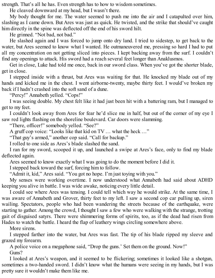strength. That's all he has. Even strength has to how to wisdom sometimes.

He cleaved downward at my head, but I wasn't there.

My body thought for me. The water seemed to push me into the air and I catapulted over him, slashing as I came down. But Ares was just as quick. He twisted, and the strike that should've caught him directly in the spine was deflected off the end of his sword hilt.

He grinned. "Not bad, not bad."

He slashed again and I was forced to jump onto dry land. I tried to sidestep, to get back to the water, but Ares seemed to know what I wanted. He outmaneuvered me, pressing so hard I had to put all my concentration on not getting sliced into pieces. I kept backing away from the surf. I couldn't find any openings to attack. His sword had a reach several feet longer than Anaklusmos.

Get in close, Luke had told me once, back in our sword class. When you've got the shorter blade, get in close.

I stepped inside with a thrust, but Ares was waiting for that. He knocked my blade out of my hands and kicked me in the chest. I went airborne-twenty, maybe thirty feet. I would've broken my back if I hadn't crashed into the soft sand of a dune.

"Percy!" Annabeth yelled. "Cops!"

I was seeing double. My chest felt like it had just been hit with a battering ram, but I managed to get to my feet.

I couldn't look away from Ares for fear he'd slice me in half, but out of the corner of my eye I saw red lights flashing on the shoreline boulevard. Car doors were slamming.

"There, officer!" somebody yelled. "See?"

A gruff cop voice: "Looks like that kid on TV … what the heck …"

"That guy's armed," another cop said. "Call for backup."

I rolled to one side as Ares's blade slashed the sand.

I ran for my sword, scooped it up, and launched a swipe at Ares's face, only to find my blade deflected again.

Ares seemed to know exactly what I was going to do the moment before I did it.

I stepped back toward the surf, forcing him to follow.

"Admit it, kid," Ares said. "You got no hope. I'm just toying with you."

My senses were working overtime. I now understood what Annabeth had said about ADHD keeping you alive in battle. I was wide awake, noticing every little detail.

I could see where Ares was tensing. I could tell which way he would strike. At the same time, I was aware of Annabeth and Grover, thirty feet to my left. I saw a second cop car pulling up, siren wailing. Spectators, people who had been wandering the streets because of the earthquake, were starting to gather. Among the crowd, I thought I saw a few who were walking with the strange, trotting gait of disguised satyrs. There were shimmering forms of spirits, too, as if the dead had risen from Hades to watch the battle. I heard the flap of leathery wings circling somewhere above.

More sirens.

I stepped farther into the water, but Ares was fast. The tip of his blade ripped my sleeve and grazed my forearm.

A police voice on a megaphone said, "Drop the guns.' Set them on the ground. Now!" Guns?

I looked at Ares's weapon, and it seemed to be flickering; sometimes it looked like a shotgun, sometimes a two-handed sword. I didn't know what the humans were seeing in my hands, but I was pretty sure it wouldn't make them like me.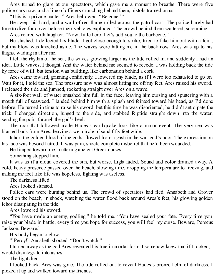Ares turned to glare at our spectators, which gave me a moment to breathe. There were five police cars now, and a line of officers crouching behind them, pistols trained on us.

"This is a private matter!" Ares bellowed. "Be gone.'"

He swept his hand, and a wall of red flame rolled across the patrol cars. The police barely had time to dive for cover before their vehicles exploded. The crowd behind them scattered, screaming.

Ares roared with laughter. "Now, little hero. Let's add you to the barbecue."

He slashed. I deflected his blade. I got close enough to strike, tried to fake him out with a feint, but my blow was knocked aside. The waves were hitting me in the back now. Ares was up to his thighs, wading in after me.

I felt the rhythm of the sea, the waves growing larger as the tide rolled in, and suddenly I had an idea. Little waves, I thought. And the water behind me seemed to recede. I was holding back the tide by force of will, but tension was building, like carbonation behind a cork.

Ares came toward, grinning confidently. I lowered my blade, as if I were too exhausted to go on. Wait for it, I told the sea. The pressure now was almost lifting me off my feet. Ares raised his sword. I released the tide and jumped, rocketing straight over Ares on a wave.

A six-foot wall of water smashed him full in the face, leaving him cursing and sputtering with a mouth full of seaweed. I landed behind him with a splash and feinted toward his head, as I'd done before. He turned in time to raise his sword, but this time he was disoriented, he didn't anticipate the trick. I changed direction, lunged to the side, and stabbed Riptide straight down into the water, sending the point through the god's heel.

The roar that followed made Hades's earthquake look like a minor event. The very sea was blasted back from Ares, leaving a wet circle of sand fifty feet wide.

Ichor, the golden blood of the gods, flowed from a gash in the war god's boot. The expression on his face was beyond hatred. It was pain, shock, complete disbelief that he'd been wounded.

He limped toward me, muttering ancient Greek curses.

Something stopped him.

It was as if a cloud covered the sun, but worse. Light faded. Sound and color drained away. A cold, heavy presence passed over the beach, slowing time, dropping the temperature to freezing, and making me feel like life was hopeless, fighting was useless.

The darkness lifted.

Ares looked stunned.

Police cars were burning behind us. The crowd of spectators had fled. Annabeth and Grover stood on the beach, in shock, watching the water flood back around Ares's feet, his glowing golden ichor dissipating in the tide.

Ares lowered his sword.

"You have made an enemy, godling," he told me. "You have sealed your fate. Every time you raise your blade in battle, every time you hope for success, you will feel my curse. Beware, Perseus Jackson. Beware."

His body began to glow.

"'Percy!" Annabeth shouted. "Don't watch!"

I turned away as the god Ares revealed his true irnmortal form. I somehow knew that if I looked, I would disintegrate into ashes.

The light died.

I looked back. Ares was gone. The tide rolled out to reveal Hades's bronze helm of darkness. I picked it up and walked toward my friends.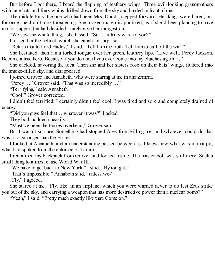But before I got there, I heard the flapping of leathery wings. Three evil-looking grandmothers with lace hats and fiery whips drifted down from the sky and landed in front of me.

The middle Fury, the one who had been Mrs. Dodds, stepped forward. Her fangs were bared, but for once she didn't look threatening. She looked more disappointed, as if she'd been planning to have me for supper, but had decided I might give her indigestion.

"We saw the whole thing," she hissed. "So … it truly was not you?"

I tossed her the helmet, which she caught in surprise.

"Return that to Lord Hades," I said. "Tell him the truth. Tell him to call off the war."

She hesitated, then ran a forked tongue over her green, leathery lips. "Live well, Percy Jackson. Become a true hero. Because if you do not, if you ever come into my clutches again …"

She cackled, savoring the idea. Then she and her sisters rose on their bats' wings, fluttered into the smoke-filled sky, and disappeared.

I joined Grover and Annabeth, who were staring at me in amazement.

"Percy …" Grover said. "That was so incredibly …"

"Terrifying," said Annabeth.

"Cool!" Grover corrected.

I didn't feel terrified. I certainly didn't feel cool. I was tired and sore and completely drained of energy.

"Did you guys feel that… whatever it was?" I asked.

They both nodded uneasily.

"Must've been the Furies overhead," Grover said.

But I wasn't so sure. Something had stopped Ares from killing me, and whatever could do that was a lot stronger than the Furies.

I looked at Annabeth, and an understanding passed between us. I knew now what was in that pit, what had spoken from the entrance of Tartarus.

I reclaimed my backpack from Grover and looked inside. The master bolt was still there. Such a small thing to almost cause World War III.

"We have to get back to New York," I said. "By tonight."

"That's impossible," Annabeth said, "unless we-"

"Fly," I agreed.

She stared at me. "Fly, like, in an airplane, which you were warned never to do lest Zeus strike you out of the sky, and carrying a weapon that has more destructive power than a nuclear bomb?"

"Yeah," I said. "Pretty much exactly like that. Come on."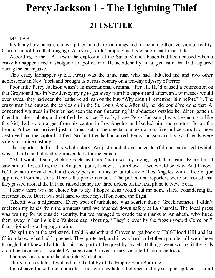# **Percy Jackson 1 - The Lightning Thief**

## **21 I SETTLE**

#### MY TAB

It's funny how humans can wrap their mind around things and fit them into their version of reality. Chiron had told me that long ago. As usual, I didn't appreciate his wisdom until much later.

According to the L.A. news, the explosion at the Santa Monica beach had been caused when a crazy kidnapper fired a shotgun at a police car. He accidentally hit a gas main that had ruptured during the earthquake.

This crazy kidnapper (a.k.a. Ares) was the same man who had abducted me and two other adolescents in New York and brought us across country on a ten-day odyssey of terror.

Poor little Percy Jackson wasn't an international criminal after all. He'd caused a commotion on that Greyhound bus in New Jersey trying to get away from his captor (and afterward, witnesses would even swear they had seen the leather-clad man on the bus-"Why didn't I remember him before?"). The crazy man had caused the explosion in the St. Louis Arch. After all, no kid could've done that. A concerned waitress in Denver had seen the man threatening his abductees outside her diner, gotten a friend to take a photo, and notified the police. Finally, brave Percy Jackson (I was beginning to like this kid) had stolen a gun from his captor in Los Angeles and battled him shotgun-to-rifle on the beach. Police had arrived just in time. But in the spectacular explosion, five police cars had been destroyed and the captor had fled. No fatalities had occurred. Percy Jackson and his two friends were safely in police custody.

The reporters fed us this whole story. We just nodded and acted tearful and exhausted (which wasn't hard), and played victimized kids for the cameras.

"All I want," I said, choking back my tears, "is to see my loving stepfather again. Every time I saw him on TV, calling me a delinquent punk, I knew … somehow … we would be okay. And I know he'll want to reward each and every person in this beautiful city of Los Angeles with a free major appliance from his store. Here's the phone number." The police and reporters were so moved that they passed around the hat and raised money for three tickets on the next plane to New York.

I knew there was no choice but to fly. I hoped Zeus would cut me some slack, considering the circumstances. But it was still hard to force myself on board the flight.

Takeoff was a nightmare. Every spot of turbulence was scarier than a Greek monster. I didn't unclench my hands from the armrests until we touched down safely at La Guardia. The local press was waiting for us outside security, but we managed to evade them thanks to Annabeth, who lured them away in her invisible Yankees cap, shouting, "They're over by the frozen yogurt! Come on!" then rejoined us at baggage claim.

We split up at the taxi stand. I told Annabeth and Grover to get back to Half-Blood Hill and let Chiron know what had happened. They protested, and it was hard to let them go after all we'd been through, but I knew I had to do this last part of the quest by myself. If things went wrong, if the gods didn't believe me … I wanted Annabeth and Grover to survive to tell Chiron the truth.

I hopped in a taxi and headed into Manhattan.

Thirty minutes later, I walked into the lobby of the Empire State Building.

I must have looked like a homeless kid, with my tattered clothes and my scraped-up face. I hadn't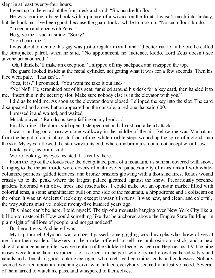slept in at least twenty-four hours.

I went up to the guard at the front desk and said, "Six hundredth floor."

He was reading a huge book with a picture of a wizard on the front. I wasn't much into fantasy, but the book must've been good, because the guard took a while to look up. "No such floor, kiddo."

"I need an audience with Zeus."

He gave me a vacant smile. "Sorry?"

"You heard me."

I was about to decide this guy was just a regular mortal, and I'd better run for it before he called the straitjacket patrol, when he said, "No appointment, no audience, kiddo. Lord Zeus doesn't see anyone unannounced."

"Oh, I think he'll make an exception." I slipped off my backpack and unzipped the top.

The guard looked inside at the metal cylinder, not getting what it was for a few seconds. Then his face went pale. "That isn't…"

"Yes, it is," I promised. "You want me take it out and-"

"No! No!" He scrambled out of his seat, fumbled around his desk for a key card, then handed it to me. "Insert this in the security slot. Make sure nobody else is in the elevator with you."

I did as he told me. As soon as the elevator doors closed, I slipped the key into the slot. The card disappeared and a new button appeared on the console, a red one that said 600.

I pressed it and waited, and waited.

Muzak played. "Raindrops keep falling on my head…."

Finally, ding. The doors slid open. I stepped out and almost had a heart attack.

I was standing on a narrow stone walkway in the middle of the air. Below me was Manhattan, from the height of an airplane. In front of me, white marble steps wound up the spine of a cloud, into the sky. My eyes followed the stairway to its end, where my brain just could not accept what I saw.

Look again, my brain said.

We're looking, my eyes insisted. It's really there.

From the top of the clouds rose the decapitated peak of a mountain, its summit covered with snow. Clinging to the mountainside were dozens of multileveled palaces-a city of mansions-all with whitecolumned porticos, gilded terraces, and bronze braziers glowing with a thousand fires. Roads wound crazily up to the peak, where the largest palace gleamed against the snow. Precariously perched gardens bloomed with olive trees and rosebushes. I could make out an open-air market filled with colorful tents, a stone amphitheater built on one side of the mountain, a hippodrome and a coliseum on the other. It was an Ancient Greek city, except it wasn't in ruins. It was new, and clean, and colorful, the way Athens must've looked twenty-five hundred years ago.

This place can't be here, I told myself. The tip of a mountain hanging over New York City like a billion-ton asteroid? How could something like that be anchored above the Empire State Building, in plain sight of millions of people, and not get noticed?

But here it was. And here I was.

My trip through Olympus was a daze. I passed some giggling wood nymphs who threw olives at me from their garden. Hawkers in the market offered to sell me ambrosia-on-a-stick, and a new shield, and a genuine glitter-weave replica of the Golden Fleece, as seen on Hephaestus-TV The nine muses were tuning their instruments for a concert in the park while a small crowd gathered-satyrs and naiads and a bunch of good-looking teenagers who might've been minor gods and goddesses. Nobody seemed worried about an impending civil war. In fact, everybody seemed in a festive mood. Several of them turned to watch me pass, and whispered to themselves.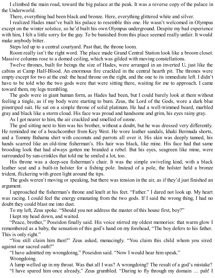I climbed the main road, toward the big palace at the peak. It was a reverse copy of the palace in the Underworld.

There, everything had been black and bronze. Here, everything glittered white and silver.

I realized Hades must've built his palace to resemble this one. He wasn't welcomed in Olympus except on the winter solstice, so he'd built his own Olympus underground. Despite my bad experience with him, I felt a little sorry for the guy. To be banished from this place seemed really unfair. It would make anybody bitter.

Steps led up to a central courtyard. Past that, the throne loom.

Room really isn't the right word. The place made Grand Central Station look like a broom closet. Massive columns rose to a domed ceiling, which was gilded with moving constellations.

Twelve thrones, built for beings the size of Hades, were arranged in an inverted U, just like the cabins at Camp Half-Blood. An enormous fire crackled in the central hearth pit. The thrones were empty except for two at the end: the head throne on the right, and the one to its immediate left. I didn't have to be told who the two gods were that were sitting there, waiting for me to approach. I came toward them, my legs trembling.

The gods were in giant human form, as Hades had been, but I could barely look at them without feeling a tingle, as if my body were starting to burn. Zeus, the Lord of the Gods, wore a dark blue pinstriped suit. He sat on a simple throne of solid platinum. He had a well-trimmed beard, marbled gray and black like a storm cloud. His face was proud and handsome and grim, his eyes rainy gray.

As I got nearer to him, the air crackled and smelled of ozone.

The god sitting next to him was his brother, without a doubt, but he was dressed very differently. He reminded me of a beachcomber from Key West. He wore leather sandals, khaki Bermuda shorts, and a Tommy Bahama shirt with coconuts and parrots all over it. His skin was deeply tanned, his hands scarred like an old-time fisherman's. His hair was black, like mine. His face had that same brooding look that had always gotten me branded a rebel. But his eyes, seagreen like mine, were surrounded by sun-crinkles that told me he smiled a lot, too.

His throne was a deep-sea fisherman's chair. It was the simple swiveling kind, with a black leather seat and a built-in holster for a fishing pole. Instead of a pole, the holster held a bronze trident, flickering with green light around the tips.

The gods weren't moving or speaking, but there was tension in the air, as if they'd just finished an argument.

I approached the fisherman's throne and knelt at his feet. "Father." I dared not look up. My heart was racing. I could feel the energy emanating from the two gods. If I said the wrong thing, I had no doubt they could blast me into dust.

To my left, Zeus spoke. "Should you not address the master of this house first, boy?"

I kept my head down, and waited.

"Peace, brother," Poseidon finally said. His voice stirred my oldest memories: that warm glow I remembered as a baby, the sensation of this god's hand on my forehead, "The boy defers to his father. This is only right."

"You still claim him then?" Zeus asked, menacingly. "You claim this child whom you sired against our sacred oath?"

"I have admitted my wrongdoing," Poseidon said. "Now I would hear him speak." Wrongdoing.

A lump welled up in my throat. Was that all I was? A wrongdoing? The result of a god's mistake? "I have spared him once already," Zeus grumbled. "Daring to fly through my domain … pah! I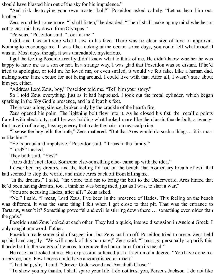should have blasted him out of the sky for his impudence."

"And risk destroying your own master bolt?" Poseidon asked calmly. "Let us hear him out, brother."

Zeus grumbled some more. "I shall listen," he decided. "Then I shall make up my mind whether or not to cast this boy down from Olympus."

"Perseus," Poseidon said. "Look at me."

I did, and I wasn't sure what I saw in his face. There was no clear sign of love or approval. Nothing to encourage me. It was like looking at the ocean: some days, you could tell what mood it was in. Most days, though, it was unreadable, mysterious.

I got the feeling Poseidon really didn't know what to think of me. He didn't know whether he was happy to have me as a son or not. In a strange way, I was glad that Poseidon was so distant. If he'd tried to apologize, or told me he loved me, or even smiled, it would've felt fake. Like a human dad, making some lame excuse for not being around. I could live with that. After all, I wasn't sure about him yet, either.

"Address Lord Zeus, boy," Poseidon told me. "Tell him your story."

So I told Zeus everything, just as it had happened. I took out the metal cylinder, which began sparking in the Sky God's presence, and laid it at his feet.

There was a long silence, broken only by the crackle of the hearth fire.

Zeus opened his palm. The lightning bolt flew into it. As he closed his fist, the metallic points flared with electricity, until he was holding what looked more like the classic thunderbolt, a twentyfoot javelin of arcing, hissing energy that made the hairs on my scalp rise.

"I sense the boy tells the truth," Zeus muttered. "But that Ares would do such a thing … it is most unlike him."

"He is proud and impulsive," Poseidon said. "It runs in the family."

"Lord?" I asked.

They both said, "Yes?"

"Ares didn't act alone. Someone else-something else- came up with the idea."

I described my dreams, and the feeling I'd had on the beach, that momentary breath of evil that had seemed to stop the world, and made Ares back off from killing me.

"In the dreams," I said, "the voice told me to bring the bolt to the Underworld. Ares hinted that he'd been having dreams, too. I think he was being used, just as I was, to start a war."

"You are accusing Hades, after all?" Zeus asked.

"No," I said. "I mean, Lord Zeus, I've been in the presence of Hades. This feeling on the beach was different. It was the same thing I felt when I got close to that pit. That was the entrance to Tartarus, wasn't it? Something powerful and evil is stirring down there … something even older than the gods."

Poseidon and Zeus looked at each other. They had a quick, intense discussion in Ancient Greek. I only caught one word. Father.

Poseidon made some kind of suggestion, but Zeus cut him off. Poseidon tried to argue. Zeus held up his hand angrily. "We will speak of this no more," Zeus said. "I must go personally to purify this thunderbolt in the waters of Lemnos, to remove the human taint from its metal."

He rose and looked at me. His expression softened just a fraction of a degree. "You have done me a service, boy. Few heroes could have accomplished as much."

"I had help, sir," I said. "Grover Underwood and Annabeth Chase-"

"To show you my thanks, I shall spare your life. I do not trust you, Perseus Jackson. I do not like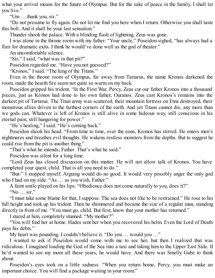what your arrival means for the future of Olympus. But for the sake of peace in the family, I shall let you live."

"Um … thank you, sir."

"Do not presume to fly again. Do not let me find you here when I return. Otherwise you shall taste this bolt. And it shall be your last sensation."

Thunder shook the palace. With a blinding flash of lightning, Zeus was gone.

I was alone in the throne room with my father. "Your uncle," Poseidon sighed, "has always had a flair for dramatic exits. I think he would've done well as the god of theater."

An uncomfortable silence.

"Sir," I said, "what was in that pit?"

Poseidon regarded me. "Have you not guessed?"

"Kronos," I said. "The king of the Titans."

Even in the throne room of Olympus, far away from Tartarus, the name Kronos darkened the room, made the hearth fire seem not quite so warm on my back.

Poseidon gripped his trident. "In the First War, Percy, Zeus cut our father Kronos into a thousand pieces, just as Kronos had done to his own father, Ouranos. Zeus cast Kronos's remains into the darkest pit of Tartarus. The Titan army was scattered, their mountain fortress on Etna destroyed, their monstrous allies driven to the farthest corners of the earth. And yet Titans cannot die, any more than we gods can. Whatever is left of Kronos is still alive in some hideous way, still conscious in his eternal pain, still hungering for power."

"He's healing," I said. "He's coming back."

Poseidon shook his head. "From time to time, over the eons, Kronos has stirred. He enters men's nightmares and breathes evil thoughts. He wakens restless monsters from the depths. But to suggest he could rise from the pit is another thing."

"That's what he intends, Father. That's what he said."

Poseidon was silent for a long time.

"Lord Zeus has closed discussion on this matter. He will not allow talk of Kronos. You have completed your quest, child. That is all you need to do."

"But-" I stopped myself. Arguing would do no good. It would very possibly anger the only god who I had on my side. "As … as you wish, Father."

A faint smile played on his lips. "Obedience does not come naturally to you, does it?" "No … sir."

"I must take some blame for that, I suppose. The sea does not like to be restrained." He rose to his full height and took up his trident. Then he shimmered and became the size of a regular man, standing directly in front of me. "You must go, child. But first, know that your mother has returned."

I stared at him, completely stunned. "My mother?"

"You will find her at home. Hades sent her when you recovered his helm. Even the Lord of Death pays his debts."

My heart was pounding. I couldn't believe it. "Do you ... would you ..."

I wanted to ask if Poseidon would come with me to see her, but then I realized that was ridiculous. I imagined loading the God of the Sea into a taxi and taking him to the Upper East Side. If he'd wanted to see my mom all these years, he would have. And there was Smelly Gabe to think about.

Poseidon's eyes took on a little sadness. "When you return home, Percy, you must make an important choice. You will find a package waiting in your room."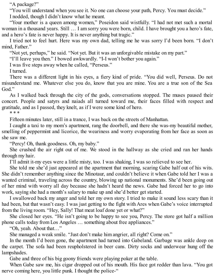"A package?"

"You will understand when you see it. No one can choose your path, Percy. You must decide." I nodded, though I didn't know what he meant.

"Your mother is a queen among women," Poseidon said wistfully. "I had not met such a mortal woman in a thousand years. Still … I am sorry you were born, child. I have brought you a hero's fate, and a hero's fate is never happy. It is never anything but tragic."

I tried not to feel hurt. Here was my own dad, telling me he was sorry I'd been born. "I don't mind, Father."

"Not yet, perhaps," he said. "Not yet. But it was an unforgivable mistake on my part."

"I'll leave you then." I bowed awkwardly. "I-I won't bother you again."

I was five steps away when he called, "Perseus."

I turned.

There was a different light in his eyes, a fiery kind of pride. "You did well, Perseus. Do not misunderstand me. Whatever else you do, know that you are mine. You are a true son of the Sea God."

As I walked back through the city of the gods, conversations stopped. The muses paused their concert. People and satyrs and naiads all turned toward me, their faces filled with respect and gratitude, and as I passed, they knelt, as if I were some kind of hero.

\* \* \*

Fifteen minutes later, still in a trance, I was back on the streets of Manhattan.

I caught a taxi to my mom's apartment, rang the doorbell, and there she was-my beautiful mother, smelling of peppermint and licorice, the weariness and worry evaporating from her face as soon as she saw me.

"Percy! Oh, thank goodness. Oh, my baby."

She crushed the air right out of me. We stood in the hallway as she cried and ran her hands through my hair.

I'll admit it-my eyes were a little misty, too. I was shaking, I was so relieved to see her.

She told me she'd just appeared at the apartment that morning, scaring Gabe half out of his wits. She didn't remember anything since the Minotaur, and couldn't believe it when Gabe told her I was a wanted criminal, traveling across the country, blowing up national monuments. She'd been going out of her mind with worry all day because she hadn't heard the news. Gabe had forced her to go into work, saying she had a month's salary to make up and she'd better get started.

I swallowed back my anger and told her my own story. I tried to make it sound less scary than it had been, but that wasn't easy. I was just getting to the fight with Ares when Gabe's voice interrupted from the living room. "Hey, Sally! That meat loaf done yet or what?"

She closed her eyes. "He isn't going to be happy to see you, Percy. The store got half a million phone calls today from Los Angeles … something about free appliances."

"Oh, yeah. About that…"

She managed a weak smile. "Just don't make him angrier, all right? Come on."

In the month I'd been gone, the apartment had turned into Gabeland. Garbage was ankle deep on the carpet. The sofa had been reupholstered in beer cans. Dirty socks and underwear hung off the lampshades.

Gabe and three of his big goony friends were playing poker at the table.

When Gabe saw me, his cigar dropped out of his mouth. His face got redder than lava. "You got nerve coming here, you little punk. I thought the police-"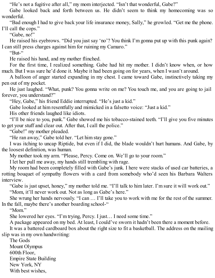"He's not a fugitive after all," my mom interjected. "Isn't that wonderful, Gabe?"

Gabe looked back and forth between us. He didn't seem to think my homecoming was so wonderful.

"Bad enough I had to give back your life insurance money, Sally," he growled. "Get me the phone. I'll call the cops."

"Gabe, no!"

He raised his eyebrows. "Did you just say 'no'? You think I'm gonna put up with this punk again? I can still press charges against him for ruining my Camaro."

"But-"

He raised his hand, and my mother flinched.

For the first time, I realized something. Gabe had hit my mother. I didn't know when, or how much. But I was sure he'd done it. Maybe it had been going on for years, when I wasn't around.

A balloon of anger started expanding in my chest. I came toward Gabe, instinctively taking my pen out of my pocket.

He just laughed. "What, punk? You gonna write on me? You touch me, and you are going to jail forever, you understand?"

"Hey, Gabe," his friend Eddie interrupted. "He's just a kid."

Gabe looked at him resentfully and mimicked in a falsetto voice: "Just a kid."

His other friends laughed like idiots.

"I'll be nice to you, punk." Gabe showed me his tobacco-stained teeth. "I'll give you five minutes to get your stuff and clear out. After that, I call the police."

"Gabe!" my mother pleaded.

"He ran away," Gabe told her. "Let him stay gone."

I was itching to uncap Riptide, but even if I did, the blade wouldn't hurt humans. And Gabe, by the loosest definition, was human.

My mother took my arm. "Please, Percy. Come on. We'll go to your room."

I let her pull me away, my hands still trembling with rage.

My room had been completely filled with Gabe's junk. I here were stacks of used car batteries, a rotting bouquet of sympathy flowers with a card from somebody who'd seen his Barbara Walters interview.

"Gabe is just upset, honey," my mother told me. "I'll talk to him later. I'm sure it will work out." "Mom, it'll never work out. Not as long as Gabe's here."

She wrung her hands nervously. "I can … I'll take you to work with me for the rest of the summer. In the fall, maybe there's another boarding school-"

"Mom."

She lowered her eyes. "I'm trying, Percy. I just… I need some time."

A package appeared on my bed. At least, I could've sworn it hadn't been there a moment before.

It was a battered cardboard box about the right size to fit a basketball. The address on the mailing slip was in my own handwriting:

The Gods Mount Olympus 600th Floor, Empire State Building New York, NY With best wishes,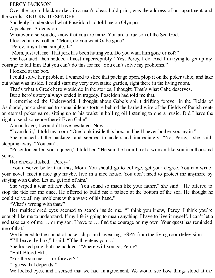PERCY JACKSON

Over the top in black marker, in a man's clear, bold print, was the address of our apartment, and the words: RETURN TO SENDER.

Suddenly I understood what Poseidon had told me on Olympus.

A package. A decision.

Whatever else you do, know that you are mine. You are a true son of the Sea God.

I looked at my mother. "Mom, do you want Gabe gone?

"Percy, it isn't that simple. I-"

"Mom, just tell me. That jerk has been hitting you. Do you want him gone or not?"

She hesitated, then nodded almost imperceptibly. "Yes, Percy. I do. And I'm trying to get up my courage to tell him. But you can't do this for me. You can't solve my problems."

I looked at the box.

I could solve her problem. I wanted to slice that package open, plop it on the poker table, and take out what was inside. I could start my very own statue garden, right there in the living room.

That's what a Greek hero would do in the stories, I thought. That's what Gabe deserves.

But a hero's story always ended in tragedy. Poseidon had told me that.

I remembered the Underworld. I thought about Gabe's spirit drifting forever in the Fields of Asphodel, or condemned to some hideous torture behind the barbed wire of the Fields of Punishmentan eternal poker game, sitting up to his waist in boiling oil listening to opera music. Did I have the right to send someone there? Even Gabe?

A month ago, I wouldn't have hesitated. Now …

"I can do it," I told my mom. "One look inside this box, and he'll never bother you again."

She glanced at the package, and seemed to understand immediately. "No, Percy," she said, stepping away. "You can't."

"Poseidon called you a queen," I told her. "He said he hadn't met a woman like you in a thousand years."

Her cheeks flushed. "Percy-"

"You deserve better than this, Mom. You should go to college, get your degree. You can write your novel, meet a nice guy maybe, live in a nice house. You don't need to protect me anymore by staying with Gabe. Let me get rid of him."

She wiped a tear off her cheek. "You sound so much like your father," she said. "He offered to stop the tide for me once. He offered to build me a palace at the bottom of the sea. He thought he could solve all my problems with a wave of his hand."

"What's wrong with that?"

Her multicolored eyes seemed to search inside me. "I think you know, Percy. I think you're enough like me to understand. If my life is going to mean anything, I have to live it myself. I can't let a god take care of me … or my son. I have to … find the courage on my own. Your quest has reminded me of that."

We listened to the sound of poker chips and swearing, ESPN from the living room television.

"I'll leave the box," I said. "If he threatens you …"

She looked pale, but she nodded. "Where will you go, Percy?"

"Half-Blood Hill."

"For the summer … or forever?"

"I guess that depends."

We locked eyes, and I sensed that we had an agreement. We would see how things stood at the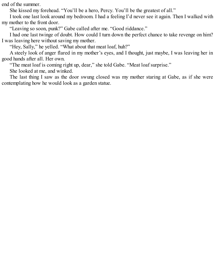end of the summer.

She kissed my forehead. "You'll be a hero, Percy. You'll be the greatest of all."

I took one last look around my bedroom. I had a feeling I'd never see it again. Then I walked with my mother to the front door.

"Leaving so soon, punk?" Gabe called after me. "Good riddance."

I had one last twinge of doubt. How could I turn down the perfect chance to take revenge on him? I was leaving here without saving my mother.

"Hey, Sally," he yelled. "What about that meat loaf, huh?"

A steely look of anger flared in my mother's eyes, and I thought, just maybe, I was leaving her in good hands after all. Her own.

"The meat loaf is coming right up, dear," she told Gabe. "Meat loaf surprise."

She looked at me, and winked.

The last thing I saw as the door swung closed was my mother staring at Gabe, as if she were contemplating how he would look as a garden statue.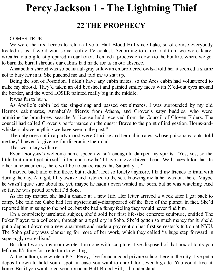# **Percy Jackson 1 - The Lightning Thief**

## **22 THE PROPHECY**

#### COMES TRUE

We were the first heroes to return alive to Half-Blood Hill since Luke, so of course everybody treated us as if we'd won some reality-TV contest. According to camp tradition, we wore laurel wreaths to a big feast prepared in our honor, then led a procession down to the bonfire, where we got to burn the burial shrouds our cabins had made for us in our absence.

Annabeth's shroud was so beautiful-gray silk with embroidered owls-I told her it seemed a shame not to bury her in it. She punched me and told me to shut up.

Being the son of Poseidon, I didn't have any cabin mates, so the Ares cabin had volunteered to make my shroud. They'd taken an old bedsheet and painted smiley faces with X'ed-out eyes around the border, and the word LOSER painted really big in the middle.

It was fun to burn.

As Apollo's cabin led the sing-along and passed out s'mores, I was surrounded by my old Hermes cabinmates, Annabeth's friends from Athena, and Grover's satyr buddies, who were admiring the brand-new searcher's license he'd received from the Council of Cloven Elders. The council had called Grover's performance on the quest "Brave to the point of indigestion. Horns-andwhiskers above anything we have seen in the past."

The only ones not in a party mood were Clarisse and her cabinmates, whose poisonous looks told me they'd never forgive me for disgracing their dad.

That was okay with me.

Even Dionysus's welcome-home speech wasn't enough to dampen my spirits. "Yes, yes, so the little brat didn't get himself killed and now he'll have an even bigger head. Well, huzzah for that. In other announcements, there will be no canoe races this Saturday…."

I moved back into cabin three, but it didn't feel so lonely anymore. I had my friends to train with during the day. At night, I lay awake and listened to the sea, knowing my father was out there. Maybe he wasn't quite sure about me yet, maybe he hadn't even wanted me born, but he was watching. And so far, he was proud of what I'd done.

As for my mother, she had a chance at a new life. Her letter arrived a week after I got back to camp. She told me Gabe had left mysteriously-disappeared off the face of the planet, in fact. She'd reported him missing to the police, but she had a funny feeling they would never find him.

On a completely unrelated subject, she'd sold her first life-size concrete sculpture, entitled The Poker Player, to a collector, through an art gallery in Soho. She'd gotten so much money for it, she'd put a deposit down on a new apartment and made a payment on her first semester's tuition at NYU. The Soho gallery was clamoring for more of her work, which they called "a huge step forward in super-ugly neorealism."

But don't worry, my mom wrote. I'm done with sculpture. I've disposed of that box of tools you left me. It's time for me to turn to writing.

At the bottom, she wrote a P.S.: Percy, I've found a good private school here in the city. I've put a deposit down to hold you a spot, in case you want to enroll for seventh grade. You could live at home. But if you want to go year-round at Half-Blood Hill, I'll understand.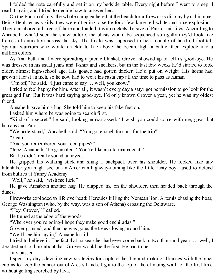I folded the note carefully and set it on my bedside table. Every night before I went to sleep, I read it again, and I tried to decide how to answer her.

On the Fourth of July, the whole camp gathered at the beach for a fireworks display by cabin nine. Being Hephaestus's kids, they weren't going to settle for a few lame red-white-and-blue explosions. They'd anchored a barge offshore and loaded it with rockets the size of Patriot missiles. According to Annabeth, who'd seen the show before, the blasts would be sequenced so tightly they'd look like frames of animation across the sky. The finale was supposed to be a couple of hundred-foot-tall Spartan warriors who would crackle to life above the ocean, fight a battle, then explode into a million colors.

As Annabeth and I were spreading a picnic blanket, Grover showed up to tell us good-bye. He was dressed in his usual jeans and T-shirt and sneakers, but in the last few weeks he'd started to look older, almost high-school age. His goatee had gotten thicker. He'd put on weight. His horns had grown at least an inch, so he now had to wear his rasta cap all the time to pass as human.

"I'm off," he said. "I just came to say … well, you know."

I tried to feel happy for him. After all, it wasn't every day a satyr got permission to go look for the great god Pan. But it was hard saying good-bye. I'd only known Grover a year, yet he was my oldest friend.

Annabeth gave him a hug. She told him to keep his fake feet on.

I asked him where he was going to search first.

"Kind of a secret," he said, looking embarrassed. "I wish you could come with me, guys, but humans and Pan ..."

"We understand," Annabeth said. "You got enough tin cans for the trip?"

"Yeah."

"And you remembered your reed pipes?"

"Jeez, Annabeth," he grumbled. "You're like an old mama goat."

But he didn't really sound annoyed.

He gripped his walking stick and slung a backpack over his shoulder. He looked like any hitchhiker you might see on an American highway-nothing like the little runty boy I used to defend from bullies at Yancy Academy.

"Well," he said, "wish me luck."

He gave Annabeth another hug. He clapped me on the shoulder, then headed back through the dunes.

Fireworks exploded to life overhead: Hercules killing the Nemean lion, Artemis chasing the boar, George Washington (who, by the way, was a son of Athena) crossing the Delaware.

"Hey, Grover," I called.

He turned at the edge of the woods.

"Wherever you're going-I hope they make good enchiladas."

Grover grinned, and then he was gone, the trees closing around him.

"We'll see him again," Annabeth said.

I tried to believe it. The fact that no searcher had ever come back in two thousand years … well, I decided not to think about that. Grover would be the first. He had to be.

July passed.

I spent my days devising new strategies for capture-the-flag and making alliances with the other cabins to keep the banner out of Ares's hands. I got to the top of the climbing wall for the first time without getting scorched by lava.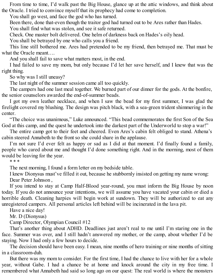From time to time, I'd walk past the Big House, glance up at the attic windows, and think about the Oracle. I tried to convince myself that its prophecy had come to completion.

You shall go west, and face the god who has turned.

Been there, done that-even though the traitor god had turned out to be Ares rather than Hades.

You shall find what was stolen, and see it safe returned.

Check. One master bolt delivered. One helm of darkness back on Hades's oily head.

You shall be betrayed by one who calls you a friend.

This line still bothered me. Ares had pretended to be my friend, then betrayed me. That must be what the Oracle meant….

And you shall fail to save what matters most, in the end.

I had failed to save my mom, but only because I'd let her save herself, and I knew that was the right thing.

So why was I still uneasy?

The last night of the summer session came all too quickly.

The campers had one last meal together. We burned part of our dinner for the gods. At the bonfire, the senior counselors awarded the end-of-summer beads.

I got my own leather necklace, and when I saw the bead for my first summer, I was glad the firelight covered my blushing. The design was pitch black, with a sea-green trident shimmering in the center.

"The choice was unanimous," Luke announced. "This bead commemorates the first Son of the Sea God at this camp, and the quest he undertook into the darkest part of the Underworld to stop a war!"

The entire camp got to their feet and cheered. Even Ares's cabin felt obliged to stand. Athena's cabin steered Annabeth to the front so she could share in the applause.

I'm not sure I'd ever felt as happy or sad as I did at that moment. I'd finally found a family, people who cared about me and thought I'd done something right. And in the morning, most of them would be leaving for the year.

\* \* \*

The next morning, I found a form letter on my bedside table.

I knew Dionysus must've filled it out, because he stubbornly insisted on getting my name wrong: Dear Peter Johnson ,

If you intend to stay at Camp Half-Blood year-round, you must inform the Big House by noon today. If you do not announce your intentions, we will assume you have vacated your cabin or died a horrible death. Cleaning harpies will begin work at sundown. They will be authorized to eat any unregistered campers. All personal articles left behind will be incinerated in the lava pit.

Have a nice day!

Mr. D (Dionysus)

Camp Director, Olympian Council #12

That's another thing about ADHD. Deadlines just aren't real to me until I'm staring one in the face. Summer was over, and I still hadn't answered my mother, or the camp, about whether I'd be staying. Now I had only a few hours to decide.

The decision should have been easy. I mean, nine months of hero training or nine months of sitting in a classroom-duh.

But there was my mom to consider. For the first time, I had the chance to live with her for a whole year, without Gabe. I had a chance be at home and knock around the city in my free time. I remembered what Annabeth had said so long ago on our quest: The real world is where the monsters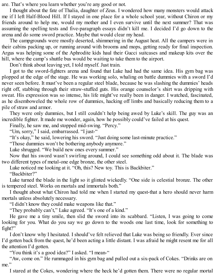are. That's where you learn whether you're any good or not.

I thought about the fate of Thalia, daughter of Zeus. I wondered how many monsters would attack me if I left Half-Blood Hill. If I stayed in one place for a whole school year, without Chiron or my friends around to help me, would my mother and I even survive until the next summer? That was assuming the spelling tests and five-paragraph essays didn't kill me. I decided I'd go down to the arena and do some sword practice. Maybe that would clear my head.

The campgrounds were mostly deserted, shimmering in the August heat. All the campers were in their cabins packing up, or running around with brooms and mops, getting ready for final inspection. Argus was helping some of the Aphrodite kids haul their Gucci suitcases and makeup kits over the hill, where the camp's shuttle bus would be waiting to take them to the airport.

Don't think about leaving yet, I told myself. Just train.

I got to the sword-fighters arena and found that Luke had had the same idea. His gym bag was plopped at the edge of the stage. He was working solo, whaling on battle dummies with a sword I'd never seen before. It must've been a regular steel blade, because he was slashing the dummies' heads right off, stabbing through their straw-stuffed guts. His orange counselor's shirt was dripping with sweat. His expression was so intense, his life might've really been in danger. I watched, fascinated, as he disemboweled the whole row of dummies, hacking off limbs and basically reducing them to a pile of straw and armor.

They were only dummies, but I still couldn't help being awed by Luke's skill. The guy was an incredible fighter. It made me wonder, again, how he possibly could've failed at his quest.

Finally, he saw me, and stopped mid-swing. "Percy."

"Um, sorry," I said, embarrassed. "I just-"

"It's okay," he said, lowering his sword. "Just doing some last-minute practice."

"Those dummies won't be bothering anybody anymore."

Luke shrugged. "We build new ones every summer."

Now that his sword wasn't swirling around, I could see something odd about it. The blade was two different types of metal-one edge bronze, the other steel.

Luke noticed me looking at it. "Oh, this? New toy. This is Backbiter."

"Backbiter?"

Luke turned the blade in the light so it glinted wickedly. "One side is celestial bronze. The other is tempered steel. Works on mortals and immortals both."

I thought about what Chiron had told me when I started my quest-that a hero should never harm mortals unless absolutely necessary.

"I didn't know they could make weapons like that."

"They probably can't," Luke agreed. "It's one of a kind."

He gave me a tiny smile, then slid the sword into its scabbard. "Listen, I was going to come looking for you. What do you say we go down to the woods one last time, look for something to fight?"

I don't know why I hesitated. I should've felt relieved that Luke was being so friendly. Ever since I'd gotten back from the quest, he'd been acting a little distant. I was afraid he might resent me for all the attention I'd gotten.

"You think it's a good idea?" I asked. "I mean-"

"Aw, come on." He rummaged in his gym bag and pulled out a six-pack of Cokes. "Drinks are on me."

I stared at the Cokes, wondering where the heck he'd gotten them. There were no regular mortal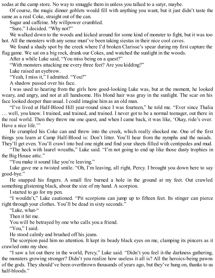sodas at the camp store. No way to smuggle them in unless you talked to a satyr, maybe.

Of course, the magic dinner goblets would fill with anything you want, but it just didn't taste the same as a real Coke, straight out of the can.

Sugar and caffeine. My willpower crumbled.

"Sure," I decided. "Why not?"

We walked down to the woods and kicked around for some kind of monster to fight, but it was too hot. All the monsters with any sense must've been taking siestas in their nice cool caves.

We found a shady spot by the creek where I'd broken Clarisse's spear during my first capture the flag game. We sat on a big rock, drank our Cokes, and watched the sunlight in the woods.

After a while Luke said, "You miss being on a quest?"

"With monsters attacking me every three feet? Are you kidding?"

Luke raised an eyebrow.

"Yeah, I miss it," I admitted. "You?"

A shadow passed over his face.

I was used to hearing from the girls how good-looking Luke was, but at the moment, he looked weary, and angry, and not at all handsome. His blond hair was gray in the sunlight. The scar on his face looked deeper than usual. I could imagine him as an old man.

"I've lived at Half-Blood Hill year-round since I was fourteen," he told me. "Ever since Thalia … well, you know. I trained, and trained, and trained. I never got to be a normal teenager, out there in the real world. Then they threw me one quest, and when I came back, it was like, 'Okay, ride's over. Have a nice life."

He crumpled his Coke can and threw into the creek, which really shocked me. One of the first things you learn at Camp Half-Blood is: Don't litter. You'll hear from the nymphs and the naiads. They'll get even. You'll crawl into bed one night and find your sheets filled with centipedes and mud.

"The heck with laurel wreaths," Luke said. "I'm not going to end up like those dusty trophies in the Big House attic."

"You make it sound like you're leaving."

Luke gave me a twisted smile. "Oh, I'm leaving, all right, Percy. I brought you down here to say good-bye."

He snapped his fingers. A small fire burned a hole in the ground at my feet. Out crawled something glistening black, about the size of my hand. A scorpion.

I started to go for my pen.

"I wouldn't," Luke cautioned. "Pit scorpions can jump up to fifteen feet. Its stinger can pierce right through your clothes. You'll be dead in sixty seconds."

"Luke, what-"

Then it hit me.

You will be betrayed by one who calls you a friend.

"You," I said.

He stood calmly and brushed off his jeans.

The scorpion paid him no attention. It kept its beady black eyes on me, clamping its pincers as it crawled onto my shoe.

"I saw a lot out there in the world, Percy," Luke said. "Didn't you feel it-the darkness gathering, the monsters growing stronger? Didn't you realize how useless it all is? All the heroics-being pawns of the gods. They should've been overthrown thousands of years ago, but they've hung on, thanks to us half-bloods."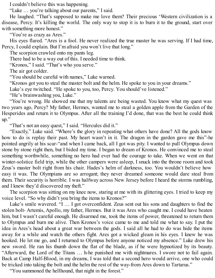I couldn't believe this was happening.

"Luke … you're talking about our parents," I said.

He laughed. "That's supposed to make me love them? Their precious 'Western civilization is a disease, Percy. It's killing the world. The only way to stop it is to burn it to the ground, start over with something more honest."

"You're as crazy as Ares."

His eyes flared. "Ares is a fool. He never realized the true master he was serving. If I had time, Percy, I could explain. But I'm afraid you won't live that long."

The scorpion crawled onto my pants leg.

There had to be a way out of this. I needed time to think.

"Kronos," I said. "That's who you serve."

The air got colder.

"You should be careful with names," Luke warned.

"Kronos got you to steal the master bolt and the helm. He spoke to you in your dreams."

Luke's eye twitched. "He spoke to you, too, Percy. You should've listened."

"He's brainwashing you, Luke."

"You're wrong. He showed me that my talents are being wasted. You know what my quest was two years ago, Percy? My father, Hermes, wanted me to steal a golden apple from the Garden of the Hesperides and return it to Olympus. After all the training I'd done, that was the best he could think up."

"That's not an easy quest," I said. "Hercules did it."

"Exactly," Luke said. "Where's the glory in repeating what others have done? All the gods know how to do is replay their past. My heart wasn't in it. The dragon in the garden gave me this"-he pointed angrily at his scar-"and when I came back, all I got was pity. I wanted to pull Olympus down stone by stone right then, but I bided my time. I began to dream of Kronos. He convinced me to steal something worthwhile, something no hero had ever had the courage to take. When we went on that winter-solstice field trip, while the other campers were asleep, I snuck into the throne room and took Zeus's master bolt right from his chair. Hades's helm of darkness, too. You wouldn't believe how easy it was. The Olympians are so arrogant; they never dreamed someone would dare steal from them. Their security is horrible. I was halfway across New Jersey before I heard the storms rumbling, and I knew they'd discovered my theft."

The scorpion was sitting on my knee now, staring at me with its glittering eyes. I tried to keep my voice level. "So why didn't you bring the items to Kronos?"

Luke's smile wavered. "I … I got overconfident. Zeus sent out his sons and daughters to find the stolen bolt- Artemis, Apollo, my father, Hermes. But it was Ares who caught me. I could have beaten him, but I wasn't careful enough. He disarmed me, took the items of power, threatened to return them to Olympus and burn me alive. Then Kronos's voice came to me and told me what to say. I put the idea in Ares's head about a great war between the gods. I said all he had to do was hide the items away for a while and watch the others fight. Ares got a wicked gleam in his eyes. I knew he was hooked. He let me go, and I returned to Olympus before anyone noticed my absence." Luke drew his new sword. He ran his thumb down the flat of the blade, as if he were hypnotized by its beauty. "Afterward, the Lord of the Titans … h-he punished me with nightmares. I swore not to fail again. Back at Camp Half-Blood, in my dreams, I was told that a second hero would arrive, one who could be tricked into taking the bolt and the helm the rest of the way-from Ares down to Tartarus."

"You summoned the hellhound, that night in the forest."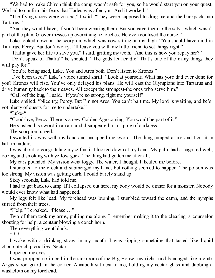"We had to make Chiron think the camp wasn't safe for you, so he would start you on your quest. We had to confirm his fears that Hades was after you. And it worked."

"The flying shoes were cursed," I said. "They were supposed to drag me and the backpack into Tartarus."

"And they would have, if you'd been wearing them. But you gave them to the satyr, which wasn't part of the plan. Grover messes up everything he touches. He even confused the curse."

Luke looked down at the scorpion, which was now sitting on my thigh. "You should have died in Tartarus, Percy. But don't worry, I'll leave you with my little friend to set things right."

"Thalia gave her life to save you," I said, gritting my teeth. "And this is how you repay her?"

"Don't speak of Thalia!" he shouted. "The gods let her die! That's one of the many things they will pay for."

"You're being used, Luke. You and Ares both. Don't listen to Kronos."

"I've been used?" Luke's voice turned shrill. "Look at yourself. What has your dad ever done for you? Kronos will rise. You've only delayed his plans. He will cast the Olympians into Tartarus and drive humanity back to their caves. All except the strongest-the ones who serve him."

"Call off the bug," I said. "If you're so strong, fight me yourself"

Luke smiled. "Nice try, Percy. But I'm not Ares. You can't bait me. My lord is waiting, and he's got plenty of quests for me to undertake."

"Luke-"

"Good-bye, Percy. There is a new Golden Age coming. You won't be part of it."

He slashed his sword in an arc and disappeared in a ripple of darkness.

The scorpion lunged.

I swatted it away with my hand and uncapped my sword. The thing jumped at me and I cut it in half in midair.

I was about to congratulate myself until I looked down at my hand. My palm had a huge red welt, oozing and smoking with yellow guck. The thing had gotten me after all.

My ears pounded. My vision went foggy. The water, I thought. It healed me before.

I stumbled to the creek and submerged my hand, but nothing seemed to happen. The poison was too strong. My vision was getting dark. I could barely stand up.

Sixty seconds, Luke had told me.

I had to get back to camp. If I collapsed out here, my body would be dinner for a monster. Nobody would ever know what had happened.

My legs felt like lead. My forehead was burning. I stumbled toward the camp, and the nymphs stirred from their trees.

"Help," I croaked. "Please …"

Two of them took my arms, pulling me along. I remember making it to the clearing, a counselor shouting for help, a centaur blowing a conch horn.

Then everything went black.

\* \* \*

I woke with a drinking straw in my mouth. I was sipping something that tasted like liquid chocolate-chip cookies. Nectar.

I opened my eyes.

I was propped up in bed in the sickroom of the Big House, my right hand bandaged like a club. Argus stood guard in the corner. Annabeth sat next to me, holding my nectar glass and dabbing a washcloth on my forehead.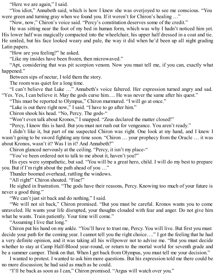"Here we are again," I said.

"You idiot," Annabeth said, which is how I knew she was overjoyed to see me conscious. "You were green and turning gray when we found you. If it weren't for Chiron's healing ..."

"Now, now," Chiron's voice said. "Percy's constitution deserves some of the credit."

He was sitting near the foot of my bed in human form, which was why I hadn't noticed him yet. His lower half was magically compacted into the wheelchair, his upper half dressed in a coat and tie. He smiled, but his face looked weary and pale, the way it did when he'd been up all night grading Latin papers.

"How are you feeling?" he asked.

"Like my insides have been frozen, then microwaved."

"Apt, considering that was pit scorpion venom. Now you must tell me, if you can, exactly what happened."

Between sips of nectar, I told them the story.

The room was quiet for a long time.

"I can't believe that Luke …" Annabeth's voice faltered. Her expression turned angry and sad. "Yes. Yes, I can believe it. May the gods curse him…. He was never the same after his quest."

"This must be reported to Olympus," Chiron murmured. "I will go at once."

"Luke is out there right now," I said. "I have to go after him."

Chiron shook his head. "No, Percy. The gods-"

"Won't even talk about Kronos," I snapped. "Zeus declared the matter closed!"

"Percy, I know this is hard. But you must not rush out for vengeance. You aren't ready."

I didn't like it, but part of me suspected Chiron was right. One look at my hand, and I knew I wasn't going to be sword fighting any time soon. "Chiron … your prophecy from the Oracle … it was about Kronos, wasn't it? Was I in it? And Annabeth?"

Chiron glanced nervously at the ceiling. "Percy, it isn't my place-"

"You've been ordered not to talk to me about it, haven't you?"

His eyes were sympathetic, but sad. "You will be a great hero, child. I will do my best to prepare you. But if I'm right about the path ahead of you …"

Thunder boomed overhead, rattling the windows.

"All right!" Chiron shouted. "Fine!"

He sighed in frustration. "The gods have their reasons, Percy. Knowing too much of your future is never a good thing."

"We can't just sit back and do nothing," I said.

"We will not sit back," Chiron promised. "But you must be careful. Kronos wants you to come unraveled. He wants your life disrupted, your thoughts clouded with fear and anger. Do not give him what he wants. Train patiently. Your time will come."

"Assuming I live that long."

Chiron put his hand on my ankle. "You'll have to trust me, Percy. You will live. But first you must decide your path for the coming year. I cannot tell you the right choice…." I got the feeling that he had a very definite opinion, and it was taking all his willpower not to advise me. "But you must decide whether to stay at Camp Half-Blood year-round, or return to the mortal world for seventh grade and be a summer camper. Think on that. When I get back from Olympus, you must tell me your decision."

I wanted to protest. I wanted to ask him more questions. But his expression told me there could be no more discussion; he had said as much as he could.

"I'll be back as soon as I can," Chiron promised. "Argus will watch over you."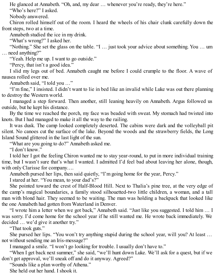He glanced at Annabeth. "Oh, and, my dear … whenever you're ready, they're here."

"Who's here?" I asked.

Nobody answered.

Chiron rolled himself out of the room. I heard the wheels of his chair clunk carefully down the front steps, two at a time.

Annabeth studied the ice in my drink.

"What's wrong?" I asked her.

"Nothing." She set the glass on the table. "I … just took your advice about something. You … um … need anything?"

"Yeah. Help me up. I want to go outside."

"Percy, that isn't a good idea."

I slid my legs out of bed. Annabeth caught me before I could crumple to the floor. A wave of nausea rolled over me.

Annabeth said, "I told you …"

"I'm fine," I insisted. I didn't want to lie in bed like an invalid while Luke was out there planning to destroy the Western world.

I managed a step forward. Then another, still leaning heavily on Annabeth. Argus followed us outside, but he kept his distance.

By the time we reached the porch, my face was beaded with sweat. My stomach had twisted into knots. But I had managed to make it all the way to the railing.

It was dusk. The camp looked completely deserted. The cabins were dark and the volleyball pit silent. No canoes cut the surface of the lake. Beyond the woods and the strawberry fields, the Long Island Sound glittered in the last light of the sun.

"What are you going to do?" Annabeth asked me.

"I don't know."

I told her I got the feeling Chiron wanted me to stay year-round, to put in more individual training time, but I wasn't sure that's what I wanted. I admitted I'd feel bad about leaving her alone, though, with only Clarisse for company....

Annabeth pursed her lips, then said quietly, "I'm going home for the year, Percy."

I stared at her. "You mean, to your dad's?"

She pointed toward the crest of Half-Blood Hill. Next to Thalia's pine tree, at the very edge of the camp's magical boundaries, a family stood silhouetted-two little children, a woman, and a tall man with blond hair. They seemed to be waiting. The man was holding a backpack that looked like the one Annabeth had gotten from Waterland in Denver.

"I wrote him a letter when we got back," Annabeth said. "Just like you suggested. I told him … I was sorry. I'd come home for the school year if he still wanted me. He wrote back immediately. We decided … we'd give it another try."

"That took guts."

She pursed her lips. "You won't try anything stupid during the school year, will you? At least … not without sending me an Iris-message?"

I managed a smile. "I won't go looking for trouble. I usually don't have to."

"When I get back next summer," she said, "we'll hunt down Luke. We'll ask for a quest, but if we don't get approval, we'll sneak off and do it anyway. Agreed?"

"Sounds like a plan worthy of Athena."

She held out her hand. I shook it.